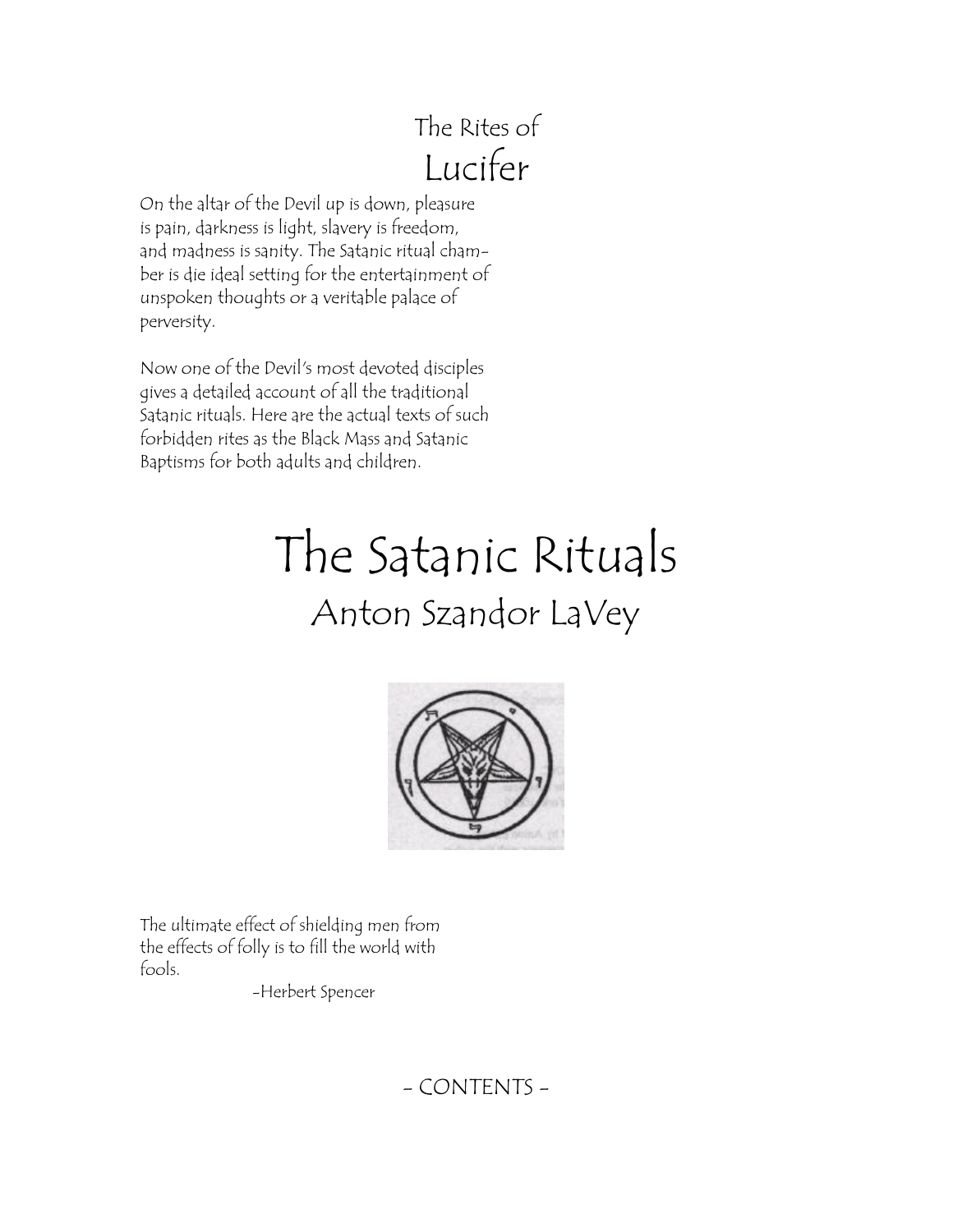## The Rites of Lucifer

On the altar of the Devil up is down, pleasure is pain, darkness is light, slavery is freedom, and madness is sanity. The Satanic ritual chamber is die ideal setting for the entertainment of unspoken thoughts or a veritable palace of perversity.

Now one of the Devil's most devoted disciples gives a detailed account of all the traditional Satanic rituals. Here are the actual texts of such forbidden rites as the Black Mass and Satanic Baptisms for both adults and children.

# The Satanic Rituals

### Anton Szandor LaVey



The ultimate effect of shielding men from the effects of folly is to fill the world with fools.

-Herbert Spencer

- CONTENTS -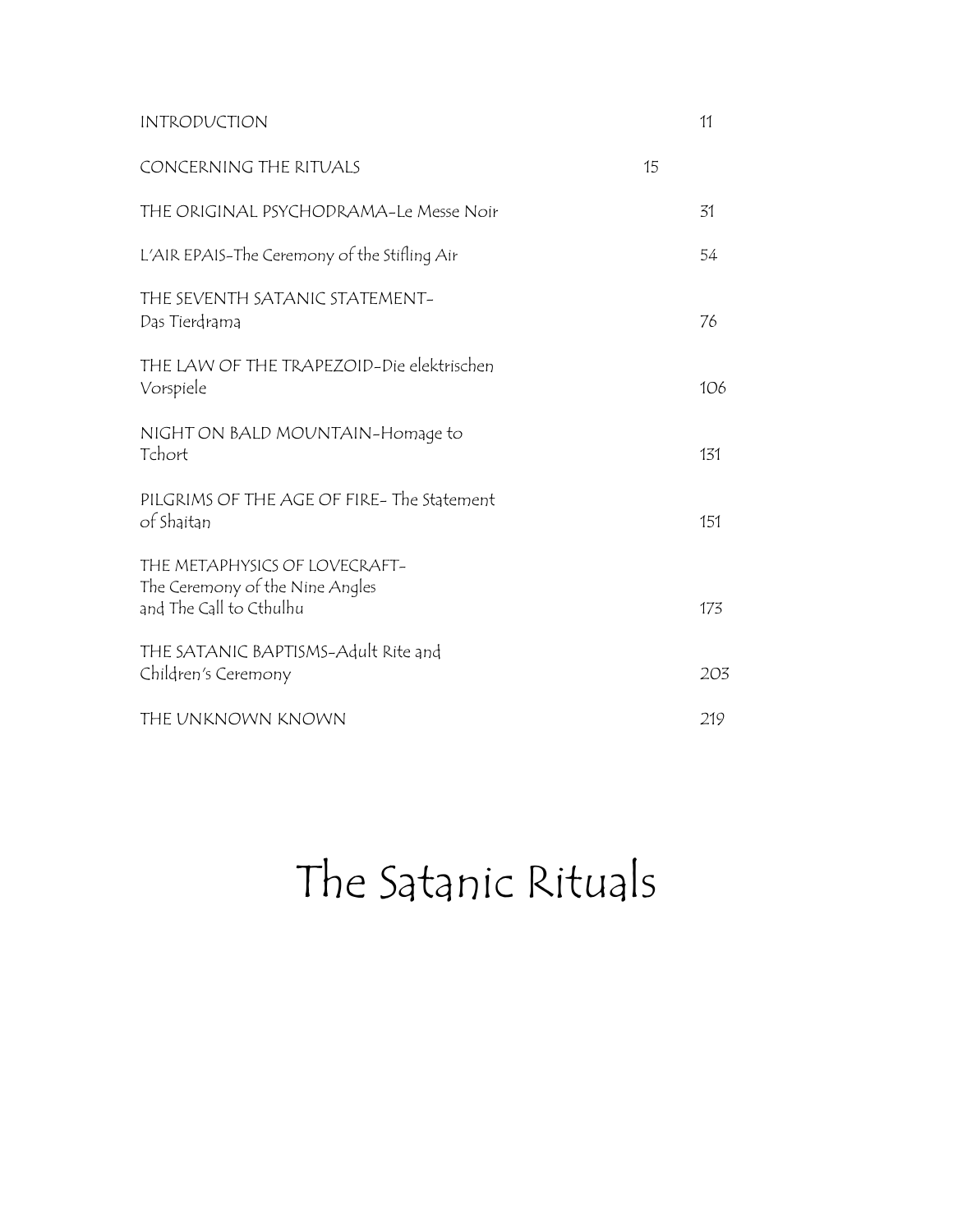| INTRODUCTION                                                                                |    | 11  |
|---------------------------------------------------------------------------------------------|----|-----|
| CONCERNING THE RITUALS                                                                      | 15 |     |
| THE ORIGINAL PSYCHODRAMA-Le Messe Noir                                                      |    | 31  |
| L'AIR EPAIS-The Ceremony of the Stifling Air                                                |    | 54  |
| THE SEVENTH SATANIC STATEMENT-<br>Das Tierdrama                                             |    | 76  |
| THE LAW OF THE TRAPEZOID-Die elektrischen<br>Vorspiele                                      |    | 106 |
| NIGHT ON BALD MOUNTAIN-Homage to<br>Tchort                                                  |    | 131 |
| PILGRIMS OF THE AGE OF FIRE- The Statement<br>of Shaitan                                    |    | 151 |
| THE METAPHYSICS OF LOVECRAFT-<br>The Ceremony of the Nine Angles<br>and The Call to Cthulhu |    | 173 |
| THE SATANIC BAPTISMS-Adult Rite and<br>Children's Ceremony                                  |    | 203 |
| THE UNKNOWN KNOWN                                                                           |    | 219 |

## The Satanic Rituals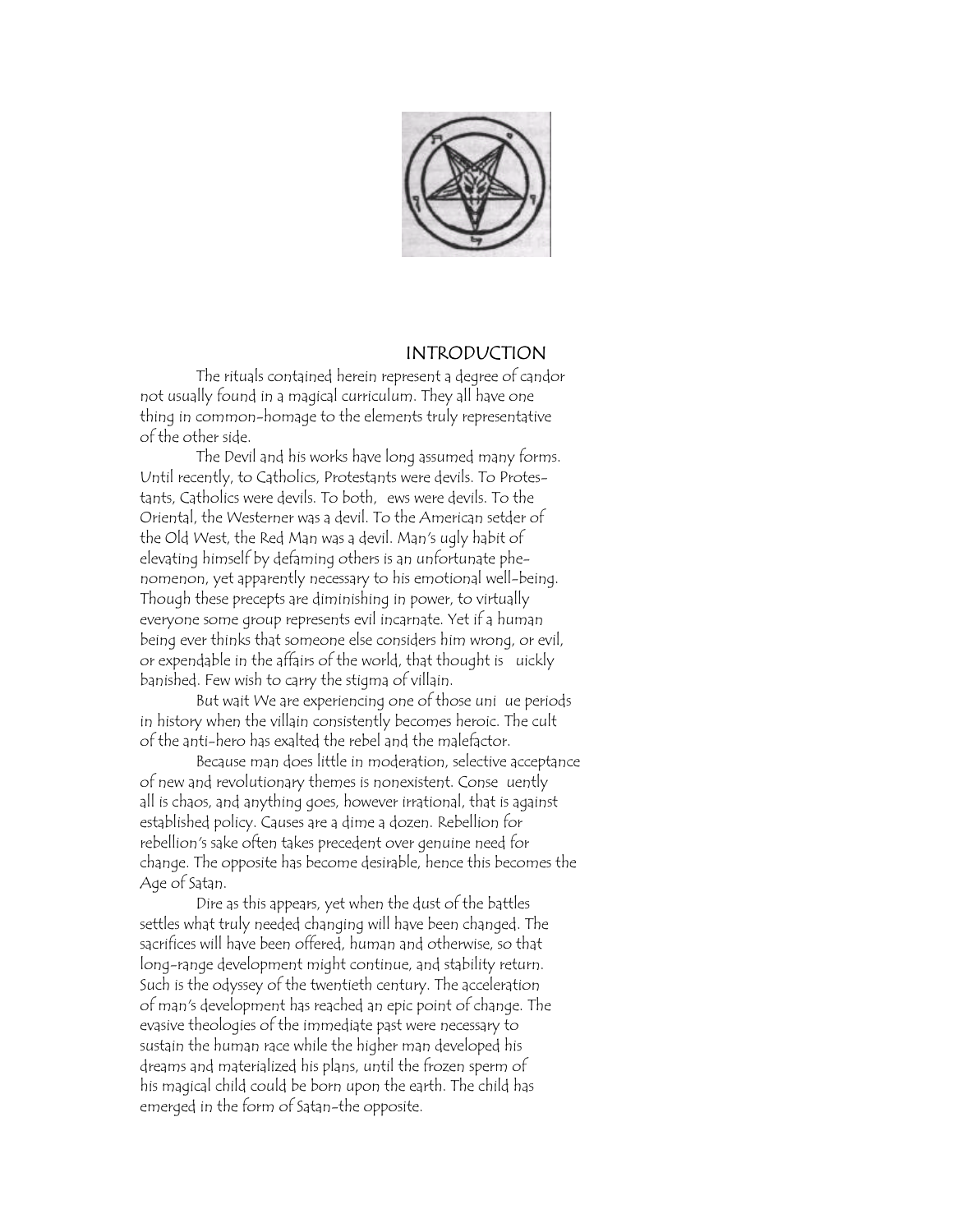

#### INTRODUCTION

The rituals contained herein represent a degree of candor not usually found in a magical curriculum. They all have one thing in common-homage to the elements truly representative of the *other side.*

The Devil and his works have long assumed many forms. Until recently, to Catholics, Protestants were devils. To Protestants, Catholics were devils. To both, ews were devils. To the Oriental, the Westerner was a devil. To the American setder of the Old West, the Red Man was a devil. Man's ugly habit of elevating himself by defaming others is an unfortunate phenomenon, yet apparently necessary to his emotional well-being. Though these precepts are diminishing in power, to virtually everyone some group represents evil incarnate. Yet if a human being ever thinks that someone else considers him wrong, or evil, or expendable in the affairs of the world, that thought is uickly banished. Few wish to carry the stigma of villain.

But wait We are experiencing one of those uni ue periods in history when the villain consistently becomes heroic. The cult of the anti-hero has exalted the rebel and the malefactor.

Because man does little in moderation, selective acceptance of new and revolutionary themes is nonexistent. Conse uently all is chaos, and anything goes, however irrational, that is against established policy. Causes are a dime a dozen. Rebellion for rebellion's sake often takes precedent over genuine need for change. The opposite has become desirable, hence this becomes the Age of Satan.

Dire as this appears, yet when the dust of the battles settles what truly needed changing will have been changed. The sacrifices will have been offered, human and otherwise, so that long-range development might continue, and stability return. Such is the odyssey of the twentieth century. The acceleration of man's development has reached an epic point of change. The evasive theologies of the immediate past were necessary to sustain the human race while the higher man developed his dreams and materialized his plans, until the frozen sperm of his magical child could be born upon the earth. The child has emerged in the form of Satan-the opposite.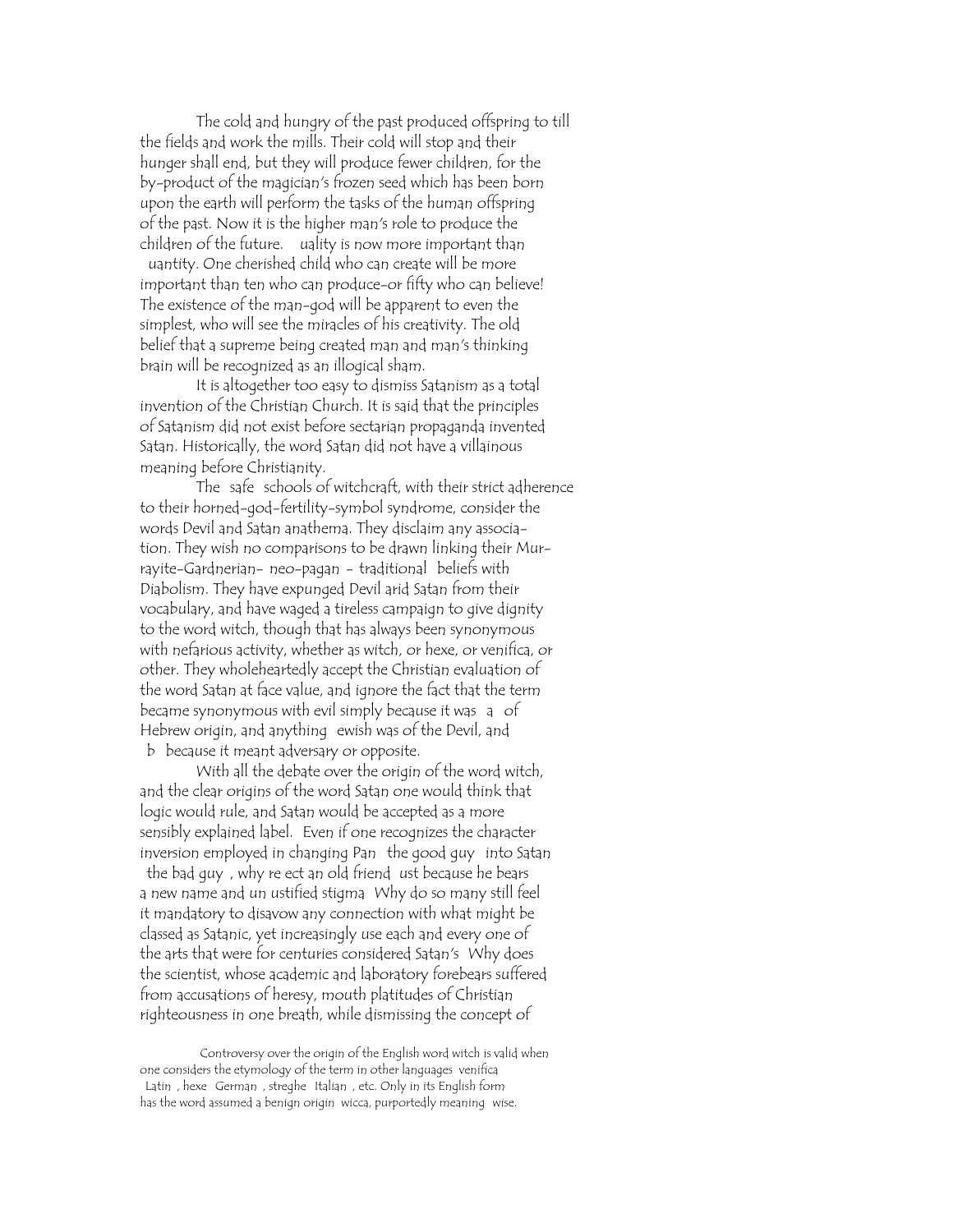The cold and hungry of the past produced offspring to till the fields and work the mills. Their cold will stop and their hunger shall end, but they will produce fewer children, for the by-product of the magician's frozen seed which has been born upon the earth will perform the tasks of the human offspring of the past. Now it is the higher man's role to produce the children of the future. uality is now more important than quantity. One cherished child who can *create* will be more important than ten who can produce-or fifty who can *believe!* The existence of the man-god will be apparent to even the simplest, who will see the miracles of his creativity. The old belief that a supreme being created man and man's thinking brain will be recognized as an illogical sham.

It is altogether too easy to dismiss Satanism as a total invention of the Christian Church. It is said that the principles of Satanism did not exist before sectarian propaganda invented Satan. Historically, the word Satan did not have a villainous meaning before Christianity.

The safe schools of witchcraft, with their strict adherence to their horned-god-fertility-symbol syndrome, consider the words *Devil* and *Satan* anathema. They disclaim any association. They wish no comparisons to be drawn linking their Murrayite-Gardnerian- neo-pagan - traditional beliefs with Diabolism. They have expunged *Devil* arid *Satan* from their vocabulary, and have waged a tireless campaign to give dignity to the word witch, though that has always been synonymous with nefarious activity, whether as witch, or hexe, or venifica, or other. They wholeheartedly *accept* the Christian evaluation of the word *Satan* at face value, and ignore the fact that the term became synonymous with evil simply because it was a of Hebrew origin, and anything ewish was of the Devil, and b because it meant adversary or opposite.

With all the debate over the origin of the word witch, and the clear origins of the word Satan one would think that logic would rule, and Satan would be accepted as a more sensibly explained label.\* Even if one recognizes the character inversion employed in changing Pan the good guy into Satan the bad guy, why reject an old friend just because he bears a new name and un ustified stigma Why do so many still feel it mandatory to disavow any connection with what might be classed as Satanic, yet increasingly use each and every one of the arts that were for centuries considered Satan's? Why does the scientist, whose academic and laboratory forebears suffered from accusations of heresy, mouth platitudes of Christian righteousness in one breath, while dismissing the concept of

Controversy over the origin of the English word witch is valid when one considers the etymology of the term in other languages: *venifica* Latin, hexe German, *streghe* Italian, etc. Only in its English form has the word assumed a benign origin: *wicca,* purportedly meaning "wise."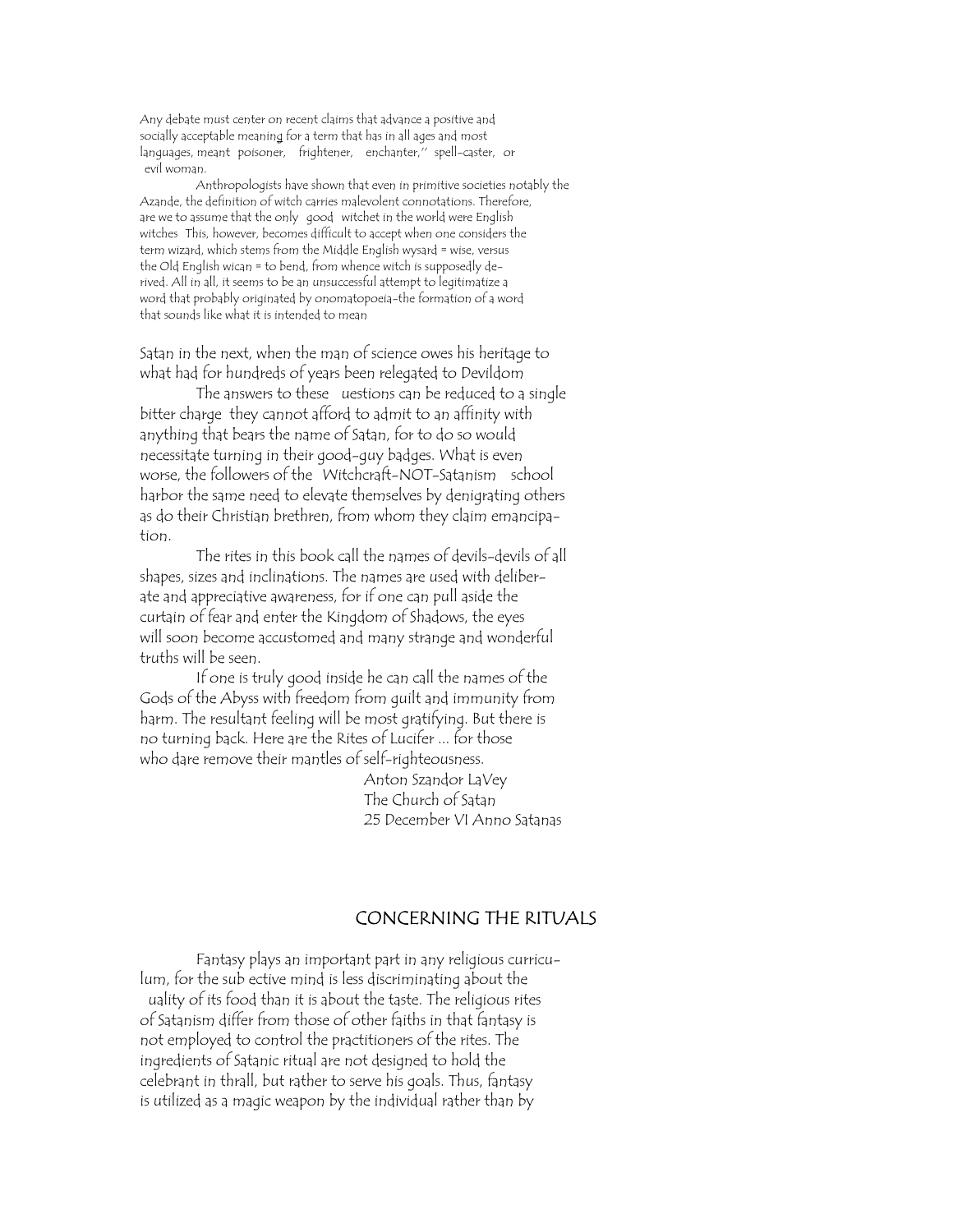Any debate must center on recent claims that advance a positive and socially acceptable meaning for a term that has in all ages and most languages, meant poisoner, frightener, enchanter," spell-caster, or evil woman.

Anthropologists have shown that even in primitive societies notably the Azande, the definition of *witch* carries malevolent connotations. Therefore, are we to assume that the only "good" witchet in the world were English witches This, however, becomes difficult to accept when one considers the term *wizard,* which stems from the Middle English *wysard = wise,* versus the Old English *wican = to bend,* from whence *witch* is supposedly derived. All in all, it seems to be an unsuccessful attempt to legitimatize a word that probably originated by onomatopoeia-the formation of a word that sounds like what it is intended to mean!

Satan in the next, when the man of science owes his heritage to what had for hundreds of years been relegated to Devildom?

The answers to these uestions can be reduced to a single bitter charge: they cannot afford to admit to an affinity with anything that bears the name of Satan, for to do so would necessitate turning in their good-guy badges. What is even worse, the followers of the Witchcraft-NOT-Satanism school harbor the same need to elevate themselves by denigrating others as do their Christian brethren, from whom they claim emancipation.

The rites in this book call the names of devils-devils of all shapes, sizes and inclinations. The names are used with deliberate and appreciative awareness, for if one can pull aside the curtain of fear and enter the Kingdom of Shadows, the eyes will soon become accustomed and many strange and wonderful truths will be seen.

If one is *truly* good inside he can call the names of the Gods of the Abyss with freedom from guilt and immunity from harm. The resultant feeling will be most gratifying. But there is no turning back. Here are the Rites of Lucifer ... for those who dare remove their mantles of self-righteousness.

> Anton Szandor LaVey The Church of Satan 25 December VI Anno Satanas

#### CONCERNING THE RITUALS

Fantasy plays an important part in any religious curriculum, for the sub ective mind is less discriminating about the uality of its food than it is about the taste. The religious rites of Satanism differ from those of other faiths in that fantasy is not employed to control the practitioners of the rites. The ingredients of Satanic ritual are not designed to hold the celebrant in thrall, but rather to serve his goals. Thus, fantasy is utilized as a magic weapon by the individual rather than by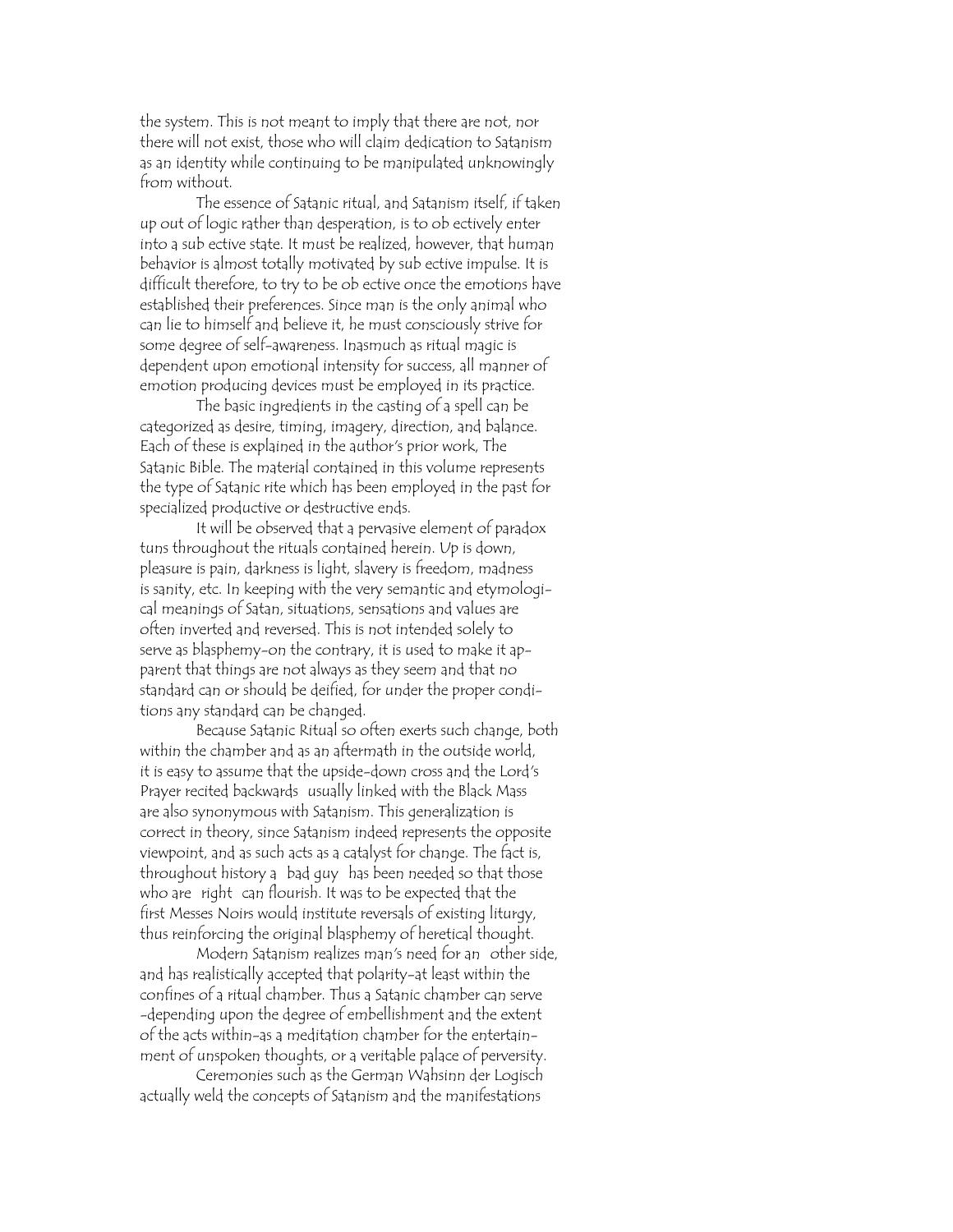the system. This is not meant to imply that there are not, nor there will not exist, those who will claim dedication to Satanism as an *identity* while continuing to be manipulated unknowingly from without.

The essence of Satanic ritual, and Satanism itself, if taken up out of logic rather than desperation, is to ob ectively enter into a sub ective state. It must be realized, however, that human behavior is almost totally motivated by sub ective impulse. It is difficult therefore, to try to be ob ective once the emotions have established their preferences. Since man is the only animal who can lie to himself and believe it, he must consciously strive for some degree of self-awareness. Inasmuch as ritual magic is dependent upon emotional intensity for success, all manner of emotion producing devices must be employed in its practice.

The basic ingredients in the casting of a spell can be categorized as desire, timing, imagery, direction, and balance. Each of these is explained in the author's prior work, *The Satanic Bible.* The material contained in this volume represents the type of Satanic rite which has been employed in the past for *specialized* productive or destructive ends.

It will be observed that a pervasive element of paradox tuns throughout the rituals contained herein. Up is down, pleasure is pain, darkness is light, slavery is freedom, madness is sanity, etc. In keeping with the very semantic and etymological meanings of Satan, situations, sensations and values are often inverted and reversed. This is not intended solely to serve as blasphemy-on the contrary, it is used to make it apparent that things are not always as they seem and that *no* standard can or should be deified, for under the proper conditions any standard can be changed.

Because Satanic Ritual so often exerts such change, both within the chamber and as an aftermath in the outside world, it is easy to assume that the upside-down cross and the Lord's Prayer recited backwards\* usually linked with the *Black Mass* are also synonymous with Satanism. This generalization is correct in theory, since Satanism indeed represents the opposite viewpoint, and as such acts as a catalyst for change. The fact is, throughout history a "bad guy" has been needed so that those who are right can flourish. It was to be expected that the first *Messes Noirs* would institute reversals of existing liturgy, thus reinforcing the original blasphemy of heretical thought.

Modern Satanism realizes man's need for an other side, and has realistically accepted that polarity-at least within the confines of a ritual chamber. Thus a Satanic chamber can serve -depending upon the degree of embellishment and the extent of the acts within-as a meditation chamber for the entertainment of unspoken thoughts, or a veritable palace of perversity.

Ceremonies such as the German *Wahsinn der Logisch* actually weld the concepts of Satanism and the manifestations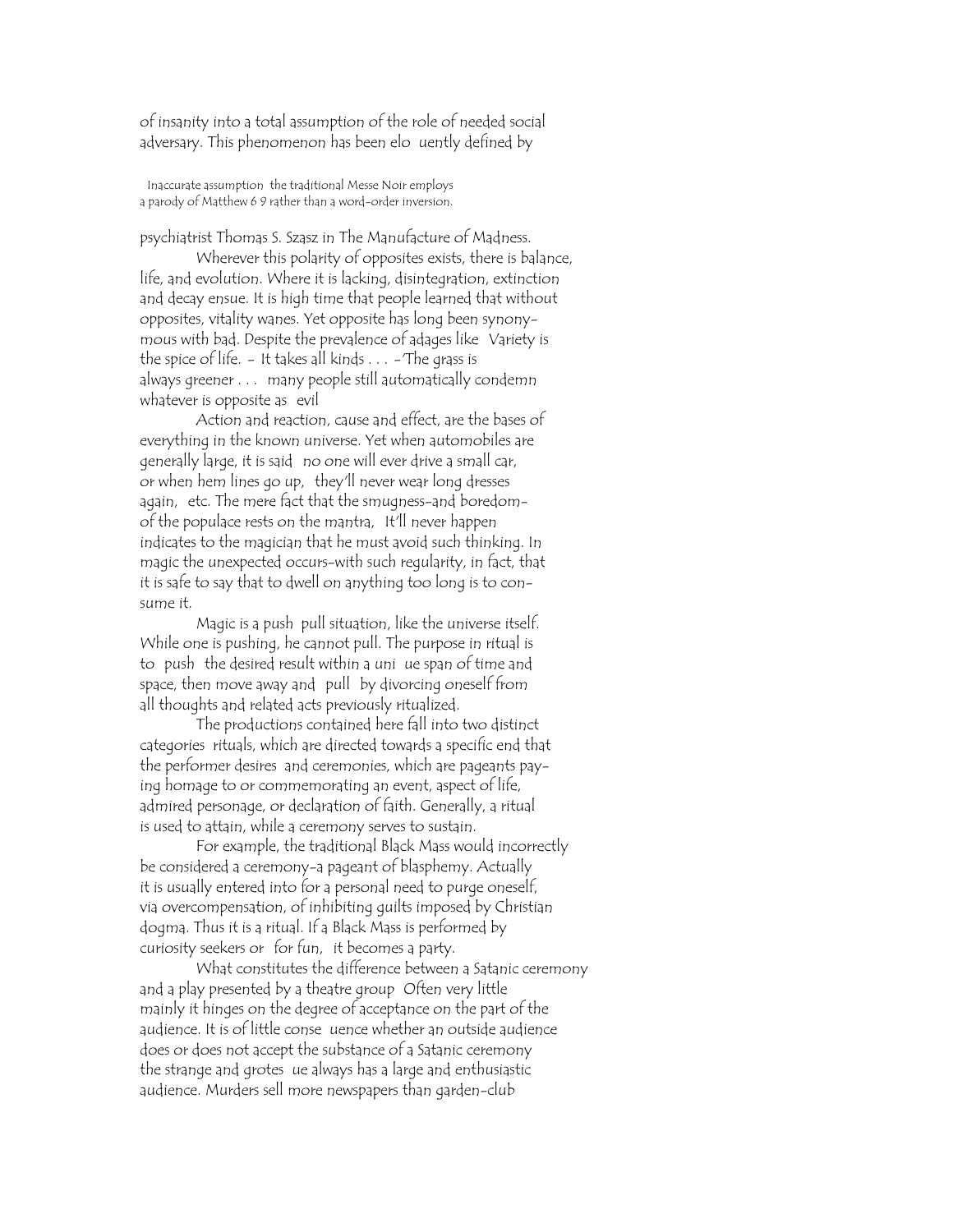of insanity into a total assumption of the role of needed social adversary. This phenomenon has been elo uently defined by

\* Inaccurate assumption; the traditional *Messe Noir* employs a parody of *Matthew* 6:9 rather than a word-order inversion.

psychiatrist Thomas S. Szasz in *The Manufacture of Madness.*

Wherever this polarity of opposites exists, there is balance, life, and evolution. Where it is lacking, disintegration, extinction and decay ensue. It is high time that people learned that without opposites, vitality wanes. Yet *opposite* has long been synonymous with *bad.* Despite the prevalence of adages like "Variety is the spice of life.  $-$  It takes all kinds  $\ldots$  -The grass is always greener . . ." many people still automatically condemn whatever is opposite as evil

Action and reaction, cause and effect, are the bases of everything in the known universe. Yet when automobiles are generally large, it is said no one will ever drive a small car, or when hem lines go up, "they'll never wear long dresses again," etc. The mere fact that the smugness-and boredomof the populace rests on the mantra, It'll never happen indicates to the magician that he must avoid such thinking. In magic the unexpected occurs-with such regularity, in fact, that it is safe to say that *to dwell on anything too long is to consume it.*

Magic is a push pull situation, like the universe itself. While one is pushing, he cannot pull. The purpose in ritual is to "push" the desired result within a unillue span of time and space, then move away and "pull" *by divorcing oneself from all thoughts and related acts previously ritualized.*

The productions contained here fall into two distinct categories: *rituals,* which are directed towards a specific end that the performer desires; and *ceremonies,* which are pageants paying homage to or commemorating an event, aspect of life, admired personage, or declaration of faith. Generally, a ritual is used to *attain,* while a ceremony serves to *sustain.*

For example, the traditional *Black Mass* would incorrectly be considered a ceremony-a pageant of blasphemy. Actually it is usually entered into for a personal need to purge oneself, via overcompensation, of inhibiting guilts imposed by Christian dogma. Thus it is a *ritual.* If a *Black Mass* is performed by curiosity seekers or for fun, it becomes a party.

What constitutes the difference between a Satanic ceremony and a play presented by a theatre group? Often very little: mainly it hinges on the degree of acceptance on the part of the audience. It is of little conse uence whether an outside audience does or does not accept the substance of a Satanic ceremony: the strange and grotes ue always has a large and enthusiastic audience. Murders sell more newspapers than garden-club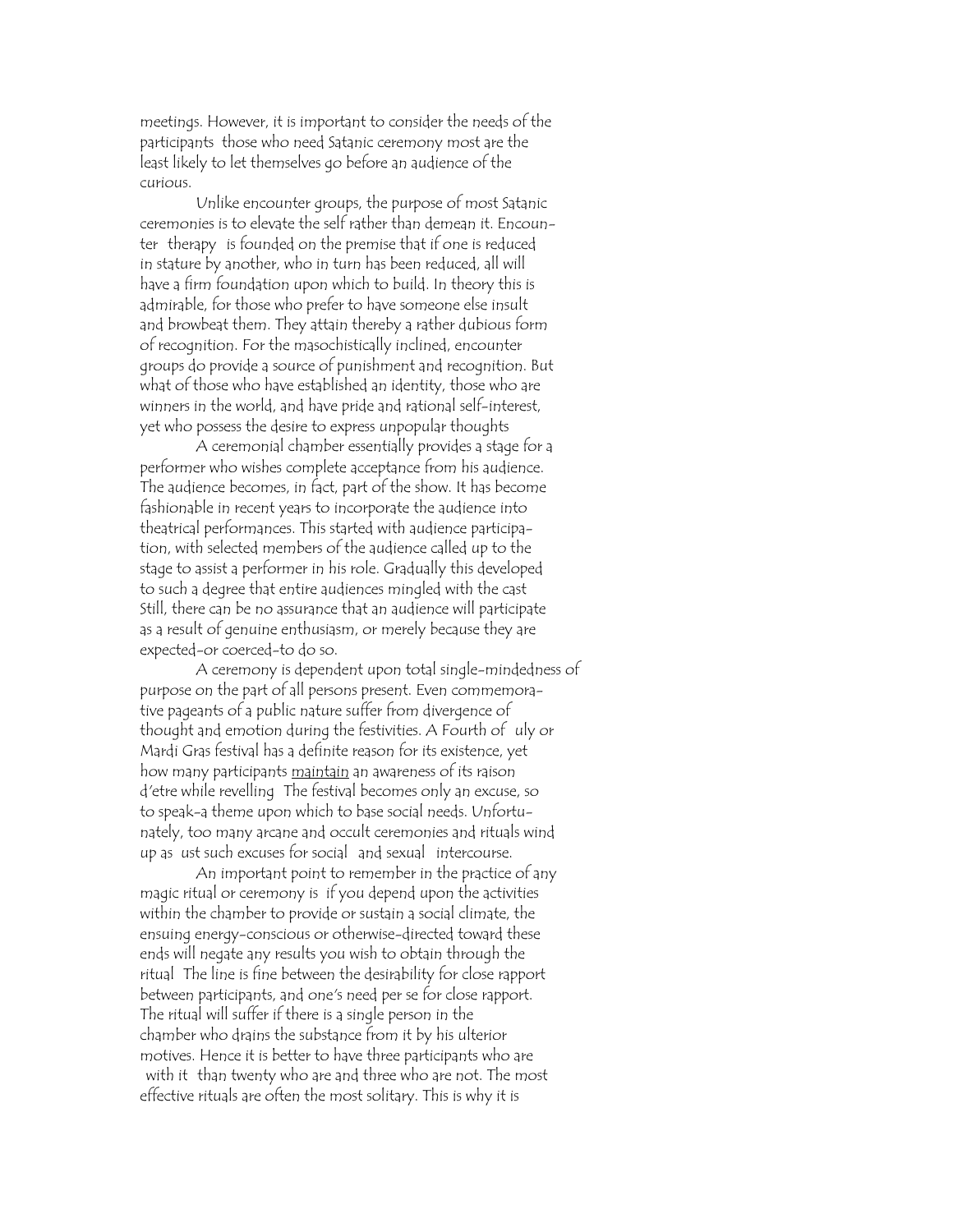meetings. However, it is important to consider the needs of the participants: those who need Satanic ceremony most are the least likely to let themselves go before an audience of the curious.

Unlike encounter groups, the purpose of most Satanic ceremonies is to *elevate* the self rather than *demean* it. Encounter therapy is founded on the premise that if one is reduced in stature by another, who in turn has been reduced, all will have a firm foundation upon which to build. In theory this is admirable, for those who prefer to have *someone else* insult and browbeat them. They attain thereby a rather dubious form of recognition. For the masochistically inclined, encounter groups do provide a source of punishment and recognition. But what of those who have established an identity, those who are winners in the world, and have pride and rational self-interest, yet who possess the desire to express unpopular thoughts

A ceremonial chamber essentially provides a stage for a performer who wishes complete acceptance from his audience. The audience becomes, in fact, part of the show. It has become fashionable in recent years to incorporate the audience into theatrical performances. This started with audience participation, with selected members of the audience called up to the stage to assist a performer in his role. Gradually this developed to such a degree that entire audiences mingled with the cast Still, there can be no assurance that an audience will participate as a result of genuine enthusiasm, or merely because they are expected-or coerced-to do so.

A ceremony is dependent upon total single-mindedness of purpose on the part of *all* persons present. Even commemorative pageants of a public nature suffer from divergence of thought and emotion during the festivities. A Fourth of uly or Mardi Gras festival has a definite reason for its existence, yet how many participants maintain an awareness of its *raison d'etre* while revelling? The festival becomes only an excuse, so to speak-a theme upon which to base social needs. Unfortunately, too many arcane and occult ceremonies and rituals wind up as ust such excuses for social and sexual intercourse.

An important point to remember in the practice of any magic ritual or ceremony is if you depend upon the activities within the chamber to provide or sustain a social climate, the ensuing energy-*conscious or otherwise-*directed toward these ends will *negate* any results you wish to obtain through the ritual! The line is fine between the desirability for close rapport between participants, and one's need *per se* for close rapport. The ritual will suffer if there is a single person in the chamber who drains the substance from it by his ulterior motives. Hence it is better to have three participants who are with it than twenty who are and three who are not. The most effective rituals are often the most solitary. This is why it is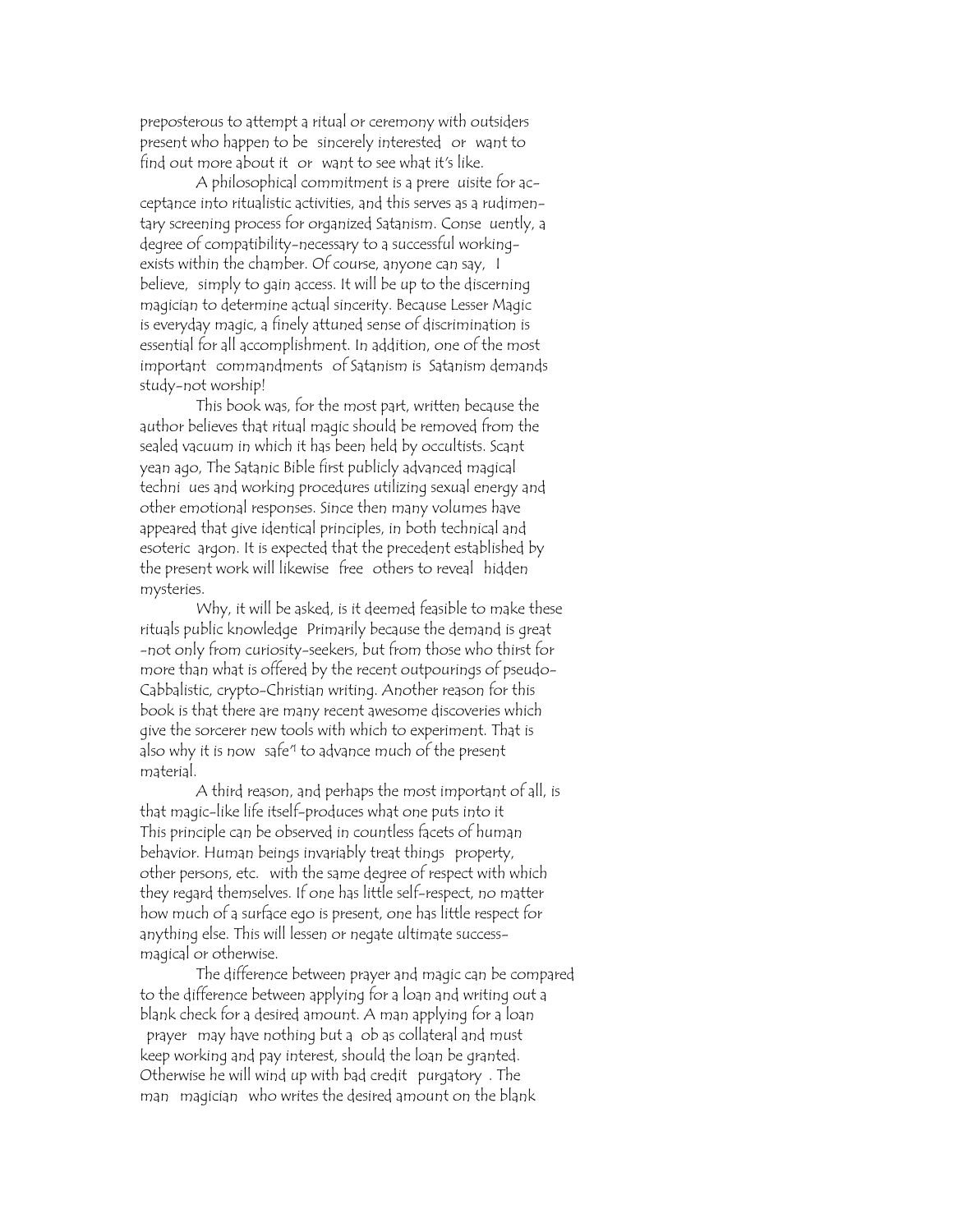preposterous to attempt a ritual or ceremony with outsiders present who happen to be sincerely interested or want to find out more about it or want to see what it's like.

A philosophical commitment is a prere uisite for acceptance into ritualistic activities, and this serves as a rudimentary screening process for organized Satanism. Conse uently, a degree of compatibility-necessary to a successful workingexists within the chamber. Of course, anyone can say, 1 believe," simply to gain access. It will be up to the discerning magician to determine actual sincerity. Because *Lesser Magic* is everyday magic, a finely attuned sense of discrimination is essential for all accomplishment. In addition, one of the most important "commandments" of Satanism is: *Satanism demands study-not worship!*

This book was, for the most part, written because the author believes that ritual magic should be removed from the sealed vacuum in which it has been held by occultists. Scant yean ago, *The Satanic Bible* first publicly advanced magical techni ues and working procedures utilizing sexual energy and other emotional responses. Since then many volumes have appeared that give identical principles, in both technical and esoteric argon. It is expected that the precedent established by the present work will likewise free others to reveal hidden mysteries."

Why, it will be asked, is it deemed feasible to make these rituals public knowledge? Primarily because the demand is great -not only from curiosity-seekers, but from those who thirst for more than what is offered by the recent outpourings of pseudo-Cabbalistic, crypto-Christian writing. Another reason for this book is that there are many recent awesome discoveries which give the sorcerer new tools with which to experiment. That is also why it is now "safe<sup>4</sup> to advance much of the present material.

A third reason, and perhaps the most important of all, is that magic-like life itself-produces what one puts into it This principle can be observed in countless facets of human behavior. Human beings invariably treat things (property, other persons, etc.) with the same degree of respect with which they regard themselves. If one has little self-respect, no matter how much of a surface ego is present, one has little respect for anything else. This will lessen or negate ultimate successmagical or otherwise.

The difference between prayer and magic can be compared to the difference between applying for a loan and writing out a blank check for a desired amount. A man applying for a loan prayer) may have nothing but a ob as collateral and must keep working and pay interest, should the loan be granted. Otherwise he will wind up with bad credit (purgatory). The man magician who writes the desired amount on the blank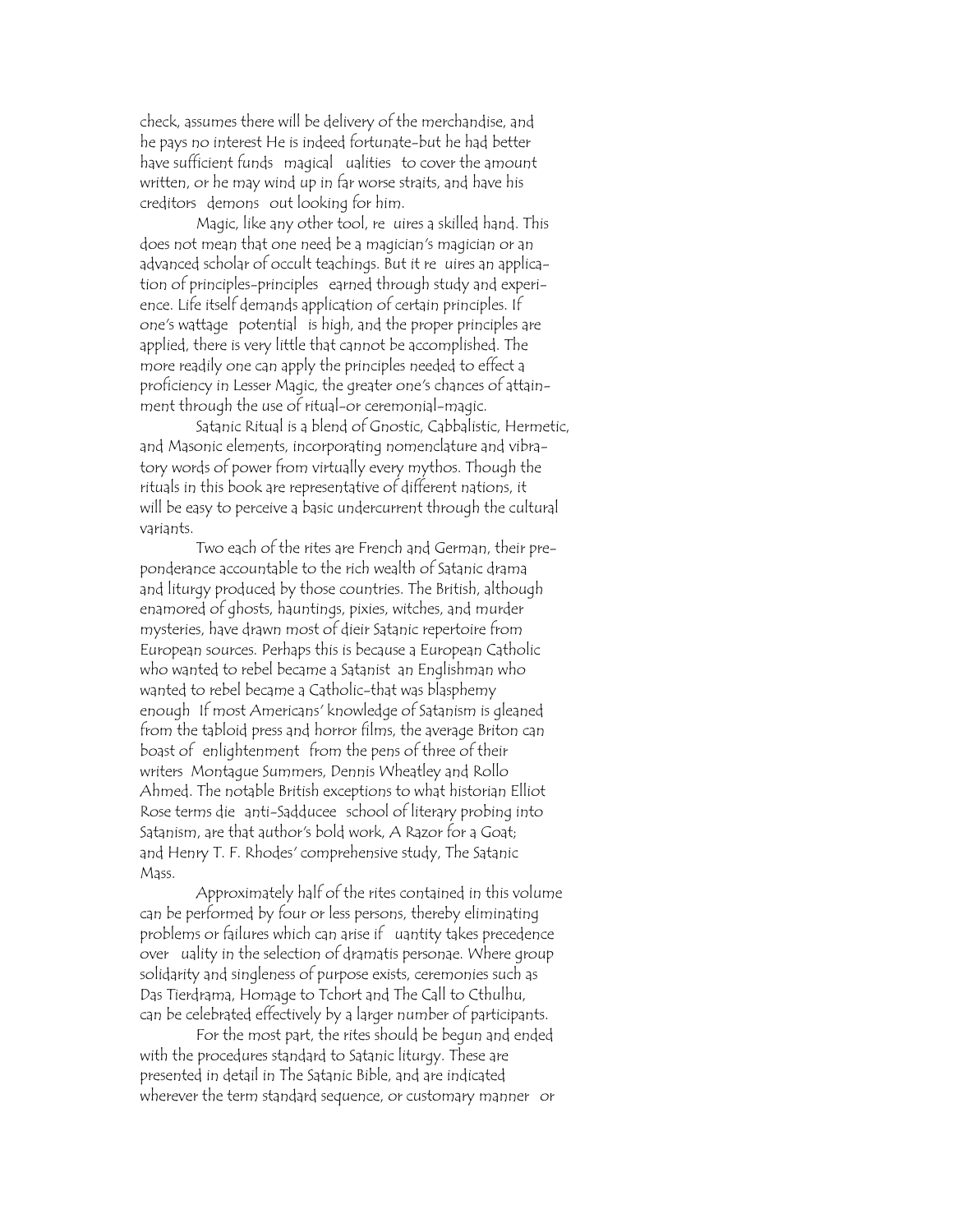check, assumes there will be delivery of the merchandise, and he pays no interest He is indeed fortunate-*but* he had better have sufficient funds magical ualities to cover the amount written, or he may wind up in far worse straits, and have his creditors demons out looking for him.

Magic, like any other tool, requires a skilled hand. This does not mean that one need be a magician's magician or an advanced scholar of occult teachings. But it requires an application of principles-principles earned through study and experience. Life itself demands application of certain principles. If one's wattage (potential) is high, and the proper principles are applied, there is very little that cannot be accomplished. The more readily one can apply the principles needed to effect a proficiency in *Lesser Magic, th*e greater one's chances of attainment through the use of *ritual-*or *ceremonial-*magic.

Satanic Ritual is a blend of Gnostic, Cabbalistic, Hermetic, and Masonic elements, incorporating nomenclature and vibratory words of power from virtually every mythos. Though the rituals in this book are representative of different nations, it will be easy to perceive a basic undercurrent through the cultural variants.

Two each of the rites are French and German, their preponderance accountable to the rich wealth of Satanic drama and liturgy produced by those countries. The British, although enamored of ghosts, hauntings, pixies, witches, and murder mysteries, have drawn most of dieir Satanic repertoire from European sources. Perhaps this is because a European Catholic who wanted to rebel became a Satanist: an Englishman who wanted to rebel became a Catholic-that was blasphemy enough! If most Americans' knowledge of Satanism is gleaned from the tabloid press and horror films, the average Briton can boast of "enlightenment" from the pens of three of their writers: Montague Summers, Dennis Wheatley and Rollo Ahmed. The notable British exceptions to what historian Elliot Rose terms die anti-Sadducee school of literary probing into Satanism, are that author's bold work, *A Razor for a Goat;* and Henry T. F. Rhodes' comprehensive study, *The Satanic Mass.*

Approximately half of the rites contained in this volume can be performed by four or less persons, thereby eliminating problems or failures which can arise if uantity takes precedence over quality in the selection of *dramatis personae.* Where group solidarity and singleness of purpose exists, ceremonies such as *Das Tierdrama, Homage to Tchort* and *The Call to Cthulhu,* can be celebrated effectively by a larger number of participants.

For the most part, the rites should be begun and ended with the procedures standard to Satanic liturgy. These are presented in detail in *The Satanic Bible,* and are indicated wherever the term *standard sequence,* or *customary manner* (or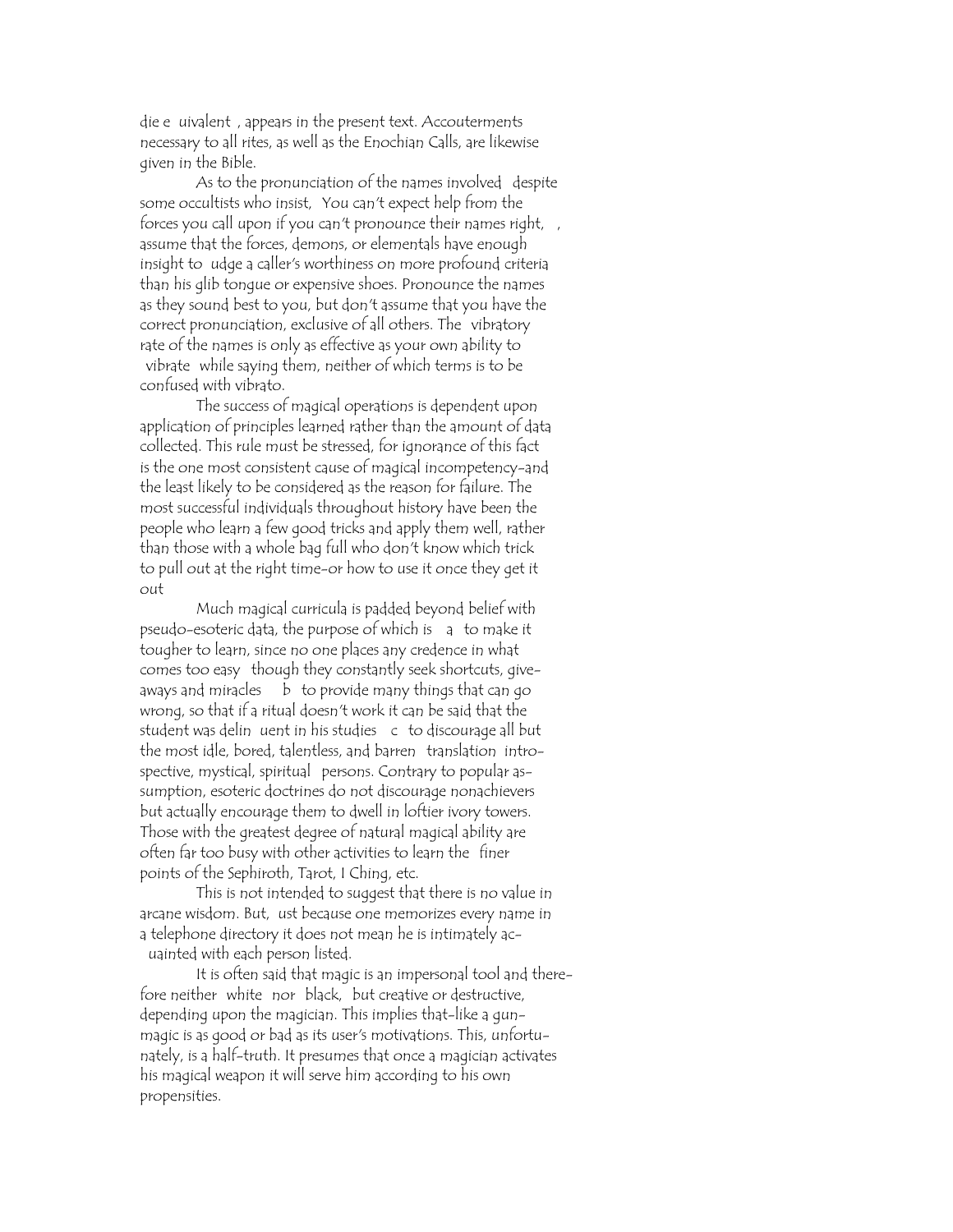die e uivalent, appears in the present text. Accouterments necessary to all rites, as well as the *Enochian Calls,* are likewise given in the *Bible.*

As to the pronunciation of the names involved despite some occultists who insist, You can't expect help from the forces you call upon if you can't pronounce their names right,  $\,$  , assume that the forces, demons, or elementals have enough insight to udge a caller's worthiness on more profound criteria than his glib tongue or expensive shoes. Pronounce the names as they sound best to *you,* but don't assume that you have the *correct* pronunciation, exclusive of all others. The "vibratory" rate of the names is only as effective as your own ability to vibrate while saying them, neither of which terms is to be confused with *vibrato.*

The success of magical operations is dependent upon *application of principles* learned rather than the amount of data collected. This rule must be stressed, for ignorance of this fact is the one most consistent cause of magical incompetency-and the least likely to be considered as the reason for failure. The most successful individuals throughout history have been the people who learn a few good tricks and apply them well, rather than those with a whole bag full who don't know which trick to pull out at the right time-or how to use it once they get it out!

Much magical curricula is padded beyond belief with pseudo-esoteric data, the purpose of which is a to make it tougher to learn, since no one places any credence in what comes too easy (though they constantly seek shortcuts, giveaways and miracles  $\;\;\;\;$  b to provide many things that can go wrong, so that if a ritual doesn't work it can be said that the student was delin uent in his studies c to discourage all but the most idle, bored, talentless, and barren translation introspective, mystical, spiritual) persons. Contrary to popular assumption, esoteric doctrines do not discourage nonachievers but actually encourage them to dwell in loftier ivory towers. Those with the greatest degree of *natural* magical ability are often far too busy with other activities to learn the finer points of the *Sephiroth, Tarot, I Ching,* etc.

This is not intended to suggest that there is no value in arcane wisdom. But, ust because one memorizes every name in a telephone directory it does not mean he is intimately acuainted with each person listed.

It is often said that magic is an impersonal tool and therefore neither white nor black, but creative or destructive, depending upon the magician. This implies that-like a gunmagic is as good or bad as its user's motivations. This, unfortunately, is a half-truth. It presumes that once a magician activates his magical weapon it will serve him according to his own propensities.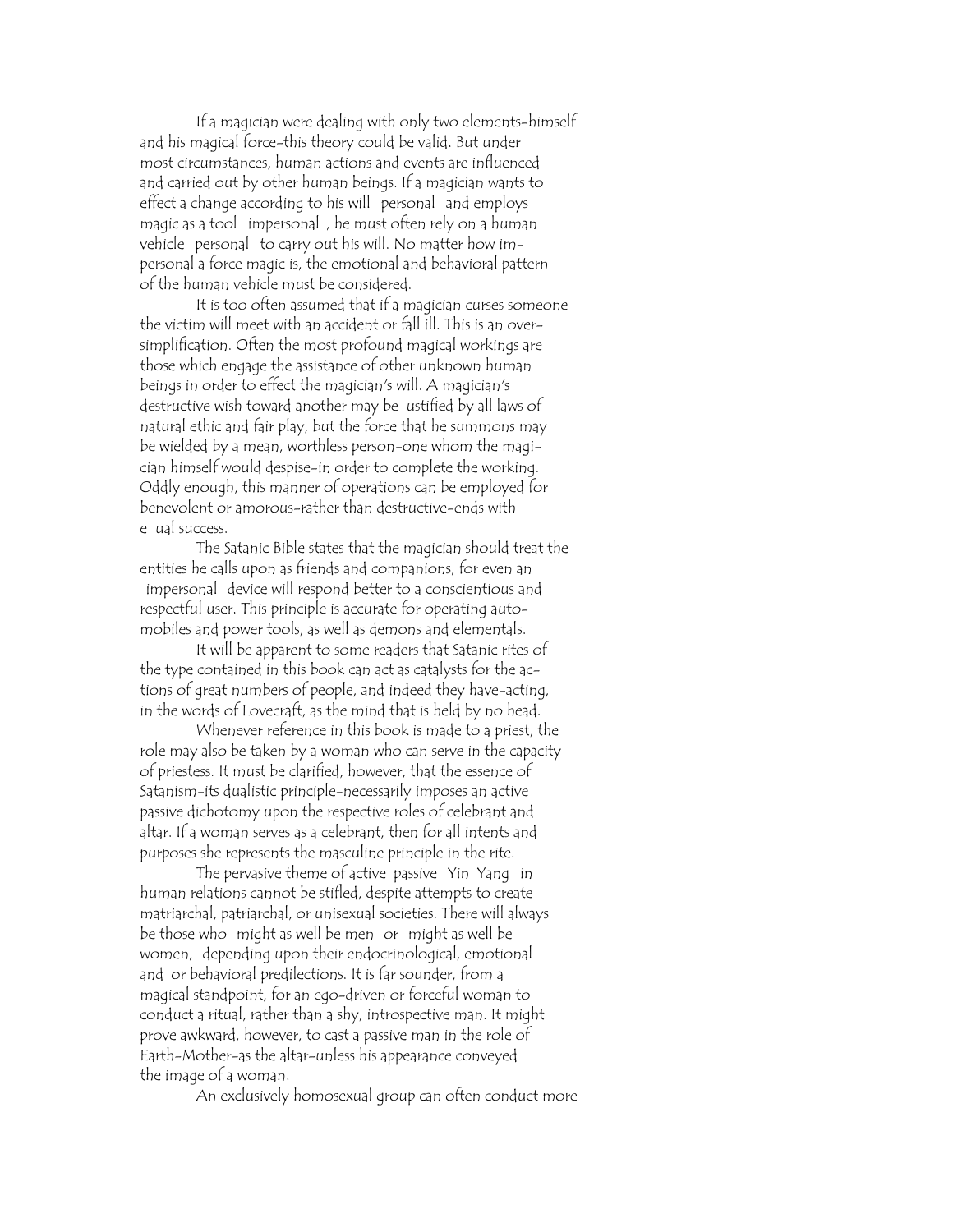If a magician were dealing with only two elements-himself and his magical force-this theory could be valid. But under most circumstances, human actions and events are influenced and carried out by other human beings. If a magician wants to effect a change according to his will (personal) and employs magic as a tool impersonal, he must often rely on a human vehicle personal to carry out his will. No matter how impersonal a force magic is, the emotional and behavioral pattern of the human vehicle must be considered.

It is too often assumed that if a magician curses someone the victim will meet with an accident or fall ill. This is an oversimplification. Often the most profound magical workings are those which engage the assistance of other unknown human beings in order to effect the magician's will. A magician's destructive wish toward another may be ustified by all laws of natural ethic and fair play, but the force that he summons may be wielded by a mean, worthless person-one whom the magician himself would despise-in order to complete the working. Oddly enough, this manner of operations can be employed for benevolent or amorous-rather than destructive-ends with e ual success.

*The Satanic Bible* states that the magician should treat the entities he calls upon as friends and companions, for even an impersonal device will respond better to a conscientious and respectful user. This principle is accurate for operating automobiles and power tools, as well as demons and elementals.

It will be apparent to some readers that Satanic rites of the type contained in this book can act as catalysts for the actions of great numbers of people, and indeed they *have-*acting, in the words of Lovecraft, as the mind that is held by no head.

Whenever reference in this book is made to a priest, the role may also be taken by a woman who can serve in the capacity of priestess. It must be clarified, however, that the essence of Satanism-its dualistic principle-necessarily imposes an active/ passive dichotomy upon the respective roles of celebrant and altar. If a woman serves as a celebrant, then for all intents and purposes she represents the masculine principle in the rite.

The pervasive theme of active passive Yin Yang in human relations cannot be stifled, despite attempts to create matriarchal, patriarchal, or unisexual societies. There will always be those who might as well be men or might as well be women," depending upon their endocrinological, emotional and/or behavioral predilections. It is far sounder, from a magical standpoint, for an ego-driven or forceful woman to conduct a ritual, rather than a shy, introspective man. It might prove awkward, however, to cast a passive man in the role of Earth-Mother-as the altar-unless his appearance conveyed the image of a woman.

An exclusively homosexual group can often conduct more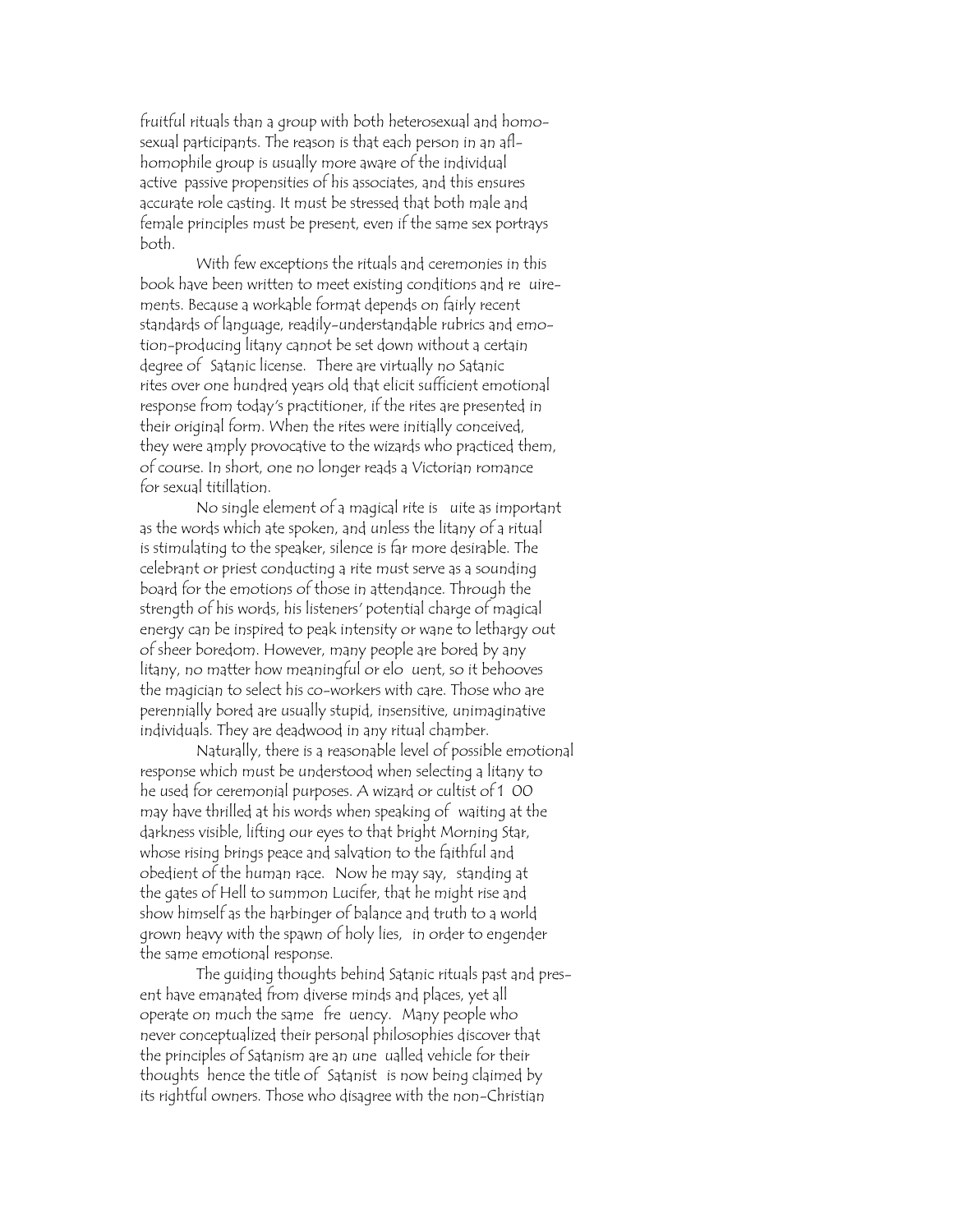fruitful rituals than a group with both heterosexual and homosexual participants. The reason is that each person in an aflhomophile group is usually more aware of the individual active/passive propensities of his associates, and this ensures accurate role casting. It must be stressed that both male and female principles *must* be present, even if the *same* sex portrays both.

With few exceptions the rituals and ceremonies in this book have been written to meet existing conditions and requirements. Because a workable format depends on fairly recent standards of language, readily-understandable rubrics and emotion-producing litany cannot be set down without a certain degree of "Satanic license." There are virtually no Satanic rites over one hundred years old that elicit sufficient emotional response from today's practitioner, if the rites are presented in their original form. When the rites were initially conceived, they were amply provocative to the wizards who practiced them, of course. In short, one no longer reads a Victorian romance for sexual titillation.

No single element of a magical rite is uite as important as the words which ate spoken, and unless the litany of a ritual is stimulating to the speaker, silence is far more desirable. The celebrant or priest conducting a rite must serve as a sounding board for the emotions of those in attendance. Through the strength of his words, his listeners' potential charge of magical energy can be inspired to peak intensity or wane to lethargy out of sheer boredom. However, many people are bored by *any* litany, no matter how meaningful or elo uent, so it behooves the magician to select his co-workers with care. Those who are perennially bored are usually stupid, insensitive, unimaginative individuals. They are deadwood in any ritual chamber.

Naturally, there is a reasonable level of possible emotional response which must be understood when selecting a litany to he used for ceremonial purposes. A wizard or cultist of 1 00 may have thrilled at his words when speaking of waiting at the darkness visible, lifting our eyes to that bright Morning Star, whose rising brings peace and salvation to the faithful and obedient of the human race." Now he may say, "standing at the gates of Hell to summon Lucifer, that he might rise and show himself as the harbinger of balance and truth to a world grown heavy with the spawn of holy lies," in order to engender the same emotional response.

The guiding thoughts behind Satanic rituals past and present have emanated from diverse minds and places, yet all operate on much the same fre uency. Many people who never conceptualized their personal philosophies discover that the principles of Satanism are an une ualled vehicle for their thoughts; hence the title of "Satanist" is now being claimed by its rightful owners. Those who disagree with the non-Christian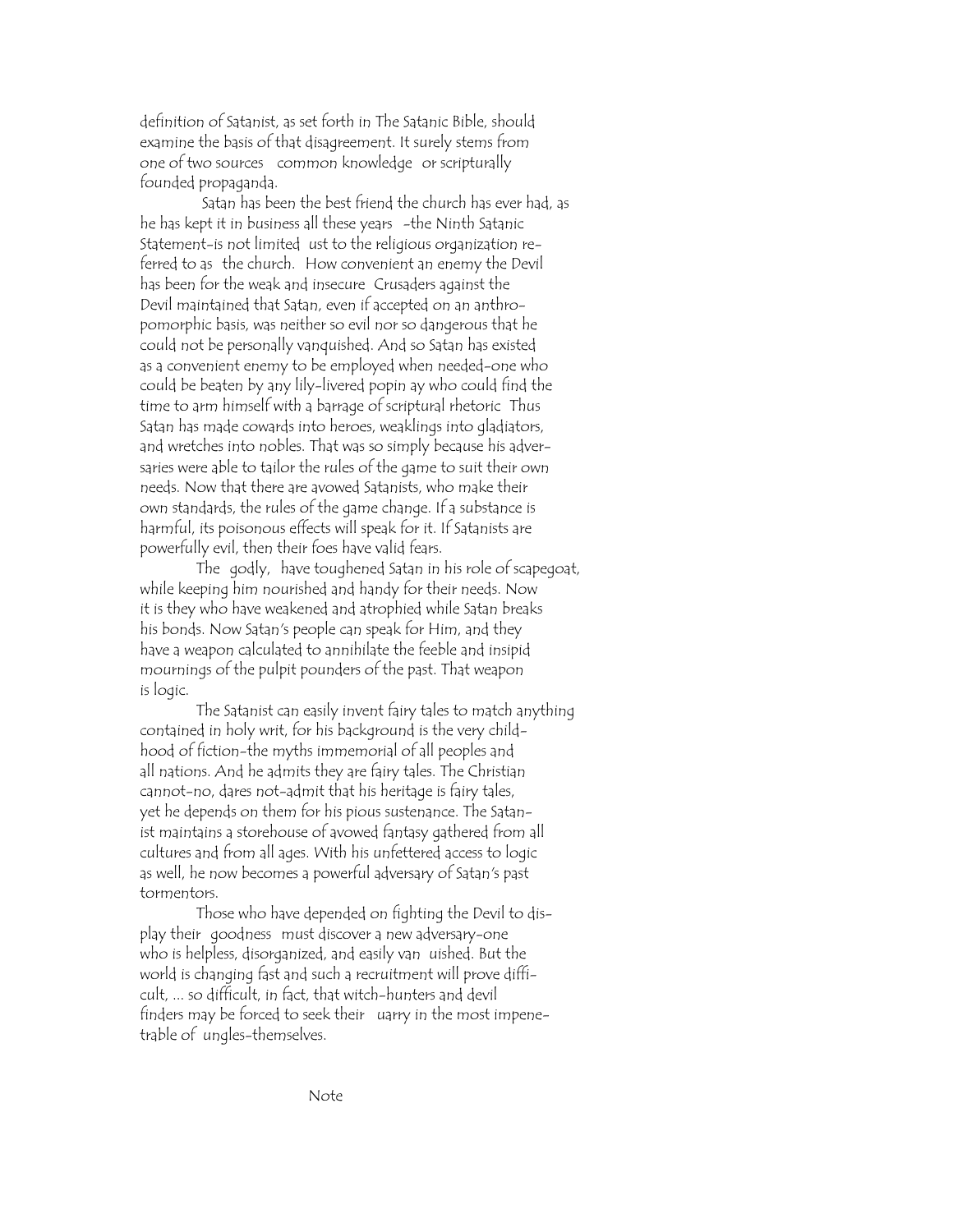definition of *Satanist,* as set forth in *The Satanic Bible,* should examine the basis of that disagreement. It surely stems from one of two sources: "common knowledge" or scripturally founded propaganda.

Satan has been the best friend the church has ever had, as he has kept it in business all these years!"-the Ninth Satanic Statement-is not limited ust to the religious organization referred to as the church. How convenient an enemy the Devil has been for the weak and insecure! Crusaders against the Devil maintained that Satan, even if accepted on an anthropomorphic basis, was *neither so evil nor so dangerous that he could not be personally vanquished.* And so Satan has existed as a convenient enemy to be employed when needed-one who could be beaten by any lily-livered popin ay who could find the time to arm himself with a barrage of scriptural rhetoric! Thus Satan has made cowards into heroes, weaklings into gladiators, and wretches into nobles. That was so simply because his adversaries were able to tailor the rules of the game to suit their own needs. Now that there are *avowed* Satanists, who make *their* own standards, the rules of the game change. If a substance is harmful, its poisonous effects will speak for it. If Satanists are powerfully evil, then their foes have valid fears.

The godly, have toughened Satan in his role of scapegoat, while keeping him nourished and handy for their needs. Now it is *they* who have weakened and atrophied while Satan breaks his bonds. Now Satan's people can speak for Him, and they have a weapon calculated to annihilate the feeble and insipid mournings of the pulpit pounders of the past. That weapon is logic.

The Satanist can easily invent fairy tales to match anything contained in holy writ, for his background is the very childhood of fiction-the myths immemorial of all peoples and all nations. And he admits they are fairy tales. The Christian cannot-no, *dares* not-admit that his heritage is fairy tales, yet he depends on them for his pious sustenance. The Satanist maintains a storehouse of *avowed* fantasy gathered from all cultures and from all ages. With his unfettered access to logic as well, he now becomes a powerful adversary of Satan's past tormentors.

Those who have depended on fighting the Devil to display their qoodness must discover a new adversary-one who is helpless, disorganized, and easily vanquished. But the world is changing fast and such a recruitment will prove difficult, ... so difficult, in fact, that witch-hunters and devil finders may be forced to seek their  $\,$  uarry in the most impenetrable of ungles-themselves.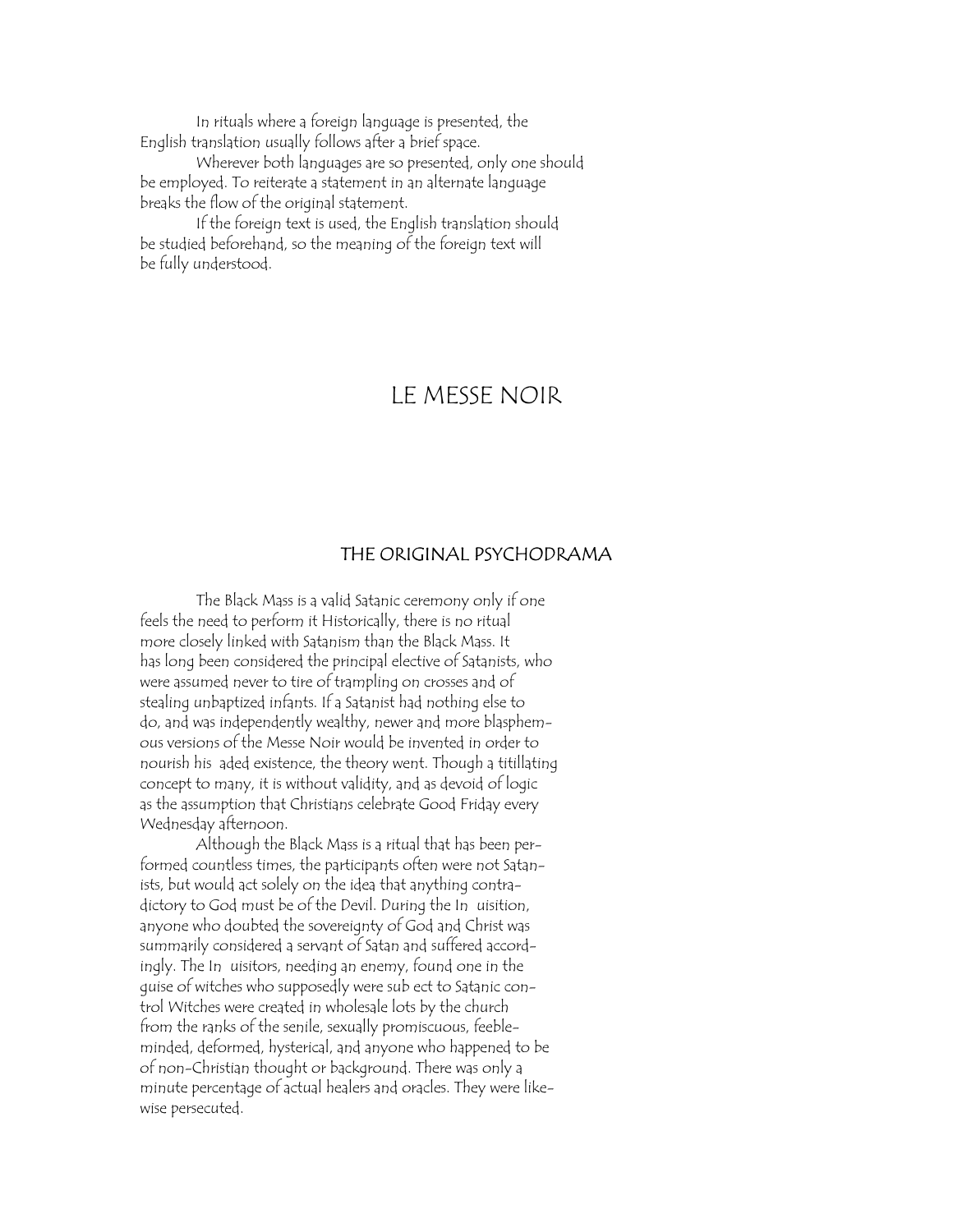In rituals where a foreign language is presented, the English translation usually follows after a brief space.

Wherever both languages are so presented, only *one* should be employed. To reiterate a statement in an alternate language breaks the flow of the original statement.

If the foreign text is used, the English translation should be studied beforehand, so the meaning of the foreign text will be fully understood.

#### LE MESSE NOIR

#### THE ORIGINAL PSYCHODRAMA

The *Black Mass* is a valid Satanic ceremony only if one feels the need to perform it Historically, there is no ritual more closely linked with Satanism than the *Black Mass.* It has long been considered the principal elective of Satanists, who were assumed never to tire of trampling on crosses and of stealing unbaptized infants. If a Satanist had nothing else to do, and was independently wealthy, newer and more blasphemous versions of the *Messe Noir* would be invented in order to nourish his aded existence, the theory went. Though a titillating concept to many, it is without validity, and as devoid of logic as the assumption that Christians celebrate Good Friday every Wednesday afternoon.

Although the *Black Mass* is a ritual that has been performed countless times, the participants often were not Satanists, but would act solely on the idea that anything contradictory to God must be of the Devil. During the In uisition, anyone who doubted the sovereignty of God and Christ was summarily considered a servant of Satan and suffered accordingly. The In uisitors, needing an enemy, found one in the quise of witches who supposedly were sub ect to Satanic control Witches were created in wholesale lots by the church from the ranks of the senile, sexually promiscuous, feebleminded, deformed, hysterical, and anyone who happened to be of non-Christian thought or background. There was only a minute percentage of actual healers and oracles. They were likewise persecuted.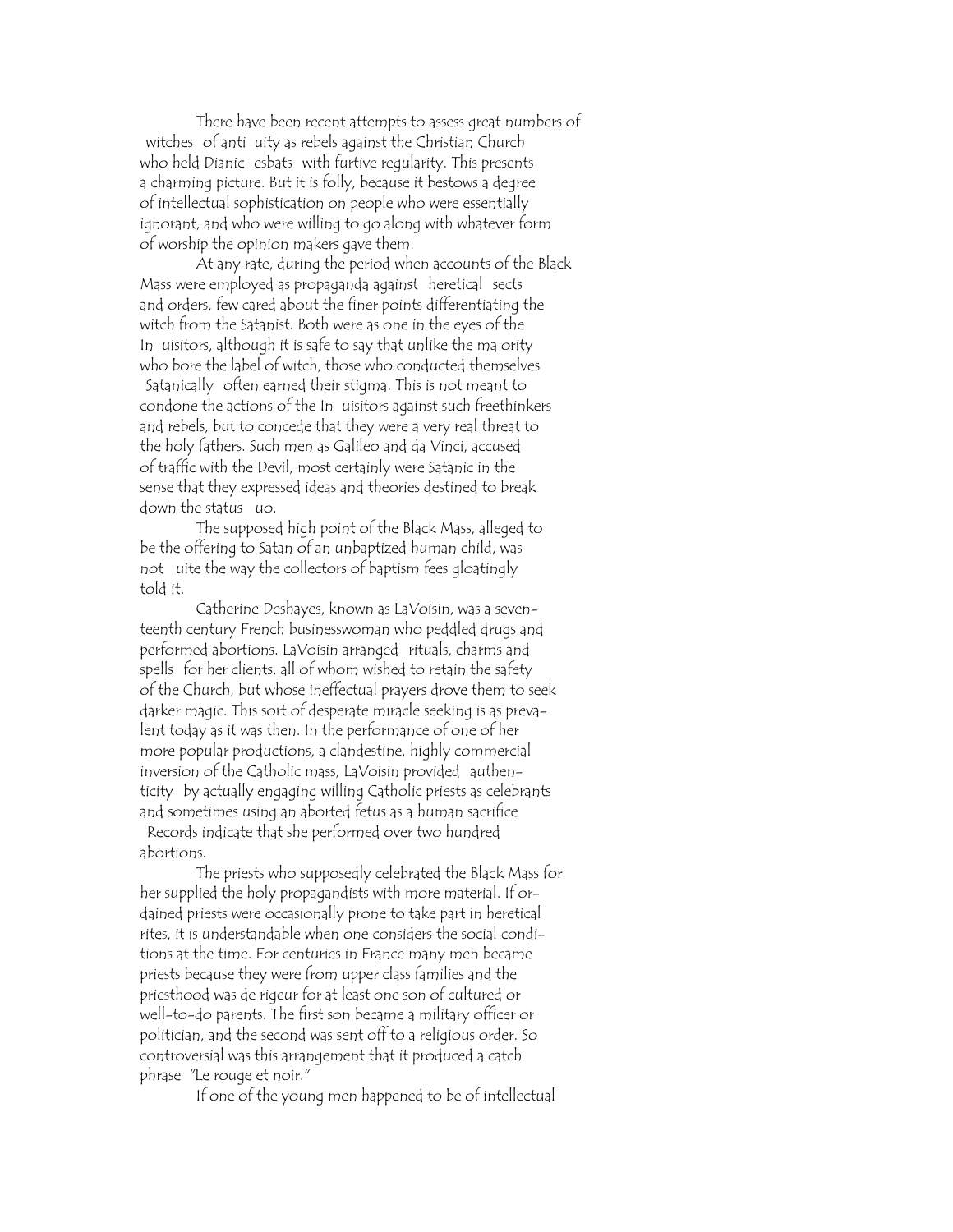There have been recent attempts to assess great numbers of witches of anti uity as rebels against the Christian Church who held Dianic esbats with furtive regularity. This presents a charming picture. But it is folly, because it bestows a degree of intellectual sophistication on people who were essentially ignorant, and who were willing to go along with whatever form of worship the opinion makers gave them.

At any rate, during the period when accounts of the *Black Mass* were employed as propaganda against "heretical" sects and orders, few cared about the finer points differentiating the witch from the Satanist. Both were as one in the eyes of the In uisitors, although it is safe to say that unlike the majority who bore the label of witch, those who conducted themselves Satanically often earned their stigma. This is not meant to condone the actions of the Inquisitors against such freethinkers and rebels, but to concede that they were a very real threat to the holy fathers. Such men as Galileo and da Vinci, accused of traffic with the Devil, most certainly were Satanic in the sense that they expressed ideas and theories destined to break down the status uo.

The supposed high point of the *Black Mass,* alleged to be the offering to Satan of an unbaptized human child, was not uite the way the collectors of baptism fees gloatingly told it.

Catherine Deshayes, known as LaVoisin, was a seventeenth century French businesswoman who peddled drugs and performed abortions. LaVoisin arranged "rituals, charms and spells" for her clients, all of whom wished to retain the safety of the Church, but whose ineffectual prayers drove them to seek darker magic. This sort of desperate miracle seeking is as prevalent today as it was then. In the performance of one of her more popular productions, a clandestine, highly commercial inversion of the Catholic mass, LaVoisin provided "authenticity" by actually engaging willing Catholic priests as celebrants and sometimes using an aborted fetus as a human sacrifice Records indicate that she performed over two hundred abortions.)

The priests who supposedly celebrated the *Black Mass* for her supplied the holy propagandists with more material. If ordained priests were occasionally prone to take part in heretical rites, it is understandable when one considers the social conditions at the time. For centuries in France many men became priests because they were from upper class families and the priesthood was *de rigeur* for at least one son of cultured or well-to-do parents. The first son became a military officer or politician, and the second was sent off to a religious order. So controversial was this arrangement that it produced a catch phrase: *"Le rouge et noir."*

If one of the young men happened to be of intellectual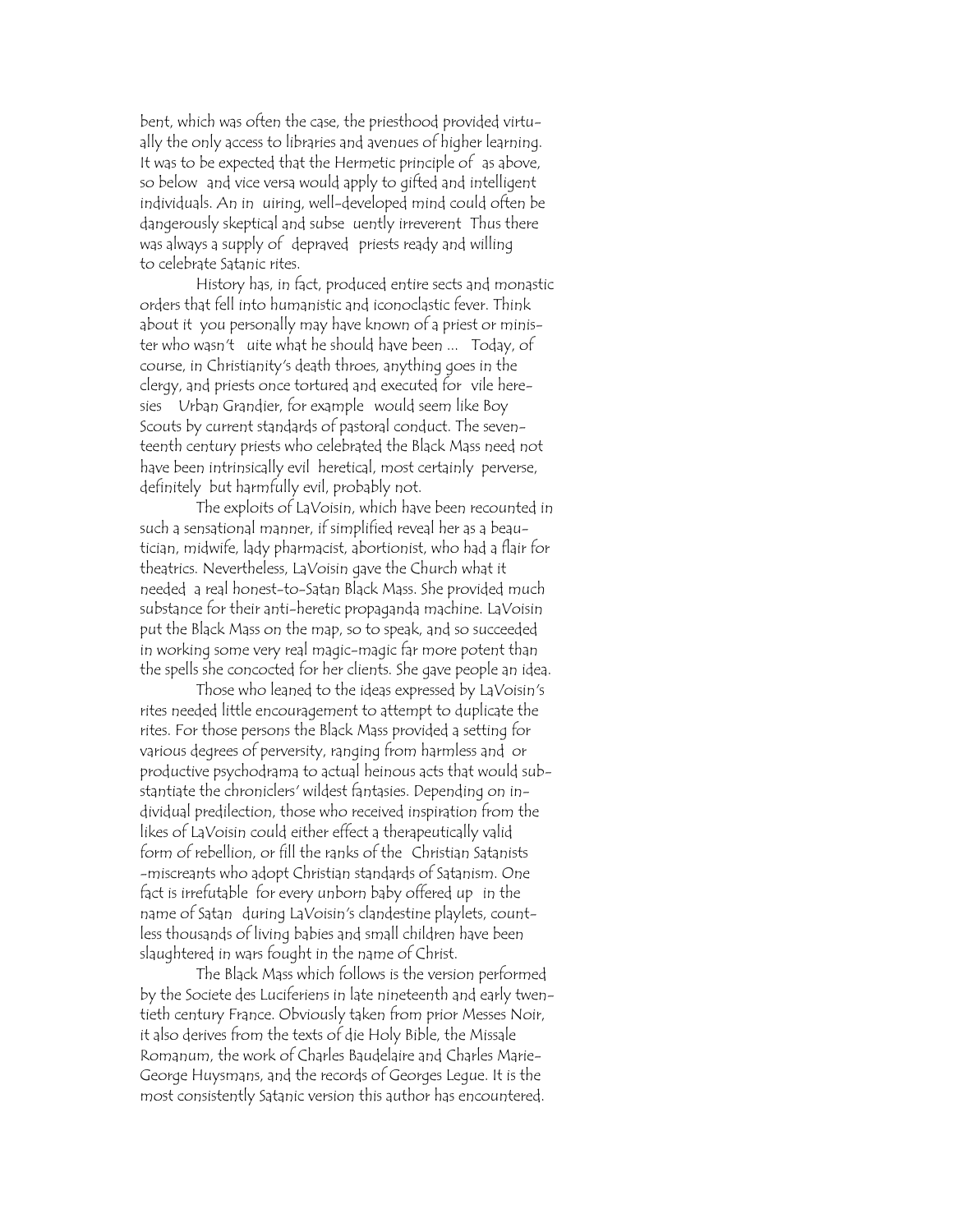bent, which was often the case, the priesthood provided virtually the only access to libraries and avenues of higher learning. It was to be expected that the Hermetic principle of "as above, so below" and vice versa would apply to gifted and intelligent individuals. An in uiring, well-developed mind could often be dangerously skeptical and subse uently irreverent Thus there was always a supply of "depraved" priests ready and willing to celebrate Satanic rites.

History has, in fact, produced entire sects and monastic orders that fell into humanistic and iconoclastic fever. Think about it; *you* personally may have known of a priest or minister who wasn't quite what he should have been ... ! Today, of course, in Christianity's death throes, anything goes in the clergy, and priests once tortured and executed for "vile heresies" (Urban Grandier, for example) would seem like Boy Scouts by current standards of pastoral conduct. The seventeenth century priests who celebrated the *Black Mass* need not have been intrinsically evil heretical, most certainly perverse, definitely but harmfully evil, probably not.

The exploits of LaVoisin, which have been recounted in such a sensational manner, if simplified reveal her as a beautician, midwife, lady pharmacist, abortionist, who had a flair for theatrics. Nevertheless, LaVoisin gave the Church what it needed: a real honest-to-Satan Black Mass. She provided much substance for their anti-heretic propaganda machine. LaVoisin put the *Black Mass* on the map, so to speak, and so succeeded in working some very real magic-magic far more potent than the spells she concocted for her clients. She gave people an *idea.*

Those who leaned to the ideas expressed by LaVoisin's rites needed little encouragement to attempt to duplicate the rites. For those persons the *Black Mass* provided a setting for various degrees of perversity, ranging from harmless and/or productive psychodrama to actual heinous acts that would substantiate the chroniclers' wildest fantasies. Depending on individual predilection, those who received inspiration from the likes of LaVoisin could either effect a therapeutically valid form of rebellion, or fill the ranks of the Christian Satanists -miscreants who adopt Christian standards of Satanism. One fact is irrefutable for every unborn baby offered up in the name of Satan" during LaVoisin's clandestine playlets, countless thousands of *living* babies and small children have been slaughtered in wars fought in the name of Christ.

The *Black Mass* which follows is the version performed by the *Societe des Luciferiens* in late nineteenth and early twentieth century France. Obviously taken from prior *Messes Noir,* it also derives from the texts of die *Holy Bible,* the *Missale Romanum, th*e work of Charles Baudelaire and Charles Marie-George Huysmans, and the records of Georges Legue. It is the most consistently Satanic version this author has encountered.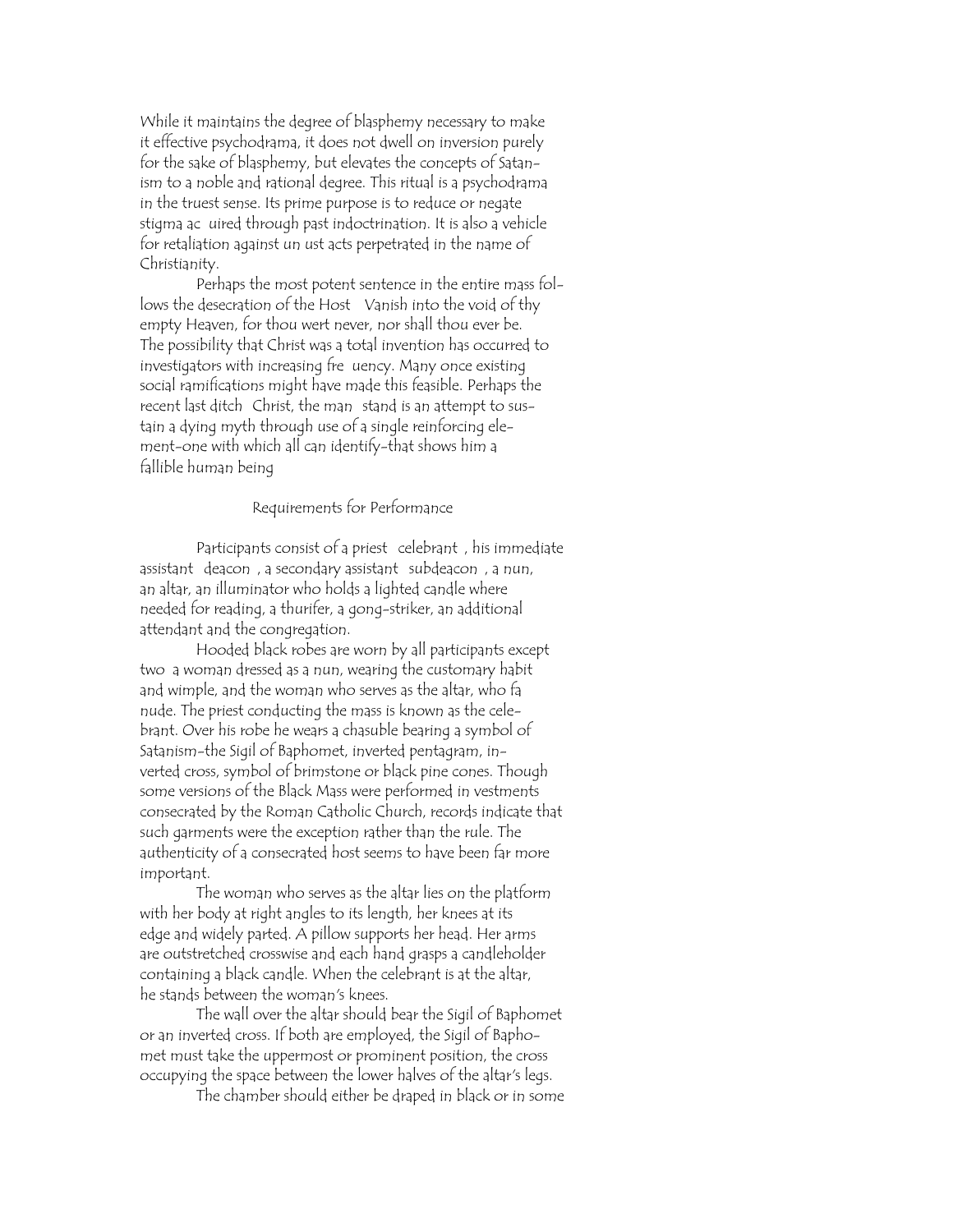While it maintains the degree of blasphemy necessary to make it effective psychodrama, it does not dwell on inversion purely for the sake of blasphemy, but elevates the concepts of Satanism to a noble and rational degree. This ritual is a psychodrama in the truest sense. Its prime purpose is to reduce or negate stigma ac uired through past indoctrination. It is also a vehicle for retaliation against un ust acts perpetrated in the name of Christianity.

Perhaps the most potent sentence in the entire mass follows the desecration of the Host Vanish into the void of thy empty Heaven, for thou wert never, nor shall thou ever be." The possibility that Christ was a total invention has occurred to investigators with increasing fre uency. Many once existing social ramifications might have made this feasible. Perhaps the recent last ditch Christ, the man stand is an attempt to sustain a dying myth through use of a single reinforcing element-one with which all can identify-that shows him a fallible human being!

#### *Requirements for Performance*

Participants consist of a priest celebrant, his immediate assistant deacon, a secondary assistant subdeacon, a nun, an altar, an illuminator who holds a lighted candle where needed for reading, a thurifer, a gong-striker, an additional attendant and the congregation.

Hooded black robes are worn by all participants except two: a woman dressed as a nun, wearing the customary habit and wimple, and the woman who serves as the altar, who fa nude. The priest conducting the mass is known as the celebrant. Over his robe he wears a chasuble bearing a symbol of Satanism-the Sigil of Baphomet, inverted pentagram, inverted cross, symbol of brimstone or black pine cones. Though some versions of the *Black Mass* were performed in vestments consecrated by the Roman Catholic Church, records indicate that such garments were the exception rather than the rule. The authenticity of a consecrated host seems to have been far more important.

The woman who serves as the altar lies on the platform with her body at right angles to its length, her knees at its edge and widely parted. A pillow supports her head. Her arms are outstretched crosswise and each hand grasps a candleholder containing a black candle. When the celebrant is at the altar, he stands between the woman's knees.

The wall over the altar should bear the Sigil of Baphomet or an inverted cross. If both are employed, the Sigil of Baphomet must take the uppermost or prominent position, the cross occupying the space between the lower halves of the altar's legs.

The chamber should either be draped in black or in some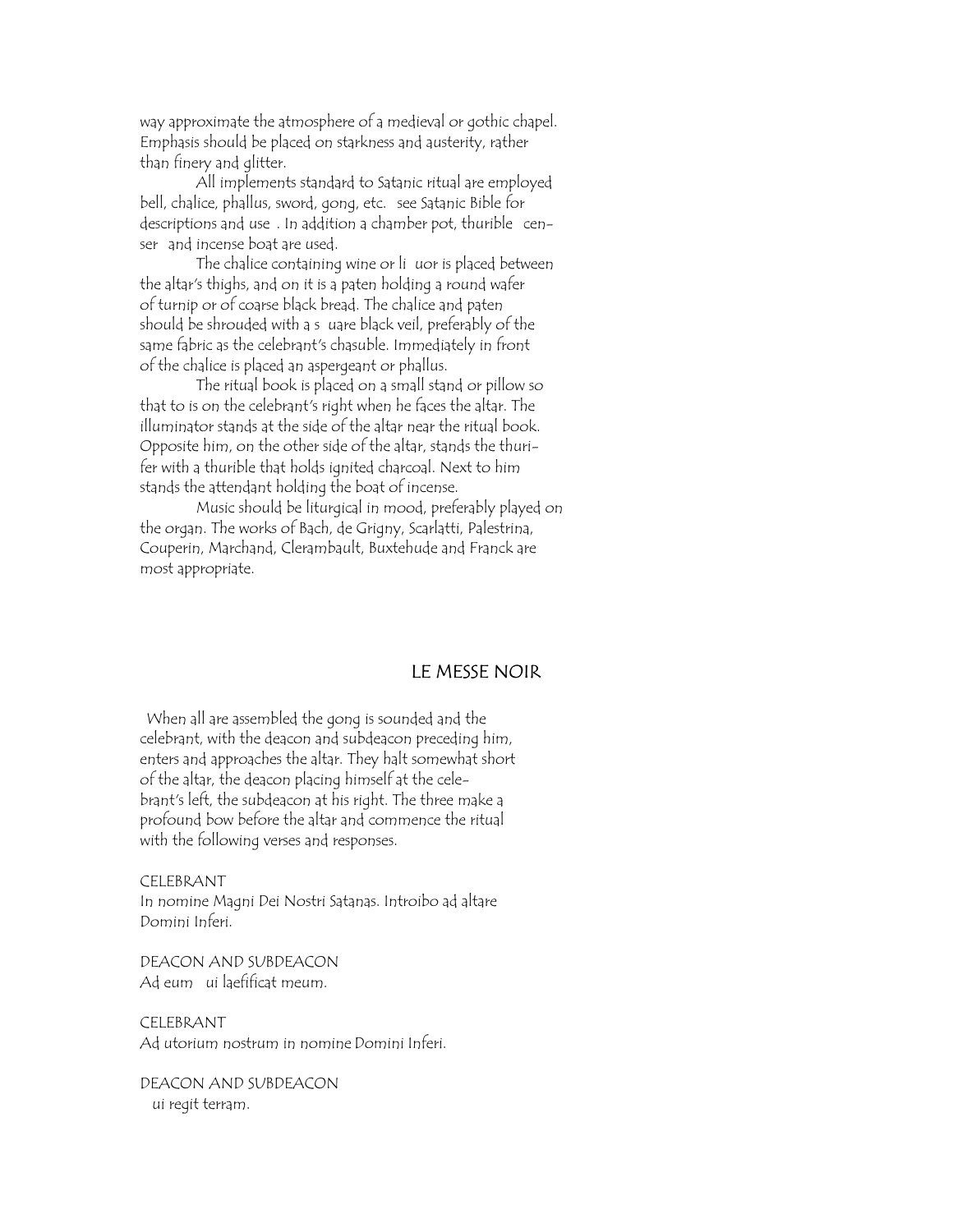way approximate the atmosphere of a medieval or gothic chapel. Emphasis should be placed on starkness and austerity, rather than finery and glitter.

All implements standard to Satanic ritual are employed: bell, chalice, phallus, sword, gong, etc. (see *Satanic Bible* for descriptions and use . In addition a chamber pot, thurible censer and incense boat are used.

The chalice containing wine or li uor is placed between the altar's thighs, and on it is a paten holding a round wafer of turnip or of coarse black bread. The chalice and paten should be shrouded with a syuare black veil, preferably of the same fabric as the celebrant's chasuble. Immediately in front of the chalice is placed an aspergeant or phallus.

The ritual book is placed on a small stand or pillow so that to is on the celebrant's right when he faces the altar. The illuminator stands at the side of the altar near the ritual book. Opposite him, on the other side of the altar, stands the thurifer with a thurible that holds ignited charcoal. Next to him stands the attendant holding the boat of incense.

Music should be liturgical in mood, preferably played on the organ. The works of Bach, de Grigny, Scarlatti, Palestrina, Couperin, Marchand, Clerambault, Buxtehude and Franck are most appropriate.

#### LE MESSE NOIR

When all are assembled the gong is sounded and the celebrant, with the deacon and subdeacon preceding him, enters and approaches the altar. They halt somewhat short of the altar, the deacon placing himself at the celebrant's left, the subdeacon at his right. The three make a profound bow before the altar and commence the ritual with the following verses and responses.

CELEBRANT: In nomine Magni Dei Nostri Satanas. Introibo ad altare Domini Inferi.

DEACON AND SUBDEACON: Ad eum ui laefificat meum.

CELEBRANT: Ad utorium nostrum in nomine Domini Inferi.

DEACON AND SUBDEACON: ui regit terram.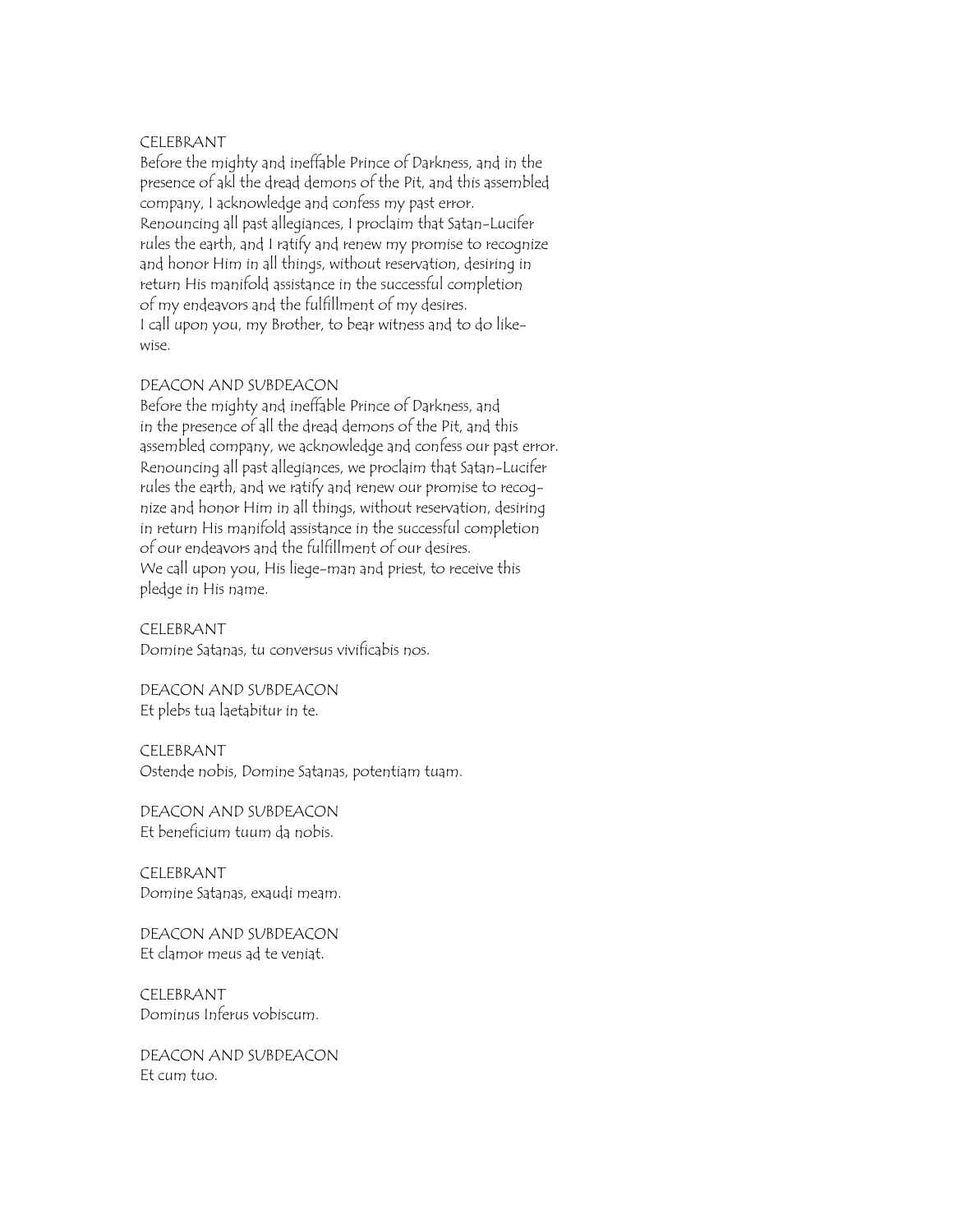#### CELEBRANT:

Before the mighty and ineffable Prince of Darkness, and in the presence of akl the dread demons of the Pit, and this assembled company, I acknowledge and confess my past error. Renouncing all past allegiances, I proclaim that Satan-Lucifer rules the earth, and I ratify and renew my promise to recognize and honor Him in all things, without reservation, desiring in return His manifold assistance in the successful completion of my endeavors and the fulfillment of my desires. I call upon you, my Brother, to bear witness and to do likewise.

#### DEACON AND SUBDEACON:

Before the mighty and ineffable Prince of Darkness, and in the presence of all the dread demons of the Pit, and this assembled company, we acknowledge and confess our past error. Renouncing all past allegiances, we proclaim that Satan-Lucifer rules the earth, and we ratify and renew our promise to recognize and honor Him in all things, without reservation, desiring in return His manifold assistance in the successful completion of our endeavors and the fulfillment of our desires. We call upon you, His liege-man and priest, to receive this pledge in His name.

CELEBRANT: Domine Satanas, tu conversus vivificabis nos.

DEACON AND SUBDEACON: Et plebs tua laetabitur in te.

CELEBRANT: Ostende nobis, Domine Satanas, potentiam tuam.

DEACON AND SUBDEACON: Et beneficium tuum da nobis.

CELEBRANT: Domine Satanas, exaudi meam.

DEACON AND SUBDEACON: Et clamor meus ad te veniat.

CELEBRANT: Dominus Inferus vobiscum.

DEACON AND SUBDEACON: Et cum tuo.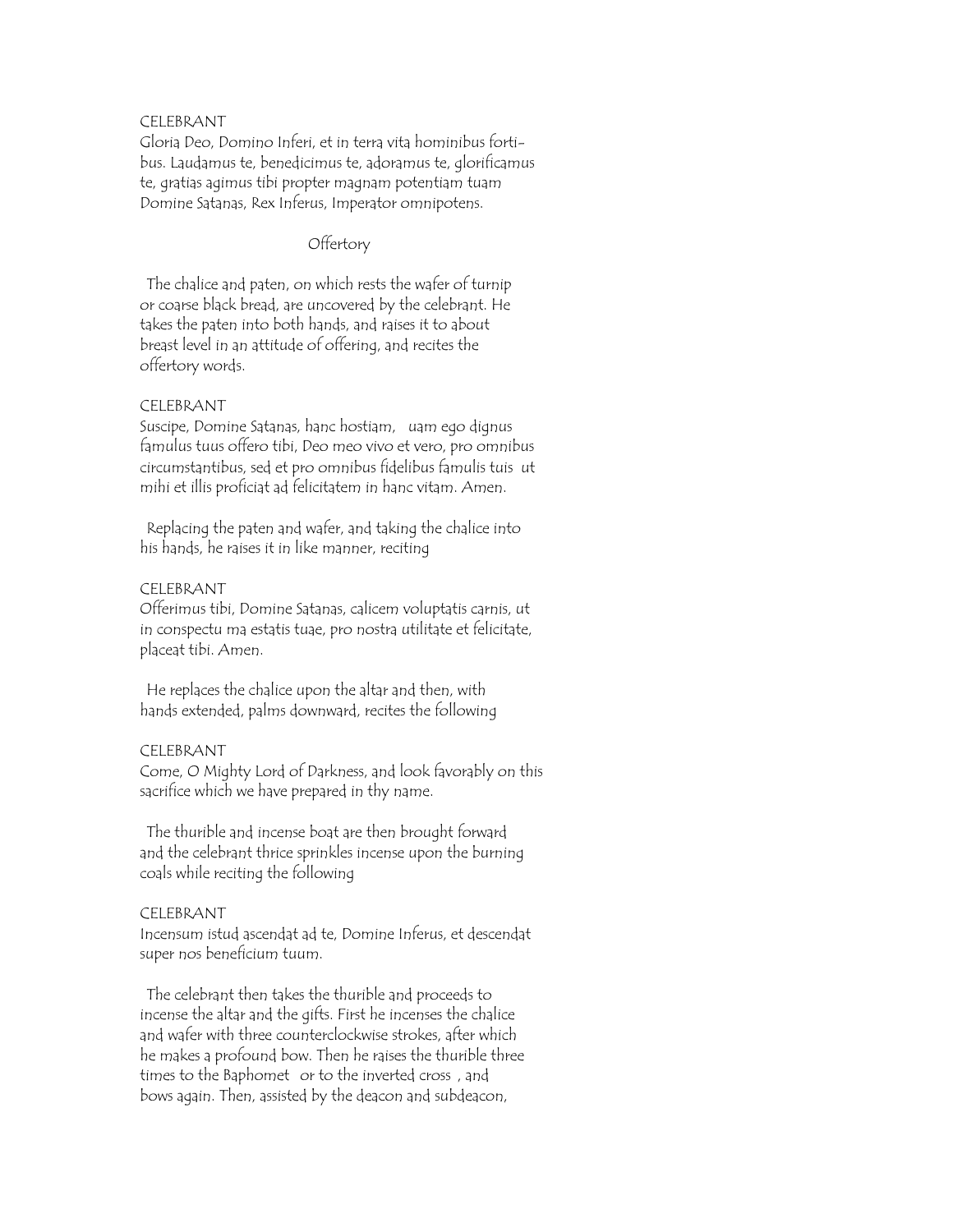#### CELEBRANT:

Gloria Deo, Domino Inferi, et in terra vita hominibus fortibus. Laudamus te, benedicimus te, adoramus te, glorificamus te, gratias agimus tibi propter magnam potentiam tuam: Domine Satanas, Rex Inferus, Imperator omnipotens.

#### *Offertory*

The chalice and paten, on which rests the wafer of turnip or coarse black bread, are uncovered by the celebrant. He takes the paten into both hands, and raises it to about breast level in an attitude of offering, and recites the offertory words.]

#### CELEBRANT:

Suscipe, Domine Satanas, hanc hostiam, uam ego dignus famulus tuus offero tibi, Deo meo vivo et vero, pro omnibus circumstantibus, sed et pro omnibus fidelibus famulis tuis: ut mihi et illis proficiat ad felicitatem in hanc vitam. Amen.

Replacing the paten and wafer, and taking the chalice into his hands, he raises it in like manner, reciting

#### CELEBRANT:

Offerimus tibi, Domine Satanas, calicem voluptatis carnis, ut in conspectu ma estatis tuae, pro nostra utilitate et felicitate, placeat tibi. Amen.

He replaces the chalice upon the altar and then, with hands extended, palms downward, recites the following

#### CELEBRANT:

Come, O Mighty Lord of Darkness, and look favorably on this sacrifice which we have prepared in thy name.

The thurible and incense boat are then brought forward and the celebrant thrice sprinkles incense upon the burning coals while reciting the following:]

#### CELEBRANT:

Incensum istud ascendat ad te, Domine Inferus, et descendat super nos beneficium tuum.

The celebrant then takes the thurible and proceeds to incense the altar and the gifts. First he incenses the chalice and wafer with three counterclockwise strokes, after which he makes a profound bow. Then he raises the thurible three times to the Baphomet or to the inverted cross, and bows again. Then, assisted by the deacon and subdeacon,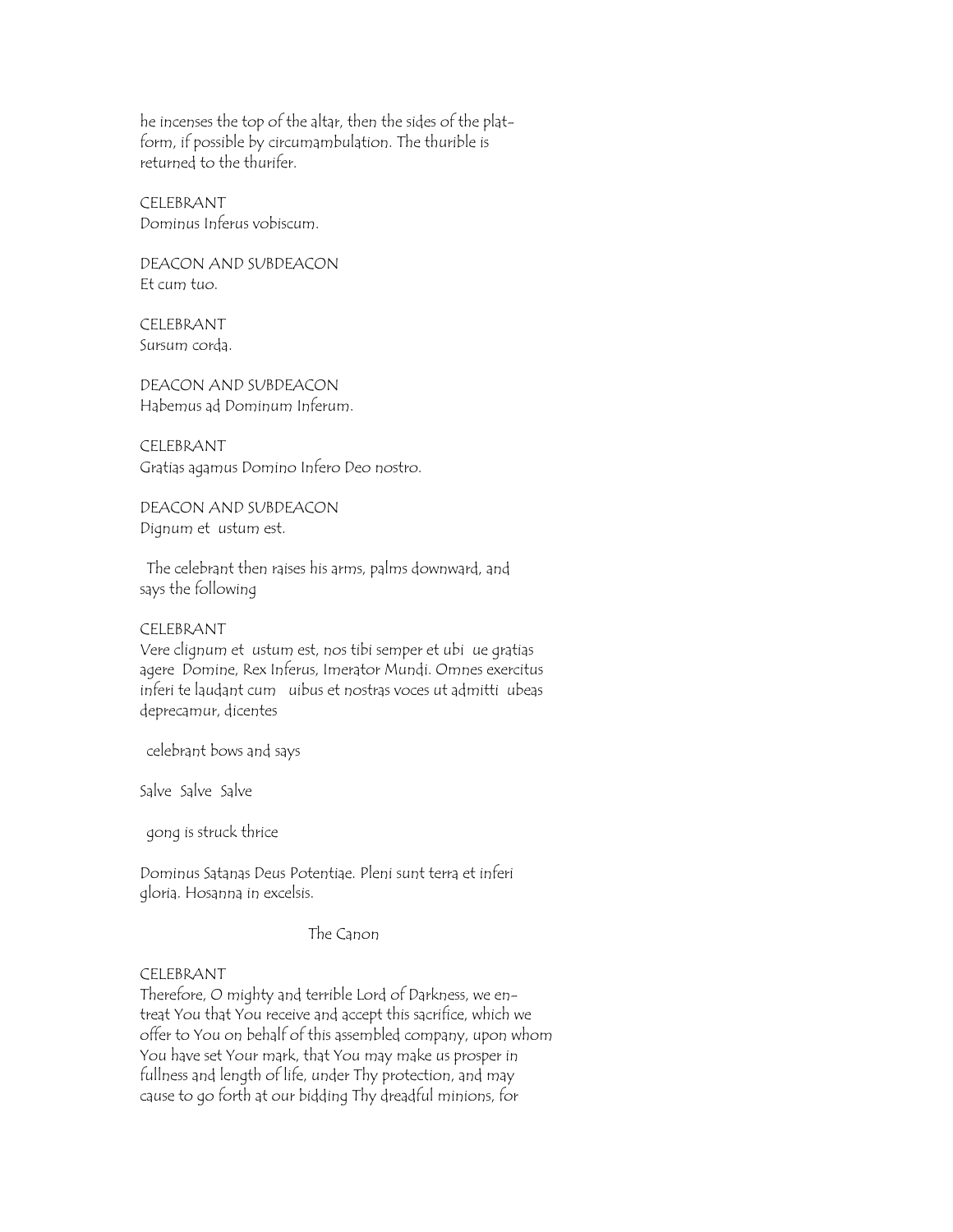he incenses the top of the altar, then the sides of the platform, if possible by circumambulation. The thurible is returned to the thurifer.

CELEBRANT: Dominus Inferus vobiscum.

DEACON AND SUBDEACON: Et cum tuo.

CELEBRANT: Sursum corda.

DEACON AND SUBDEACON: Habemus ad Dominum Inferum.

CELEBRANT: Gratias agamus Domino Infero Deo nostro.

DEACON AND SUBDEACON: Dignum et ustum est.

The celebrant then raises his arms, palms downward, and says the following

#### CELEBRANT:

Vere clignum et ustum est, nos tibi semper et ubi ue gratias agere: Domine, Rex Inferus, Imerator Mundi. Omnes exercitus inferi te laudant cum uibus et nostras voces ut admitti ubeas deprecamur, dicentes

celebrant bows and says

Salve Salve Salve

gong is struck thrice

Dominus Satanas Deus Potentiae. Pleni sunt terra et inferi gloria. Hosanna in excelsis.

#### *The Canon*

#### CELEBRANT:

Therefore, O mighty and terrible Lord of Darkness, we entreat You that You receive and accept this sacrifice, which we offer to You on behalf of this assembled company, upon whom You have set Your mark, that You may make us prosper in fullness and length of life, under Thy protection, and may cause to go forth at our bidding Thy dreadful minions, for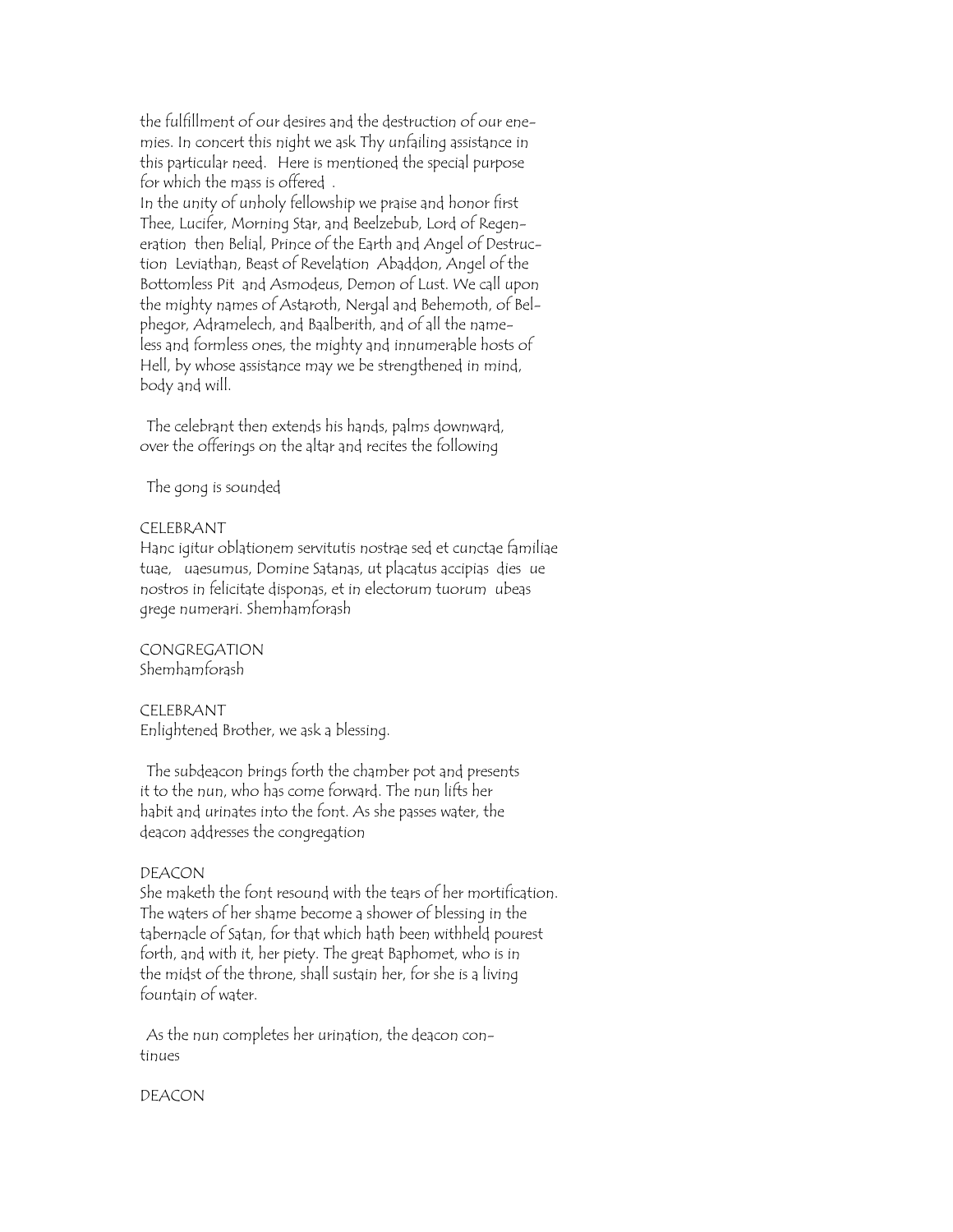the fulfillment of our desires and the destruction of our enemies. In concert this night we ask Thy unfailing assistance in this particular need. Here is mentioned the special purpose for which the mass is offered).

In the unity of unholy fellowship we praise and honor first Thee, Lucifer, Morning Star, and Beelzebub, Lord of Regeneration; then Belial, Prince of the Earth and Angel of Destruction; Leviathan, Beast of Revelation; Abaddon, Angel of the Bottomless Pit; and Asmodeus, Demon of Lust. We call upon the mighty names of Astaroth, Nergal and Behemoth, of Belphegor, Adramelech, and Baalberith, and of all the nameless and formless ones, the mighty and innumerable hosts of Hell, by whose assistance may we be strengthened in mind, body and will.

The celebrant then extends his hands, palms downward, over the offerings on the altar and recites the following

The gong is sounded

#### CELEBRANT:

Hanc igitur oblationem servitutis nostrae sed et cunctae familiae tuae, uaesumus, Domine Satanas, ut placatus accipias dies ue nostros in felicitate disponas, et in electorum tuorum ubeas grege numerari. Shemhamforash!

**CONGREGATION** Shemhamforash!

CELEBRANT: Enlightened Brother, we ask a blessing.

The subdeacon brings forth the chamber pot and presents it to the nun, who has come forward. The nun lifts her habit and urinates into the font. As she passes water, the deacon addresses the congregation

#### DEACON:

She maketh the font resound with the tears of her mortification. The waters of her shame become a shower of blessing in the tabernacle of Satan, for that which hath been withheld pourest forth, and with it, her piety. The great Baphomet, who is in the midst of the throne, shall sustain her, for she is a living fountain of water.

As the nun completes her urination, the deacon continues

DEACON: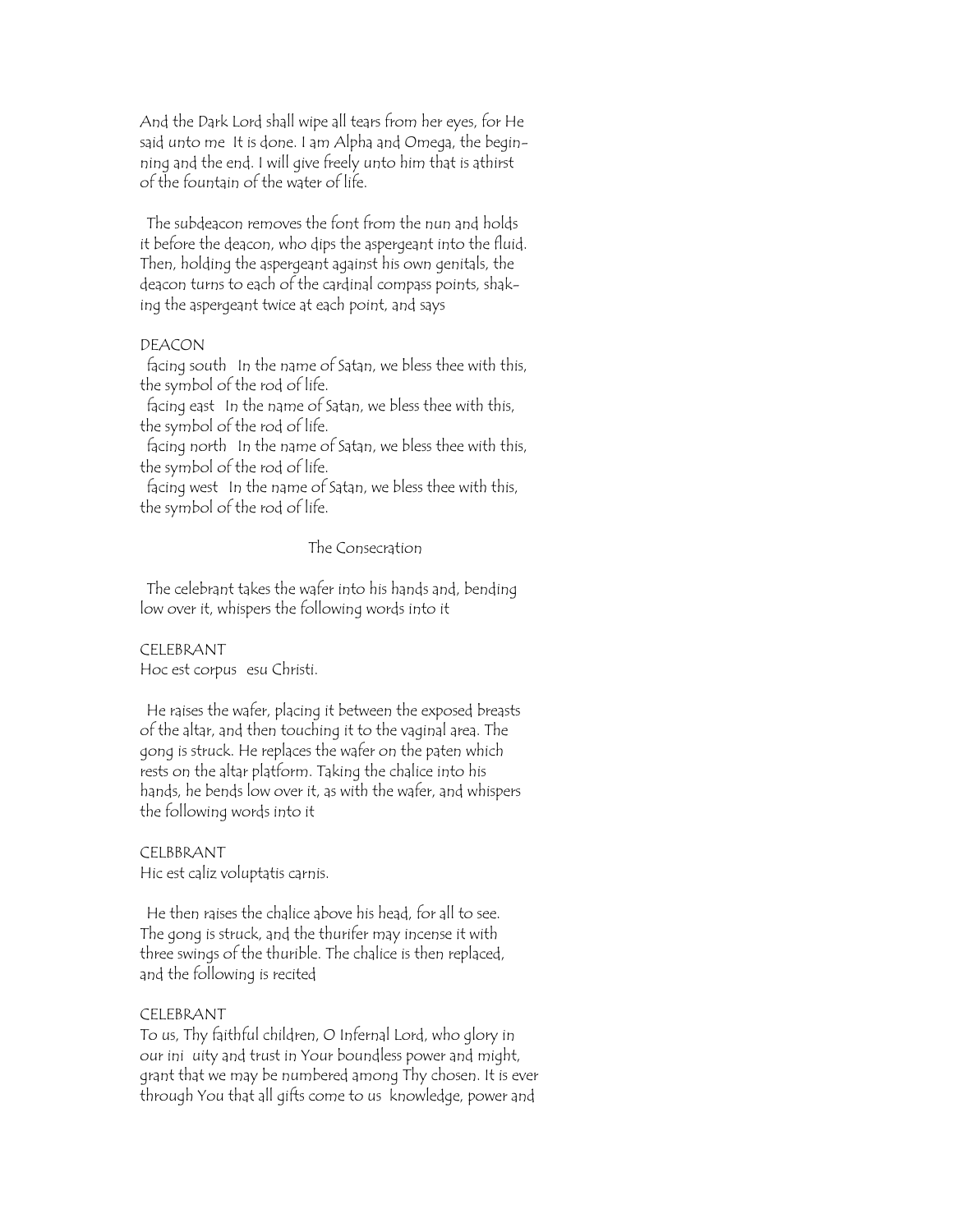And the Dark Lord shall wipe all tears from her eyes, for He said unto me: It is done. I am Alpha and Omega, the beginning and the end. I will give freely unto him that is athirst of the fountain of the water of life.

The subdeacon removes the font from the nun and holds it before the deacon, who dips the aspergeant into the fluid. Then, holding the aspergeant against his own genitals, the deacon turns to each of the cardinal compass points, shaking the aspergeant twice at each point, and says

#### **DEACON**

facing south In the name of Satan, we bless thee with this, the symbol of the rod of life.

facing east In the name of Satan, we bless thee with this, the symbol of the rod of life.

facing north In the name of Satan, we bless thee with this, the symbol of the rod of life.

facing west In the name of Satan, we bless thee with this, the symbol of the rod of life.

*The Consecration*

The celebrant takes the wafer into his hands and, bending low over it, whispers the following words into it

CELEBRANT:

Hoc est corpus esu Christi.

He raises the wafer, placing it between the exposed breasts of the altar, and then touching it to the vaginal area. The gong is struck. He replaces the wafer on the paten which rests on the altar platform. Taking the chalice into his hands, he bends low over it*,* as with the wafer, and whispers the following words into it

CELBBRANT: Hic est caliz voluptatis carnis.

He then raises the chalice above his head, for all to see. The gong is struck, and the thurifer may incense it with three swings of the thurible. The chalice is then replaced, and the following is recited

#### CELEBRANT:

To us, Thy faithful children, O Infernal Lord, who glory in our ini uity and trust in Your boundless power and might, grant that we may be numbered among Thy chosen. It is ever through You that all gifts come to us; knowledge, power and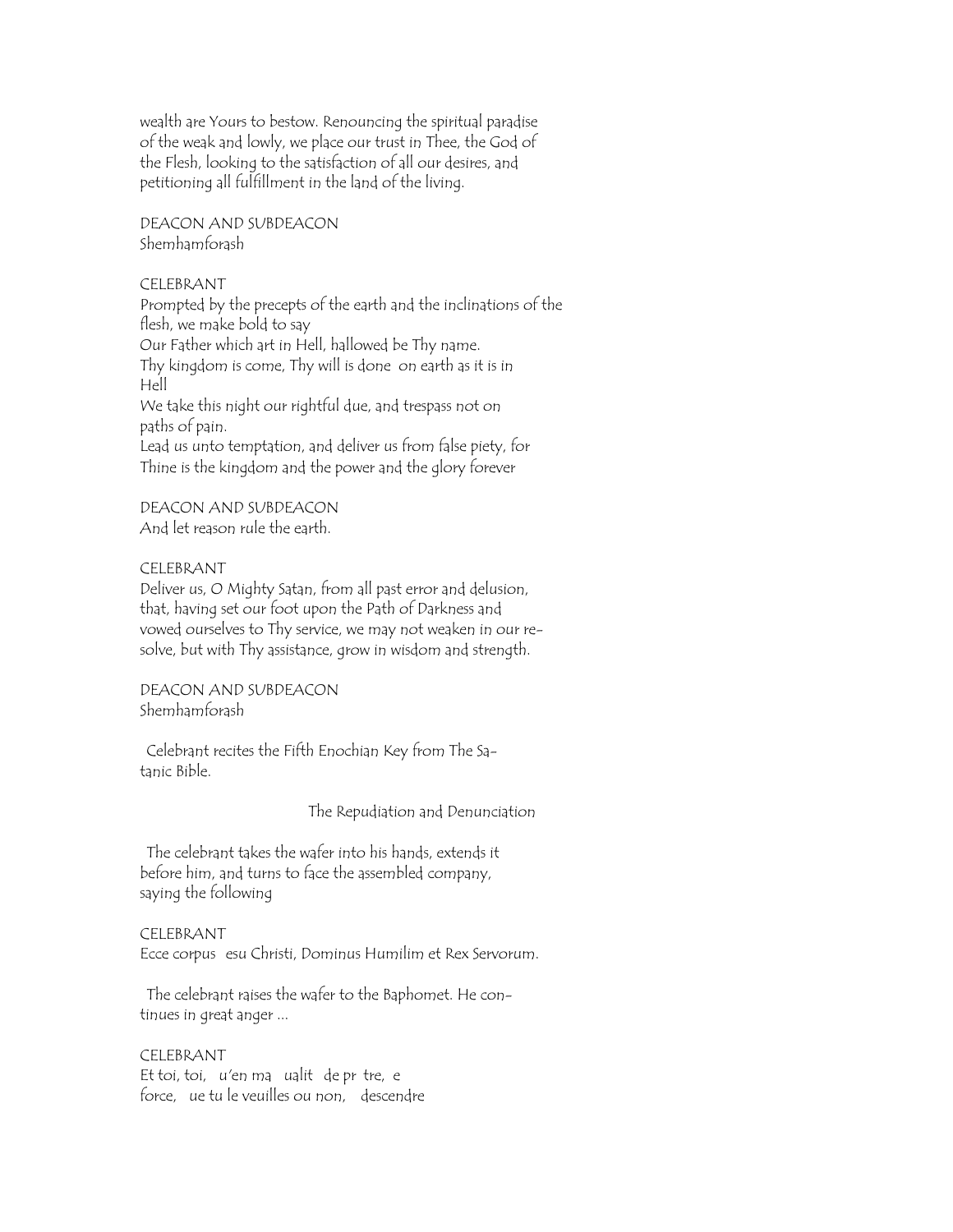wealth are Yours to bestow. Renouncing the spiritual paradise of the weak and lowly, we place our trust in Thee, the God of the Flesh, looking to the satisfaction of all our desires, and petitioning all fulfillment in the land of the living.

DEACON AND SUBDEACON: Shemhamforash!

#### CELEBRANT:

Prompted by the precepts of the earth and the inclinations of the flesh, we make bold to say: Our Father which art in Hell, hallowed be Thy name. Thy kingdom is come, Thy will is done; on earth as it is in Hell! We take this night our rightful due, and trespass not on paths of pain. Lead us unto temptation, and deliver us from false piety, for Thine is the kingdom and the power and the glory forever!

DEACON AND SUBDEACON: And let reason rule the earth.

#### CELEBRANT:

Deliver us, O Mighty Satan, from all past error and delusion, that, having set our foot upon the Path of Darkness and vowed ourselves to Thy service, we may not weaken in our resolve, but with Thy assistance, grow in wisdom and strength.

DEACON AND SUBDEACON: Shemhamforash!

[Celebrant recites the *Fifth Enochian Key* from *The Satanic Bible.*

#### *The Repudiation and Denunciation*

The celebrant takes the wafer into his hands, extends it before him, and turns to face the assembled company, saying the following

CELEBRANT: Ecce corpus esu Christi, Dominus Humilim et Rex Servorum.

The celebrant raises the wafer to the Baphomet. He continues in great anger ...

CELEBRANT: Et toi, toi, u'en ma ualit de pr tre, e

force, ue tu le veuilles ou non, descendre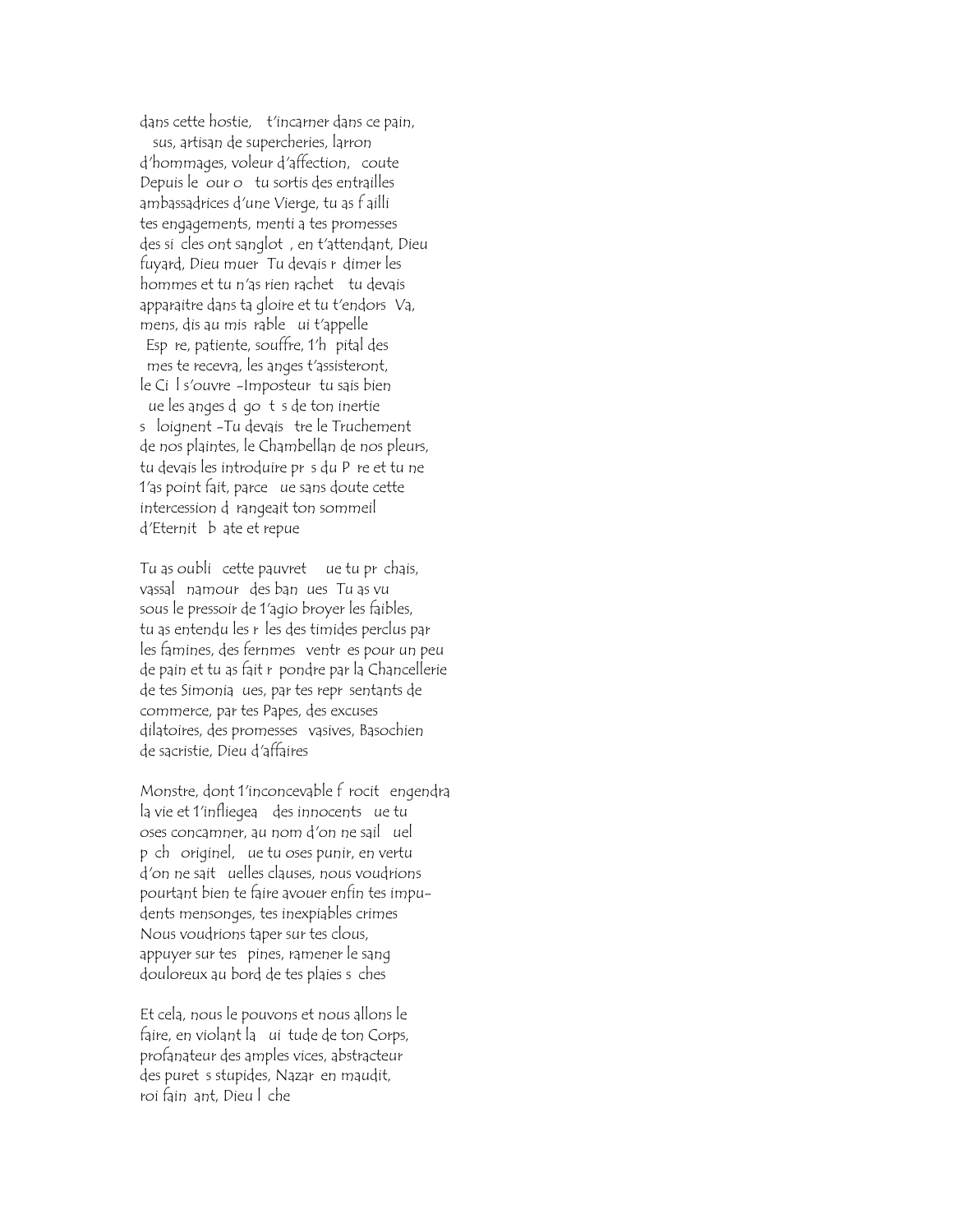dans cette hostie, t'incarner dans ce pain, sus, artisan de supercheries, larron d'hommages, voleur d'affection, écoute! Depuis le our out u sortis des entrailles ambassadrices d'une Vierge, tu as f ailli à tes engagements, menti a tes promesses des siècles ont sanglot, en t'attendant, Dieu fuyard, Dieu muer Tu devais r dimer les hommes et tu n'as rien rachet tu devais apparaitre dans ta gloire et tu t'endors! Va, mens, dis au mis rable ui t'appelle Esp re, patiente, souffre, 1'h pital des mes te recevra, les anges t'assisteront, le Cil s'ouvre -Imposteur tu sais bien ue les anges dégoûtés de ton inertie s loignent -Tu devais tre le Truchement de nos plaintes, le Chambellan de nos pleurs, tu devais les introduire près du Père et tu ne 1'as point fait, parce ue sans doute cette intercession derangeait ton sommeil d'Eternit b ate et repue

Tu as oublie cette pauvret ue tu prechais, vassal namour des ban ues Tu as vu sous le pressoir de 1'agio broyer les faibles, tu as entendu les r les des timides perclus par les famines, des fernmes ventr es pour un peu de pain et tu as fait répondre par la Chancellerie de tes Simonia ues, par tes representants de commerce, par tes Papes, des excuses dilatoires, des promesses évasives, Basochien de sacristie, Dieu d'affaires!

Monstre, dont 1'inconcevable f rocit engendra la vie et 1'infliegea des innocents ue tu oses concamner, au nom d'on ne sail quel p ché originel, que tu oses punir, en vertu d'on ne sait quelles clauses, nous voudrions pourtant bien te faire avouer enfin tes impudents mensonges, tes inexpiables crimes! Nous voudrions taper sur tes clous, appuyer sur tes pines, ramener le sang douloreux au bord de tes plaies séches

Et cela, nous le pouvons et nous allons le faire, en violant la ui tude de ton Corps, profanateur des amples vices, abstracteur des puret s stupides, Nazar en maudit, roi fain ant, Dieu l che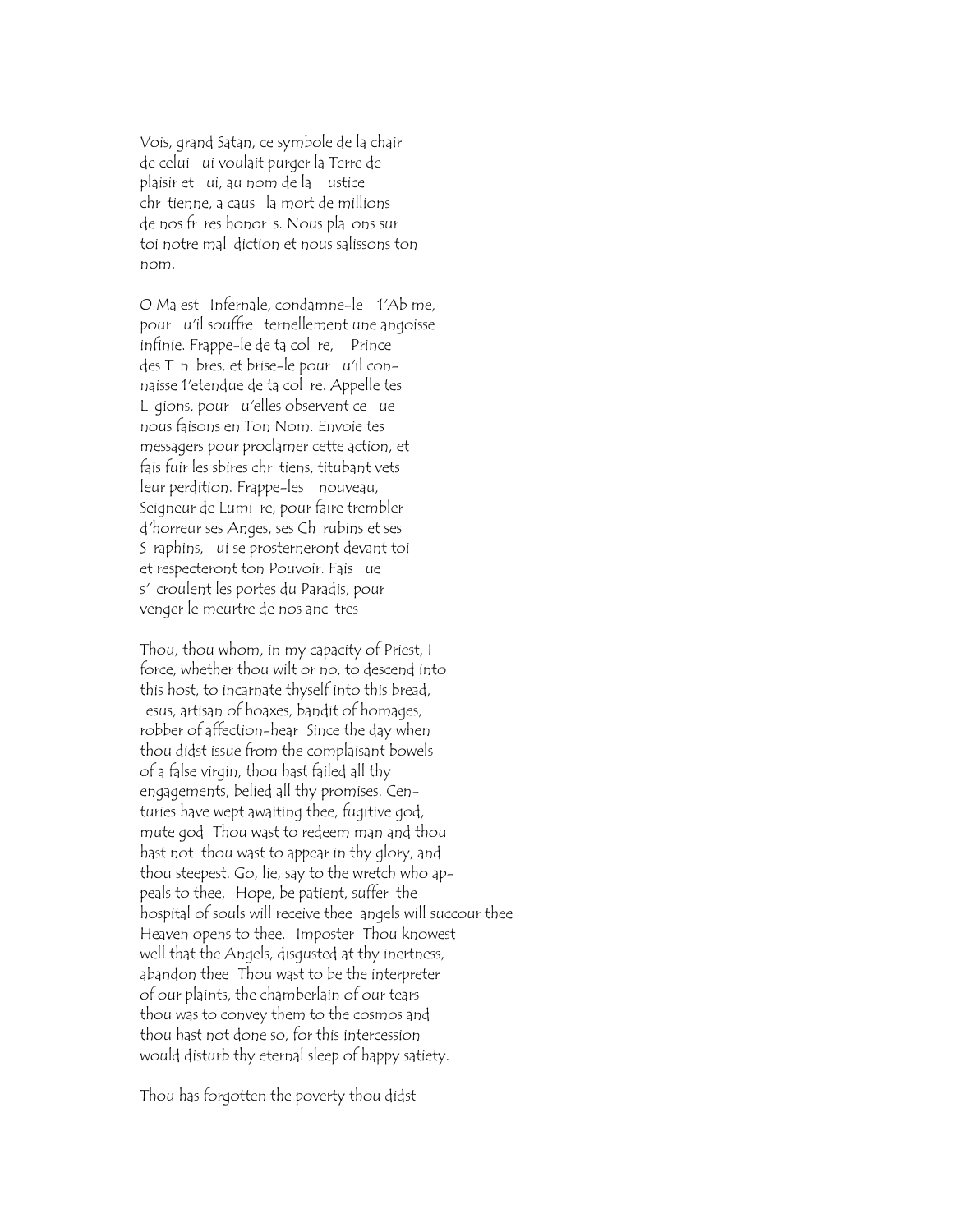Vois, grand Satan, ce symbole de la chair de celui qui voulait purger la Terre de plaisir et ui, au nom de la ustice chr tienne, a caus la mort de millions de nos frères honores. Nous plaçons sur toi notre mal diction et nous salissons ton nom.

O Majest Infernale, condamne-le 1'Abîme, pour u'il souffre ternellement une angoisse infinie. Frappe-le de ta colère, Prince  $des T$ n bres, et brise-le pour  $\alpha$ 'il connaisse 1'etendue de ta col re. Appelle tes L gions, pour *y*'elles observent ce ue nous faisons en Ton Nom. Envoie tes messagers pour proclamer cette action, et fais fuir les sbires chr tiens, titubant vets leur perdition. Frappe-les nouveau, Seigneur de Lumiere, pour faire trembler d'horreur ses Anges, ses Ch rubins et ses S raphins, ui se prosterneront devant toi et respecteront ton Pouvoir. Fais ue s' croulent les portes du Paradis, pour venger le meurtre de nos anc tres

Thou, thou whom, in my capacity of Priest, I force, whether thou wilt or no, to descend into this host, to incarnate thyself into this bread, esus, artisan of hoaxes, bandit of homages, robber of affection-hear! Since the day when thou didst issue from the complaisant bowels of a false virgin, thou hast failed all thy engagements, belied all thy promises. Centuries have wept awaiting thee, fugitive god, mute god! Thou wast to redeem man and thou hast not; thou wast to appear in thy glory, and thou steepest. Go, lie, say to the wretch who appeals to thee, Hope, be patient, suffer the hospital of souls will receive thee; angels will succour thee; Heaven opens to thee. Imposter Thou knowest well that the Angels, disgusted at thy inertness, abandon thee! Thou wast to be the interpreter of our plaints, the chamberlain of our tears; thou was to convey them to the cosmos and thou hast not done so, for this intercession would disturb thy eternal sleep of happy satiety.

Thou has forgotten the poverty thou didst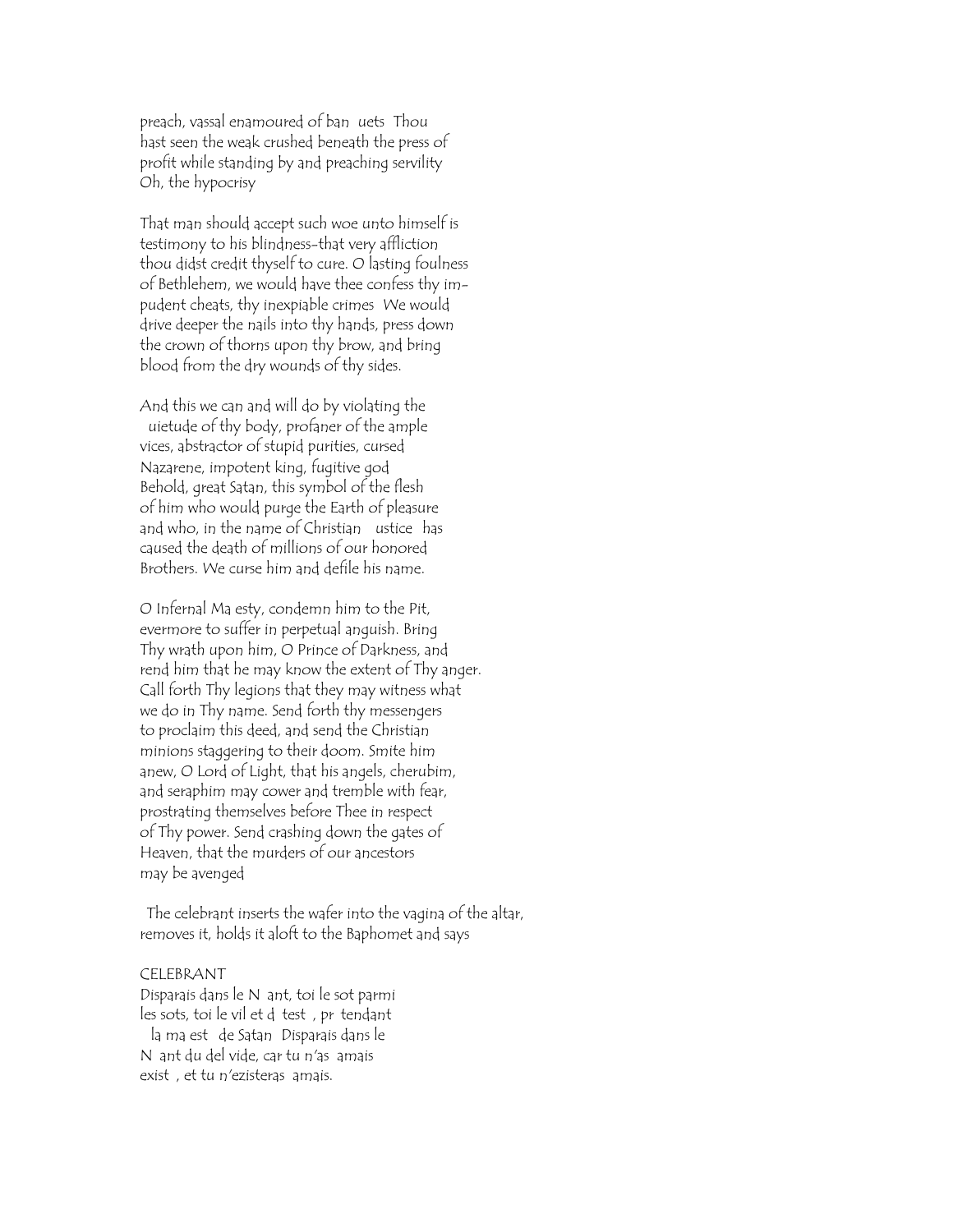preach, vassal enamoured of banquets Thou hast seen the weak crushed beneath the press of profit while standing by and preaching servility! Oh, the hypocrisy!

That man should accept such woe unto himself is testimony to his blindness-that very affliction thou didst credit thyself to cure. O lasting foulness of Bethlehem, we would have thee confess thy impudent cheats, thy inexpiable crimes! We would drive deeper the nails into thy hands, press down the crown of thorns upon thy brow, and bring blood from the dry wounds of thy sides.

And this we can and *will* do by violating the uietude of thy body, profaner of the ample vices, abstractor of stupid purities, cursed Nazarene, impotent king, fugitive god! Behold, great Satan, this symbol of the flesh of him who would purge the Earth of pleasure and who, in the name of Christian ustice has caused the death of millions of our honored Brothers. We curse him and defile his name.

O Infernal Majesty, condemn him to the Pit, evermore to suffer in perpetual anguish. Bring Thy wrath upon him, O Prince of Darkness, and rend him that he may know the extent of Thy anger. Call forth Thy legions that they may witness what we do in Thy name. Send forth thy messengers to proclaim this deed, and send the Christian minions staggering to their doom. Smite him anew, O Lord of Light, that his angels, cherubim, and seraphim may cower and tremble with fear, prostrating themselves before Thee in respect of Thy power. Send crashing down the gates of Heaven, that the murders of our ancestors may be avenged!

The celebrant inserts the wafer into the vagina of the altar, removes it, holds it aloft to the Baphomet and says]

#### CELEBRANT:

Disparais dans le N ant, toi le sot parmi les sots, toi le vil et détest, prétendant la ma est de Satan Disparais dans le N ant du del vide, car tu n'as amais exist, et tu n'ezisteras amais.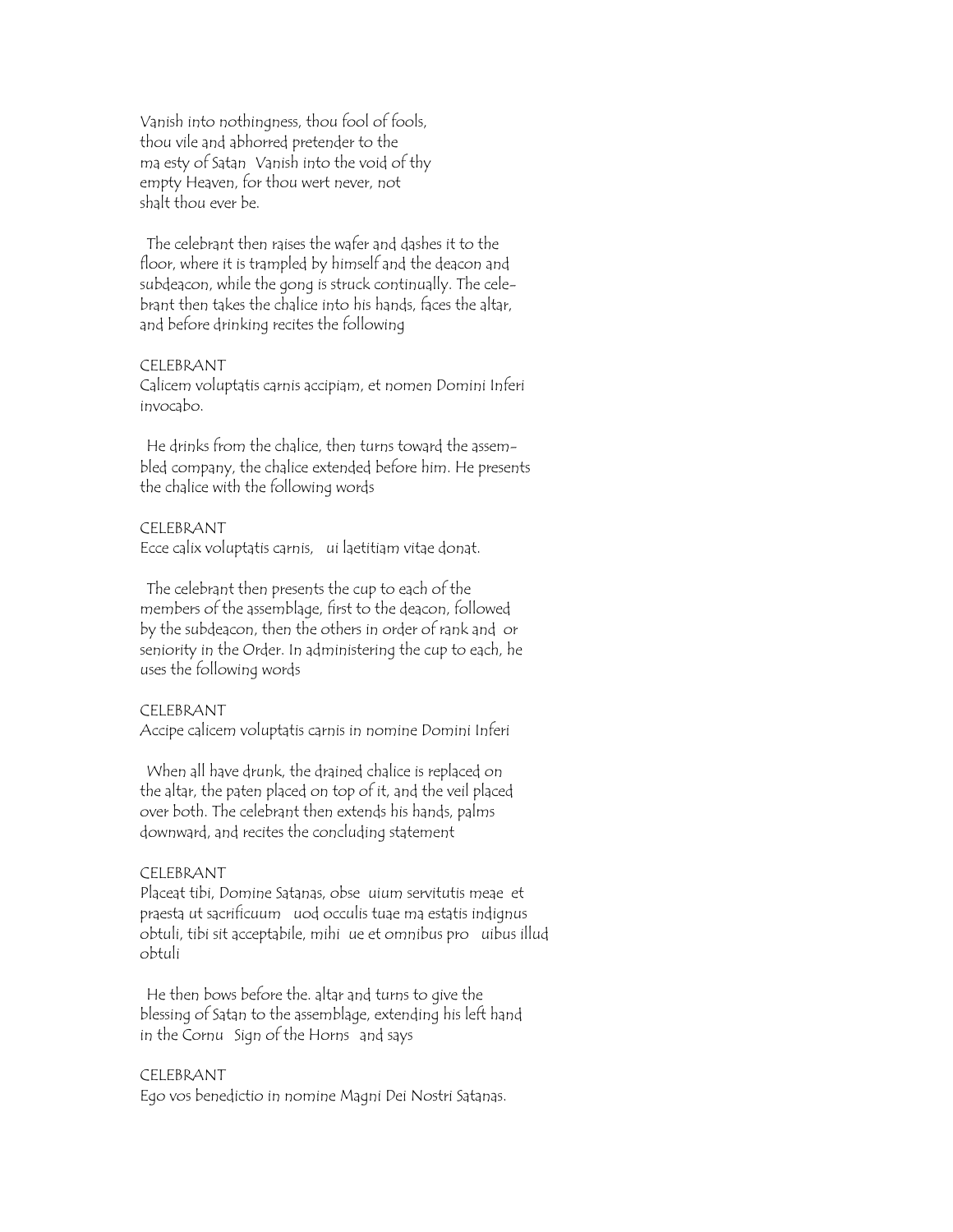Vanish into nothingness, thou fool of fools, thou vile and abhorred pretender to the ma esty of Satan Vanish into the void of thy empty Heaven, for thou wert never, not shalt thou ever be.

The celebrant then raises the wafer and dashes it to the floor, where it is trampled by himself and the deacon and subdeacon, while the gong is struck continually. The celebrant then takes the chalice into his hands, faces the altar, and before drinking recites the following

#### CELEBRANT:

Calicem voluptatis carnis accipiam, et nomen Domini Inferi invocabo.

He drinks from the chalice, then turns toward the assembled company, the chalice extended before him. He presents the chalice with the following words

#### CELEBRANT:

Ecce calix voluptatis carnis, ui laetitiam vitae donat.

The celebrant then presents the cup to each of the members of the assemblage, first to the deacon, followed by the subdeacon, then the others in order of rank and/or seniority in the Order. In administering the cup to each, he uses the following words:]

#### CELEBRANT:

Accipe calicem voluptatis carnis in nomine Domini Inferi

When all have drunk, the drained chalice is replaced on the altar, the paten placed on top of it, and the veil placed over both. The celebrant then extends his hands, palms downward, and recites the concluding statement

#### CELEBRANT:

Placeat tibi, Domine Satanas, obse uium servitutis meae et praesta ut sacrificuum uod occulis tuae ma estatis indignus obtuli, tibi sit acceptabile, mihi ue et omnibus pro uibus illud obtuli

He then bows before the. altar and turns to give the blessing of Satan to the assemblage, extending his left hand in the Cornu Sign of the Horns and says

#### CELEBRANT:

Ego vos benedictio in nomine Magni Dei Nostri Satanas.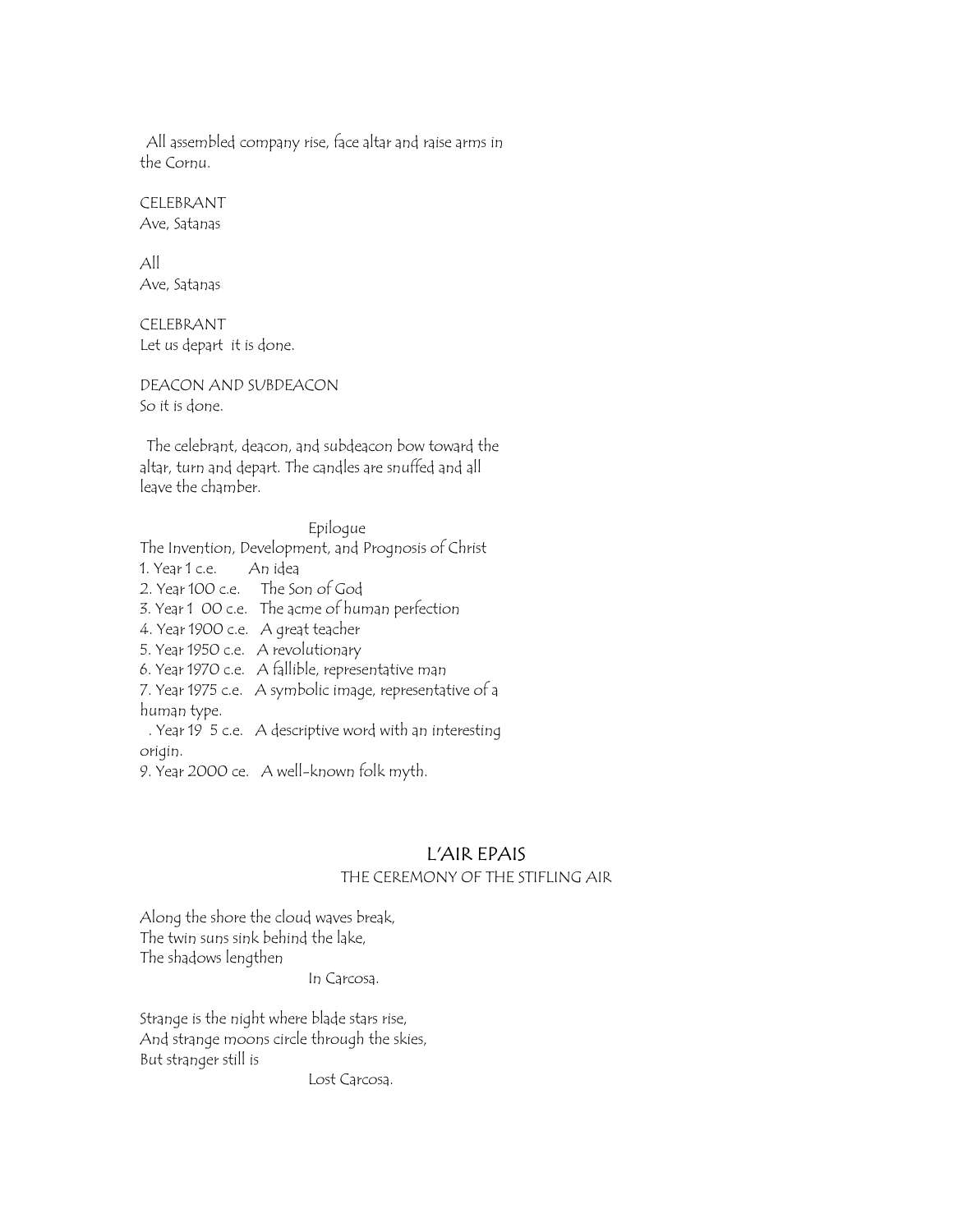All assembled company rise, face altar and raise arms in the *Cornu*.]

CELEBRANT: Ave, Satanas!

All: Ave, Satanas!

CELEBRANT: Let us depart it is done.

DEACON AND SUBDEACON: So it is done.

The celebrant, deacon, and subdeacon bow toward the altar, turn and depart. The candles are snuffed and all leave the chamber.

*Epilogue* The Invention, Development, and Prognosis of Christ

1. Year 1 c.e. An idea

2. Year 100 c.e. The Son of God

3. Year 100 c.e. The acme of human perfection

4. Year 1900 c.e. A great teacher

5. Year 1950 c.e. A revolutionary

6. Year 1970 c.e. A fallible, representative man

7. Year 1975 c.e. A *symbolic* image, representative of a

human type.

. Year 19  $\,$  5 c.e.  $\,$  A descriptive word with an interesting origin.

9. Year 2000 ce. A well-known folk myth.

#### L'AIR EPAIS THE CEREMONY OF THE STIFLING AIR

Along the shore the cloud waves break, The twin suns sink behind the lake, The shadows lengthen

In Carcosa.

Strange is the night where blade stars rise, And strange moons circle through the skies, But stranger still is

Lost Carcosa.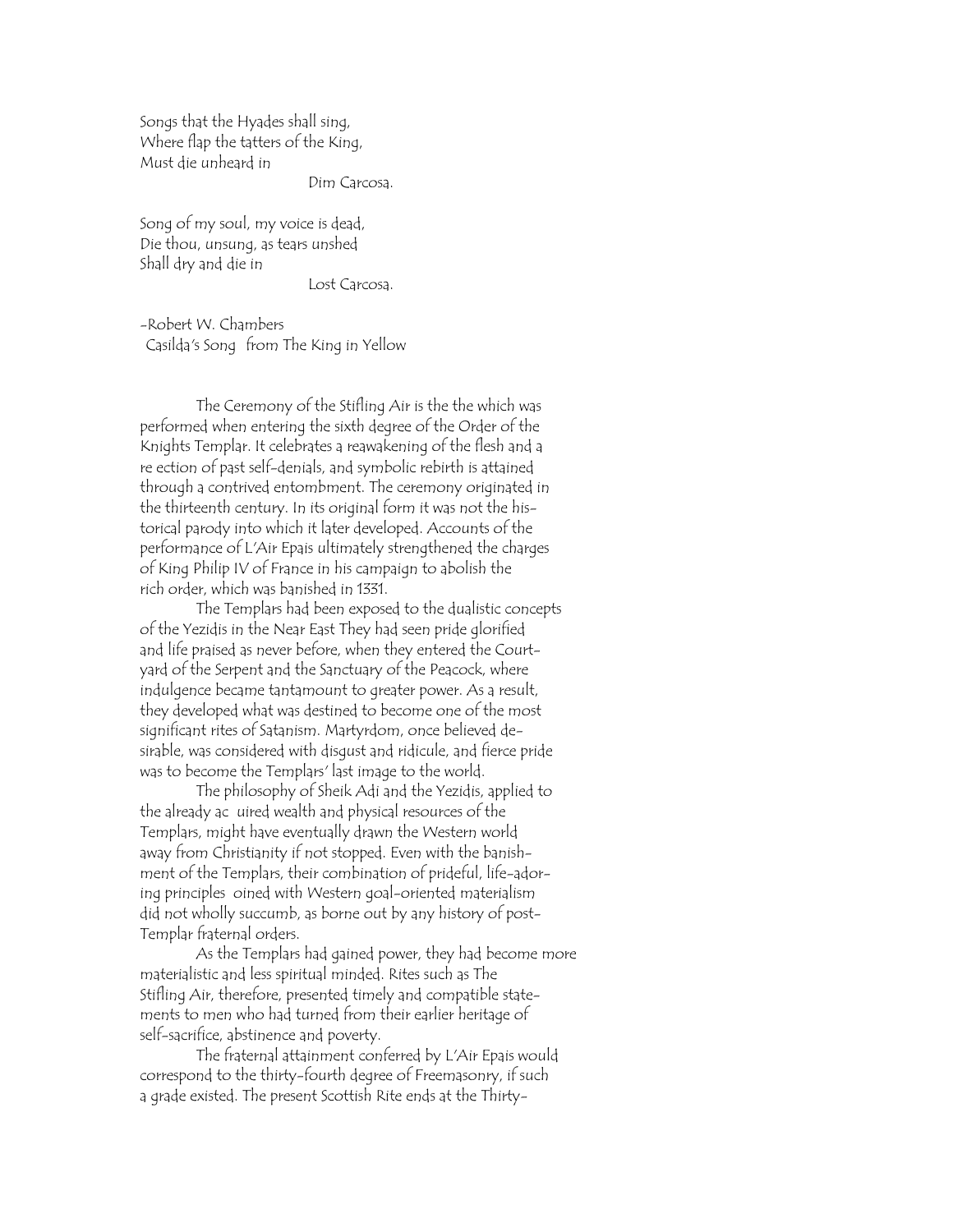Songs that the Hyades shall sing, Where flap the tatters of the King, Must die unheard in

Dim Carcosa.

Song of my soul, my voice is dead, Die thou, unsung, as tears unshed Shall dry and die in

Lost Carcosa.

-Robert W. Chambers "Casilda's Song" from *The King* in *Yellow*

*The Ceremony of the Stifling Air* is the the which was performed when entering the sixth degree of the *Order of the Knights Templar.* It celebrates a reawakening of the flesh and a re ection of past self-denials, and symbolic rebirth is attained through a contrived entombment. The ceremony originated in the thirteenth century. In its original form it was not the historical parody into which it later developed. Accounts of the performance of *L'Air Epais* ultimately strengthened the charges of King Philip IV of France in his campaign to abolish the rich order, which was banished in 1331.

The Templars had been exposed to the dualistic concepts of the Yezidis in the Near East They had seen pride glorified and life praised as never before, when they entered the Courtyard of the Serpent and the Sanctuary of the Peacock, where indulgence became tantamount to greater power. As a result, they developed what was destined to become one of the most significant rites of Satanism. Martyrdom, once believed desirable, was considered with disgust and ridicule, and fierce pride was to become the Templars' last image to the world.

The philosophy of Sheik Adi and the Yezidis, applied to the already ac uired wealth and physical resources of the Templars, might have eventually drawn the Western world away from Christianity if not stopped. Even with the banishment of the Templars, their combination of prideful, life-adoring principles oined with Western goal-oriented materialism did not wholly succumb, as borne out by any history of post-Templar fraternal orders.

As the Templars had gained power, they had become more materialistic and less spiritual minded. Rites such as *The Stifling Air,* therefore, presented timely and compatible statements to men who had turned from their earlier heritage of self-sacrifice, abstinence and poverty.

The fraternal attainment conferred by *L'Air Epais* would correspond to the thirty-fourth degree of Freemasonry, if such a grade existed. The present Scottish Rite ends at the Thirty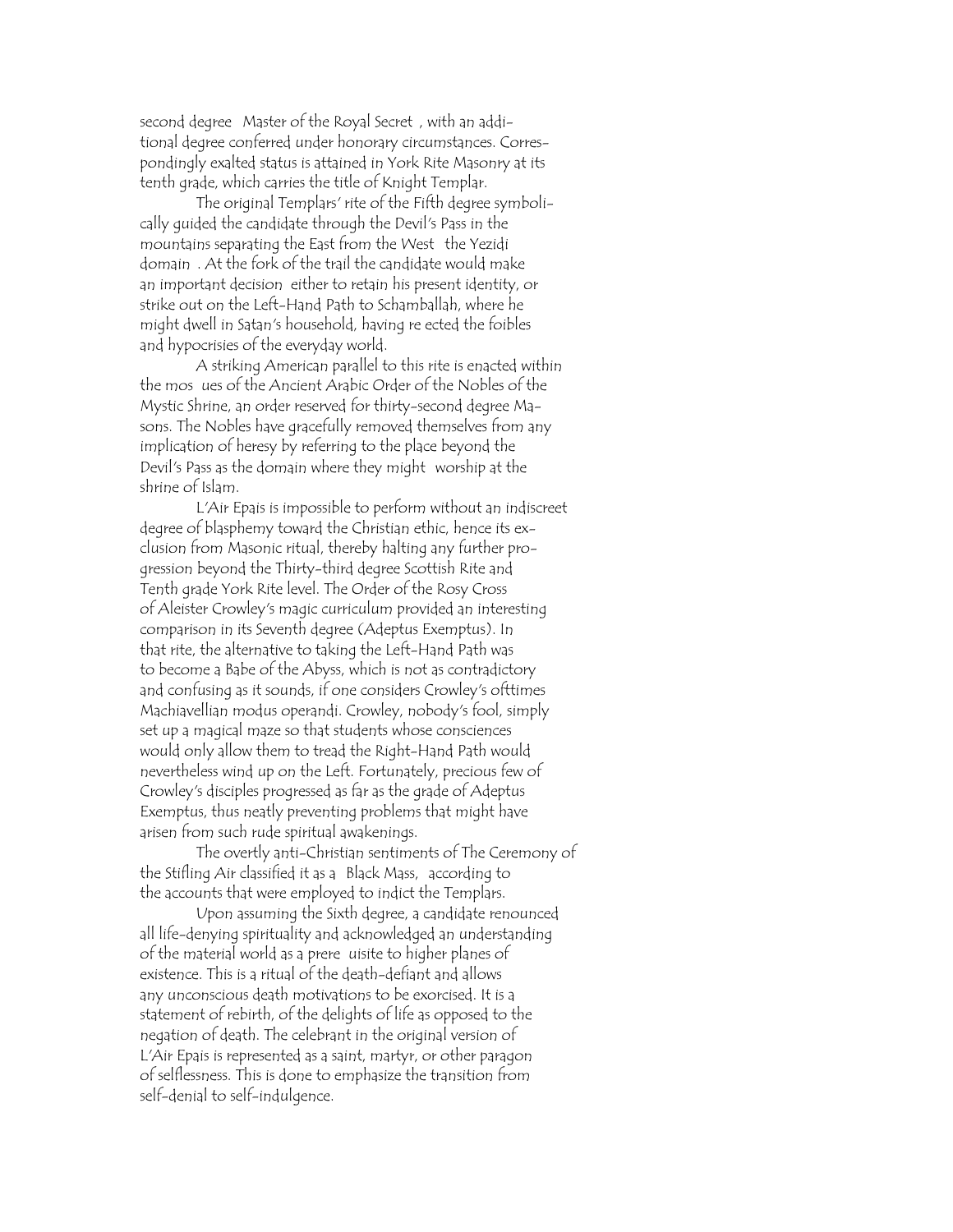second degree Master of the Royal Secret, with an additional degree conferred under honorary circumstances. Correspondingly exalted status is attained in York Rite Masonry at its tenth grade, which carries the title of Knight Templar.

The original Templars' rite of the Fifth degree symbolically guided the candidate through the Devil's Pass in the mountains separating the East from the West the Yezidi domain). At the fork of the trail the candidate would make an important decision: either to retain his present identity, or strike out on the Left-Hand Path to Schamballah, where he might dwell in Satan's household, having re ected the foibles and hypocrisies of the everyday world.

A striking American parallel to this rite is enacted within the mosques of the *Ancient Arabic Order of the Nobles of the Mystic Shrine,* an order reserved for thirty-second degree Masons. The *Nobles* have gracefully removed themselves from any implication of heresy by referring to the place beyond the Devil's Pass as the domain where they might worship at the shrine of Islam."

*L'Air Epais* is impossible to perform without an indiscreet degree of blasphemy toward the Christian ethic, hence its exclusion from Masonic ritual, thereby halting any further progression beyond the Thirty-third degree Scottish Rite and Tenth grade York Rite level. The *Order of the Rosy Cross* of Aleister Crowley's magic curriculum provided an interesting comparison in its Seventh degree *(Adeptus Exemptus).* In that rite, the alternative to taking the Left-Hand Path was to become a Babe of the Abyss, which is not as contradictory and confusing as it sounds, if one considers Crowley's ofttimes Machiavellian modus operandi. Crowley, nobody's fool, simply set up a magical maze so that students whose consciences would only allow them to tread the Right-Hand Path would nevertheless wind up on the Left. Fortunately, precious few of Crowley's disciples progressed as far as the grade of *Adeptus Exemptus,* thus neatly preventing problems that might have arisen from such rude spiritual awakenings.

The overtly anti-Christian sentiments of *The Ceremony of the Stifling Air* classified it as a "Black Mass," according to the accounts that were employed to indict the Templars.

Upon assuming the Sixth degree, a candidate renounced all life-denying spirituality and acknowledged an understanding of the material world as a prere uisite to higher planes of existence. This is a ritual of the death-defiant and allows any unconscious death motivations to be exorcised. It is a statement of rebirth, of the delights of life as opposed to the negation of death. The celebrant in the original version of *L'Air Epais* is represented as a saint, martyr, or other paragon of selflessness. This is done to emphasize the transition from self-denial to self-indulgence.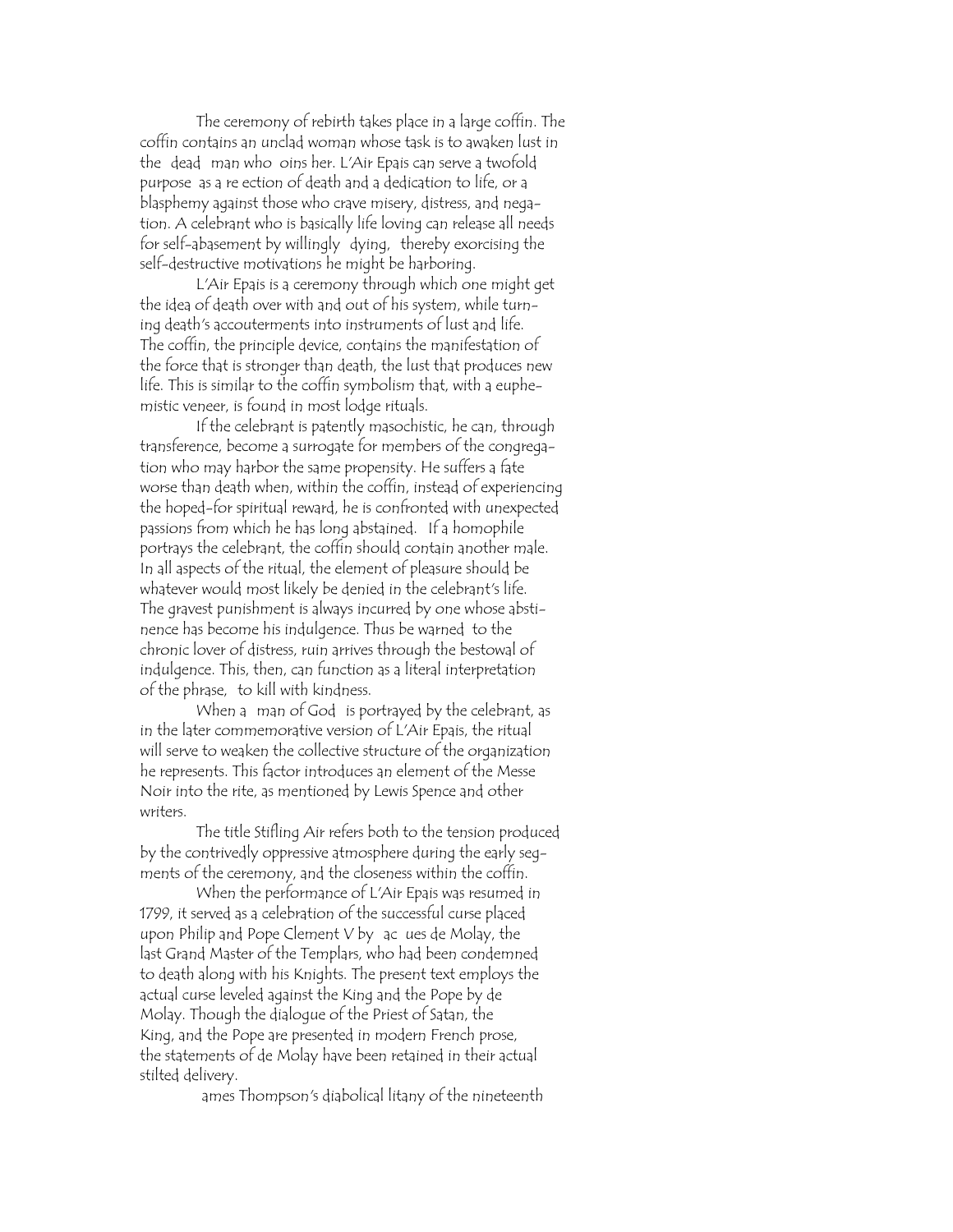The ceremony of rebirth takes place in a large coffin. The coffin contains an unclad woman whose task is to awaken lust in the "dead" man who joins her. *L'Air Epais* can serve a twofold purpose as a rejection of death and a dedication to life, or a blasphemy against those who crave misery, distress, and negation. A celebrant who is basically life loving can release all needs for self-abasement by willingly dying, thereby exorcising the self-destructive motivations he might be harboring.

*L'Air Epais* is a ceremony through which one might get the idea of death over with and out of his system, while turning death's accouterments into instruments of lust and life. The coffin, the principle device, contains the manifestation of the force that is stronger than death, the lust that produces new life. This is similar to the coffin symbolism that, with a euphemistic veneer, is found in most lodge rituals.

If the celebrant is patently masochistic, he can, through transference, become a surrogate for members of the congregation who may harbor the same propensity. He suffers a fate worse than death when, within the coffin, instead of experiencing the hoped-for spiritual reward, he is confronted with unexpected passions from which he has long abstained. If a homophile portrays the celebrant, the coffin should contain another male. In all aspects of the ritual, the element of pleasure should be whatever would most likely be denied in the celebrant's life. The gravest punishment is always incurred by one whose abstinence has become his indulgence. Thus be warned: to the chronic lover of distress, ruin arrives through the bestowal of indulgence. This, then, can function *as* a literal interpretation of the phrase, to kill with kindness.

When a man of God is portrayed by the celebrant, as in the later commemorative version of *L'Air Epais,* the ritual will serve to weaken the collective structure of the organization he represents. This factor introduces an element of the *Messe Noir* into the rite, as mentioned by Lewis Spence and other writers.

The title *Stifling Air* refers both to the tension produced by the contrivedly oppressive atmosphere during the early segments of the ceremony, and the closeness within the coffin.

When the performance of *L'Air Epais* was resumed in 1799, it served as a celebration of the successful curse placed upon Philip and Pope Clement  $V$  by  $\alpha$  ac ues de Molay, the last Grand Master of the Templars, who had been condemned to death along with his Knights. The present text employs the actual curse leveled against the King and the Pope by de Molay. Though the dialogue of the Priest of Satan, the King, and the Pope are presented in modern French prose, the statements of de Molay have been retained in their actual stilted delivery.

ames Thompson's diabolical litany of the nineteenth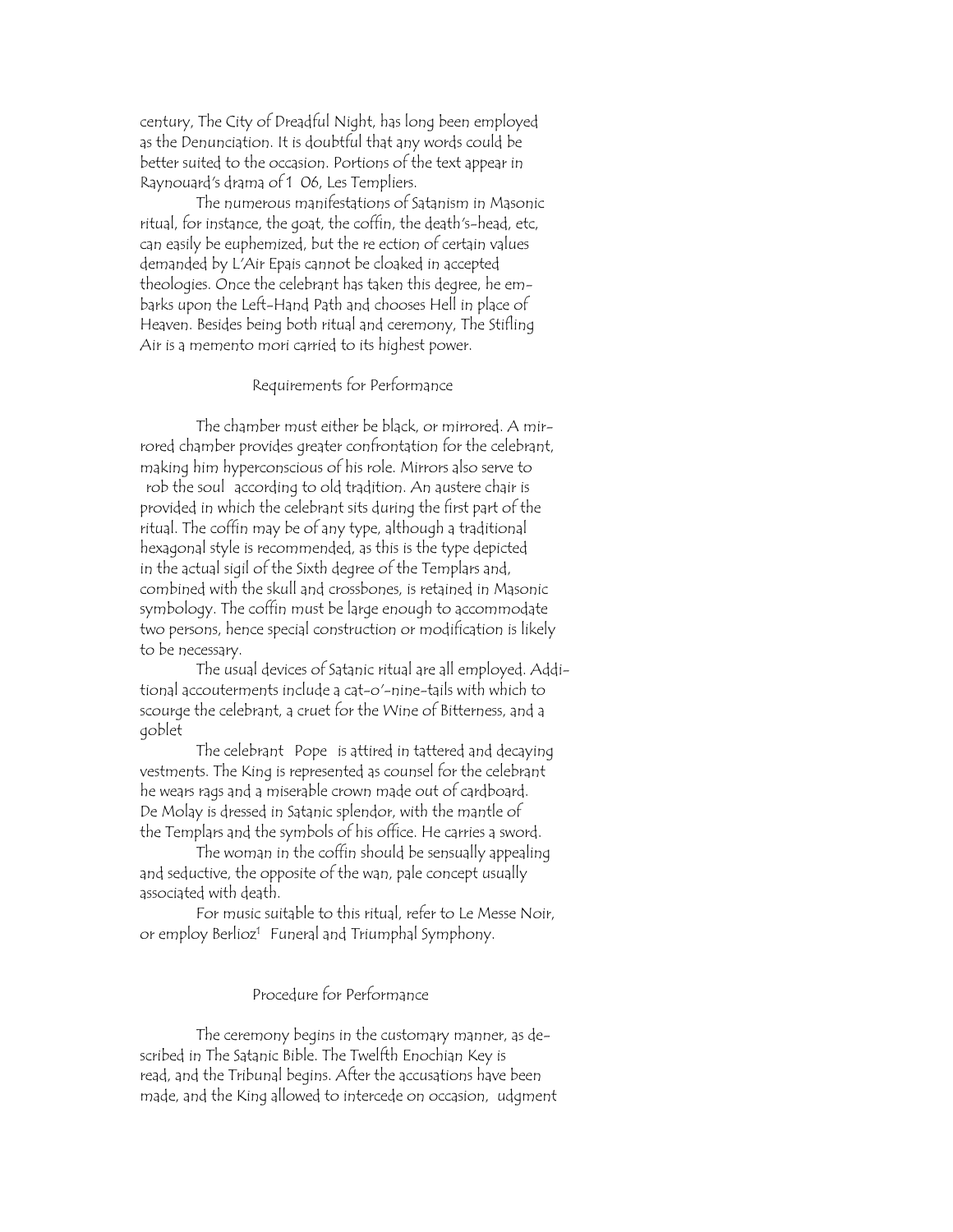century, *The City of Dreadful Night,* has long been employed as the *Denunciation.* It is doubtful that any words could be better suited to the occasion. Portions of the text appear in Raynouard's drama of 1806, *Les Templiers.*

The numerous manifestations of Satanism in Masonic ritual, for instance, the goat, the coffin, the death's-head, etc, can easily be euphemized, but the re ection of certain values demanded by *L'Air Epais* cannot be cloaked in accepted theologies. Once the celebrant has taken this degree, he embarks upon the Left-Hand Path and chooses Hell in place of Heaven. Besides being both ritual and ceremony, *The Stifling Air* is a *memento mori* carried to its highest power.

#### *Requirements for Performance*

The chamber must either be black, or mirrored. A mirrored chamber provides greater confrontation for the celebrant, making him hyperconscious of his role. Mirrors also serve to rob the soul according to old tradition. An austere chair is provided in which the celebrant sits during the first part of the ritual. The coffin may be of any type, although a traditional hexagonal style is recommended, as this is the type depicted in the actual sigil of the Sixth degree of the Templars and, combined with the skull and crossbones, is retained in Masonic symbology. The coffin must be large enough to accommodate two persons, hence special construction or modification is likely to be necessary.

The usual devices of Satanic ritual are all employed. Additional accouterments include a cat-o'-nine-tails with which to scourge the celebrant, a cruet for the Wine of Bitterness, and a goblet

The celebrant Pope is attired in tattered and decaying vestments. The King is represented as counsel for the celebrant; he wears rags and a miserable crown made out of cardboard. De Molay is dressed in Satanic splendor, with the mantle of the Templars and the symbols of his office. He carries a sword.

The woman in the coffin should be sensually appealing and seductive, the opposite of the wan, pale concept usually associated with death.

For music suitable to this ritual, refer to *Le Messe Noir*, or employ Berlioz<sup>1</sup> Funeral and Triumphal Symphony.

#### *Procedure for Performance*

The ceremony begins in the customary manner, as described in *The Satanic Bible.* The *Twelfth Enochian Key* is read, and the *Tribunal* begins. After the accusations have been made, and the King allowed to intercede on occasion, udgment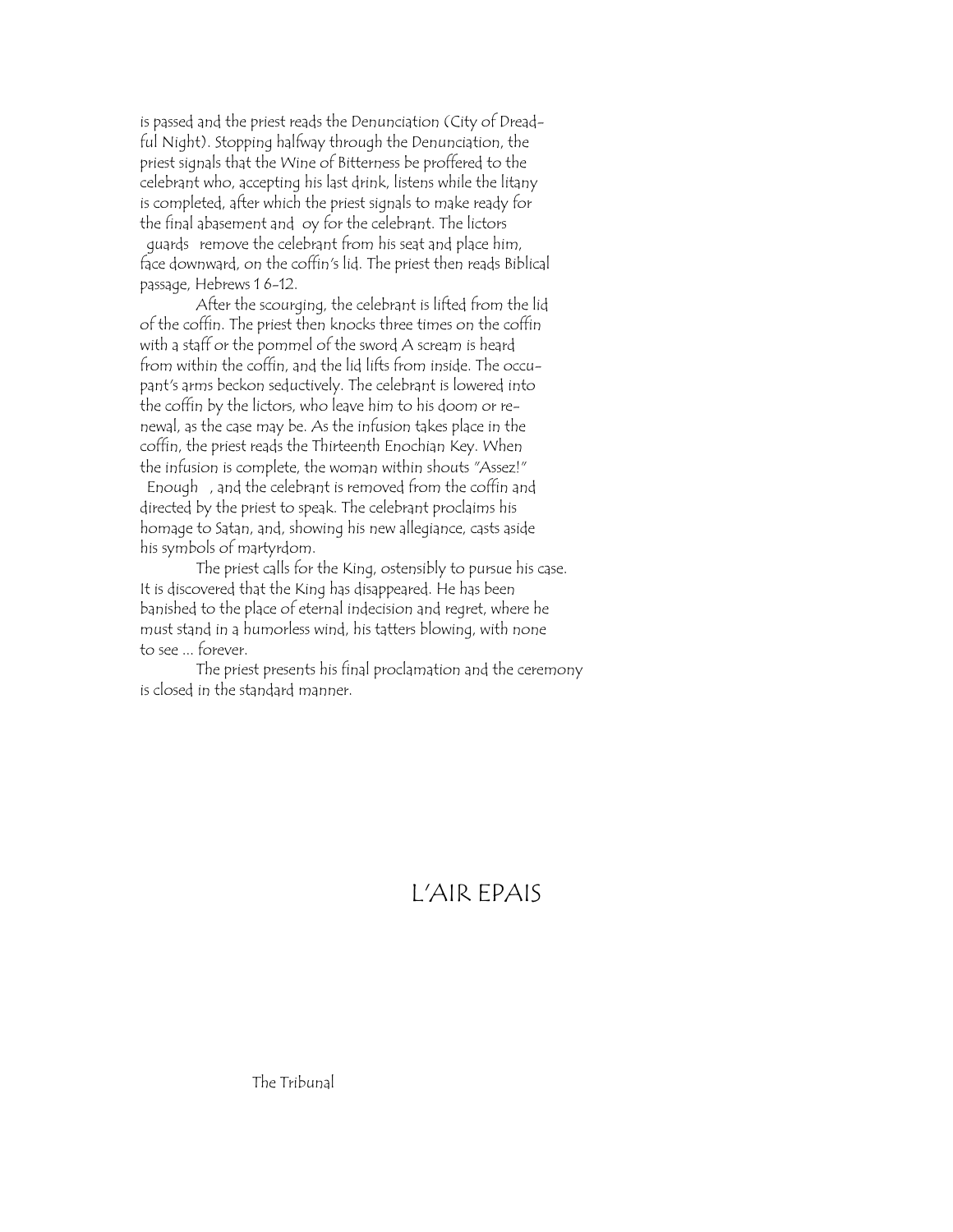is passed and the priest reads the *Denunciation (City of Dreadful Night).* Stopping halfway through the *Denunciation,* the priest signals that the Wine of Bitterness be proffered *to* the celebrant who, accepting his last drink, listens while the litany is completed, after which the priest signals to make ready for the final abasement and oy for the celebrant. The lictors quards remove the celebrant from his seat and place him, face downward, on the coffin's lid. The priest then reads Biblical passage, Hebrews 1 6-12.

After the scourging, the celebrant is lifted from the lid of the coffin. The priest then knocks three times on the coffin with a staff or the pommel of the sword A scream is heard from within the coffin, and the lid lifts from inside. The occupant's arms beckon seductively. The celebrant is lowered into the coffin by the lictors, who leave him to his doom or renewal, as the case may be. As the infusion takes place in the coffin, the priest reads the *Thirteenth Enochian Key.* When the infusion is complete, the woman within shouts *"Assez!"* Enough , and the celebrant is removed from the coffin and directed by the priest to speak. The celebrant proclaims his homage to Satan, and, showing his new allegiance, casts aside his symbols of martyrdom.

The priest calls for the King, ostensibly to pursue his case. It is discovered that the King has disappeared. He has been banished to the place of eternal indecision and regret, where he must stand in a humorless wind, his tatters blowing, with none to see ... forever.

The priest presents his final proclamation and the ceremony is closed in the standard manner.

#### L'AIR EPAIS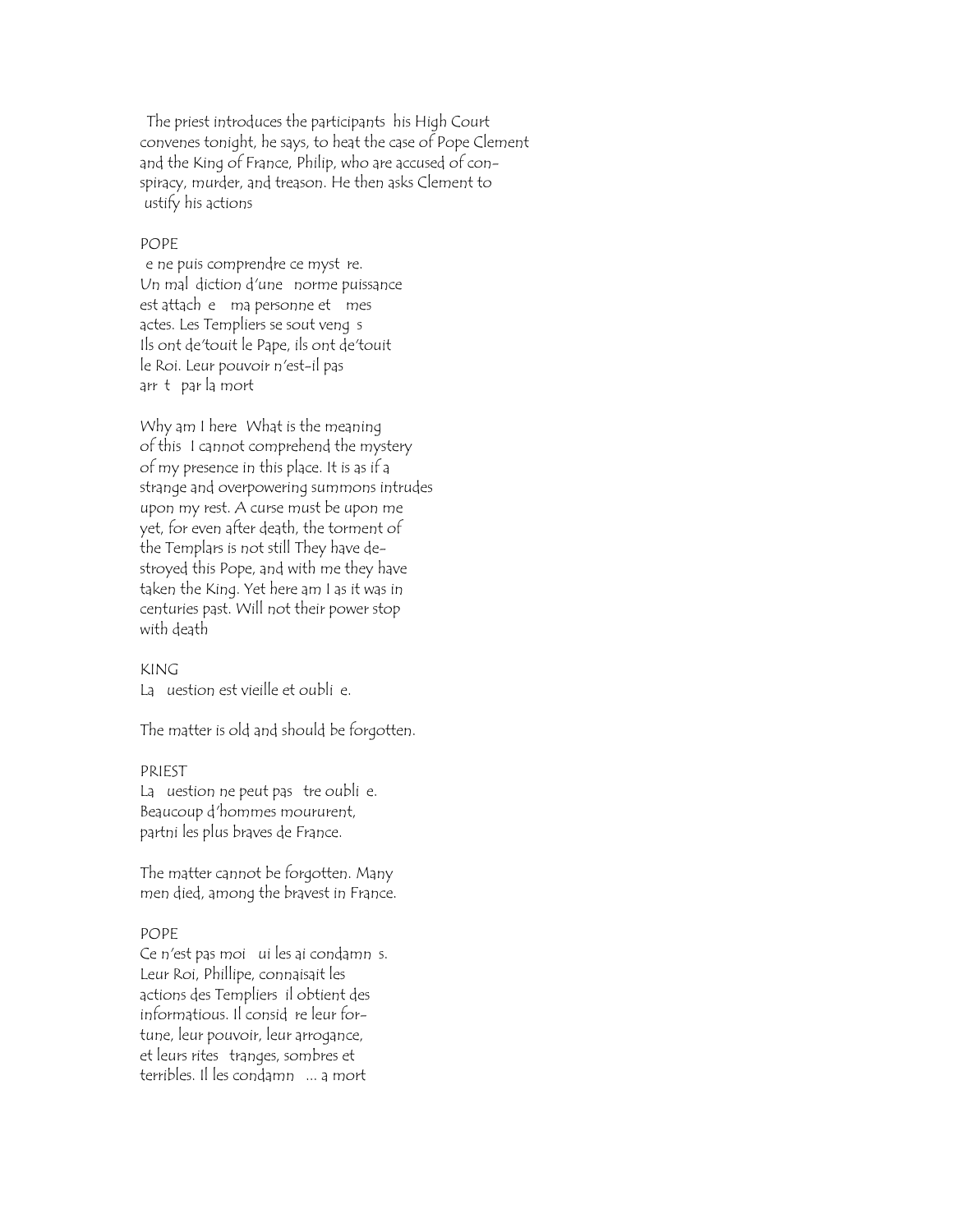The priest introduces the participants his High Court convenes tonight, he says, to heat the case of Pope Clement and the King of France, Philip, who are accused of conspiracy, murder, and treason. He then asks Clement to ustify his actions

#### POPE:

e ne puis comprendre ce myst re. Un mal diction d'une norme puissance est attachée ma personne et mes actes. Les Templiers se sout veng s Ils ont de'touit le Pape, ils ont de'touit le Roi. Leur pouvoir n'est-il pas arr thpar la mort

Why am I here What is the meaning of this? I cannot comprehend the mystery of my presence in this place. It is as if a strange and overpowering summons intrudes upon my rest. A curse must be upon me yet, for even after death, the torment of the Templars is not still They have destroyed this Pope, and with me they have taken the King. Yet here am I as it was in centuries past. Will not their power stop with death?

#### KING:

La uestion est vieille et oublie.

The matter is old and should be forgotten.

#### PRIEST:

La uestion ne peut pas tre oublie. Beaucoup d'hommes moururent, partni les plus braves de France.

The matter cannot be forgotten. Many men died, among the bravest in France.

#### POPE

Ce n'est pas moi ui les ai condamn s. Leur Roi, Phillipe, connaisait les actions des Templiers: il obtient des informatious. Il consid re leur fortune, leur pouvoir, leur arrogance, et leurs rites tranges, sombres et terribles. Il les condamne ... a mort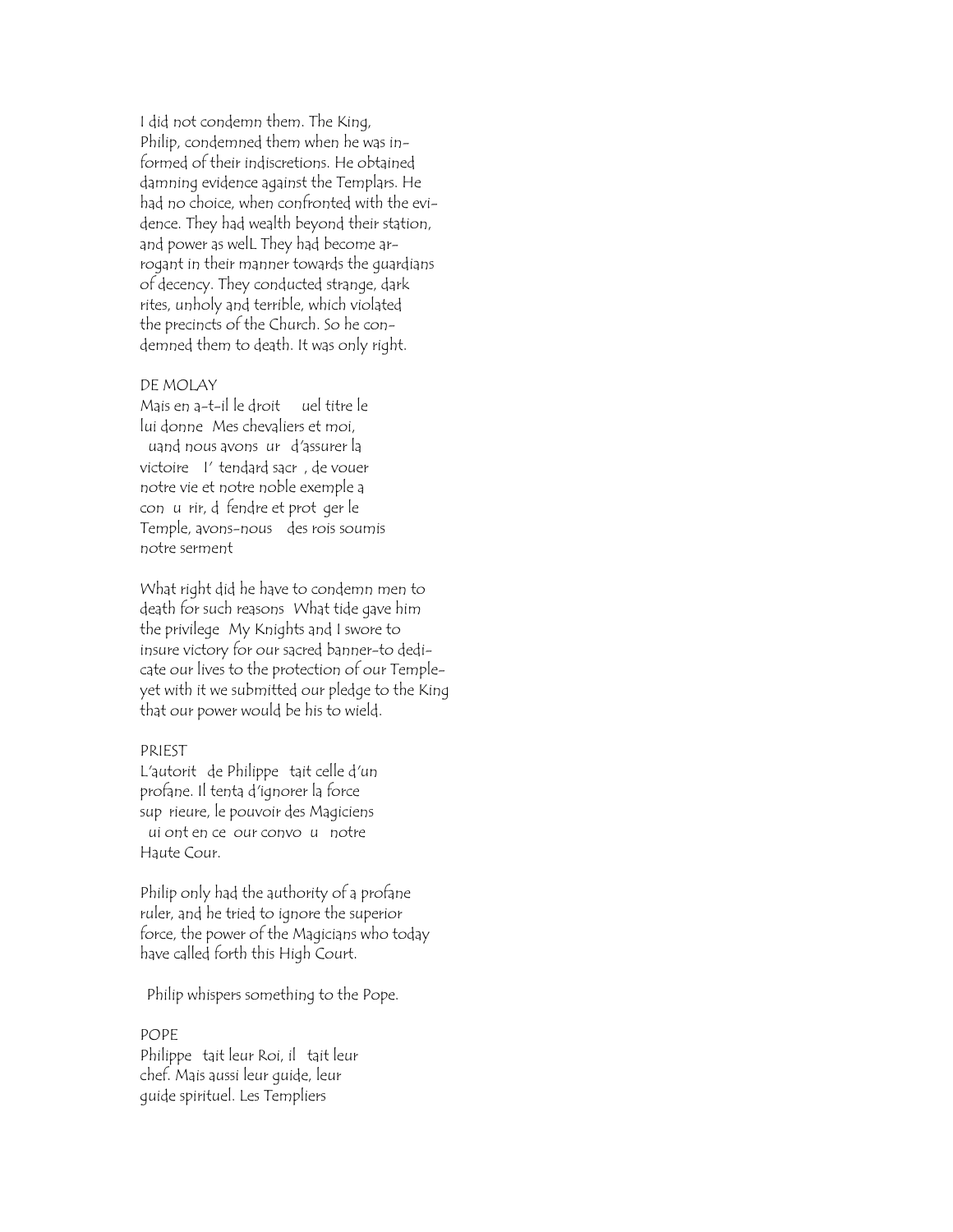I did not condemn them. The King, Philip, condemned them when he was informed of their indiscretions. He obtained damning evidence against the Templars. He had no choice, when confronted with the evidence. They had wealth beyond their station, and power as welL They had become arrogant in their manner towards the guardians of decency. They conducted strange, dark rites, unholy and terrible, which violated the precincts of the Church. So he condemned them to death. It was only right.

## DE MOLAY:

Mais en a-t-il le droit uel titre le lui donne? Mes chevaliers et moi, uand nous avons ur d'assurer la victoire l' tendard sacr, de vouer notre vie et notre noble exemple a con u rir, défendre et prot ger le Temple, avons-nous des rois soumis notre serment?

What right did he have to condemn men to death for such reasons? What tide gave him the privilege? My Knights and I swore to insure victory for our sacred banner-to dedicate our lives to the protection of our Templeyet with it we submitted our pledge to the King that our power would be his to wield.

#### PRIEST:

L'autorit de Philippe tait celle d'un profane. Il tenta d'ignorer la force sup rieure, le pouvoir des Magiciens ui ont en ce our convo u notre Haute Cour.

Philip only had the authority of a profane ruler, and he tried to ignore the superior force, the power of the Magicians who today have called forth this High Court.

Philip whispers something to the Pope.

#### POPE:

Philippe tait leur Roi, il tait leur chef. Mais aussi leur guide, leur guide spirituel. Les Templiers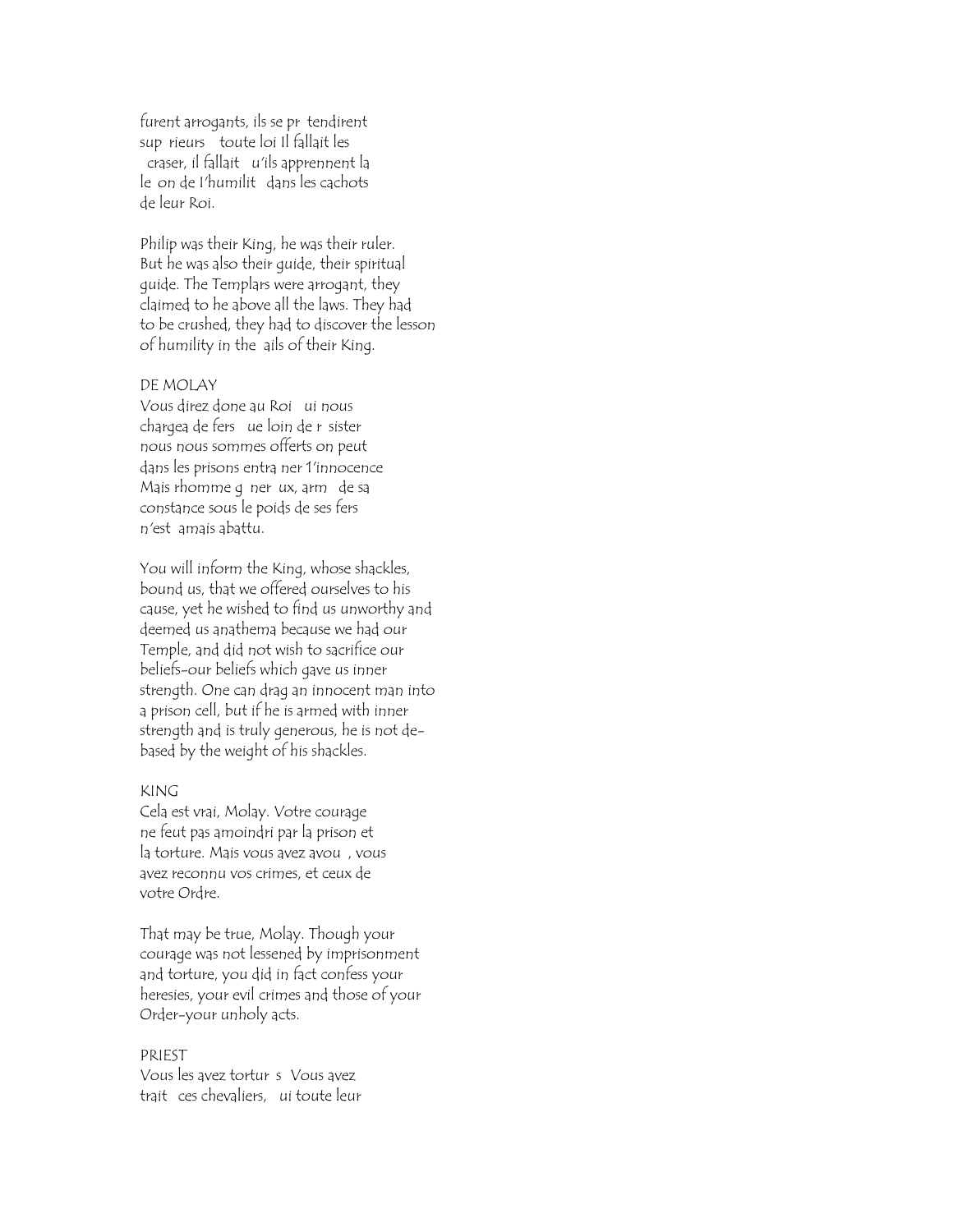furent arrogants, ils se pr tendirent sup rieurs toute loi Il fallait les craser, il fallait u'ils apprennent la le on de l'humilit dans les cachots de leur Roi.

Philip was their King, he was their ruler. But he was also their guide, their spiritual guide. The Templars were arrogant, they claimed to he above all the laws. They had to be crushed, they had to discover the lesson of humility in the ails of their King.

## DE MOLAY:

Vous direz done au Roi ui nous chargea de fers ue loin de r sister nous nous sommes offerts on peut dans les prisons entra ner 1'innocence Mais rhomme q ner ux, armé de sa constance sous le poids de ses fers n'est amais abattu.

You will inform the King, whose shackles, bound us, that we offered ourselves to his cause, yet he wished to find us unworthy and deemed us anathema because we had our Temple, and did not wish to sacrifice our beliefs-our beliefs which gave us inner strength. One can drag an innocent man into a prison cell, but if he is armed with inner strength and is truly generous, he is not debased by the weight of his shackles.

#### KING:

Cela est vrai, Molay. Votre courage ne feut pas amoindri par la prison et la torture. Mais vous avez avou, vous avez reconnu vos crimes, et ceux de votre Ordre.

That may be true, Molay. Though your courage was not lessened by imprisonment and torture, you did in fact confess your heresies, your evil crimes and those of your Order-your unholy acts.

#### PRIEST:

Vous les avez tortur s Vous avez trait ces chevaliers, ui toute leur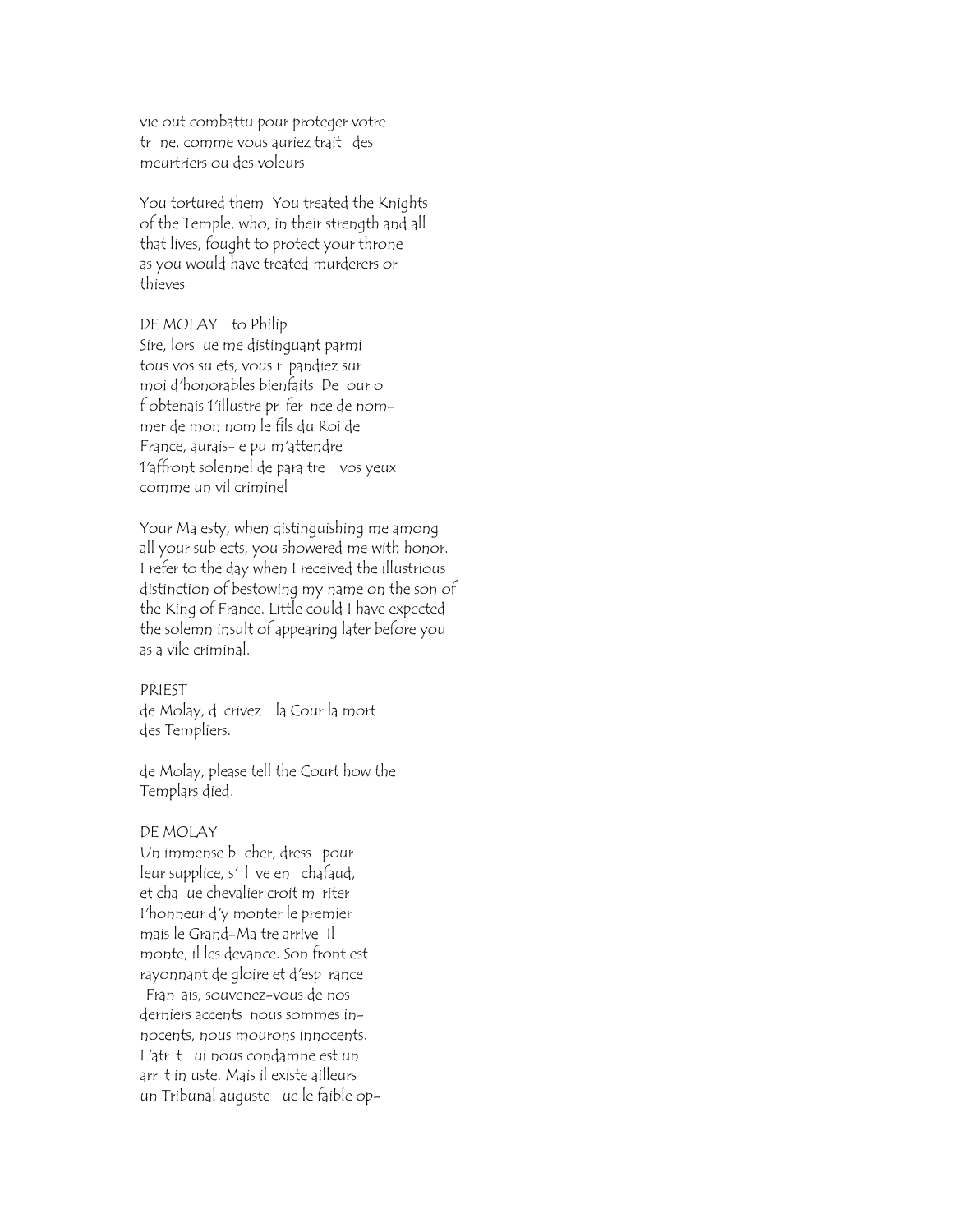vie out combattu pour proteger votre tr ne, comme vous auriez trait des meurtriers ou des voleurs!

You tortured them! You treated the Knights of the Temple, who, in their strength and all that lives, fought to protect your throne as you would have treated murderers or thieves!

#### DE MOLAY to Philip

Sire, lors ue me distinguant parmi tous vos su ets, vous r pandiez sur moi d'honorables bienfaits. De our o f obtenais 1'illustre préferénce de nommer de mon nom le fils du Roi de France, aurais- e pu m'attendre 1'affront solennel de para tre vos yeux comme un vil criminel?

Your Majesty, when distinguishing me among all your subjects, you showered me with honor. I refer to the day when I received the illustrious distinction of bestowing my name on the son of the King of France. Little could I have expected the solemn insult of appearing later before you as a vile criminal.

#### PRIEST:

de Molay, décrivez la Cour la mort des Templiers.

de Molay, please tell the Court how the Templars died.

#### DE MOLAY

Un immense b cher, dress pour leur supplice, s' l ve en chafaud, et cha ue chevalier croit meriter I'honneur d'y monter le premier: mais le Grand-Ma tre arrive Il monte, il les devance. Son front est rayonnant de gloire et d'esp rance Fran ais, souvenez-vous de nos derniers accents nous sommes innocents, nous mourons innocents. L'atr<sup>et</sup> ui nous condamne est un arr t in uste. Mais il existe ailleurs un Tribunal auguste ue le faible op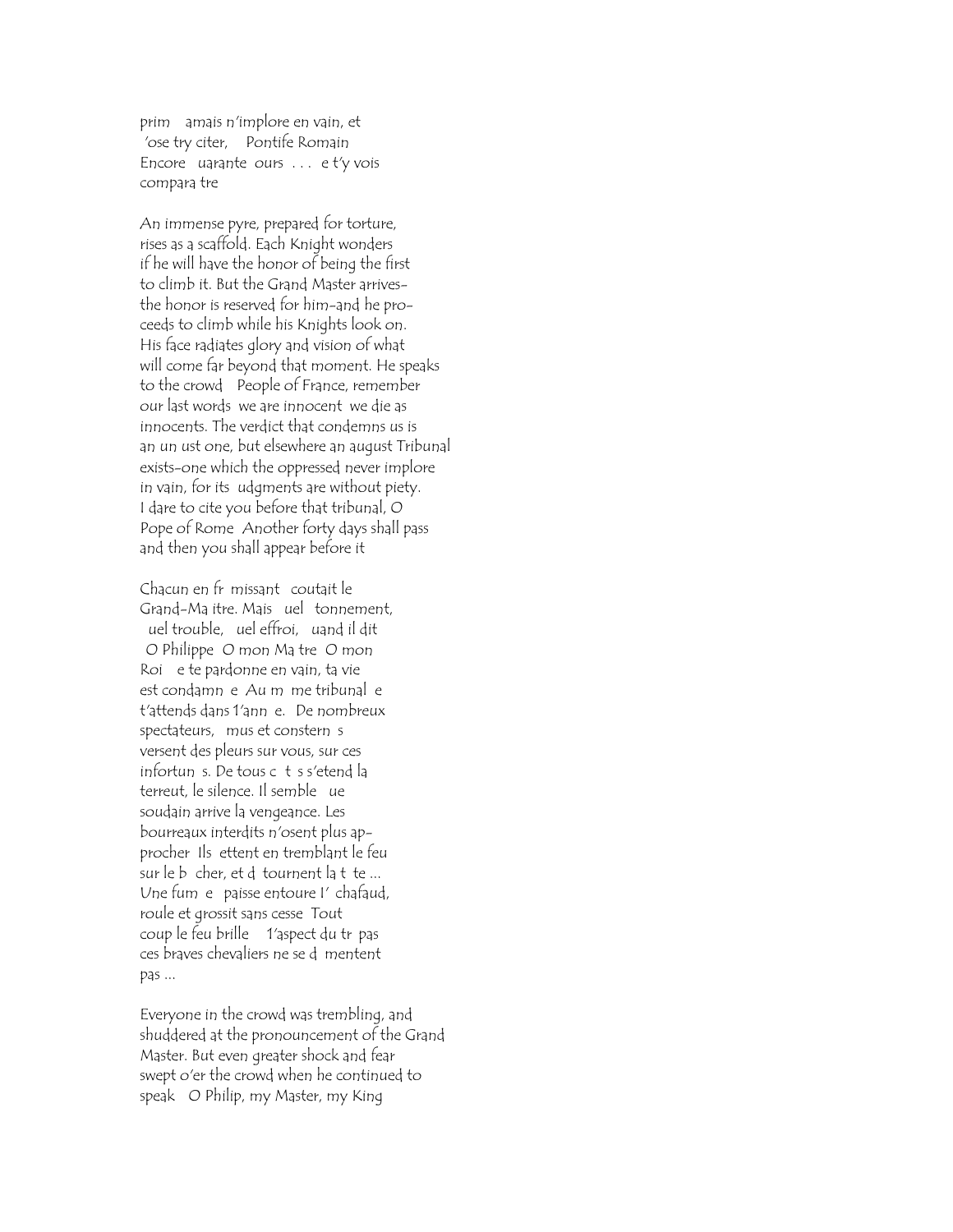prim amais n'implore en vain, et 'ose try citer, Pontife Romain Encore uarante ours ... et'y vois compara tre

An immense pyre, prepared for torture, rises as a scaffold. Each Knight wonders if he will have the honor of being the first to climb it. But the Grand Master arrivesthe honor is reserved for him-and he proceeds to climb while his Knights look on. His face radiates glory and vision of what will come far beyond that moment. He speaks to the crowd People of France, remember our last words: we are innocent; we die as innocents. The verdict that condemns us is an un ust one, but elsewhere an august Tribunal exists-one which the oppressed *never* implore in vain, for its udgments are without piety. I dare to cite you before that tribunal, O Pope of Rome Another forty days shall pass and then you shall appear before it

Chacun en fr missant coutait le Grand-Ma itre. Mais uel tonnement, uel trouble, uel effroi, uand il dit O Philippe O mon Ma tre O mon Roi e te pardonne en vain, ta vie est condamnée. Au même tribunal e t'attends dans 1'ann e. De nombreux spectateurs, mus et constern s versent des pleurs sur vous, sur ces infortun s. De tous c t s s'etend la terreut, le silence. Il semble que soudain arrive la vengeance. Les bourreaux interdits n'osent plus approcher; Ils jettent en tremblant le feu sur le b cher, et d tournent la t te ... Une fum e paisse entoure l'ehafaud, roule et grossit sans cesse. Tout coup le feu brille 1'aspect du trépas ces braves chevaliers ne se dementent pas ...

Everyone in the crowd was trembling, and shuddered at the pronouncement of the Grand Master. But even greater shock and fear swept o'er the crowd when he continued *to* speak: O Philip, my Master, my King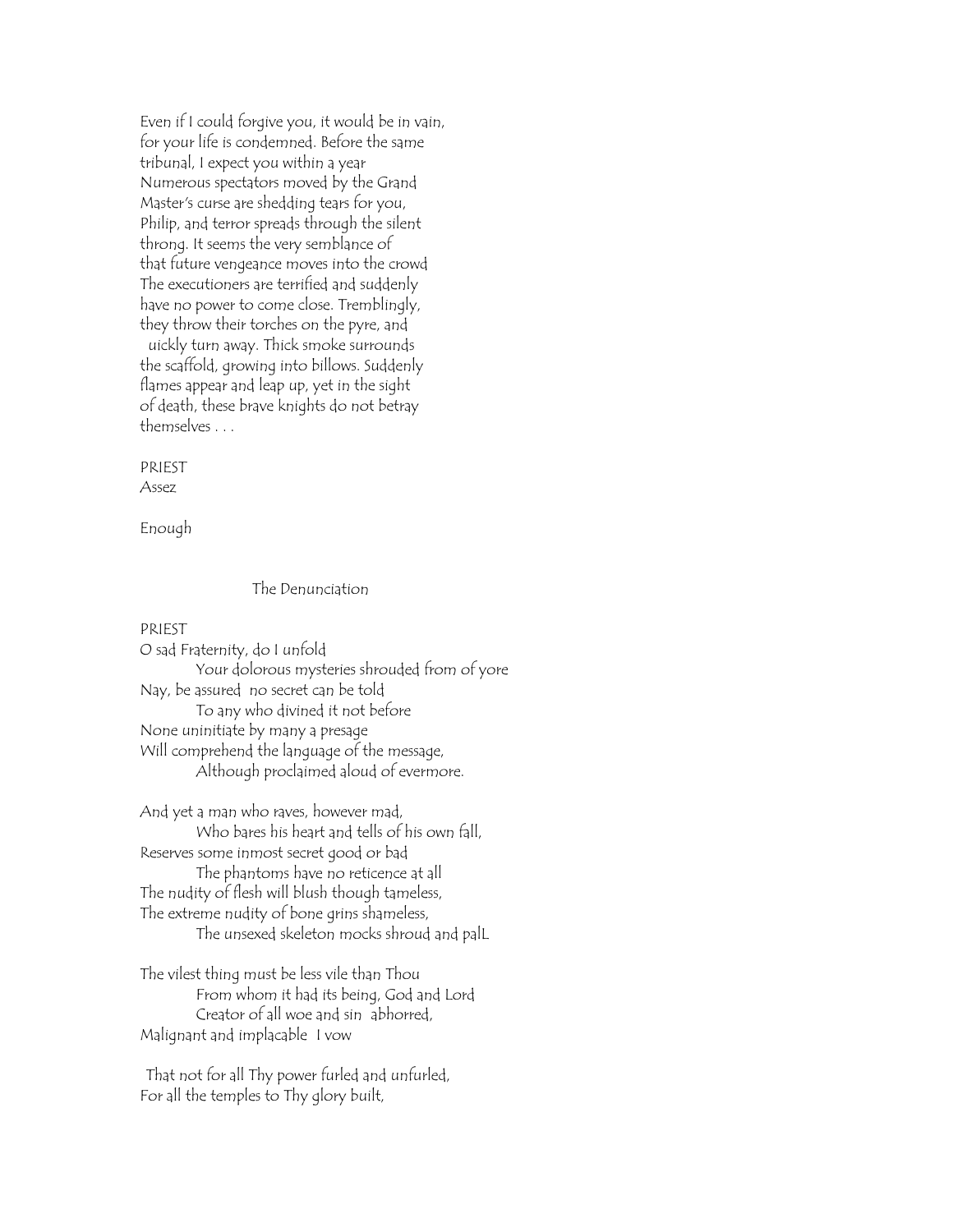Even if I could forgive you, it would be in vain, for your life is condemned. Before the same tribunal, I expect you within a year!" Numerous spectators moved by the Grand Master's curse are shedding tears for you, Philip, and terror spreads through the silent throng. It seems the very semblance of that future vengeance moves into the crowd! The executioners are terrified and suddenly have no power to come close. Tremblingly, they throw their torches on the pyre, and uickly turn away. Thick smoke surrounds the scaffold, growing into billows. Suddenly flames appear and leap up, yet in the sight of death, these brave knights do not betray themselves . . .

PRIEST: Assez!

Enough!

*The Denunciation*

#### PRIEST:

O sad Fraternity, do I unfold Your dolorous mysteries shrouded from of yore Nay, be assured; no secret can be told To any who divined it not before: None uninitiate by many a presage Will comprehend the language of the message, Although proclaimed aloud of evermore.

And yet a man who raves, however mad, Who bares his heart and tells of his own fall, Reserves some inmost secret good or bad: The phantoms have no reticence at all: The nudity of flesh will blush though tameless, The extreme nudity of bone grins shameless, The unsexed skeleton mocks shroud and palL

The vilest thing must be less vile than Thou From whom it had its being, God and Lord! Creator of all woe and sin! abhorred, Malignant and implacable! I vow

That not for all Thy power furled and unfurled, For all the temples to Thy glory built,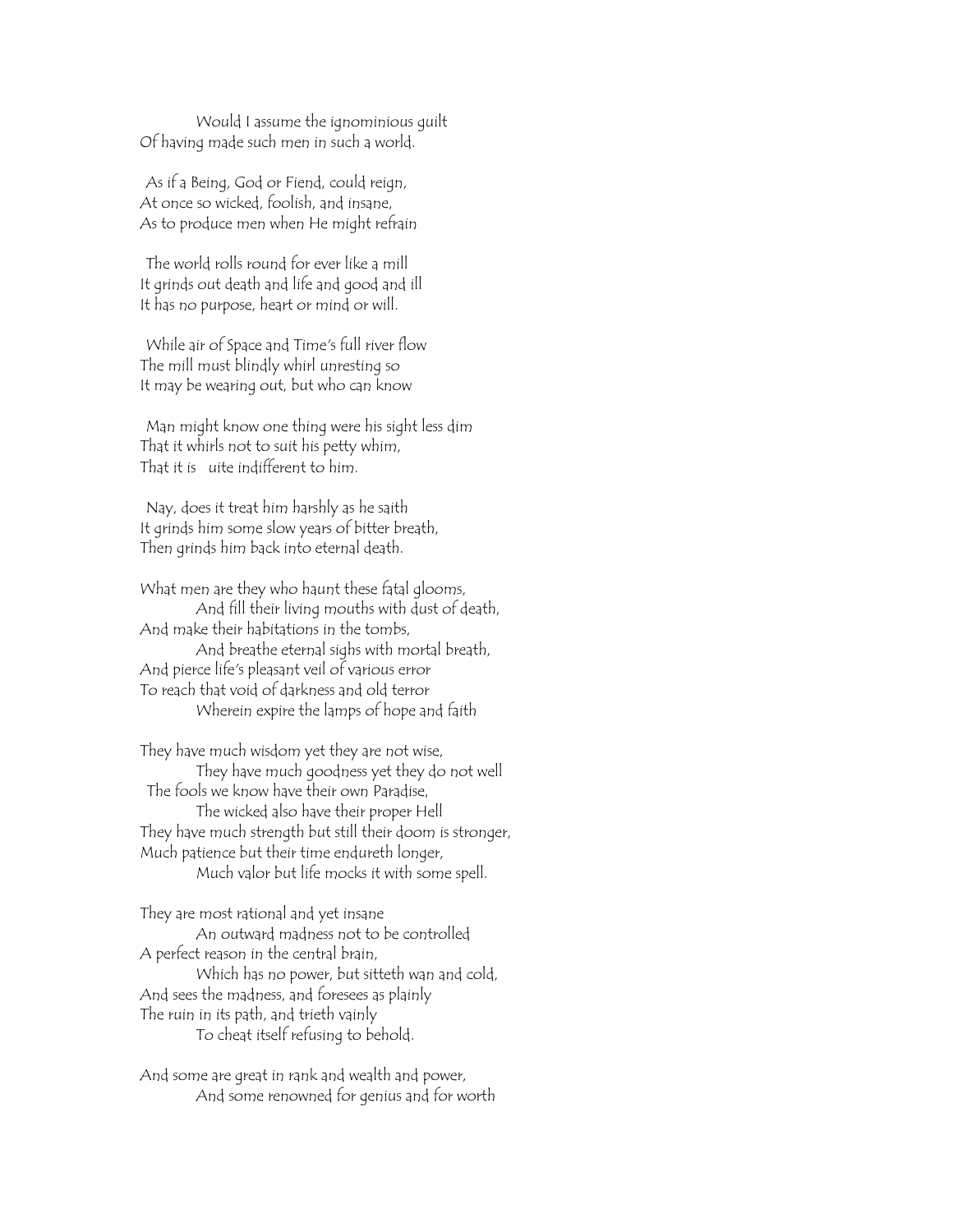Would I assume the ignominious guilt Of having made such men in such a world.

As if a Being, God or Fiend, could reign, At once so wicked, foolish, and insane, As to produce men when He might refrain!

The world rolls round for ever like a mill It grinds out death and life and good and ill; It has no purpose, heart or mind or will.

While air of Space and Time's full river flow The mill must blindly whirl unresting so: It may be wearing out, but who can know

Man might know one thing were his sight less dim That it whirls not to suit his petty whim, That it is uite indifferent to him.

Nay, does it treat him harshly as he saith It grinds him some slow years of bitter breath, Then grinds him back into eternal death.

What men are they who haunt these fatal glooms, And fill their living mouths with dust of death, And make their habitations in the tombs, And breathe eternal sighs with mortal breath, And pierce life's pleasant veil of various error To reach that void of darkness and old terror Wherein expire the lamps of hope and faith?

They have much wisdom yet they are not wise, They have much goodness yet they do not well The fools we know have their own Paradise, The wicked also have their proper Hell); They have much strength but still their doom is stronger, Much patience but their time endureth longer, Much valor but life mocks it with some spell.

They are most rational and yet insane: An outward madness not to be controlled; A perfect reason in the central brain, Which has no power, but sitteth wan and cold, And sees the madness, and foresees as plainly The ruin in its path, and trieth vainly To cheat itself refusing to behold.

And some are great in rank and wealth and power, And some renowned for genius and for worth;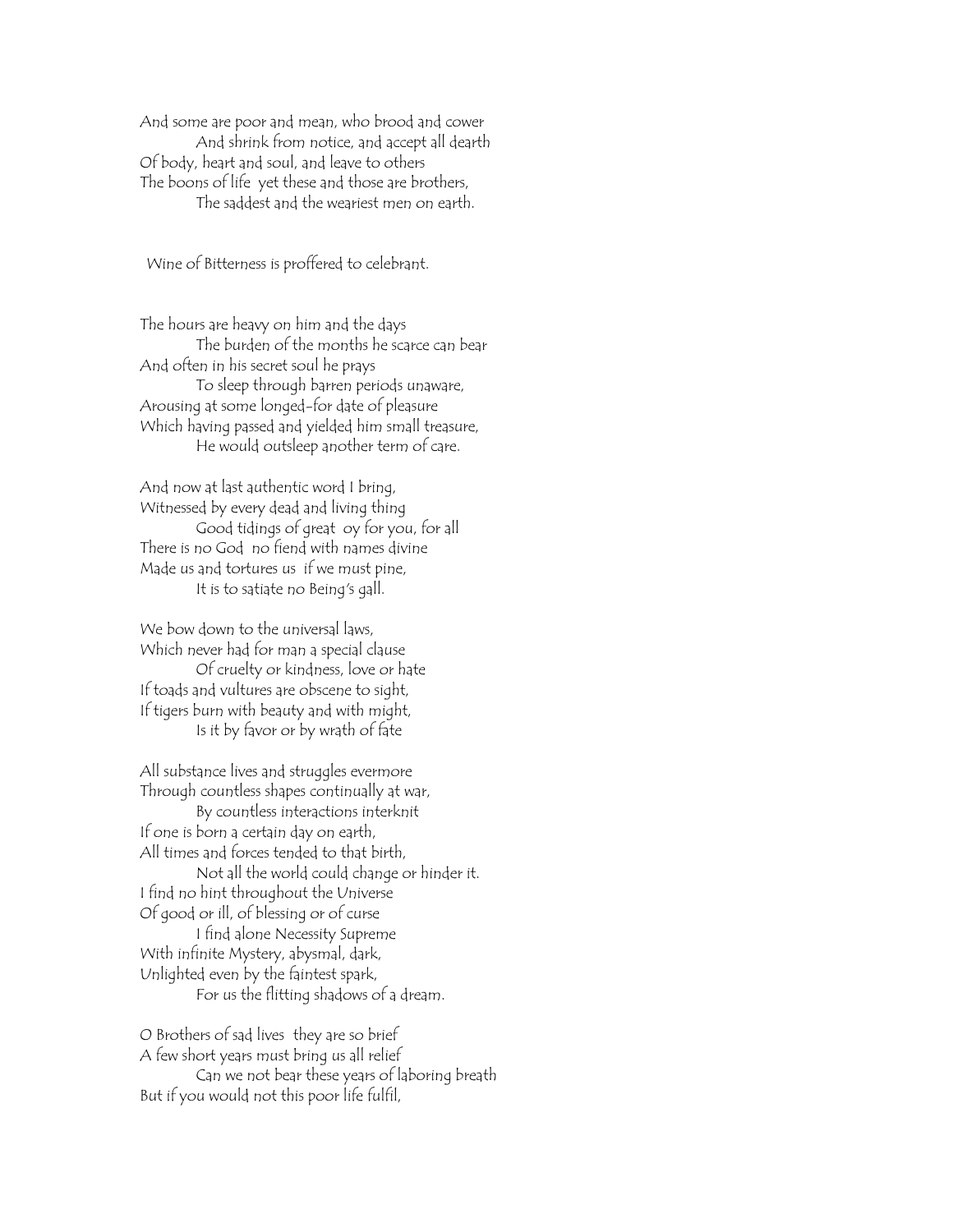And some are poor and mean, who brood and cower And shrink from notice, and accept all dearth Of body, heart and soul, and leave to others The boons of life yet these and those are brothers, The saddest and the weariest men on earth.

Wine of Bitterness is proffered to celebrant.

The hours are heavy on him and the days; The burden of the months he scarce can bear; And often in his secret soul he prays To sleep through barren periods unaware, Arousing at some longed-for date of pleasure; Which having passed and yielded him small treasure, He would outsleep another term of care.

And now at last authentic word I bring, Witnessed by every dead and living thing; Good tidings of great oy for you, for all There is no God no fiend with names divine Made us and tortures us; if we must pine, It is to satiate no Being's gall.

We bow down to the universal laws, Which never had for man a special clause Of cruelty or kindness, love or hate; If toads and vultures are obscene to sight, If tigers burn with beauty and with might, Is it by favor or by wrath of fate

All substance lives and struggles evermore Through countless shapes continually at war, By countless interactions interknit: If one is born a certain day on earth, All times and forces tended to that birth, Not all the world could change or hinder it. I find no hint throughout the Universe Of good or ill, of blessing or of curse; I find alone Necessity Supreme; With infinite Mystery, abysmal, dark, Unlighted even by the faintest spark, For us the flitting shadows of a dream.

O Brothers of sad lives they are so brief A few short years must bring us all relief: Can we not bear these years of laboring breath? But if you would not this poor life fulfil,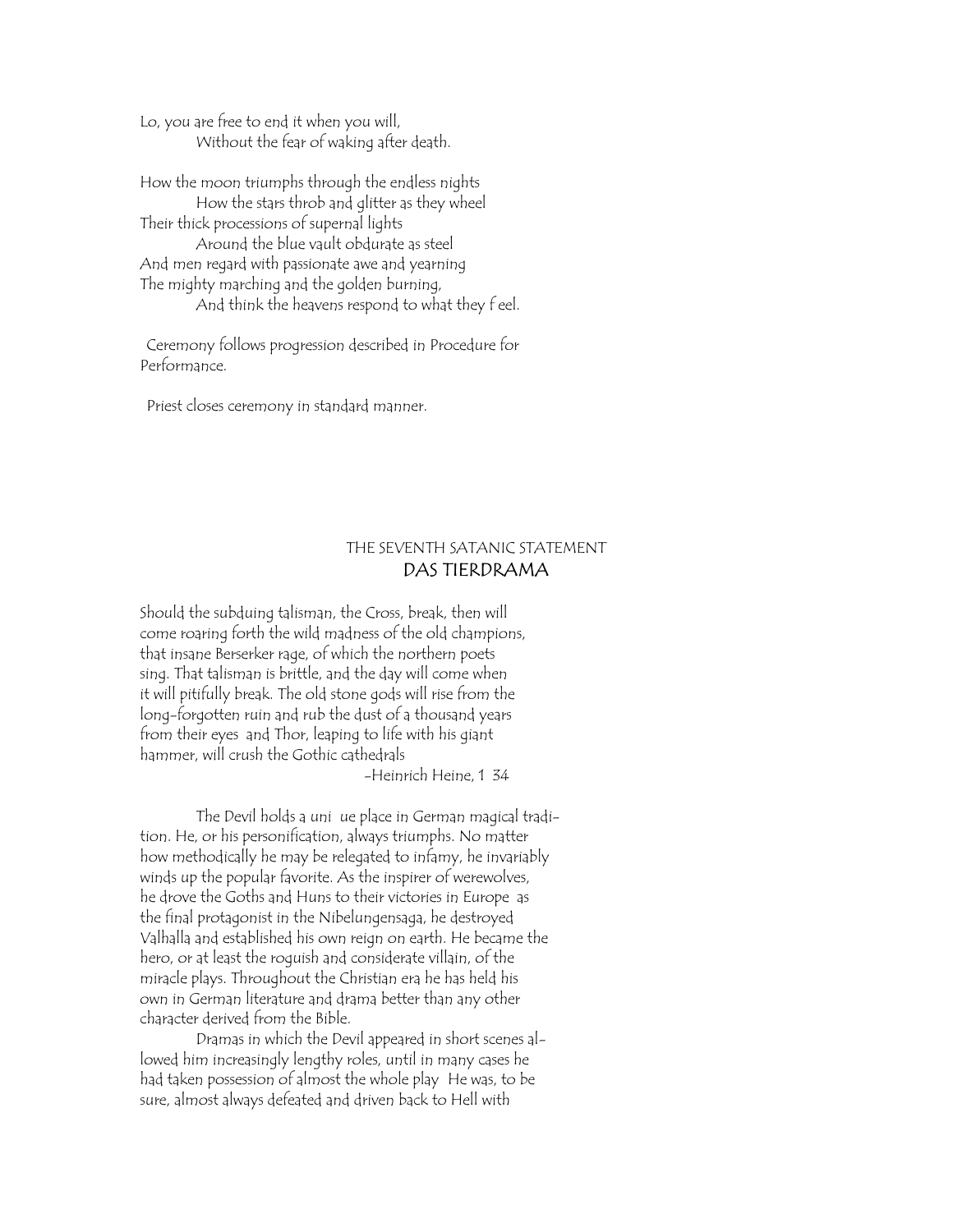Lo, you are free to end it when you will, Without the fear of waking after death.

How the moon triumphs through the endless nights How the stars throb and glitter as they wheel Their thick processions of supernal lights Around the blue vault obdurate as steel! And men regard with passionate awe and yearning The mighty marching and the golden burning, And think the heavens respond to what they f eel.

[Ceremony follows progression described in *Procedure for Performance.*

Priest closes ceremony in standard manner.

## THE SEVENTH SATANIC STATEMENT DAS TIERDRAMA

Should the subduing talisman, the Cross, break, then will come roaring forth the wild madness of the old champions, that insane Berserker rage, of which the northern poets sing. That talisman is brittle, and the day will come when it will pitifully break. The old stone gods will rise from the long-forgotten ruin and rub the dust of a thousand years from their eyes; and Thor, leaping to life with his giant hammer, will crush the Gothic cathedrals -Heinrich Heine, 1 34

The Devil holds a unique place in German magical tradition. He, or his personification, always triumphs. No matter how methodically he may be relegated to infamy, he invariably winds up the popular favorite. As the inspirer of werewolves, he drove the Goths and Huns to their victories in Europe; as the final protagonist in the *Nibelungensaga,* he destroyed Valhalla and established his own reign on earth. He became the hero, or at least the roguish and considerate villain, of the miracle plays. Throughout the Christian era he has held his own in German literature and drama better than any other character derived from the Bible.

Dramas in which the Devil appeared in short scenes allowed him increasingly lengthy roles, until in many cases he had taken possession of almost the whole play! He was, to be sure, almost always defeated and driven back to Hell with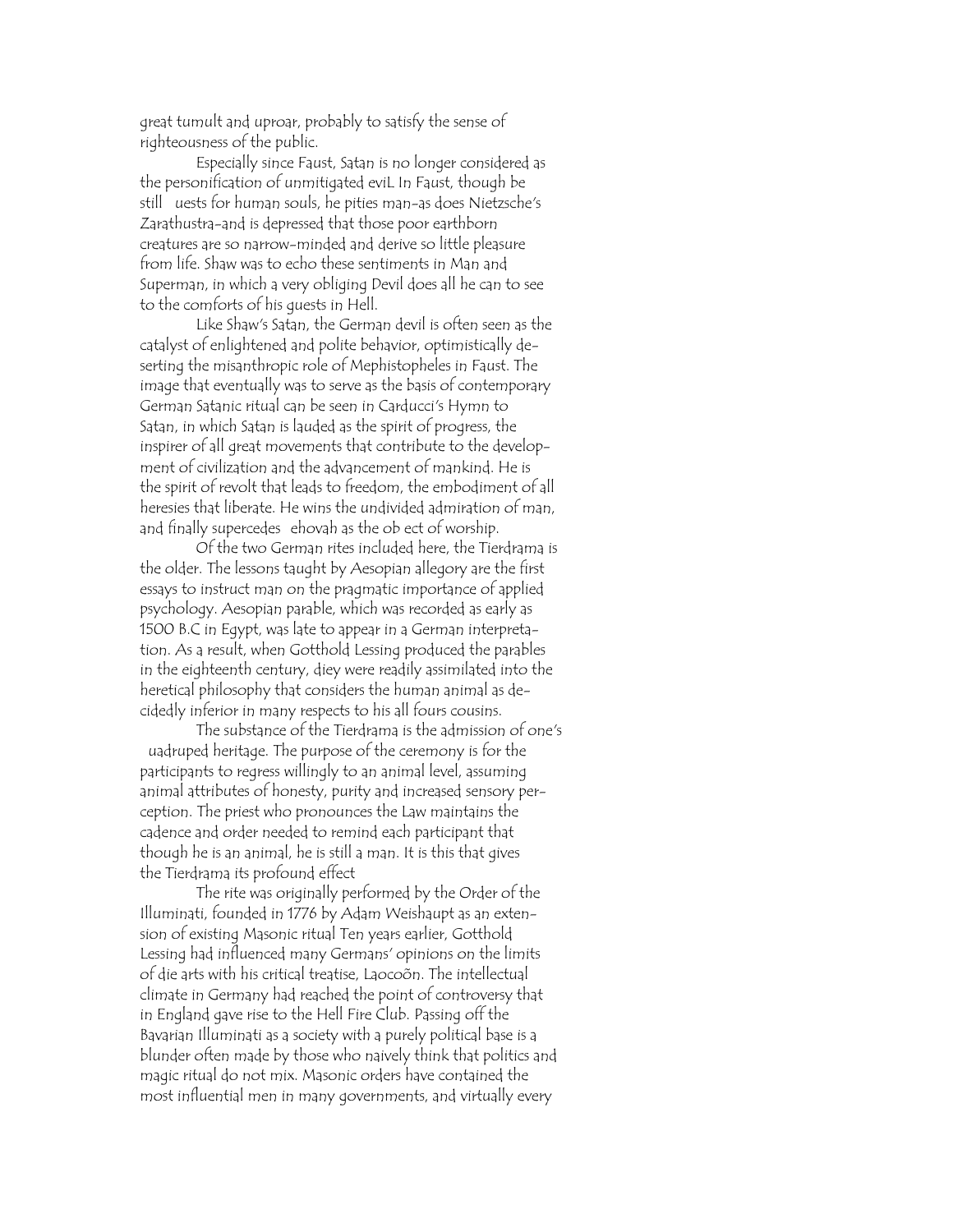great tumult and uproar, probably to satisfy the sense of righteousness of the public.

Especially since *Faust,* Satan is no longer considered as the personification of unmitigated eviL In *Faust,* though be still quests for human souls, he pities man-as does Nietzsche's *Zarathustra-*and is depressed that those poor earthborn creatures are so narrow-minded and derive so little pleasure from life. Shaw was to echo these sentiments in *Man and Superman,* in which a very obliging Devil does all he can to see to the comforts of his guests in Hell.

Like Shaw's Satan, the German devil is often seen as the catalyst of enlightened and polite behavior, optimistically deserting the misanthropic role of Mephistopheles in *Faust.* The image that eventually was to serve as the basis of contemporary German Satanic ritual can be seen in Carducci's *Hymn to Satan,* in which Satan is lauded as the spirit of progress, the inspirer of all great movements that contribute to the development of civilization and the advancement of mankind. He is the spirit of revolt that leads to freedom, the embodiment of all heresies that liberate. He wins the undivided admiration of man, and finally supercedes ehovah as the object of worship.

Of the two German rites included here, the *Tierdrama* is the older. The lessons taught by Aesopian allegory are the first essays to instruct man on the pragmatic importance of applied psychology. Aesopian parable, which was recorded as early as 1500 B.C in Egypt, was late to appear in a German interpretation. As a result, when Gotthold Lessing produced the parables in the eighteenth century, diey were readily assimilated into the heretical philosophy that considers the human animal as decidedly inferior in many respects to his all fours cousins.

The substance of the *Tierdrama* is the admission of one's uadruped heritage. The purpose of the ceremony is for the participants to regress willingly to an animal level, assuming animal attributes of honesty, purity and increased sensory perception. The priest who pronounces the Law maintains the cadence and order needed to remind each participant that though he is an animal, he is still a man. It is this that gives the *Tierdrama* its profound effect

The rite was originally performed by the *Order of the Illuminati,* founded in 1776 by Adam Weishaupt as an extension of existing Masonic ritual Ten years earlier, Gotthold Lessing had influenced many Germans' opinions on the limits of die arts with his critical treatise, *Laocoõn.* The intellectual climate in Germany had reached the point of controversy that in England gave rise to the *Hell Fire Club.* Passing off the Bavarian *Illuminati* as a society with a purely political base is a blunder often made by those who naively think that politics and magic ritual do not mix. Masonic orders have contained the most influential men in many governments, and virtually every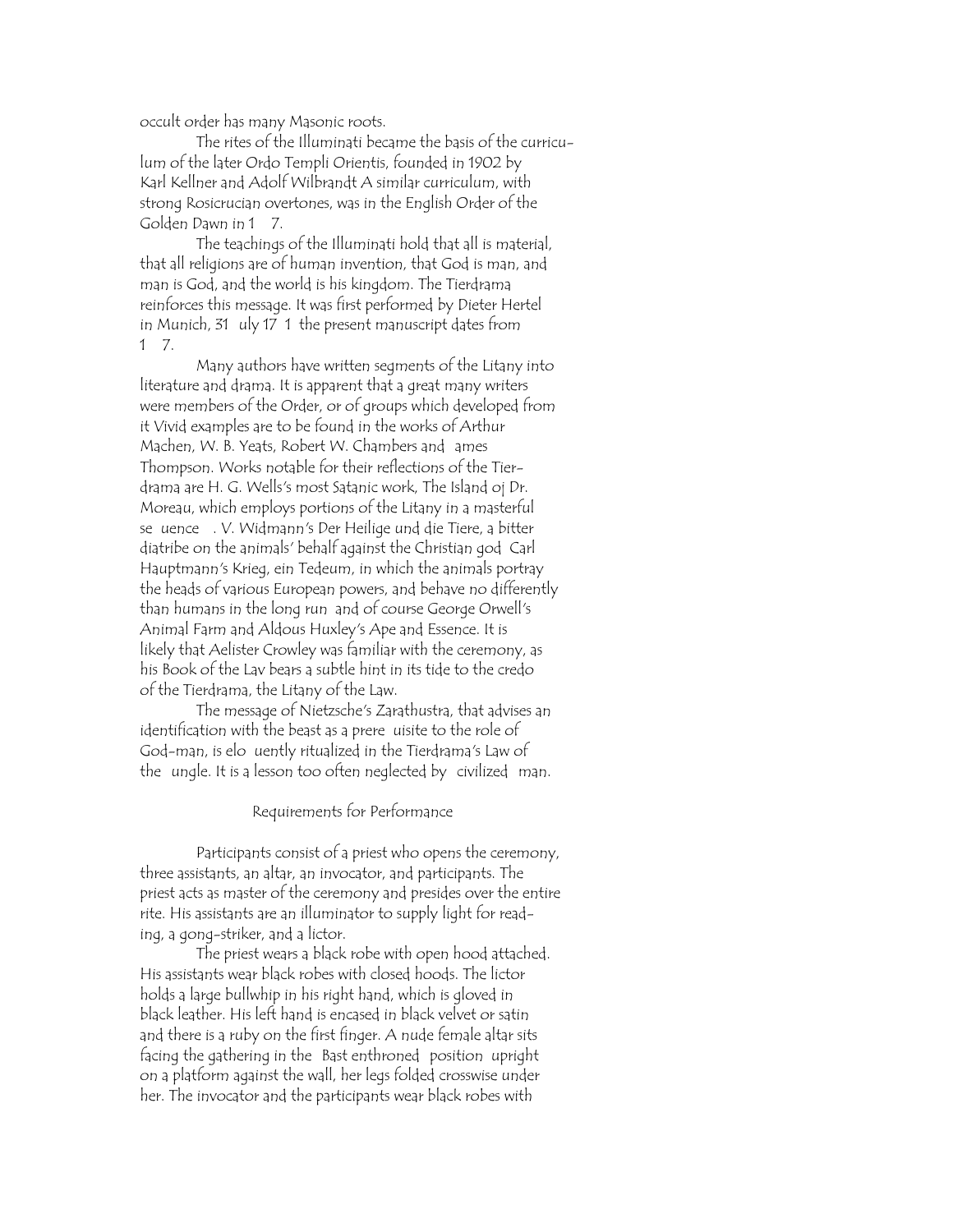occult order has many Masonic roots.

The rites of the *Illuminati* became the basis of the curriculum of the later *Ordo Templi Orientis,* founded in 1902 by Karl Kellner and Adolf Wilbrandt A similar curriculum, with strong Rosicrucian overtones, was in the English *Order of the* Golden Dawn in 1<sup>7</sup>.

The teachings of the *Illuminati* hold that all is material, that all religions are of human invention, that God is man, and man is God, and the world is his kingdom. The *Tierdrama* reinforces this message. It was first performed by Dieter Hertel in Munich, 31 uly 17 1 the present manuscript dates from  $1 \quad 7.$ 

Many authors have written segments of the *Litany* into literature and drama. It is apparent that a great many writers were members of the Order, or of groups which developed from it Vivid examples are to be found in the works of Arthur Machen, W. B. Yeats, Robert W. Chambers and ames Thompson. Works notable for their reflections of the *Tierdrama* are H. G. Wells's most Satanic work, *The Island oj Dr. Moreau,* which employs portions of the *Litany* in a masterful sequence; J. V. Widmann's *Der Heilige und die Tiere,* a bitter diatribe on the animals' behalf against the Christian god; Carl Hauptmann's *Krieg, ein Tedeum,* in which the animals portray the heads of various European powers, and behave no differently than humans in the long run; and of course George Orwell's *Animal Farm* and Aldous Huxley's *Ape and Essence.* It is likely that Aelister Crowley was familiar with the ceremony, as his *Book of the Lav* bears a subtle hint in its tide to the credo of the *Tierdrama,* the *Litany of the Law.*

The message of Nietzsche's *Zarathustra,* that advises an identification with the beast as a prere uisite to the role of God-man, is eloquently ritualized in the *Tierdrama's* Law of the ungle. It is a lesson too often neglected by civilized man.

#### *Requirements for Performance*

Participants consist of a priest who opens the ceremony, three assistants, an altar, an invocator, and participants. The priest acts as master of the ceremony and presides over the entire rite. His assistants are an illuminator to supply light for reading, a gong-striker, and a lictor.

The priest wears a black robe with open hood attached. His assistants wear black robes with closed hoods. The lictor holds a large bullwhip in his right hand, which is gloved in black leather. His left hand is encased in black velvet or satin and there is a ruby on the first finger. A nude female altar sits facing the gathering in the Bast enthroned position upright on a platform against the wall, her legs folded crosswise under her. The invocator and the participants wear black robes with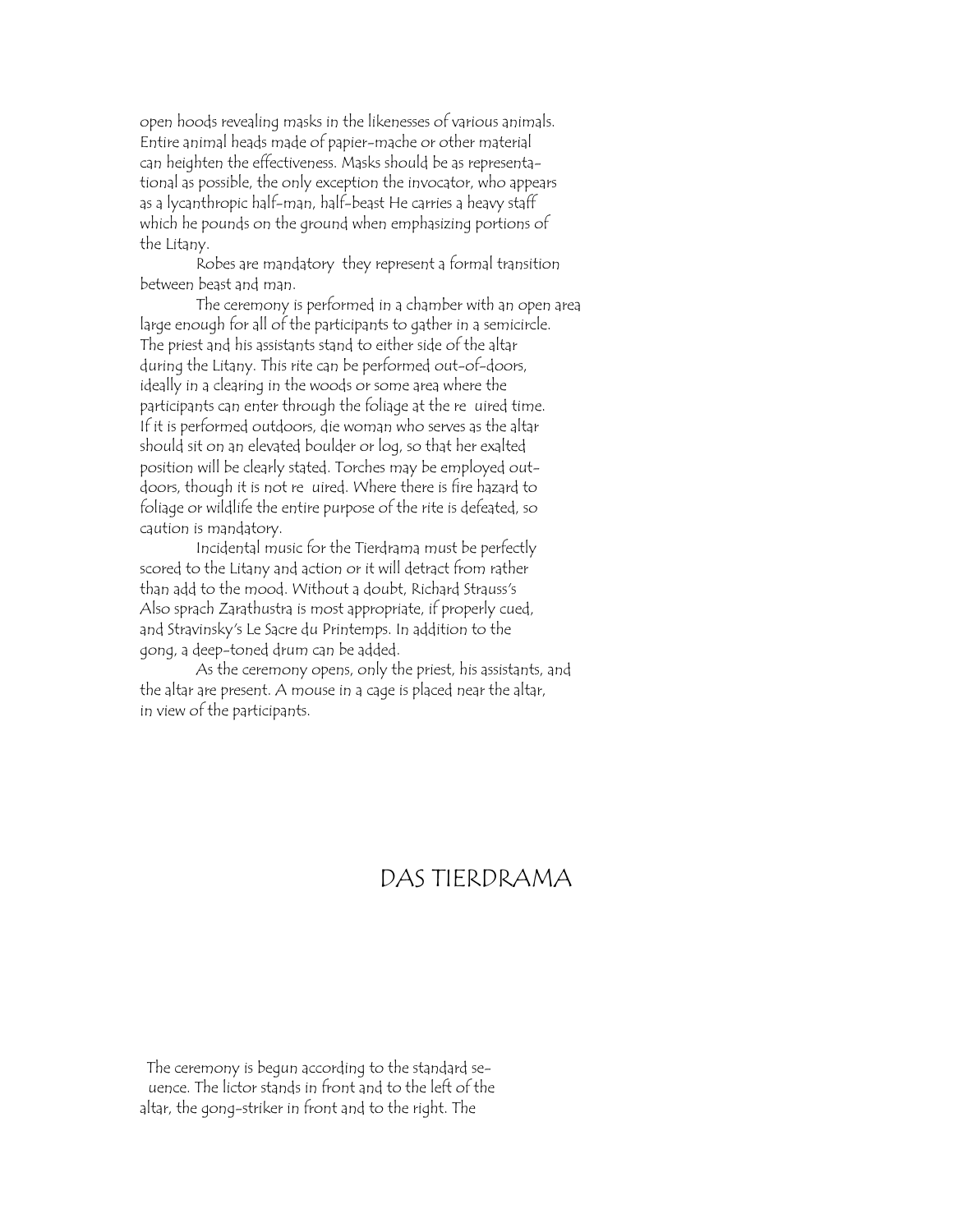open hoods revealing masks in the likenesses of various animals. Entire animal heads made of papier-mache or other material can heighten the effectiveness. Masks should be as representational as possible, the only exception the invocator, who appears as a lycanthropic half-man, half-beast He carries a heavy staff which he pounds on the ground when emphasizing portions of the *Litany.*

Robes are mandatory: they represent a formal transition between beast and man.

The ceremony is performed in a chamber with an open area large enough for all of the participants to gather in a semicircle. The priest and his assistants stand to either side of the altar during the *Litany.* This rite can be performed out-of-doors, ideally in a clearing in the woods or some area where the participants can enter through the foliage at the required time. If it is performed outdoors, die woman who serves as the altar should sit on an elevated boulder or log, so that her exalted position will be clearly stated. Torches may be employed outdoors, though it is not required. *Where there is fire hazard to foliage or wildlife the entire purpose of the rite is defeated, so caution is mandatory.*

Incidental music for the *Tierdrama* must be perfectly scored to the *Litany* and action or it will detract from rather than add to the mood. Without a doubt, Richard Strauss's *Also sprach Zarathustra* is most appropriate, if properly cued, and Stravinsky's *Le Sacre du Printemps.* In addition to the gong, a deep-toned drum can be added.

As the ceremony opens, only the priest, his assistants, and the altar are present. A mouse in a cage is placed near the altar, in view of the participants.

## DAS TIERDRAMA

The ceremony is begun according to the standard seuence. The lictor stands in front and to the left of the altar, the gong-striker in front and to the right. The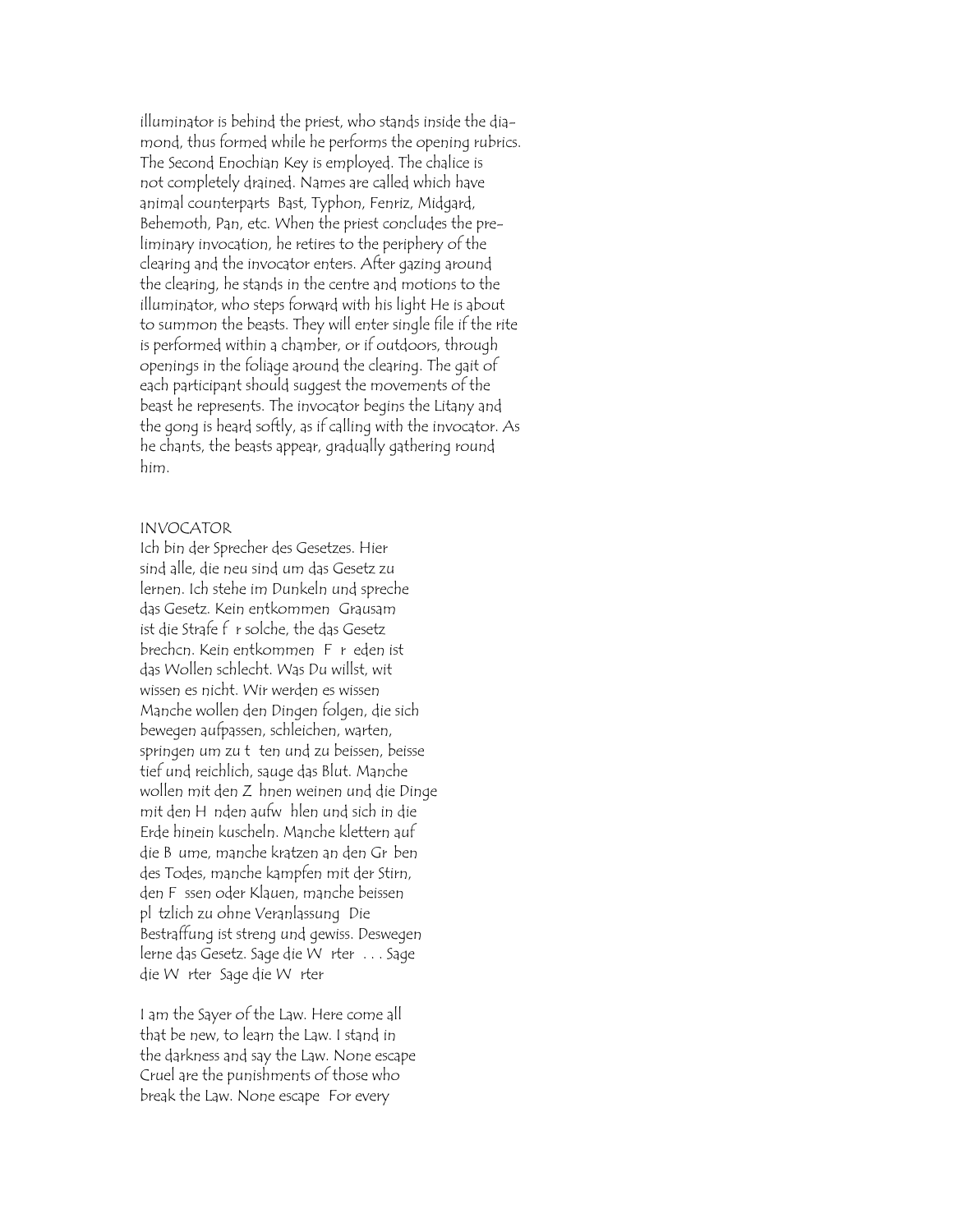illuminator is behind the priest, who stands inside the diamond, thus formed while he performs the opening rubrics. The *Second Enochian Key* is employed. The chalice is not completely drained. Names are called which have animal counterparts: Bast, Typhon, Fenriz, Midgard, Behemoth, Pan, etc. When the priest concludes the preliminary invocation, he retires to the periphery of the clearing and the invocator enters. After gazing around the clearing, he stands in the centre and motions to the illuminator, who steps forward with his light He is about to summon the beasts. They will enter single file if the rite is performed within a chamber, or if outdoors, through openings in the foliage around the clearing. The gait of each participant should suggest the movements of the beast he represents. The invocator begins the *Litany* and the gong is heard softly, as if calling with the invocator. As he chants, the beasts appear, gradually gathering round him.]

#### **INVOCATOR**

Ich bin der Sprecher des Gesetzes. Hier sind alle, die neu sind um das Gesetz zu lernen. Ich stehe im Dunkeln und spreche das Gesetz. Kein entkommen! Grausam ist die Strafe f r solche, the das Gesetz brechcn. Kein entkommen Freden ist das Wollen schlecht. Was Du willst, wit wissen es nicht. Wir werden es wissen! Manche wollen den Dingen folgen, die sich bewegen aufpassen, schleichen, warten, springen um zu t ten und zu beissen, beisse tief und reichlich, sauge das Blut. Manche wollen mit den Zhnen weinen und die Dinge mit den H nden aufwhlen und sich in die Erde hinein kuscheln. Manche klettern auf die Bäume, manche kratzen an den Gräben des Todes, manche kampfen mit der Stirn, den Füssen oder Klauen, manche beissen plätzlich zu ohne Veranlassung! Die Bestraffung ist streng und gewiss. Deswegen lerne das Gesetz. Sage die Wirter . . . Sage die Wirter Sage die Wirter

I am the Sayer of the Law. Here come all that be new, to learn the Law. I stand in the darkness and say the Law. None escape! Cruel are the punishments of those who break the Law. None escape! For every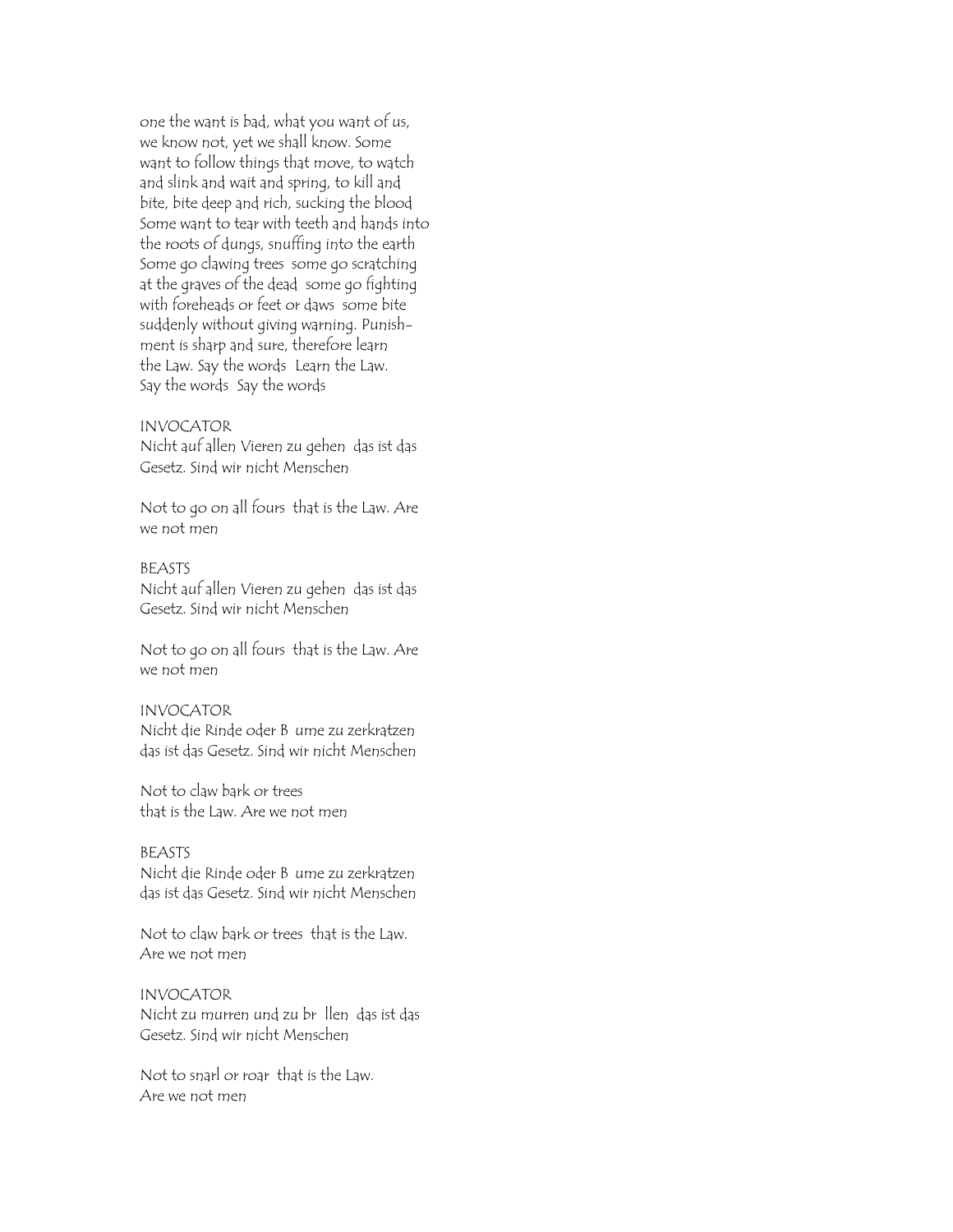one the want is bad, what *you* want of us, we know not, yet we shall know. Some want to follow things that move, to watch and slink and wait and spring, to kill and bite, bite deep and rich, sucking the blood! Some want to tear with teeth and hands into the roots of dungs, snuffing into the earth! Some go clawing trees; some go scratching at the graves of the dead; some go fighting with foreheads or feet or daws; some bite suddenly without giving warning. Punishment is sharp and sure, therefore learn the Law. Say the words Learn the Law. Say the words Say the words

#### **INVOCATOR**

Nicht auf allen Vieren zu gehen: das ist das Gesetz. Sind wir nicht Menschen?

Not to go on all fours: that is the Law. Are we not men

#### BEASTS:

Nicht auf allen Vieren zu gehen: das ist das Gesetz. Sind wir nicht Menschen?

Not to go on all fours: that is the Law. Are we not men

#### INVOCATOR:

Nicht die Rinde oder B ume zu zerkratzen das ist das Gesetz. Sind wir nicht Menschen?

Not to claw bark or trees: that is the Law. Are we not men?

#### BEASTS:

Nicht die Rinde oder B ume zu zerkratzen das ist das Gesetz. Sind wir nicht Menschen?

Not to claw bark or trees that is the Law. Are we not men?

INVOCATOR: Nicht zu murren und zu brüllen das ist das Gesetz. Sind wir nicht Menschen?

Not to snarl or roar: that is the Law. Are we not men?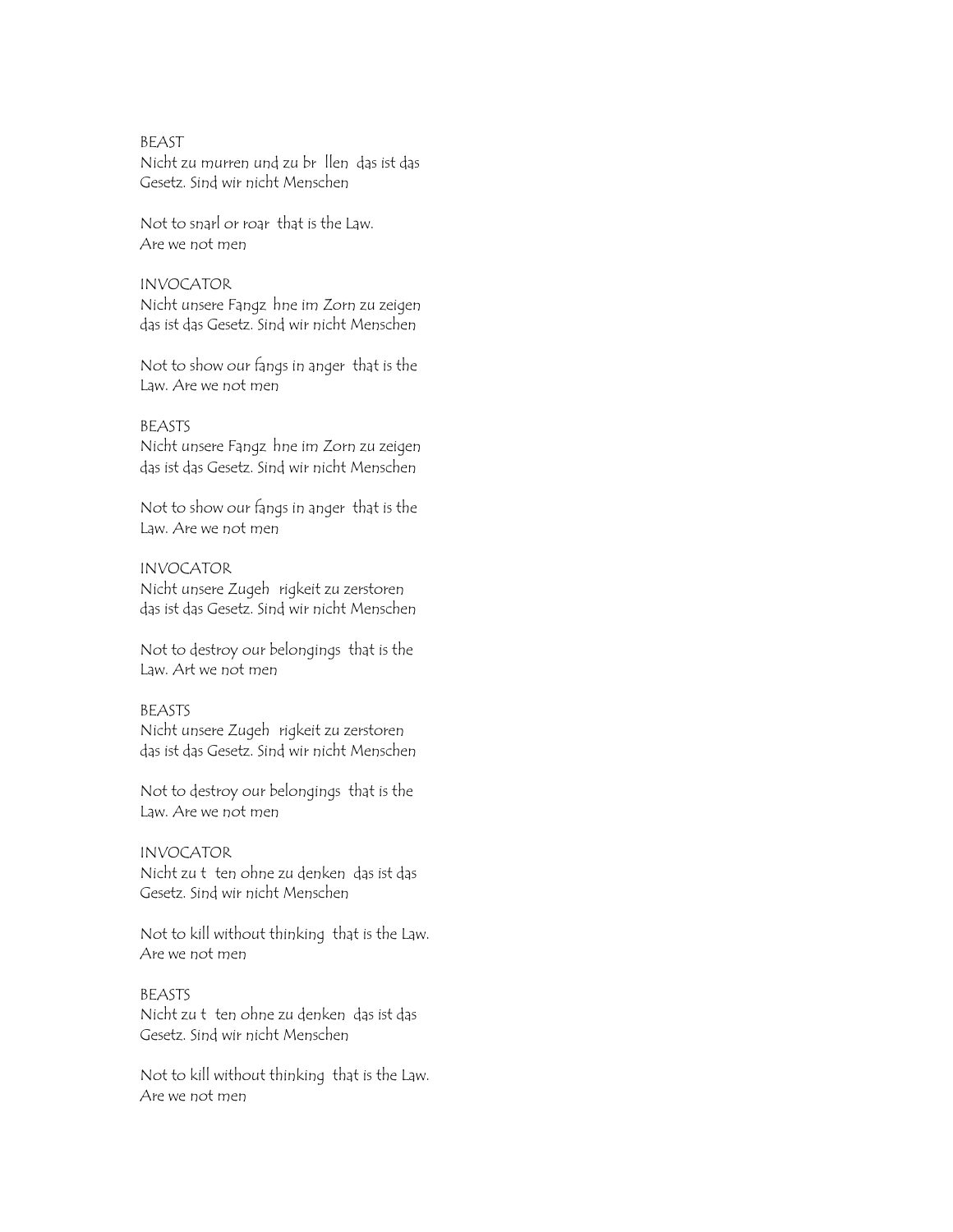## BEAST:

Nicht zu murren und zu brüllen das ist das Gesetz. Sind wir nicht Menschen?

Not to snarl or roar: that is the Law. Are we not men?

#### INVOCATOR:

Nicht unsere Fangz hne im Zorn zu zeigen das ist das Gesetz. Sind wir nicht Menschen?

Not to show our fangs in anger: that is the Law. Are we not men

#### BEASTS:

Nicht unsere Fangz hne im Zorn zu zeigen das ist das Gesetz. Sind wir nicht Menschen?

Not to show our fangs in anger that is the Law. Are we not men

## INVOCATOR:

Nicht unsere Zugeh rigkeit zu zerstoren das ist das Gesetz. Sind wir nicht Menschen?

Not to destroy our belongings: that is the Law. Art we not men?

#### BEASTS:

Nicht unsere Zugeh rigkeit zu zerstoren das ist das Gesetz. Sind wir nicht Menschen?

Not to destroy our belongings: that is the Law. Are we not men

### INVOCATOR:

Nicht zu titen ohne zu denken das ist das Gesetz. Sind wir nicht Menschen?

Not to kill without thinking: that is the Law. Are we not men?

#### BEASTS:

Nicht zu ten ohne zu denken das ist das Gesetz. Sind wir nicht Menschen?

Not to kill without thinking: that is the Law. Are we not men?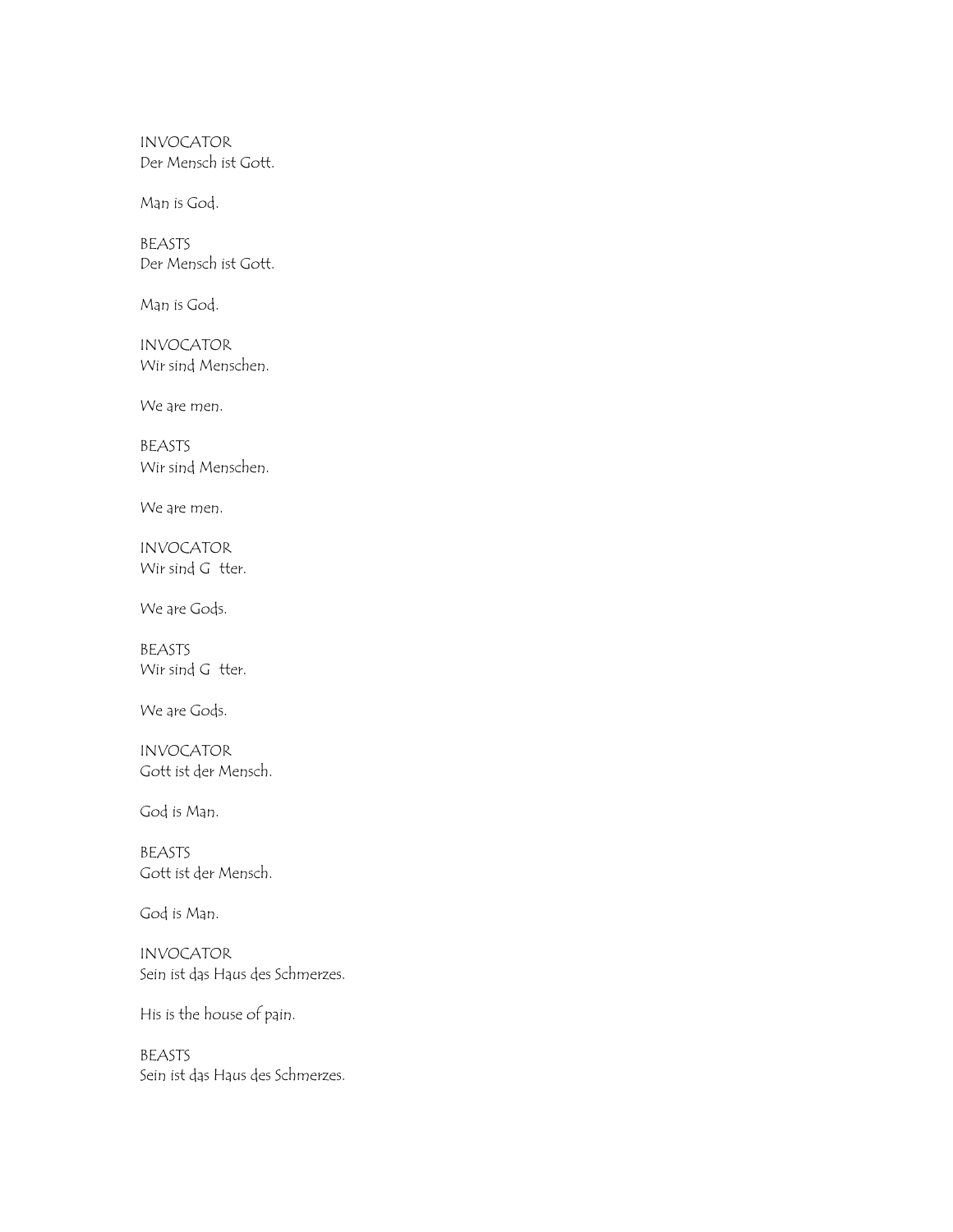INVOCATOR: Der Mensch ist Gott.

Man is God.

BEASTS: Der Mensch ist Gott.

Man is God.

INVOCATOR: Wir sind Menschen.

We are men.

BEASTS: Wir sind Menschen.

We are men.

INVOCATOR: Wir sind G tter.

We are Gods.

BEASTS: Wir sind G tter.

We are Gods.

INVOCATOR: Gott ist der Mensch.

God is Man.

BEASTS: Gott ist der Mensch.

God is Man.

INVOCATOR: Sein ist das Haus des Schmerzes.

His is the house of pain.

BEASTS: Sein ist das Haus des Schmerzes.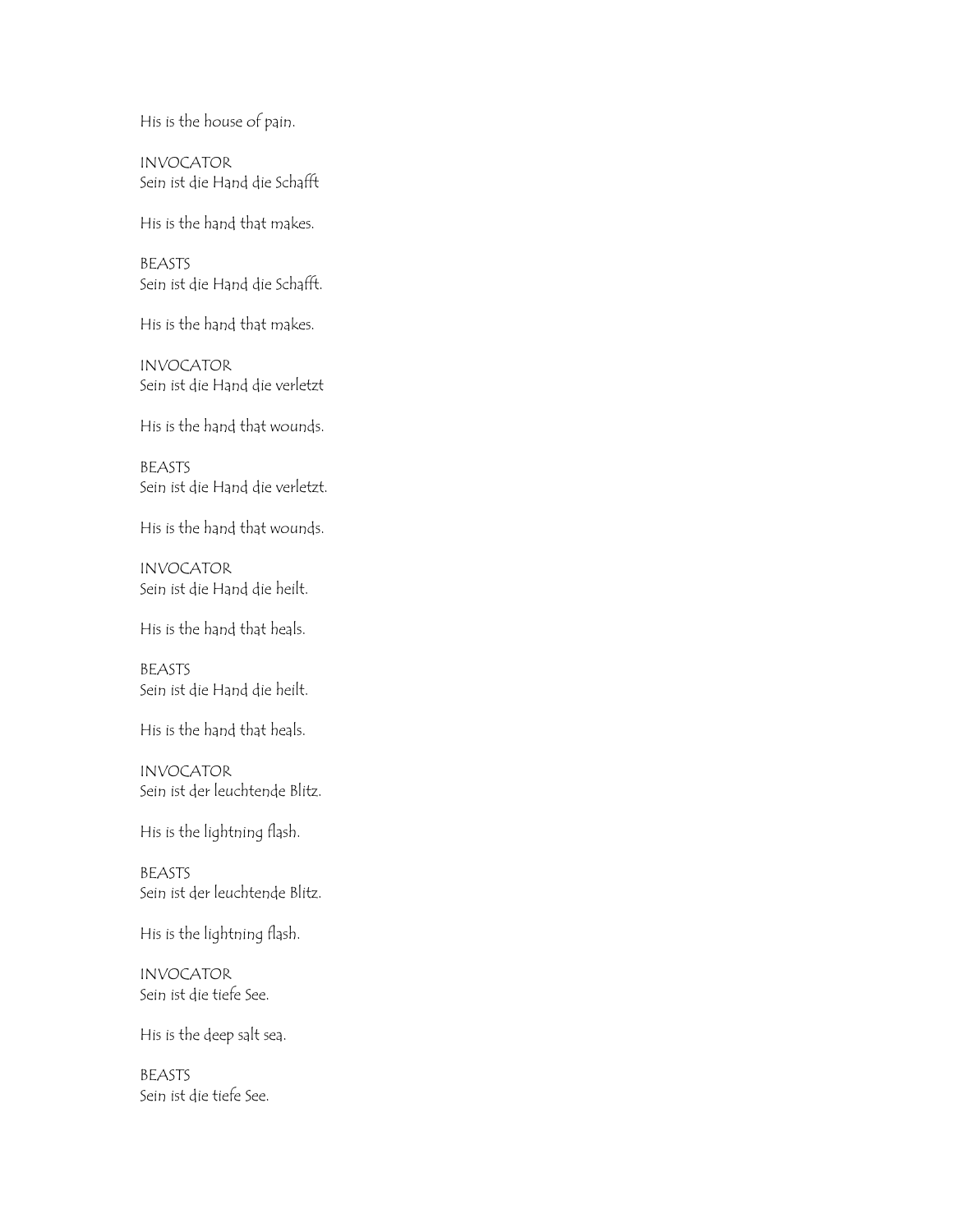His is the house of pain.

INVOCATOR: Sein ist die Hand die Schafft

His is the hand that makes.

BEASTS: Sein ist die Hand die Schafft.

His is the hand that makes.

INVOCATOR: Sein ist die Hand die verletzt

His is the hand that wounds.

BEASTS: Sein ist die Hand die verletzt.

His is the hand that wounds.

INVOCATOR: Sein ist die Hand die heilt.

His is the hand that heals.

BEASTS: Sein ist die Hand die heilt.

His is the hand that heals.

INVOCATOR: Sein ist der leuchtende Blitz.

His is the lightning flash.

BEASTS: Sein ist der leuchtende Blitz.

His is the lightning flash.

INVOCATOR: Sein ist die tiefe See.

His is the deep salt sea.

BEASTS: Sein ist die tiefe See.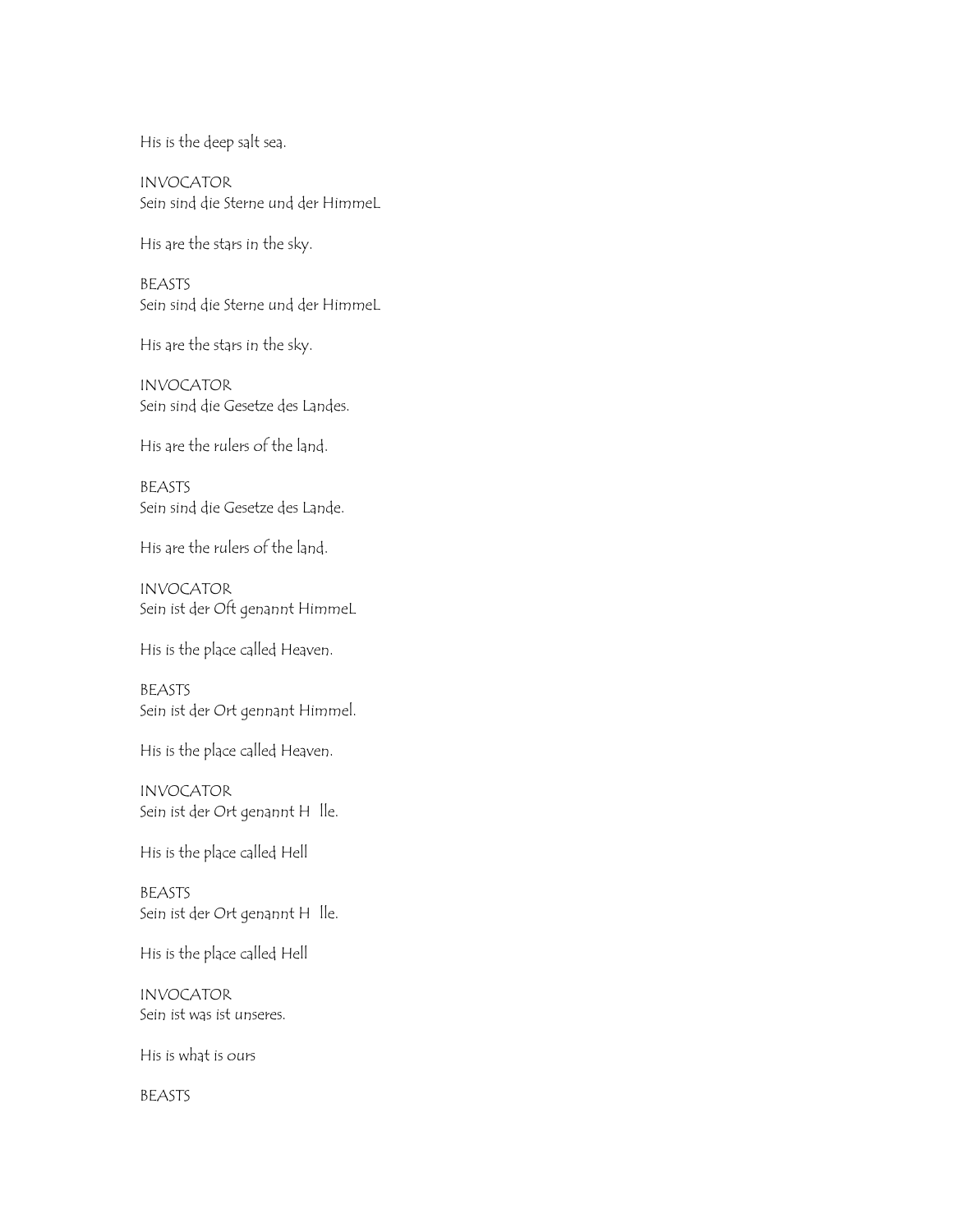His is the deep salt sea.

INVOCATOR: Sein sind die Sterne und der HimmeL

His are the stars in the sky.

BEASTS: Sein sind die Sterne und der HimmeL

His are the stars in the sky.

INVOCATOR: Sein sind die Gesetze des Landes.

His are the rulers of the land.

BEASTS: Sein sind die Gesetze des Lande.

His are the rulers of the land.

INVOCATOR: Sein ist der Oft genannt HimmeL

His is the place called Heaven.

BEASTS: Sein ist der Ort gennant Himmel.

His is the place called Heaven.

INVOCATOR: Sein ist der Ort genannt H lle.

His is the place called Hell

BEASTS: Sein ist der Ort genannt H lle.

His is the place called Hell

INVOCATOR: Sein ist was ist unseres.

His is what is ours!

BEASTS: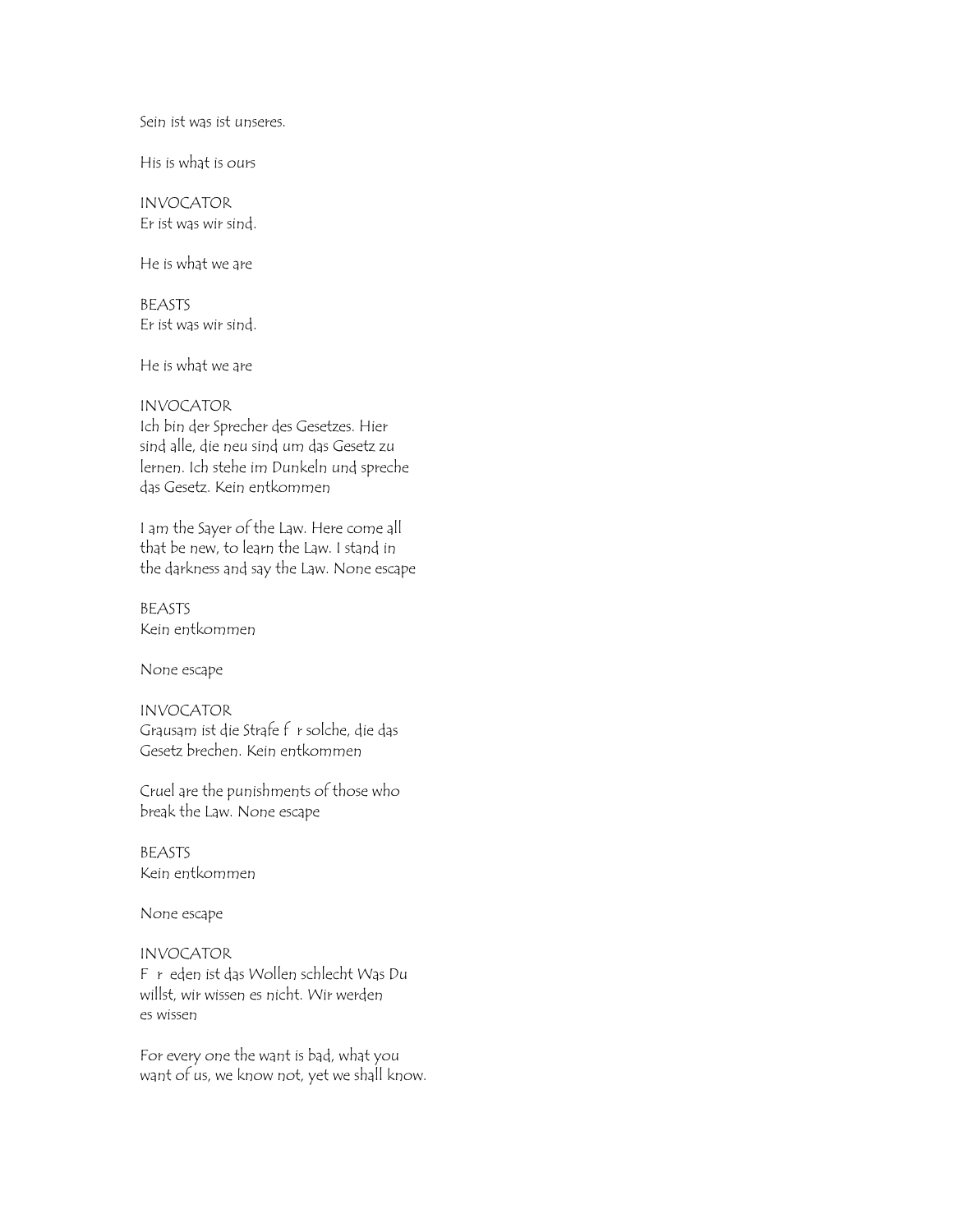Sein ist was ist unseres.

His is what is ours!

INVOCATOR: Er ist was wir sind.

He is what we are!

BEASTS: Er ist was wir sind.

He is what we are!

## INVOCATOR:

Ich bin der Sprecher des Gesetzes. Hier sind alle, die neu sind um das Gesetz zu lernen. Ich stehe im Dunkeln und spreche das Gesetz. Kein entkommen!

I am the Sayer of the Law. Here come all that be new, to learn the Law. I stand in the darkness and say the Law. None escape!

BEASTS: Kein entkommen!

None escape!

INVOCATOR: Grausam ist die Strafe f r solche, die das Gesetz brechen. Kein entkommen!

Cruel are the punishments of those who break the Law. None escape!

BEASTS: Kein entkommen!

None escape!

INVOCATOR: F r eden ist das Wollen schlecht Was Du willst, wir wissen es nicht. Wir werden es wissen!

For every one the want is bad, what you want of us, we know not, yet we shall know.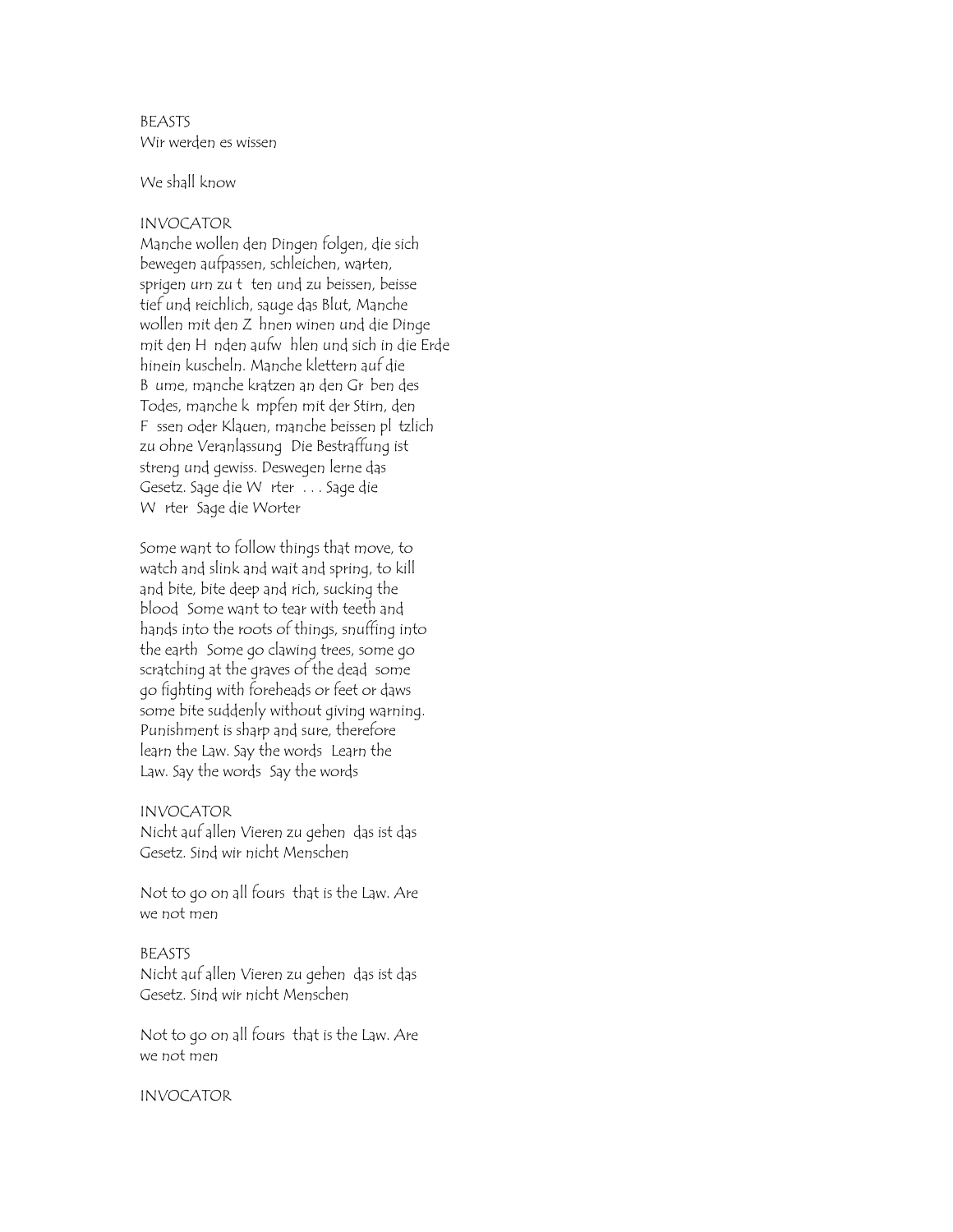BEASTS: Wir werden es wissen!

#### We shall know

## INVOCATOR:

Manche wollen den Dingen folgen, die sich bewegen aufpassen, schleichen, warten, sprigen urn zu t ten und zu beissen, beisse tief und reichlich, sauge das Blut, Manche wollen mit den Zhnen winen und die Dinge mit den Hinden aufwihlen und sich in die Erde hinein kuscheln. Manche klettern auf die B ume, manche kratzen an den Gr ben des Todes, manche k mpfen mit der Stirn, den F ssen oder Klauen, manche beissen pl tzlich zu ohne Veranlassung! Die Bestraffung ist streng und gewiss. Deswegen lerne das Gesetz. Sage die Wirter . . . Sage die W rter Sage die Worter

Some want to follow things that move, to watch and slink and wait and spring, to kill and bite, bite deep and rich, sucking the blood! Some want to tear with teeth and hands into the roots of things, snuffing into the earth! Some go clawing trees, some go scratching at the graves of the dead; some go fighting with foreheads or feet or daws; some bite suddenly without giving warning. Punishment is sharp and sure, therefore learn the Law. Say the words! Learn the Law. Say the words! Say the words!

#### **INVOCATOR**

Nicht auf allen Vieren zu gehen: das ist das Gesetz. Sind wir nicht Menschen?

Not to go on all fours: that is the Law. Are we not men

#### **BEASTS**

Nicht auf allen Vieren zu gehen: das ist das Gesetz. Sind wir nicht Menschen?

Not to go on all fours: that is the Law. Are we not men

#### **INVOCATOR**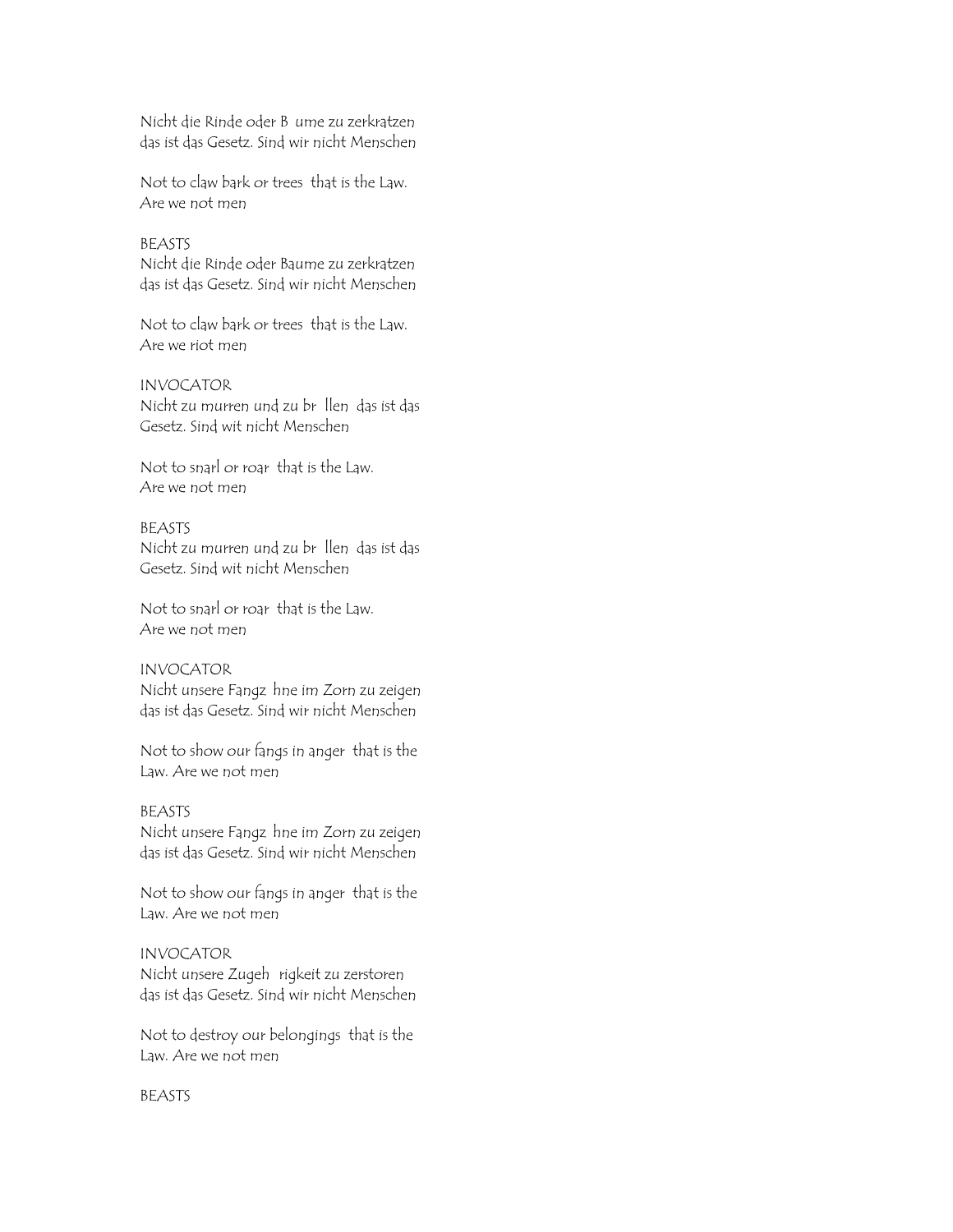Nicht die Rinde oder Bume zu zerkratzen das ist das Gesetz. Sind wir nicht Menschen?

Not to claw bark or trees: that is the Law. Are we not men?

#### BEASTS:

Nicht die Rinde oder Baume zu zerkratzen: das ist das Gesetz. Sind wir nicht Menschen?

Not to claw bark or trees: that is the Law. Are we riot men?

## INVOCATOR:

Nicht zu murren und zu brüllen das ist das Gesetz. Sind wit nicht Menschen?

Not to snarl or roar: that is the Law. Are we not men?

#### BEASTS:

Nicht zu murren und zu brüllen das ist das Gesetz. Sind wit nicht Menschen?

Not to snarl or roar: that is the Law. Are we not men

## INVOCATOR:

Nicht unsere Fangz hne im Zorn zu zeigen das ist das Gesetz. Sind wir nicht Menschen?

Not to show our fangs in anger that is the Law. Are we not men

#### BEASTS:

Nicht unsere Fangz hne im Zorn zu zeigen das ist das Gesetz. Sind wir nicht Menschen?

Not to show our fangs in anger that is the Law. Are we not men

#### INVOCATOR:

Nicht unsere Zugeh rigkeit zu zerstoren das ist das Gesetz. Sind wir nicht Menschen?

Not to destroy our belongings: that is the Law. Are we not men

## BEASTS: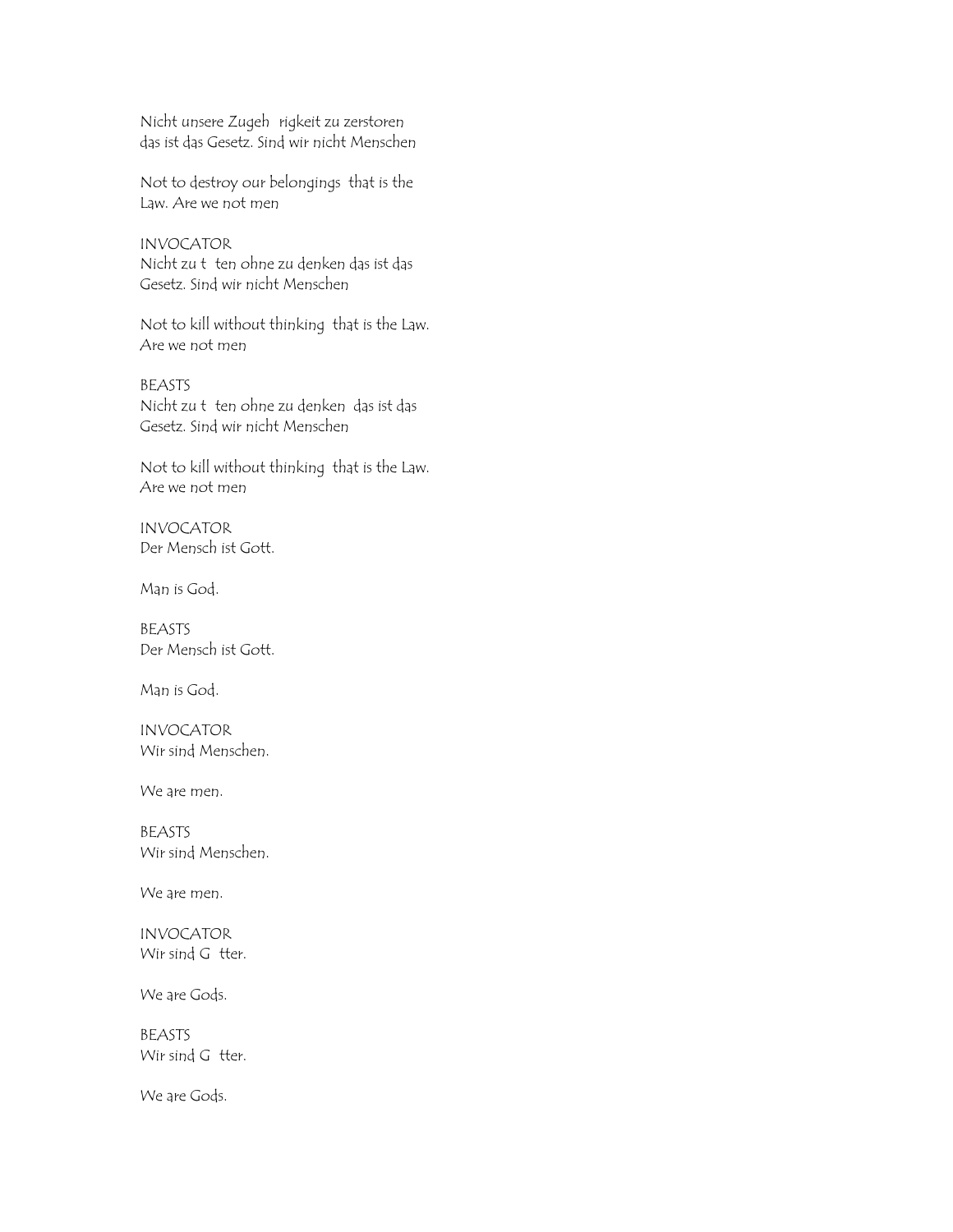Nicht unsere Zugeh rigkeit zu zerstoren das ist das Gesetz. Sind wir nicht Menschen?

Not to destroy our belongings: that is the Law. Are we not men?

INVOCATOR: Nicht zu t ten ohne zu denken das ist das Gesetz. Sind wir nicht Menschen?

Not to kill without thinking: that is the Law. Are we not men?

BEASTS: Nicht zu ten ohne zu denken das ist das Gesetz. Sind wir nicht Menschen?

Not to kill without thinking: that is the Law. Are we not men?

INVOCATOR: Der Mensch ist Gott.

Man is God.

BEASTS: Der Mensch ist Gott.

Man is God.

INVOCATOR: Wir sind Menschen.

We are men.

BEASTS: Wir sind Menschen.

We are men.

INVOCATOR: Wir sind G tter.

We are Gods.

BEASTS: Wir sind G tter.

We are Gods.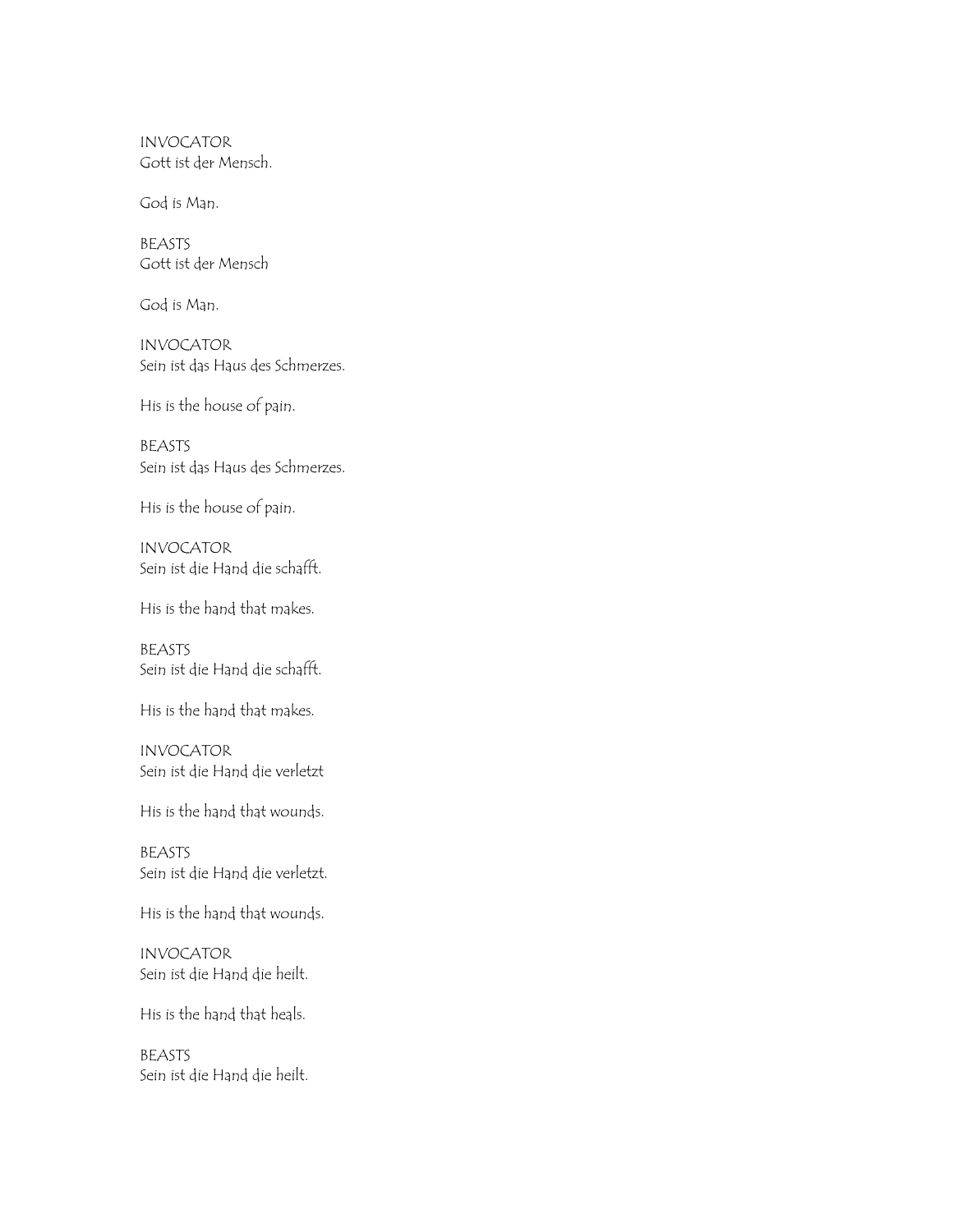INVOCATOR: Gott ist der Mensch.

God is Man.

BEASTS: Gott ist der Mensch

God is Man.

INVOCATOR: Sein ist das Haus des Schmerzes.

His is the house of pain.

BEASTS: Sein ist das Haus des Schmerzes.

His is the house of pain.

INVOCATOR: Sein ist die Hand die schafft.

His is the hand that makes.

BEASTS: Sein ist die Hand die schafft.

His is the hand that makes.

INVOCATOR: Sein ist die Hand die verletzt

His is the hand that wounds.

BEASTS: Sein ist die Hand die verletzt.

His is the hand that wounds.

INVOCATOR: Sein ist die Hand die heilt.

His is the hand that heals.

BEASTS: Sein ist die Hand die heilt.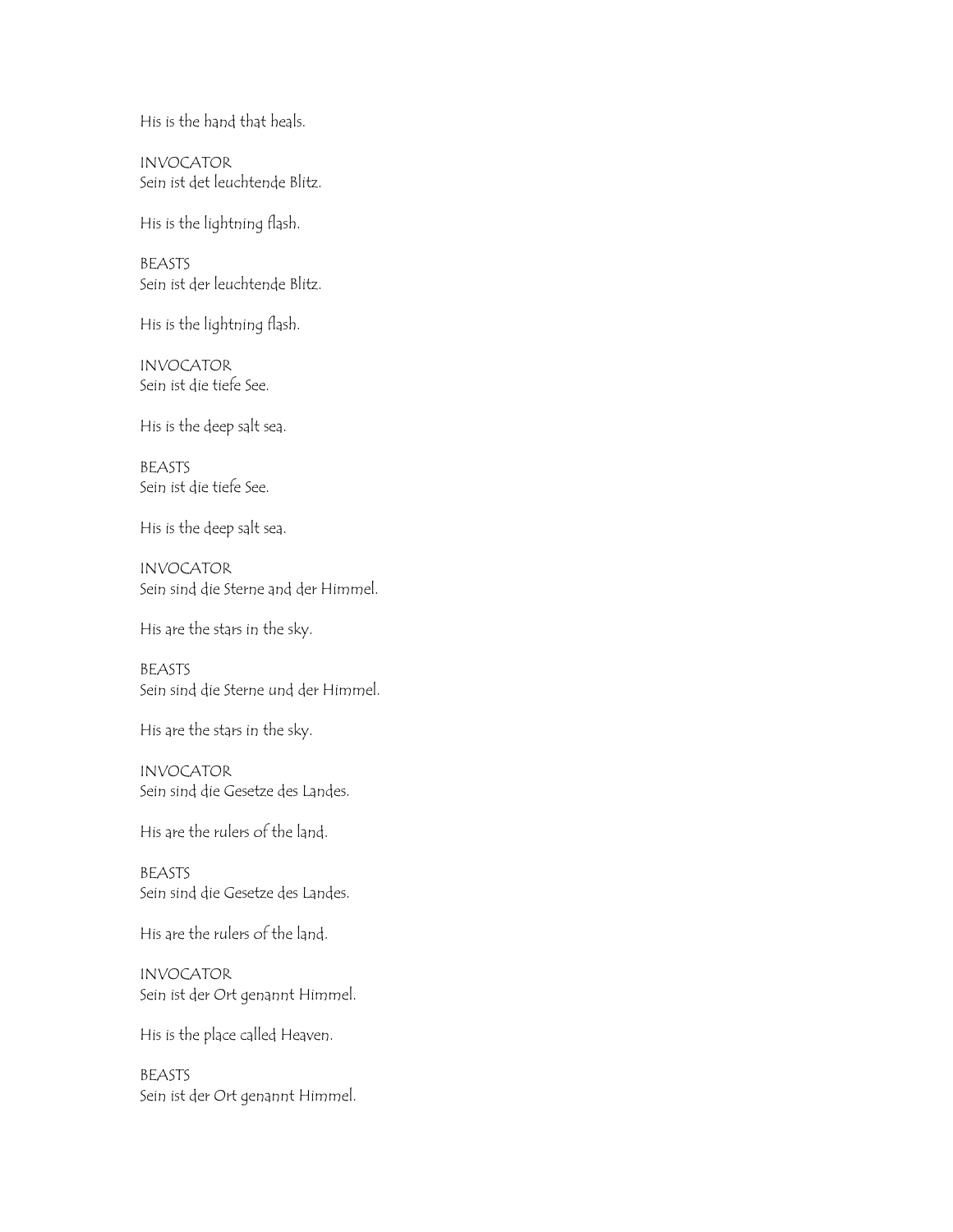His is the hand that heals.

INVOCATOR: Sein ist det leuchtende Blitz.

His is the lightning flash.

BEASTS Sein ist der leuchtende Blitz.

His is the lightning flash.

INVOCATOR Sein ist die tiefe See.

His is the deep salt sea.

BEASTS Sein ist die tiefe See.

His is the deep salt sea.

INVOCATOR Sein sind die Sterne and der Himmel.

His are the stars in the sky.

BEASTS: Sein sind die Sterne und der Himmel.

His are the stars in the sky.

INVOCATOR Sein sind die Gesetze des Landes.

His are the rulers of the land.

BEASTS Sein sind die Gesetze des Landes.

His are the rulers of the land.

INVOCATOR Sein ist der Ort genannt Himmel.

His is the place called Heaven.

BEASTS Sein ist der Ort genannt Himmel.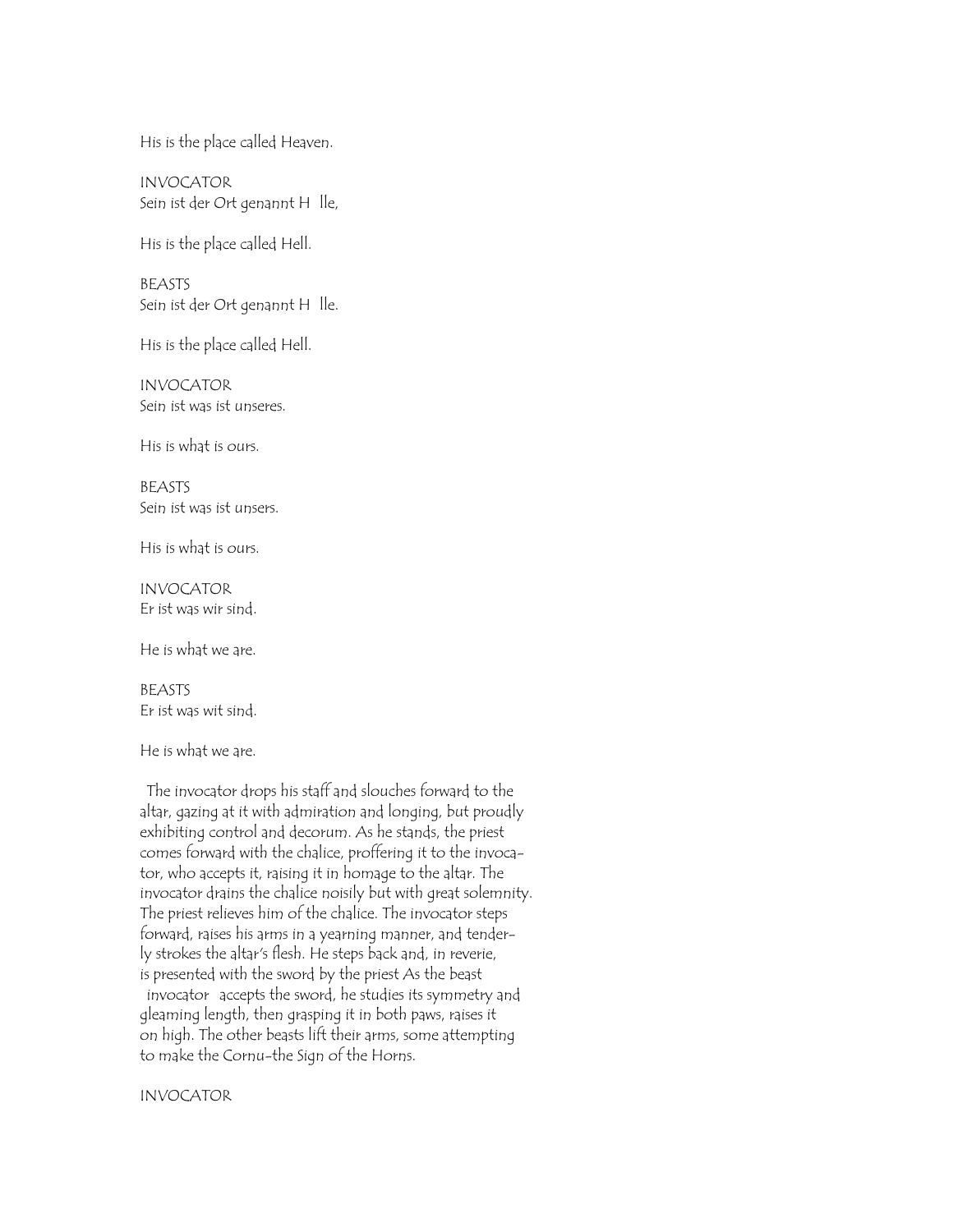His is the place called Heaven.

INVOCATOR Sein ist der Ort genannt H lle,

His is the place called Hell.

BEASTS Sein ist der Ort genannt H lle.

His is the place called Hell.

INVOCATOR Sein ist was ist unseres.

His is what is ours.

BEASTS Sein ist was ist unsers.

His is what is ours.

INVOCATOR Er ist was wir sind.

He is what we are.

BEASTS: Er ist was wit sind.

He is what we are.

The invocator drops his staff and slouches forward to the altar, gazing at it with admiration and longing, but proudly exhibiting control and decorum. As he stands, the priest comes forward with the chalice, proffering it to the invocator, who accepts it, raising it in homage to the altar. The invocator drains the chalice noisily but with great solemnity. The priest relieves him of the chalice. The invocator steps forward, raises his arms in a yearning manner, and tenderly strokes the altar's flesh. He steps back and, in reverie, is presented with the sword by the priest As the beast invocator accepts the sword, he studies its symmetry and gleaming length, then grasping it in both paws, raises it on high. The other beasts lift their arms, some attempting to make the *Cornu-*the Sign of the Horns.]

INVOCATOR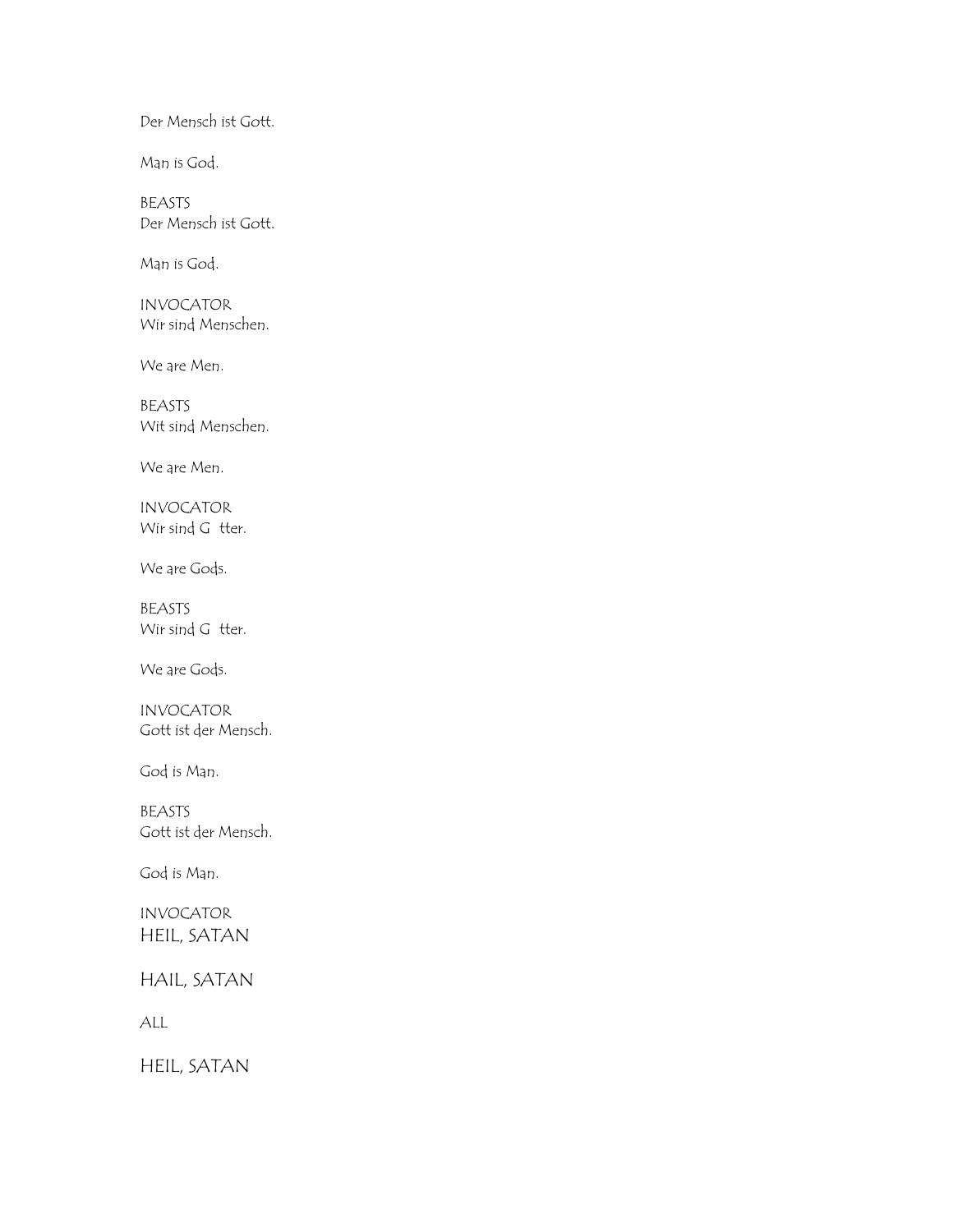Der Mensch ist Gott.

Man is God.

BEASTS: Der Mensch ist Gott.

Man is God.

INVOCATOR Wir sind Menschen.

We are Men.

BEASTS Wit sind Menschen.

We are Men.

INVOCATOR Wir sind G tter.

We are Gods.

BEASTS Wir sind G tter.

We are Gods.

INVOCATOR Gott ist der Mensch.

God is Man.

BEASTS Gott ist der Mensch.

God is Man.

INVOCATOR HEIL, SATAN!

HAIL, SATAN!

ALL:

HEIL, SATAN!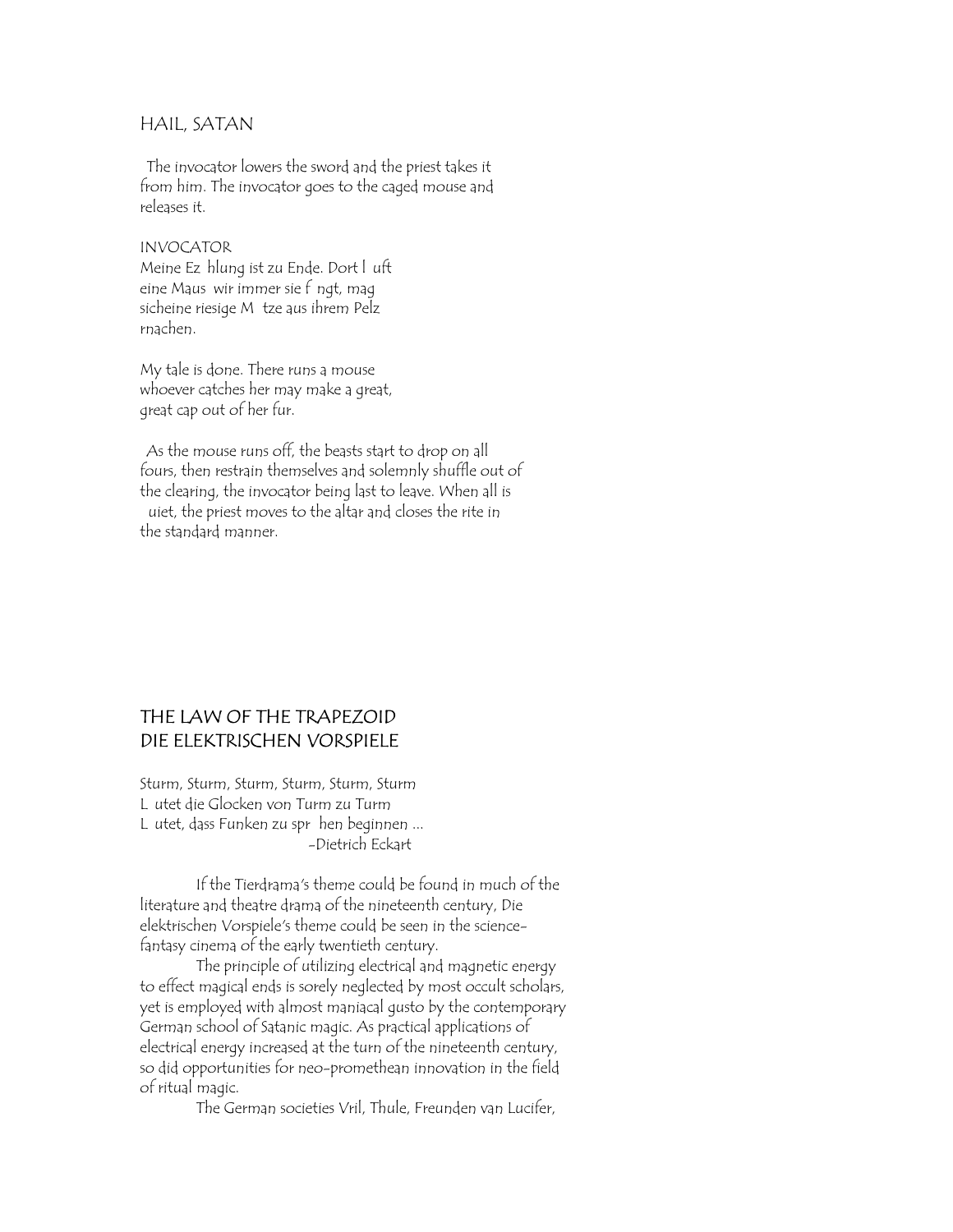## HAIL, SATAN!

The invocator lowers the sword and the priest takes it from him. The invocator goes to the caged mouse and releases it.]

## INVOCATOR

Meine Ez hlung ist zu Ende. Dort läuft eine Maus, wir immer sie fingt, mag sicheine riesige M tze aus ihrem Pelz rnachen.

My tale is done. There runs a mouse: whoever catches her may make a great, great cap out of her fur.

As the mouse runs off, the beasts start to drop on all fours, then restrain themselves and solemnly shuffle out of the clearing, the invocator being last to leave. When all is uiet, the priest moves to the altar and closes the rite in the standard manner.

## THE LAW OF THE TRAPEZOID DIE ELEKTRISCHEN VORSPIELE

Sturm, Sturm, Sturm, Sturm, Sturm, Sturm! Lutet die Glocken von Turm zu Turm L utet, dass Funken zu sprhen beginnen ... -Dietrich Eckart

If the *Tierdrama's* theme could be found in much of the literature and theatre drama of the nineteenth century, *Die elektrischen Vorspiele's* theme could be seen in the sciencefantasy cinema of the early twentieth century.

The principle of utilizing electrical and magnetic energy to effect magical ends is sorely neglected by most occult scholars, yet is employed with almost maniacal gusto by the contemporary German school of Satanic magic. As practical applications of electrical energy increased at the turn of the nineteenth century, so did opportunities for neo-promethean innovation in the field of ritual magic.

The German societies *Vril, Thule, Freunden van Lucifer,*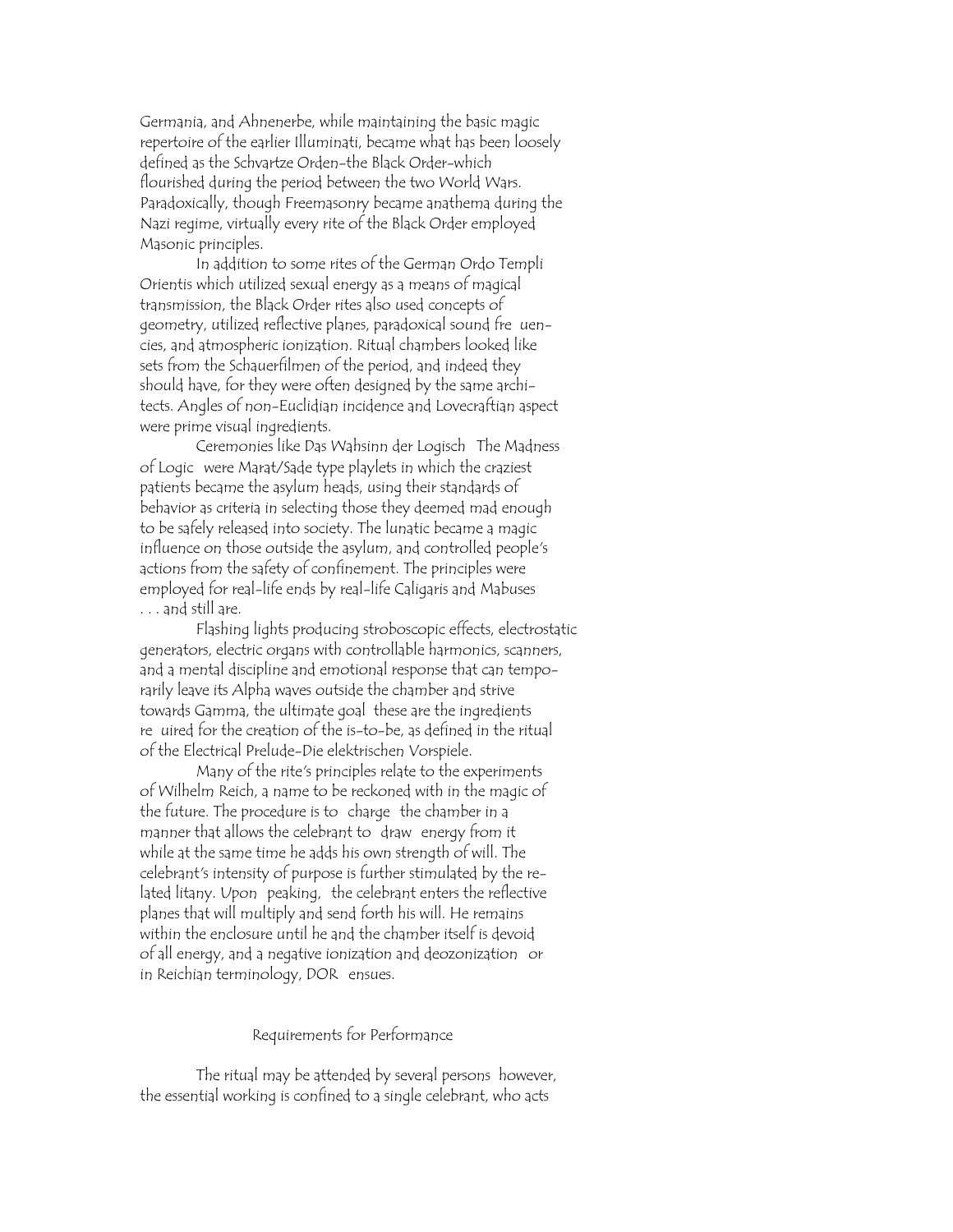*Germania,* and *Ahnenerbe,* while maintaining the basic magic repertoire of the earlier *Illuminati,* became what has been loosely defined as the *Schvartze Orden-*the *Black Order-*which flourished during the period between the two World Wars. Paradoxically, though Freemasonry became anathema during the Nazi regime, virtually every rite of the *Black Order* employed Masonic principles.

In addition to some rites of the German *Ordo Templi Orientis* which utilized sexual energy as a means of magical transmission, the *Black Order* rites also used concepts of geometry, utilized reflective planes, paradoxical sound fre uencies, and atmospheric ionization. Ritual chambers looked like sets from the *Schauerfilmen* of the period, and indeed they should have, for they were often designed by the same architects. Angles of non-Euclidian incidence and Lovecraftian aspect were prime visual ingredients.

Ceremonies like *Das Wahsinn der Logisch* (The Madness of Logic) were *Marat/Sade* type playlets in which the craziest patients became the asylum heads, using their standards of behavior as criteria in selecting those they deemed mad enough to be safely released into society. The lunatic became a magic influence on those outside the asylum, and controlled people's actions from the safety of confinement. The principles were employed for real-life ends by real-life Caligaris and Mabuses . . . and still are.

Flashing lights producing stroboscopic effects, electrostatic generators, electric organs with controllable harmonics, scanners, and a mental discipline and emotional response that can temporarily leave its Alpha waves outside the chamber and strive towards Gamma, the ultimate goal: these are the ingredients re uired for the creation of the is-to-be, as defined in the ritual of the *Electrical Prelude-Die elektrischen Vorspiele.*

Many of the rite's principles relate to the experiments of Wilhelm Reich, a name to be reckoned with in the magic of the future. The procedure is to charge the chamber in a manner that allows the celebrant to draw energy from it while at the same time he adds his own strength of will. The celebrant's intensity of purpose is further stimulated by the related litany. Upon peaking, the celebrant enters the reflective planes that will multiply and send forth his will. He remains within the enclosure until he *and the chamber itself* is devoid of all energy, and a negative ionization and deozonization (or in Reichian terminology, DOR) ensues.

## *Requirements for Performance*

The ritual may be attended by several persons however, the essential working is confined to a single celebrant, who acts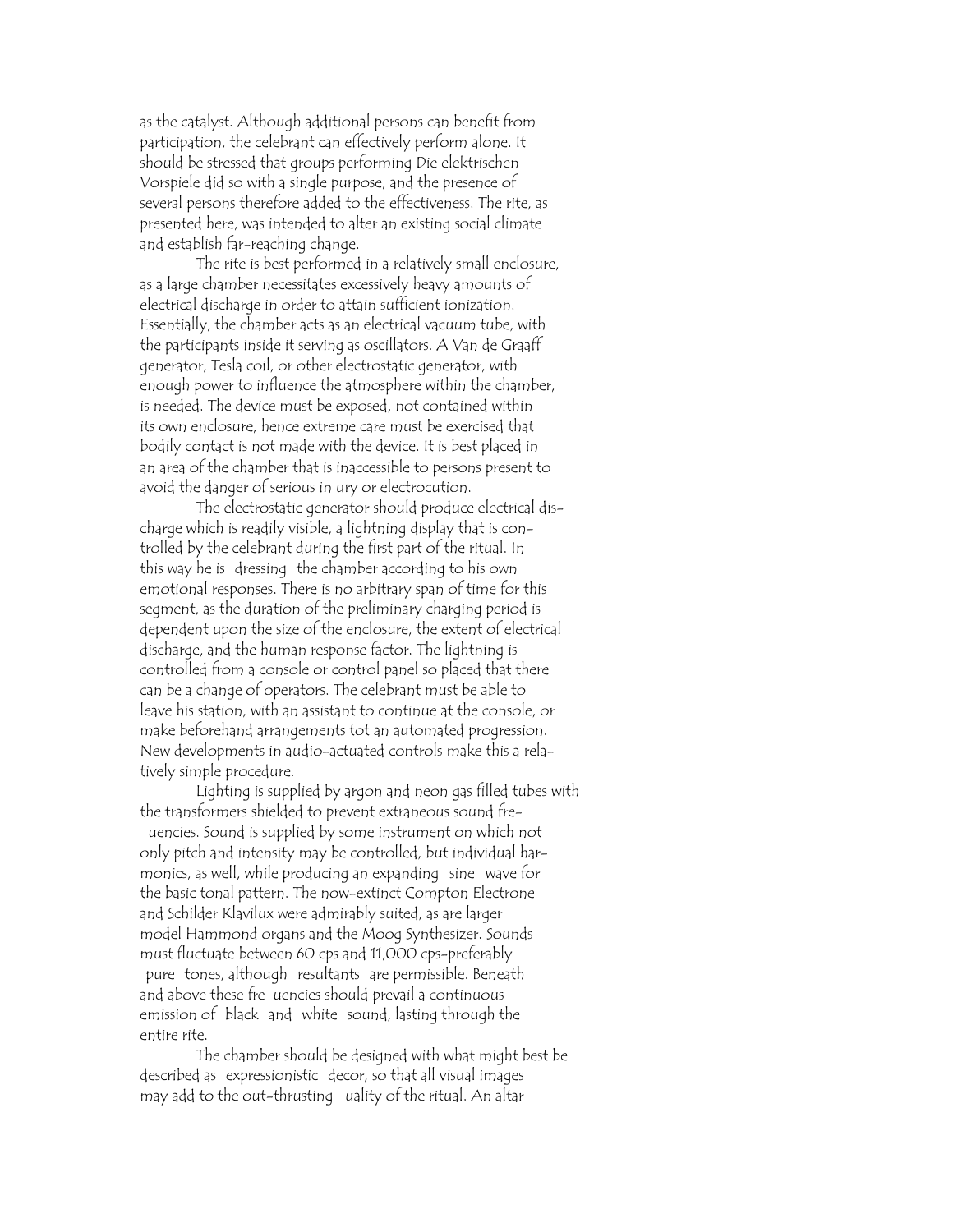as the catalyst. Although additional persons can benefit from participation, the celebrant *can* effectively perform alone. It should be stressed that groups performing *Die elektrischen Vorspiele* did so with a single purpose, and the presence of several persons therefore added to the effectiveness. The rite, as presented here, was intended to alter an existing social climate and establish far-reaching change.

The rite is best performed in a relatively small enclosure, as a large chamber necessitates excessively heavy amounts of electrical discharge in order to attain sufficient ionization. Essentially, the chamber acts as an electrical vacuum tube, with the participants *inside it* serving as oscillators. A Van de Graaff generator, Tesla coil, or other electrostatic generator, with enough power to influence the atmosphere within the chamber, is needed. The device must be exposed, not contained within its own enclosure, hence extreme care must be exercised that bodily contact is not made with the device. It is best placed in an area of the chamber that is inaccessible to persons present to avoid the danger of serious in ury or electrocution.

The electrostatic generator should produce electrical discharge which is readily visible, a lightning display that is controlled by the celebrant during the first part of the ritual. In this way he is "dressing" the chamber according to his own emotional responses. There is no arbitrary span of time for this segment, as the duration of the preliminary charging period is dependent upon the size of the enclosure, the extent of electrical discharge, and the human response factor. The lightning is controlled from a console or control panel so placed that there can be a change of operators. The celebrant must be able to leave his station, with an assistant to continue at the console, or make beforehand arrangements *tot* an automated progression. New developments in audio-actuated controls make this a relatively simple procedure.

Lighting is supplied by argon and neon gas filled tubes with the transformers shielded to prevent extraneous sound freuencies. Sound is supplied by some instrument on which not only pitch and intensity may be controlled, but individual harmonics, as well, while producing an expanding sine wave for the basic tonal pattern. The now-extinct Compton Electrone and Schilder Klavilux were admirably suited, as are larger model Hammond organs and the Moog Synthesizer. Sounds must fluctuate between 60 cps and 11,000 cps-preferably pure tones, although resultants are permissible. Beneath and above these fre uencies should prevail a continuous emission of "black" and "white" sound, lasting through the entire rite.

The chamber should be designed with what might best be described as "expressionistic" decor, so that all visual images may add to the out-thrusting uality of the ritual. An altar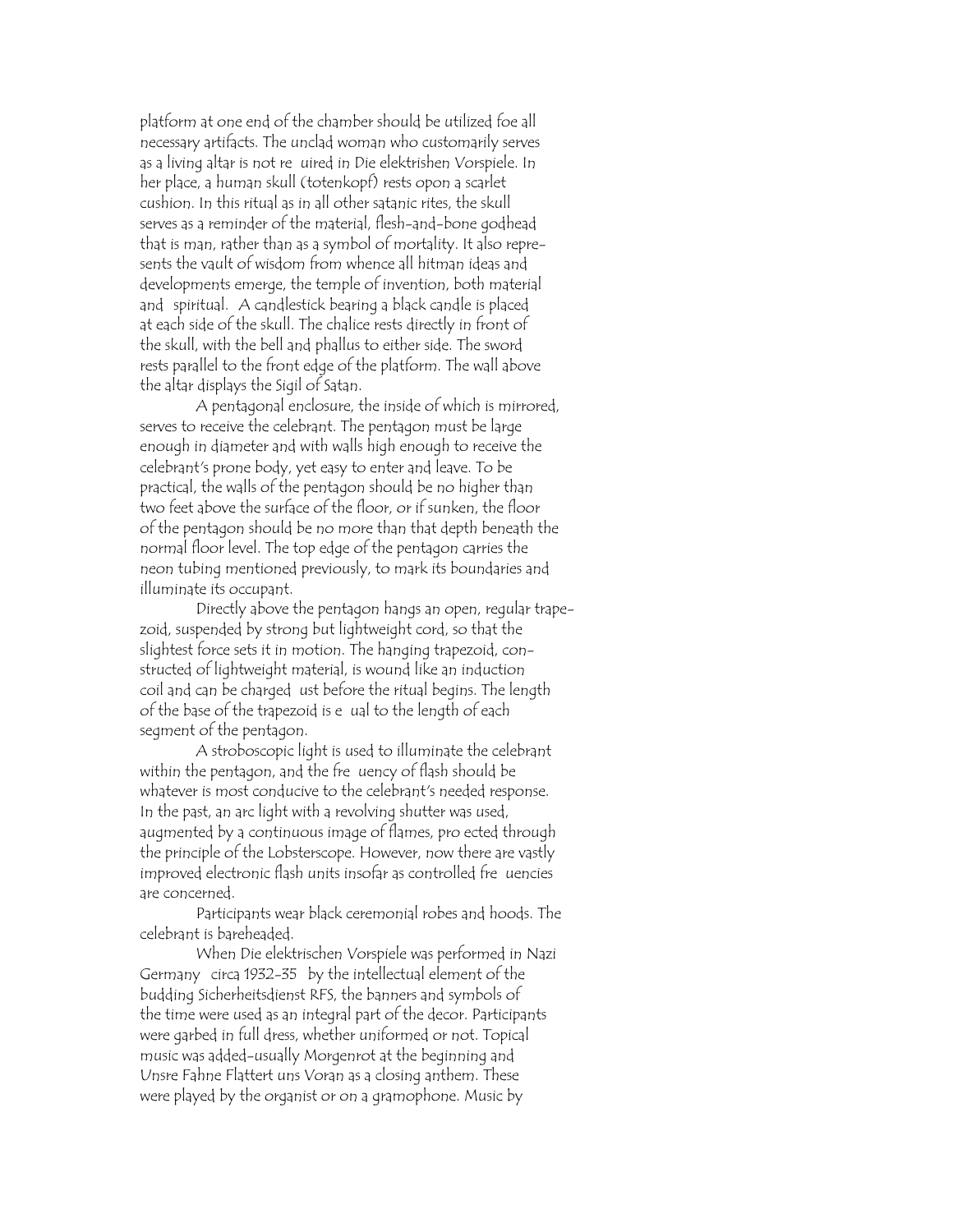platform at one end of the chamber should be utilized foe all necessary artifacts. The unclad woman who customarily serves as a living altar is not required in *Die elektrishen Vorspiele.* In her place, a human skull *(totenkopf)* rests opon a scarlet cushion. In this ritual as in all other satanic rites, the skull serves as a reminder of the material, flesh-and-bone godhead that is man, rather than as a symbol of mortality. It also represents the vault of wisdom from whence all hitman ideas and developments emerge, the temple of invention, both material and "spiritual." A candlestick bearing a black candle is placed at each side of the skull. The chalice rests directly in front of the skull, with the bell and phallus to either side. The sword rests parallel to the front edge of the platform. The wall above the altar displays the Sigil of Satan.

A pentagonal enclosure, the inside of which is mirrored, serves to receive the celebrant. The pentagon must be large enough in diameter and with walls high enough to receive the celebrant's prone body, yet easy to enter and leave. To be practical, the walls of the pentagon should be no higher than two feet above the surface of the floor, or if sunken, the floor of the pentagon should be no more than that depth beneath the normal floor level. The top edge of the pentagon carries the neon tubing mentioned previously, to mark its boundaries and illuminate its occupant.

Directly above the pentagon hangs an open, regular trapezoid, suspended by strong but lightweight cord, so that the slightest force sets it in motion. The hanging trapezoid, constructed of lightweight material, is wound like an induction coil and can be charged ust before the ritual begins. The length of the base of the trapezoid is equal to the length of each segment of the pentagon.

A stroboscopic light is used to illuminate the celebrant within the pentagon, and the fre uency of flash should be whatever is most conducive to the celebrant's needed response. In the past, an arc light with a revolving shutter was used, augmented by a continuous image of flames, projected through the principle of the Lobsterscope. However, now there are vastly improved electronic flash units insofar as controlled fre uencies are concerned.

Participants wear black ceremonial robes and hoods. The celebrant is bareheaded.

When *Die elektrischen Vorspiele* was performed in Nazi Germany circa 1932-35 by the intellectual element of the budding *Sicherheitsdienst RFS,* the banners and symbols of the time were used as an integral part of the decor. Participants were garbed in full dress, whether uniformed or not. Topical music was added-usually *Morgenrot* at the beginning and *Unsre Fahne Flattert uns Voran* as a closing anthem. These were played by the organist or on a gramophone. Music by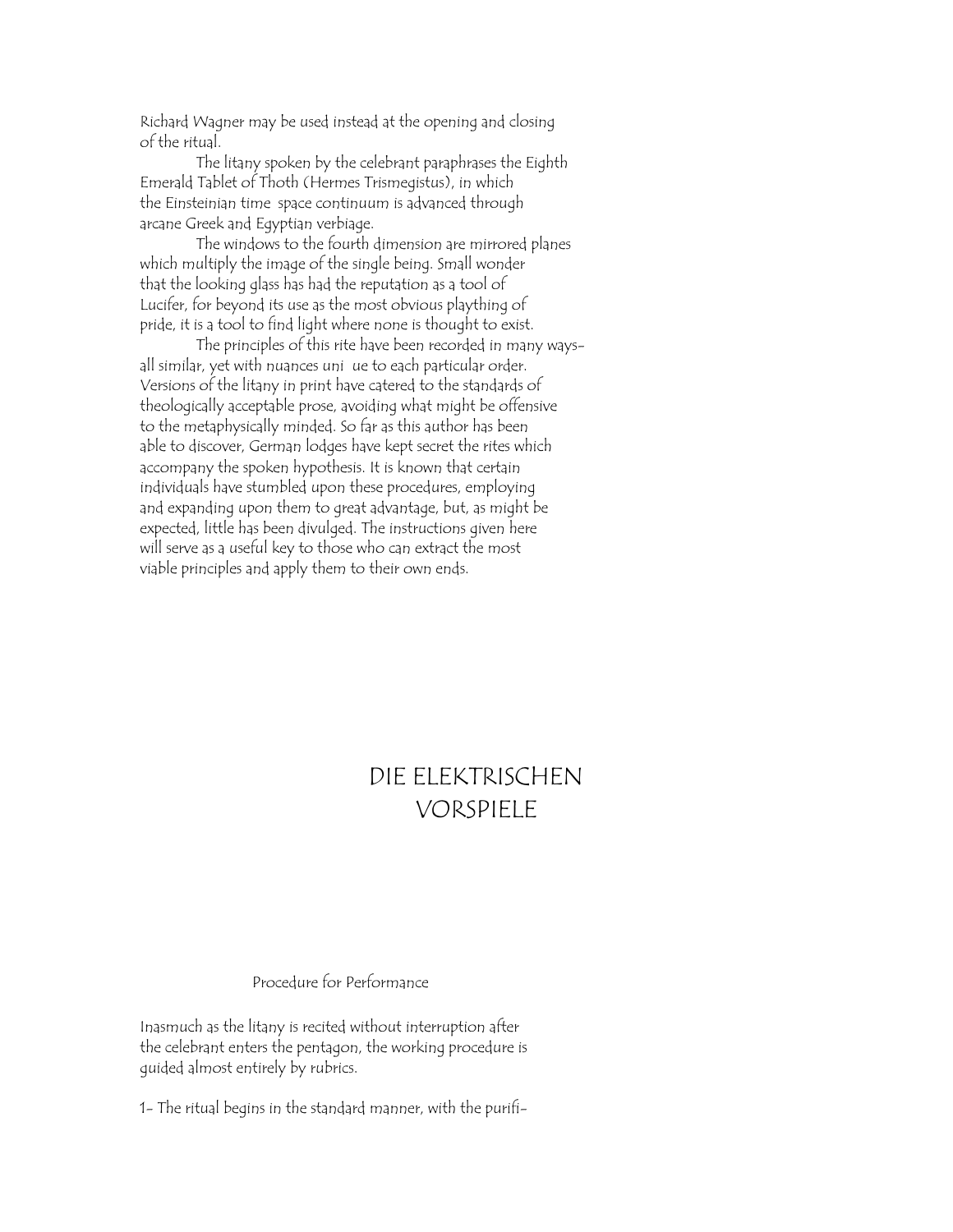Richard Wagner may be used instead at the opening and closing of the ritual.

The litany spoken by the celebrant paraphrases the *Eighth Emerald Tablet of Thoth (Hermes Trismegistus),* in which the Einsteinian time space continuum is advanced through arcane Greek and Egyptian verbiage.

The windows to the fourth dimension are mirrored planes which multiply the image of the single being. Small wonder that the looking glass has had the reputation as a tool of Lucifer, for beyond its use as the most obvious plaything of pride, it is a tool to find light where none is thought to exist.

The principles of this rite have been recorded in many waysall similar, yet with nuances unique to each particular order. Versions of the litany in print have catered to the standards of theologically acceptable prose, avoiding what might be offensive to the metaphysically minded. So far as this author has been able to discover, German lodges have kept secret the rites which accompany the spoken hypothesis. It is known that certain individuals have stumbled upon these procedures, employing and expanding upon them to great advantage, but, as might be expected, little has been divulged. The instructions given here will serve as a useful key to those who can extract the most viable principles and apply them to their own ends.

# DIE ELEKTRISCHEN VORSPIELE

### *Procedure for Performance*

Inasmuch as the litany is recited without interruption after the celebrant enters the pentagon, the working procedure is guided almost entirely by rubrics.

1- The ritual begins in the standard manner, with the purifi-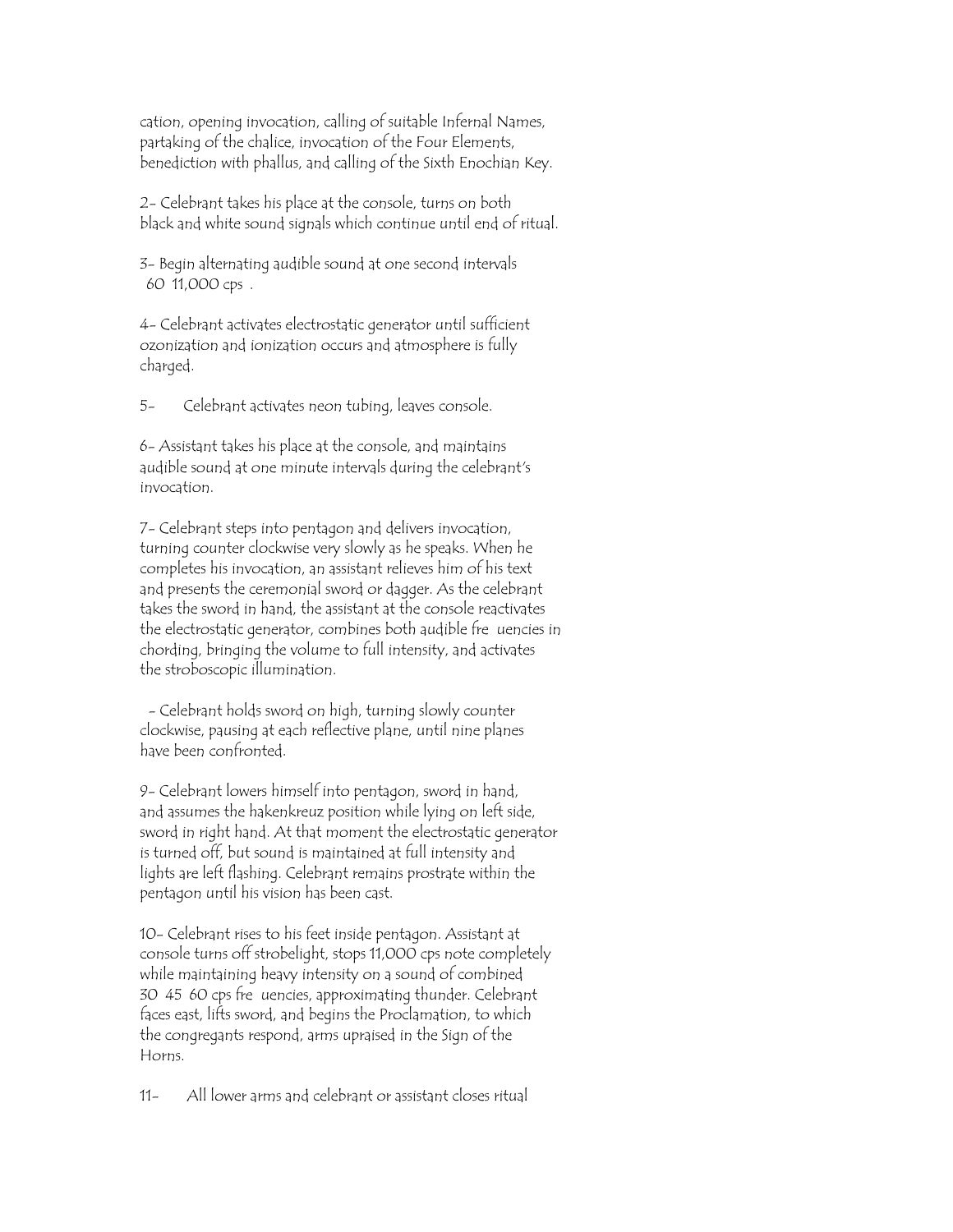cation, opening invocation, calling of suitable Infernal Names, partaking of the chalice, invocation of the Four Elements, benediction with phallus, and calling of the *Sixth Enochian Key.*

*2-* Celebrant takes his place at the console, turns on both black and white sound signals which continue until end of ritual.

3- Begin alternating audible sound at one second intervals (60/11,000 cps).

4- Celebrant activates electrostatic generator until sufficient ozonization and ionization occurs and atmosphere is fully charged.

5- Celebrant activates neon tubing, leaves console.

6- Assistant takes his place at the console, and maintains audible sound at one minute intervals during the celebrant's invocation.

7- Celebrant steps into pentagon and delivers invocation, turning counter clockwise very slowly as he speaks. When he completes his invocation, an assistant relieves him of his text and presents the ceremonial sword or dagger. As the celebrant takes the sword in hand, the assistant at the console reactivates the electrostatic generator, combines both audible fre uencies in chording, bringing the volume to full intensity, and activates the stroboscopic illumination.

- Celebrant holds sword on high, turning slowly counter clockwise, pausing at each reflective plane, until nine planes have been confronted.

9- Celebrant lowers himself into pentagon, sword in hand, and assumes the *hakenkreuz* position while lying on left side, sword in right hand. At that moment the electrostatic generator is turned off, but sound is maintained at full intensity and lights are left flashing. Celebrant remains prostrate within the pentagon until his vision has been cast.

10- Celebrant rises to his feet inside pentagon. Assistant at console turns off strobelight, stops 11,000 cps note completely while maintaining heavy intensity on a sound of combined 30 45 60 cps fre uencies, approximating thunder. Celebrant faces east, lifts sword, and begins the Proclamation, to which the congregants respond, arms upraised in the Sign of the Horns.

11- All lower arms and celebrant or assistant closes ritual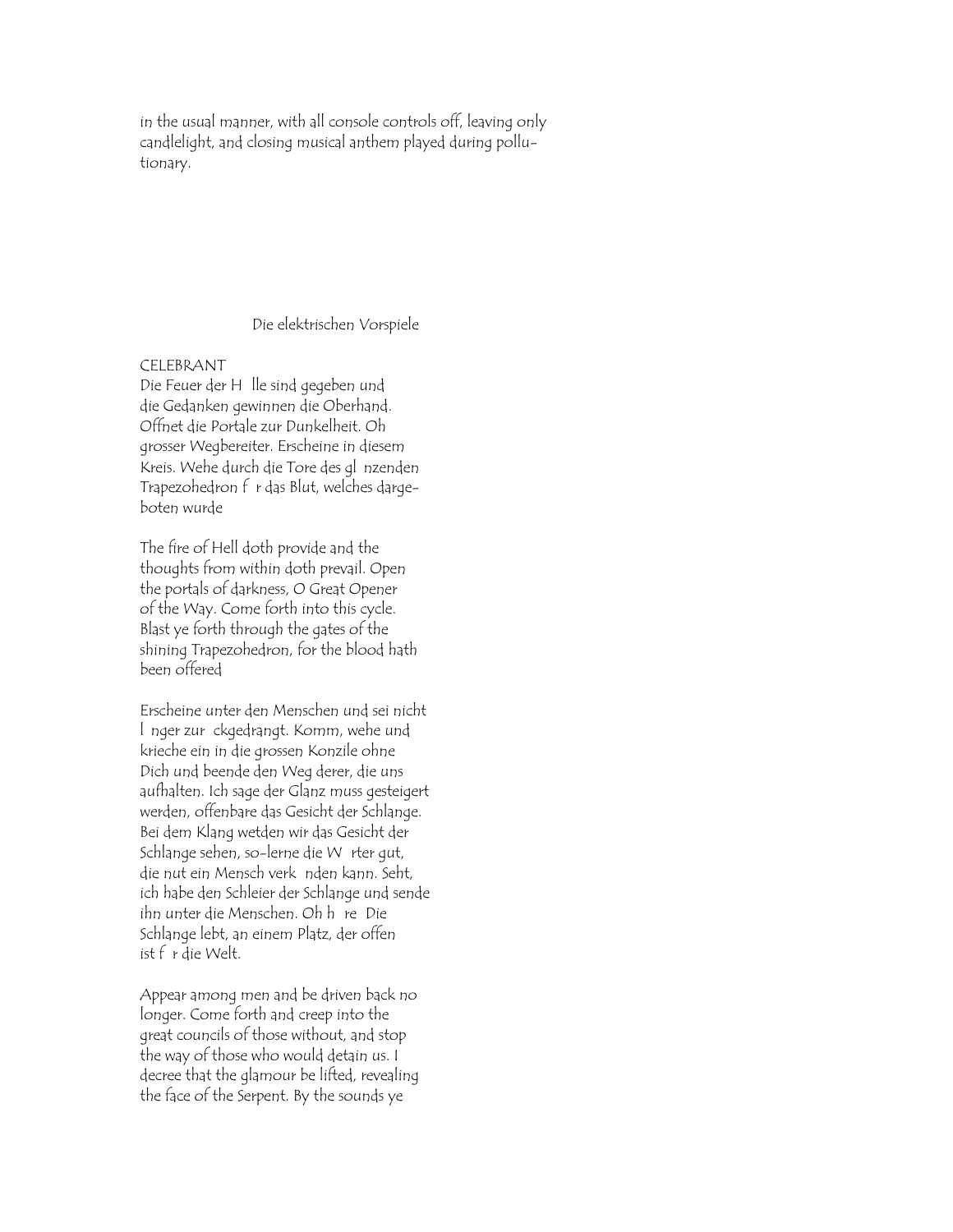in the usual manner, with all console controls off, leaving only candlelight, and closing musical anthem played during pollutionary.

## *Die elektrischen Vorspiele*

CELEBRANT:

Die Feuer der H lle sind gegeben und die Gedanken gewinnen die Oberhand. Offnet die Portale zur Dunkelheit. Oh grosser Wegbereiter. Erscheine in diesem Kreis. Wehe durch die Tore des glänzenden Trapezohedron f r das Blut, welches dargeboten wurde!

The fire of Hell doth provide and the thoughts from within doth prevail. Open the portals of darkness, O Great Opener of the Way. Come forth into this cycle. Blast ye forth through the gates of the shining Trapezohedron, for the blood hath been offered!

Erscheine unter den Menschen und sei nicht I nger zur ckgedrangt. Komm, wehe und krieche ein in die grossen Konzile ohne Dich und beende den Weg derer, die uns aufhalten. Ich sage der Glanz muss gesteigert werden, offenbare das Gesicht der Schlange. Bei dem Klang wetden wir das Gesicht der Schlange sehen, so-lerne die Wirter gut, die nut ein Mensch verkünden kann. Seht, ich habe den Schleier der Schlange und sende ihn unter die Menschen. Oh her Die Schlange lebt, an einem Platz, der offen ist frdie Welt.

Appear among men and be driven back no longer. Come forth and creep into the great councils of those without, and stop the way of those who would detain us. I decree that the glamour be lifted, revealing the face of the Serpent. By the sounds ye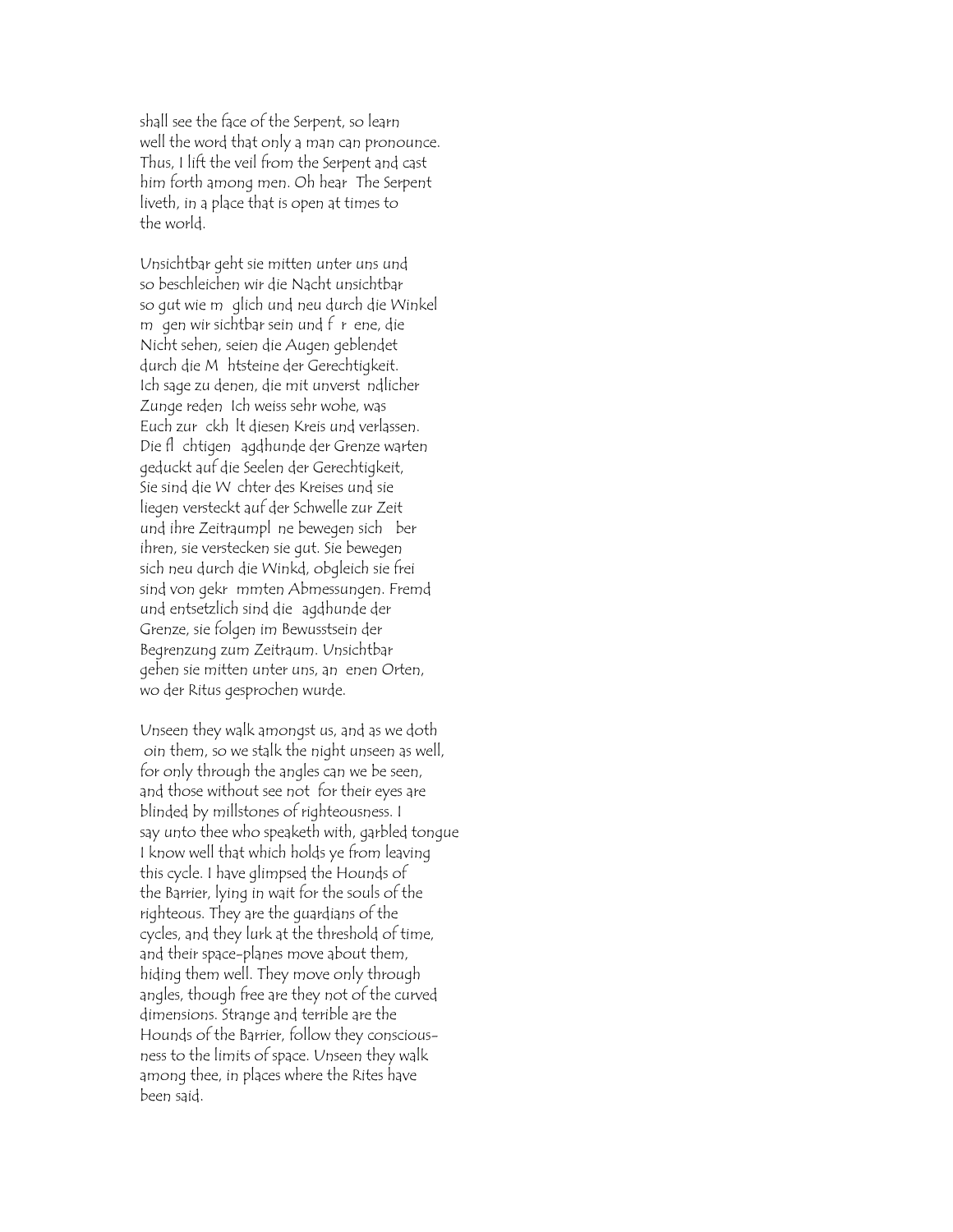shall see the face of the Serpent, so learn well the word that only a man can pronounce. Thus, I lift the veil from the Serpent and cast him forth among men. Oh hear! The Serpent liveth, in a place that is open at times to the world.

Unsichtbar geht sie mitten unter uns und so beschleichen wir die Nacht unsichtbar so gut wie möglich und neu durch die Winkel m gen wir sichtbar sein und f  $r$  ene, die Nicht sehen, seien die Augen geblendet durch die Mühtsteine der Gerechtigkeit. Ich sage zu denen, die mit unverst ndlicher Zunge reden: Ich weiss sehr wohe, *was* Euch zur ckh lt diesen Kreis und verlassen. Die flüchtigen Jagdhunde der Grenze warten geduckt auf die Seelen der Gerechtigkeit, Sie sind die W chter des Kreises und sie liegen versteckt auf der Schwelle zur Zeit und ihre Zeitraumpl ne bewegen sich ber ihren, sie verstecken sie gut. Sie bewegen sich neu durch die Winkd, obgleich sie frei sind von gekrümmten Abmessungen. Fremd und entsetzlich sind die agdhunde der Grenze, sie folgen im Bewusstsein der Begrenzung zum Zeitraum. Unsichtbar gehen sie mitten unter uns, an enen Orten, wo der Ritus gesprochen wurde.

Unseen they walk amongst us, and as we doth join them, so we stalk the night unseen as well, for only through the angles can we be seen, and those without see not; for their eyes are blinded by millstones of righteousness. I say unto thee who speaketh with, garbled tongue: I know well *that* which holds ye from leaving this cycle. I have glimpsed the Hounds of the Barrier, lying in wait for the souls of the righteous. They are the guardians of the cycles, and they lurk at the threshold of time, and their space-planes move about them, hiding them well. They move only through angles, though free are they not of the curved dimensions. Strange and terrible are the Hounds of the Barrier, follow they consciousness to the limits of space. Unseen they walk among thee, in places where the Rites have been said.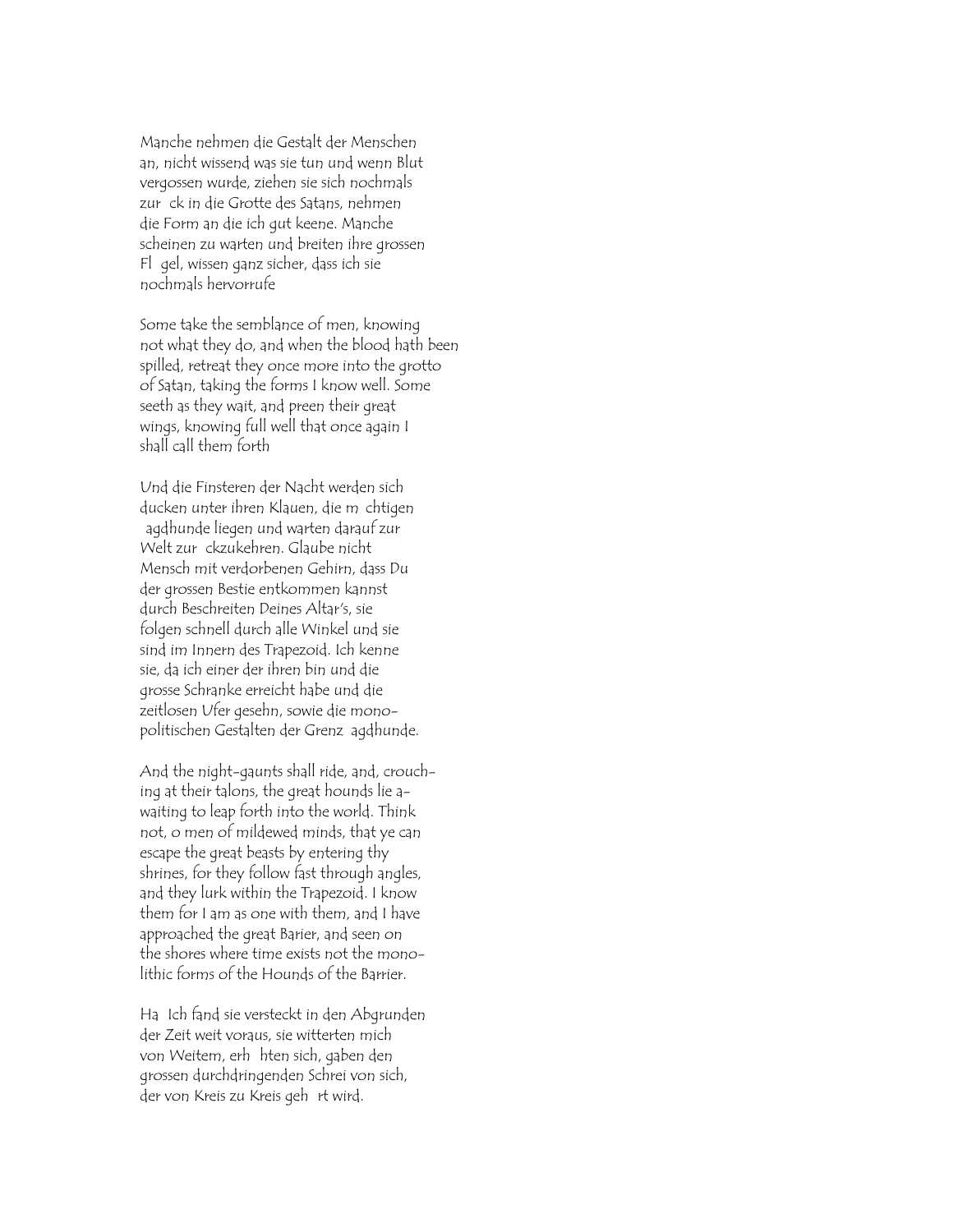Manche nehmen die Gestalt der Menschen an, nicht wissend was sie tun und wenn Blut vergossen wurde, ziehen sie sich nochmals zur $\,$ ck in die Grotte des Satans, nehmen die Form an die ich gut keene. Manche scheinen zu warten und breiten ihre grossen Flügel, wissen ganz sicher, dass ich sie nochmals hervorrufe!

Some take the semblance of men, knowing not what they do, and when the blood hath been spilled, retreat they once more into the grotto of Satan, taking the forms I know well. Some seeth as they wait, and preen their great wings, knowing full well that once again I shall call them forth!

Und die Finsteren der Nacht werden sich ducken unter ihren Klauen, die mechtigen Jagdhunde liegen und warten darauf zur Welt zur ckzukehren. Glaube nicht Mensch mit verdorbenen Gehirn, dass Du der grossen Bestie entkommen kannst durch Beschreiten Deines Altar's, sie folgen schnell durch alle Winkel und sie sind im Innern des Trapezoid. Ich kenne sie, da ich einer der ihren bin und die grosse Schranke erreicht habe und die zeitlosen Ufer gesehn, sowie die monopolitischen Gestalten der Grenz agdhunde.

And the night-gaunts shall ride, and, crouching at their talons, the great hounds lie awaiting to leap forth into the world. Think not, o men of mildewed minds, that ye can escape the great beasts by entering thy shrines, for they follow fast through angles, and they lurk within the Trapezoid. I know them for I am as one with them, and I have approached the great Barier, and seen on the shores where time exists not the monolithic forms of the Hounds of the Barrier.

Ha! Ich fand sie versteckt in den Abgrunden der Zeit weit voraus, sie witterten mich von Weitem, erhhöhten sich, gaben den grossen durchdringenden Schrei von sich, der von Kreis zu Kreis geht t wird.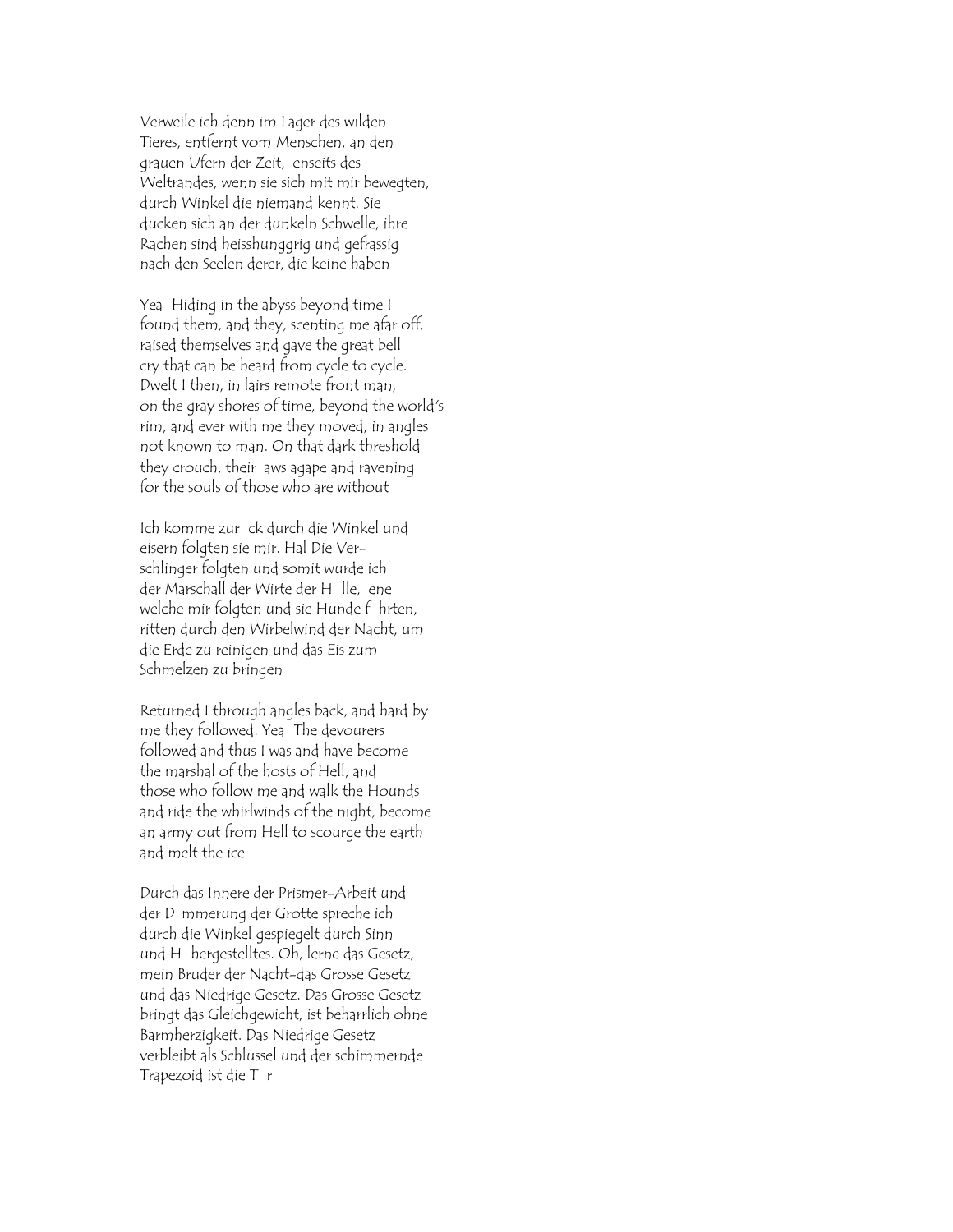Verweile ich denn im Lager des wilden Tieres, entfernt vom Menschen, an den grauen Ufern der Zeit, enseits des Weltrandes, wenn sie sich mit mir bewegten, durch Winkel die niemand kennt. Sie ducken sich an der dunkeln Schwelle, ihre Rachen sind heisshunggrig und gefrassig nach den Seelen derer, die keine haben!

Yea! Hiding in the abyss beyond time I found them, and they, scenting me afar off, raised themselves and gave the great bell cry that can be heard from cycle to cycle. Dwelt I then, in lairs remote front man, on the gray shores of time, beyond the world's rim, and ever with me they moved, in angles not known to man. On that dark threshold they crouch, their aws agape and ravening for the souls of those who are without

Ich komme zur ck durch die Winkel und eisern folgten sie mir. Hal Die Verschlinger folgten und somit wurde ich der Marschall der Wirte der Hölle, jene welche mir folgten und sie Hunde fhrten, ritten durch den Wirbelwind der Nacht, um die Erde zu reinigen und das Eis zum Schmelzen zu bringen!

Returned I through angles back, and hard by me they followed. Yea The devourers followed and thus I was and have become the marshal of the hosts of Hell, and those who follow me and walk the Hounds and ride the whirlwinds of the night, become an army out from Hell to scourge the earth and melt the ice

Durch das Innere der Prismer-Arbeit und der Demmerung der Grotte spreche ich durch die Winkel gespiegelt durch Sinn und H hergestelltes. Oh, lerne das Gesetz, mein Bruder der Nacht-das Grosse Gesetz und das Niedrige Gesetz. Das Grosse Gesetz bringt das Gleichgewicht, ist beharrlich ohne Barmherzigkeit. Das Niedrige Gesetz verbleibt als Schlussel und der schimmernde Trapezoid ist die Tr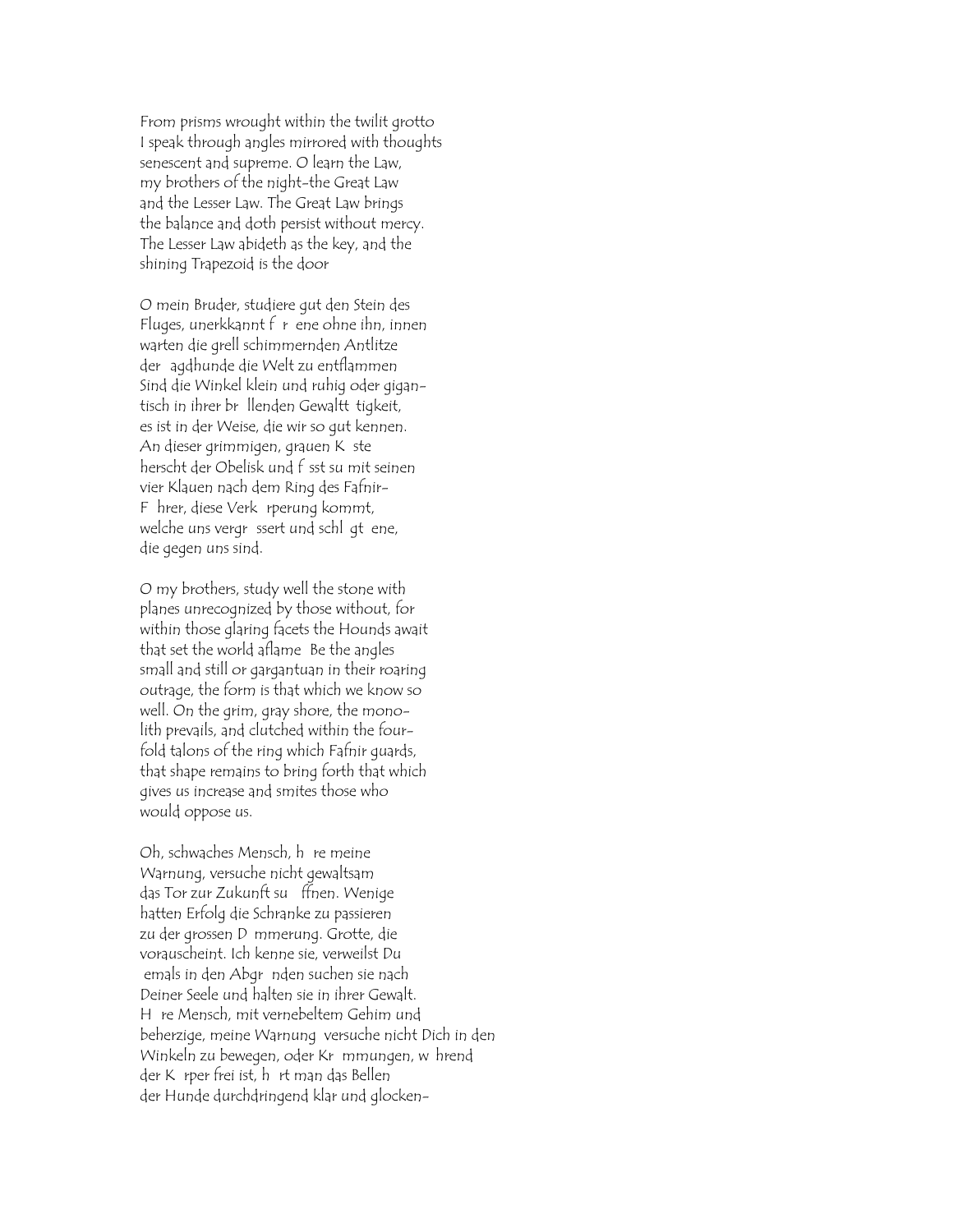From prisms wrought within the twilit grotto I speak through angles mirrored with thoughts senescent and supreme. O learn the Law, my brothers of the night-the Great Law and the Lesser Law. The Great Law brings the balance and doth persist without mercy. The Lesser Law abideth as the key, and the shining Trapezoid is the door!

O mein Bruder, studiere gut den Stein des Fluges, unerkkannt  $f$ r ene ohne ihn, innen warten die grell schimmernden Antlitze der agdhunde die Welt zu entflammen Sind die Winkel klein und ruhig oder gigantisch in ihrer brüllenden Gewaltt tigkeit, es ist in der Weise, die wir so gut kennen. An dieser grimmigen, grauen Küste herscht der Obelisk und f sst su mit seinen vier Klauen nach dem Ring des Fafnir-F hrer, diese Verk rperung kommt, welche uns vergr ssert und schlägt ene, die gegen uns sind.

O my brothers, study well the stone with planes unrecognized by those without, for within those glaring facets the Hounds await that set the world aflame! Be the angles small and still or gargantuan in their roaring outrage, the form is that which we know so well. On the grim, gray shore, the monolith prevails, and clutched within the fourfold talons of the ring which Fafnir guards, that shape remains to bring forth that which gives us increase and smites those who would oppose us.

Oh, schwaches Mensch, her meine Warnung, versuche nicht gewaltsam das Tor zur Zukunft su öffnen. Wenige hatten Erfolg die Schranke zu passieren zu der grossen D mmerung. Grotte, die vorauscheint. Ich kenne sie, verweilst Du emals in den Abgrunden suchen sie nach Deiner Seele und halten sie in ihrer Gewalt. He Mensch, mit vernebeltem Gehim und beherzige, meine Warnung; versuche nicht Dich in den Winkeln zu bewegen, oder Krümmungen, während der Körper frei ist, hört man das Bellen der Hunde durchdringend klar und glocken-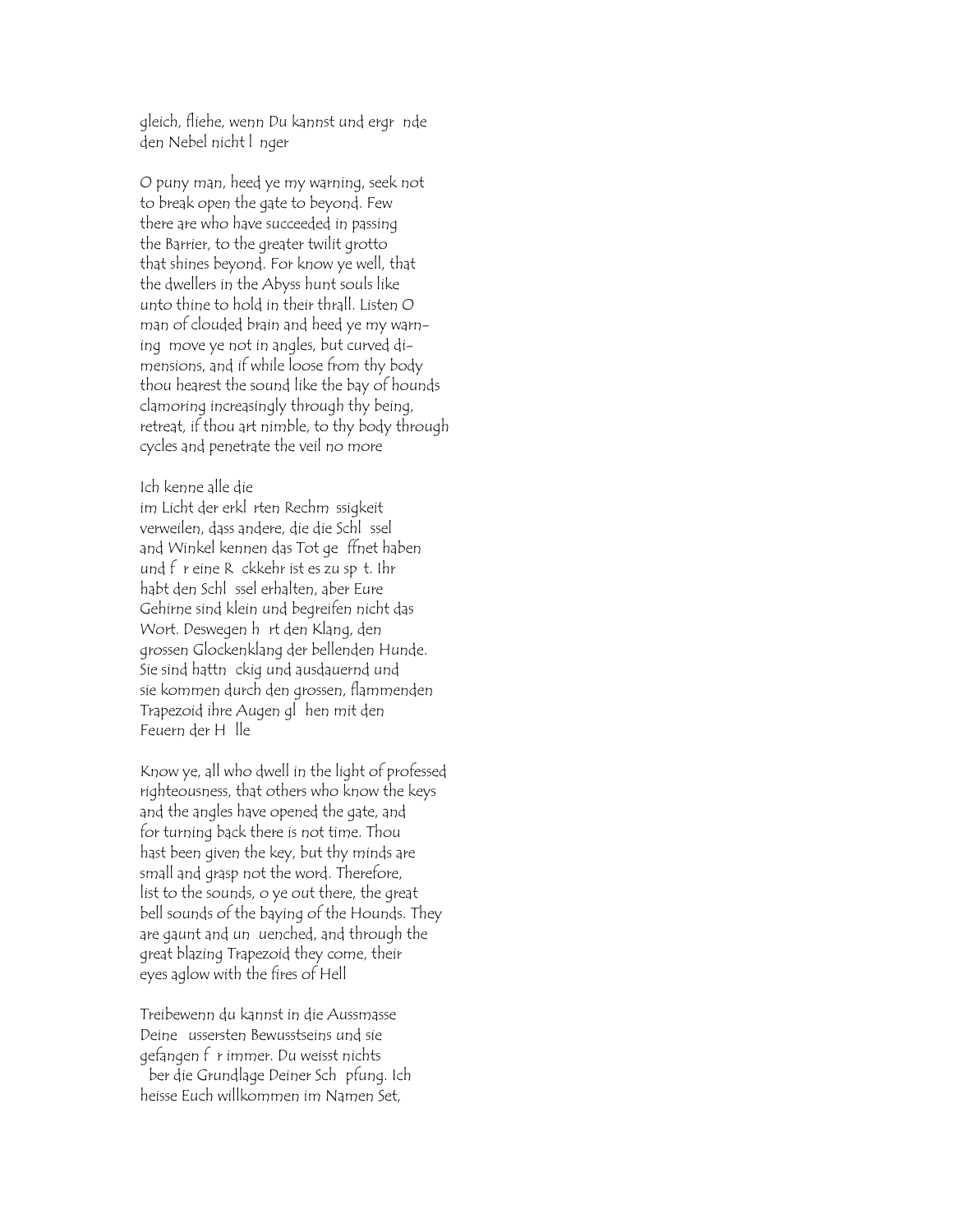gleich, fliehe, wenn Du kannst und ergründe den Nebel nicht länger

O puny man, heed ye my warning, seek not to break open the gate to beyond. Few there are who have succeeded in passing the Barrier, to the greater twilit grotto that shines beyond. For know ye well, that the dwellers in the Abyss hunt souls like unto thine to hold in their thrall. Listen O man of clouded brain and heed ye my warning: move ye not in angles, but curved dimensions, and if while loose from thy body thou hearest the sound like the bay of hounds clamoring increasingly through thy being, retreat, if thou art nimble, to thy body through cycles and penetrate the veil no more!

### Ich kenne alle die

im Licht der erkl rten Rechm ssigkeit verweilen, dass andere, die die Schlüssel and Winkel kennen das Tot ge $f$ ffnet haben und  $f$  r eine R ckkehr ist es zu sp t. Ihr habt den Schl ssel erhalten, aber Eure Gehirne sind klein und begreifen nicht das Wort. Deswegen hort den Klang, den grossen Glockenklang der bellenden Hunde. Sie sind hattn ckig und ausdauernd und sie kommen durch den grossen, flammenden Trapezoid ihre Augen glühen mit den Feuern der H lle

Know ye, all who dwell in the light of professed righteousness, that others who know the keys and the angles have opened the gate, and for turning back there is not time. Thou hast been given the key, but thy minds are small and grasp not the word. Therefore, list to the sounds, o ye out there, the great bell sounds of the baying of the Hounds. They are gaunt and un uenched, and through the great blazing Trapezoid they come, their eyes aglow with the fires of Hell

Treibewenn du kannst in die Aussmasse Deine ussersten Bewusstseins und sie gefangen f r immer. Du weisst nichts ber die Grundlage Deiner Schopfung. Ich heisse Euch willkommen im Namen Set,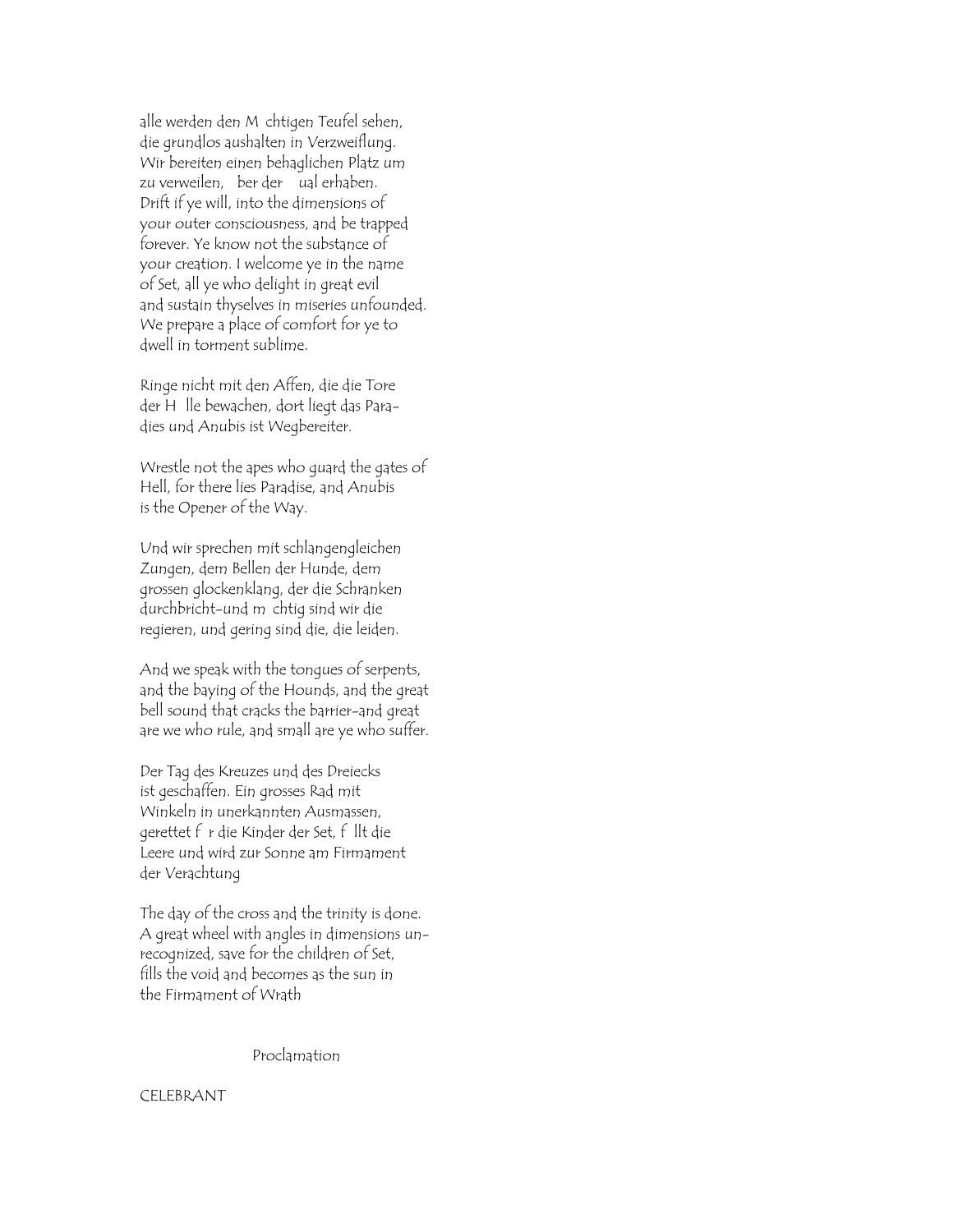alle werden den Mechtigen Teufel sehen, die grundlos aushalten in Verzweiflung. Wir bereiten einen behaglichen Platz um zu verweilen, ber der ual erhaben. Drift if ye will, into the dimensions of your outer consciousness, and be trapped forever. Ye know not the substance of your creation. I welcome ye in the name of Set, all ye who delight in great evil and sustain thyselves in miseries unfounded. We prepare a place of comfort for ye to dwell in torment sublime.

Ringe nicht mit den Affen, die die Tore der Hölle bewachen, dort liegt das Paradies und Anubis ist Wegbereiter.

Wrestle not the apes who guard the gates of Hell, for there lies Paradise, and Anubis is the Opener of the Way.

Und wir sprechen mit schlangengleichen Zungen, dem Bellen der Hunde, dem grossen glockenklang, der die Schranken durchbricht-und m chtig sind wir die regieren, und gering sind die, die leiden.

And we speak with the tongues of serpents, and the baying of the Hounds, and the great bell sound that cracks the barrier-and great are we who rule, and small are ye who suffer.

Der Tag des Kreuzes und des Dreiecks ist geschaffen. Ein grosses Rad mit Winkeln in unerkannten Ausmassen, gerettet fr die Kinder der Set, fllt die Leere und wird zur Sonne am Firmament der Verachtung!

The day of the cross and the trinity is done. A great wheel with angles in dimensions unrecognized, save for the children of Set, fills the void and becomes as the sun in the Firmament of Wrath!

### *Proclamation*

CELEBRANT: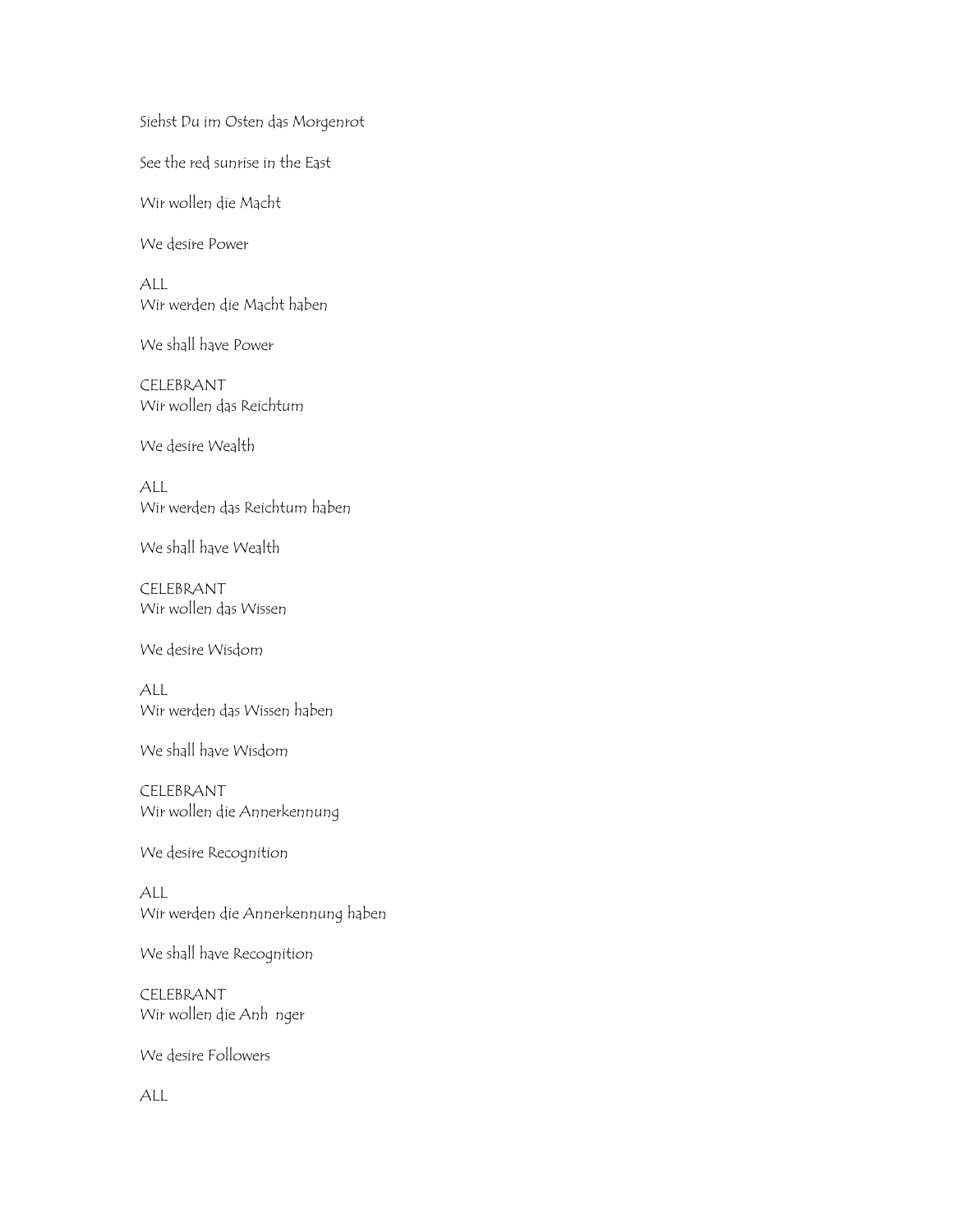Siehst Du im Osten das Morgenrot!

See the red sunrise in the East

Wir wollen die Macht!

We desire Power

ALL: Wir werden die Macht haben!

We shall have Power

CELEBRANT: Wir wollen das Reichtum!

We desire Wealth

ALL: Wir werden das Reichtum haben!

We shall have Wealth

CELEBRANT: Wir wollen das Wissen!

We desire Wisdom!

ALL: Wir werden das Wissen haben!

We shall have Wisdom

CELEBRANT: Wir wollen die Annerkennung!

We desire Recognition!

ALL: Wir werden die Annerkennung haben!

We shall have Recognition!

CELEBRANT: Wir wollen die Anh nger

We desire Followers

ALL: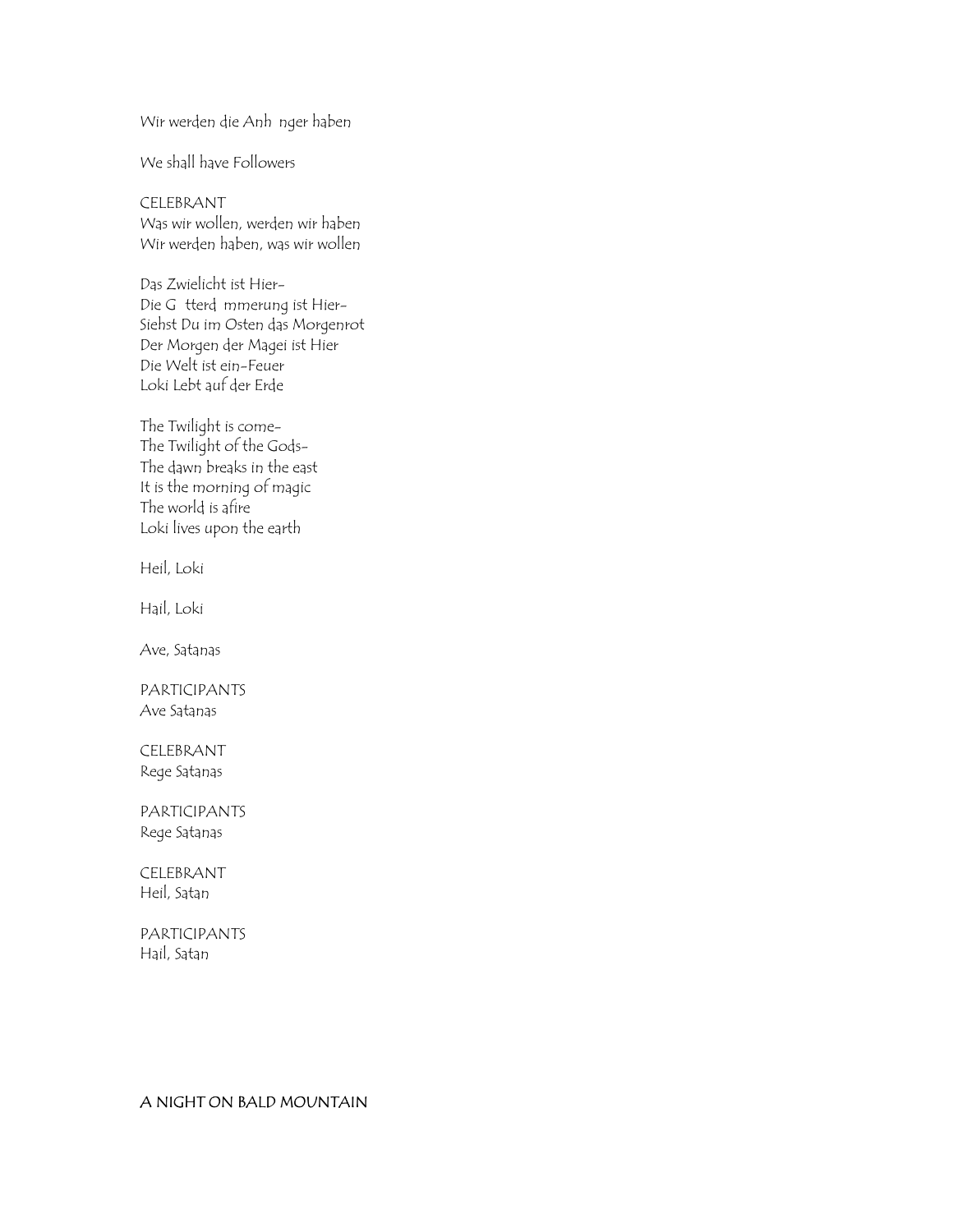Wir werden die Anh nger haben

We shall have Followers

CELEBRANT: Was wir wollen, werden wir haben! Wir werden haben, was wir wollen!

Das Zwielicht ist Hier-Die Gtterd mmerung ist Hier-Siehst Du im Osten das Morgenrot! Der Morgen der Magei ist Hier! Die Welt ist ein-Feuer! Loki Lebt auf der Erde!

The Twilight is come-The Twilight of the Gods-The dawn breaks in the east It is the morning of magic! The world is afire Loki lives upon the earth

Heil, Loki!

Hail, Loki!

Ave, Satanas!

PARTICIPANTS: Ave Satanas!

CELEBRANT: Rege Satanas!

PARTICIPANTS: Rege Satanas!

CELEBRANT: Heil, Satan!

PARTICIPANTS: Hail, Satan!

A NIGHT ON BALD MOUNTAIN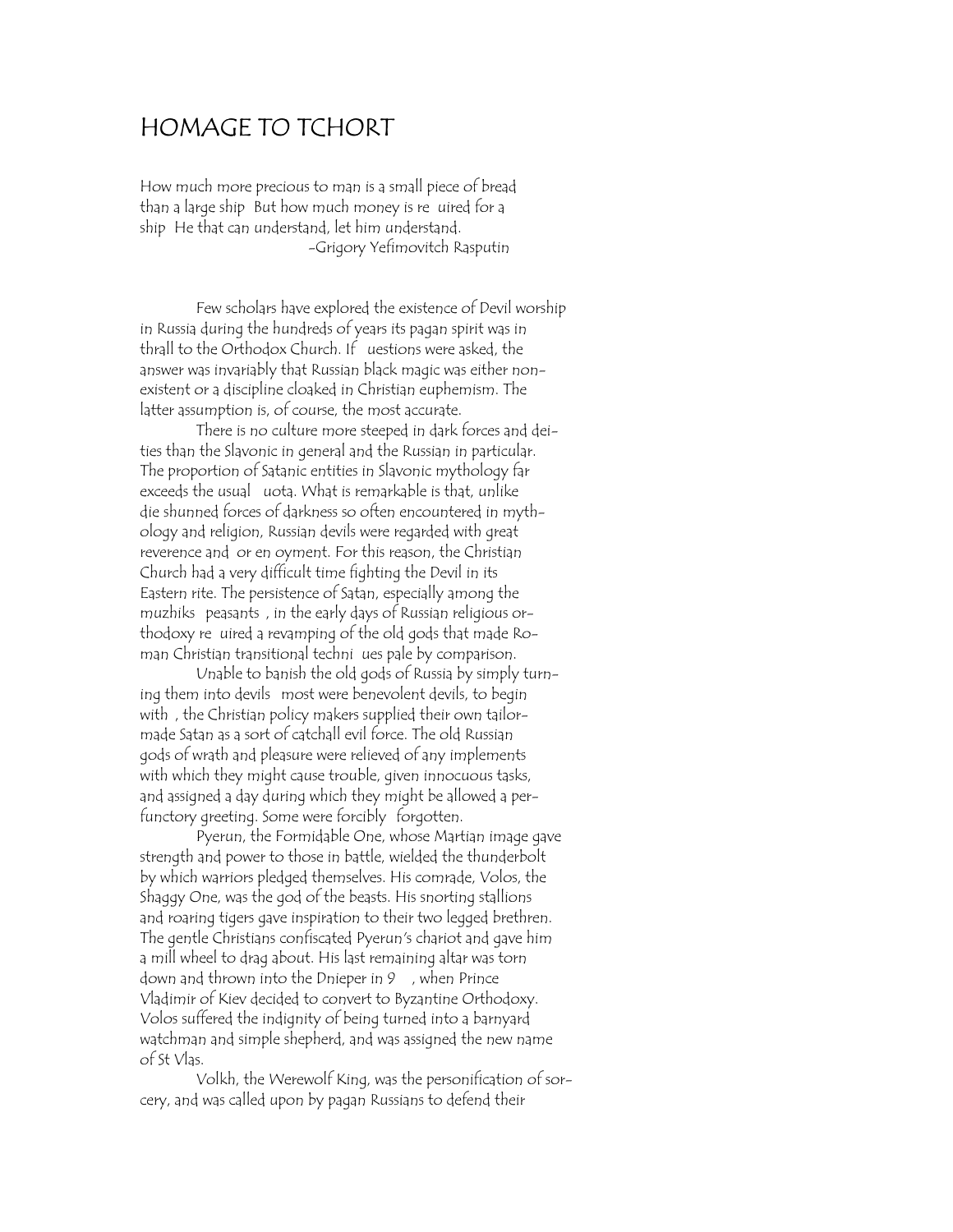# HOMAGE TO TCHORT

How much more precious to man is a small piece of bread than a large ship But how much money is required for a ship! He that can understand, let him understand. -Grigory Yefimovitch Rasputin

Few scholars have explored the existence of Devil worship in Russia during the hundreds of years its pagan spirit was in thrall to the Orthodox Church. If uestions were asked, the answer was invariably that Russian black magic was either nonexistent or a discipline cloaked in Christian euphemism. The latter assumption is, of course, the most accurate.

There is no culture more steeped in dark forces and deities than the Slavonic in general and the Russian in particular. The proportion of Satanic entities in Slavonic mythology far exceeds the usual uota. What is remarkable is that, unlike die *shunned* forces of darkness so often encountered in mythology and religion, Russian devils were regarded with great reverence and or en oyment. For this reason, the Christian Church had a very difficult time fighting the Devil in its Eastern rite. The persistence of Satan, especially among the *muzhiks* (peasants), in the early days of Russian religious orthodoxy required a revamping of the old gods that made Roman Christian transitional techni ues pale by comparison.

Unable to banish the old gods of Russia by simply turning them into devils most were benevolent devils, to begin with, the Christian policy makers supplied their own tailormade Satan as a sort of catchall evil force. The old Russian gods of wrath and pleasure were relieved of any implements with which they might cause trouble, given innocuous tasks, and assigned a day during which they might be allowed a perfunctory greeting. Some were forcibly forgotten.

Pyerun, the Formidable One, whose Martian image gave strength and power to those in battle, wielded the thunderbolt by which warriors pledged themselves. His comrade, Volos, the Shaggy One, was the god of the beasts. His snorting stallions and roaring tigers gave inspiration to their two legged brethren. The gentle Christians confiscated Pyerun's chariot and gave him a mill wheel to drag about. His last remaining altar was torn down and thrown into the Dnieper in 9 , when Prince Vladimir of Kiev decided to convert to Byzantine Orthodoxy. Volos suffered the indignity of being turned into a barnyard watchman and simple shepherd, and was assigned the new name of St Vlas.

Volkh, the Werewolf King, was the personification of sorcery, and was called upon by pagan Russians to defend their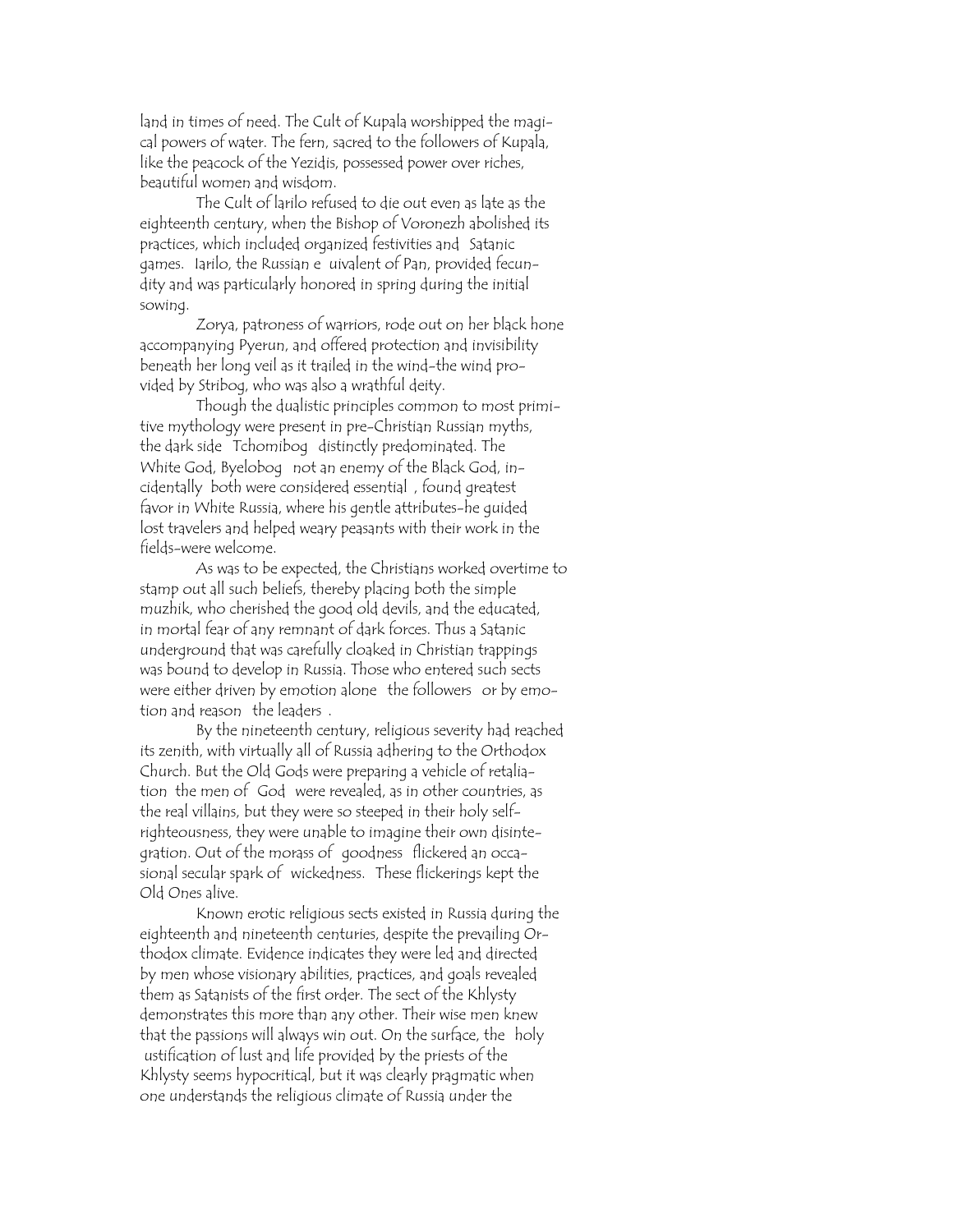land in times of need. The *Cult of Kupala* worshipped the magical powers of water. The fern, sacred to the followers of Kupala, like the peacock of the Yezidis, possessed power over riches, beautiful women and wisdom.

The *Cult of larilo* refused to die out even as late as the eighteenth century, when the Bishop of Voronezh abolished its practices, which included organized festivities and "Satanic games. Iarilo, the Russian e uivalent of Pan, provided fecundity and was particularly honored in spring during the initial sowing.

Zorya, patroness of warriors, rode out on her black hone accompanying Pyerun, and offered protection and invisibility beneath her long veil as it trailed in the wind-the wind provided by Stribog, who was also a wrathful deity.

Though the dualistic principles common to most primitive mythology were present in pre-Christian Russian myths, the dark side Tchomibog distinctly predominated. The White God, Byelobog not an enemy of the Black God, incidentally; both were considered essential), found greatest favor in White Russia, where his gentle attributes-he guided lost travelers and helped weary peasants with their work in the fields-were welcome.

As was to be expected, the Christians worked overtime to stamp out all such beliefs, thereby placing both the simple *muzhik,* who cherished the good old devils, and the educated, in mortal fear of any remnant of dark forces. Thus a Satanic underground that was carefully cloaked in Christian trappings was bound to develop in Russia. Those who entered such sects were either driven by emotion alone the followers or by emotion and reason the leaders.

By the nineteenth century, religious severity had reached its zenith, with virtually all of Russia adhering to the Orthodox Church. But the Old Gods were preparing a vehicle of retaliation: the men of "God" were revealed, as in other countries, as the real villains, but they were so steeped in their holy selfrighteousness, they were unable to imagine their own disintegration. Out of the morass of "goodness" flickered an occasional secular spark of "wickedness." These flickerings kept the Old Ones alive.

Known erotic religious sects existed in Russia during the eighteenth and nineteenth centuries, despite the prevailing Orthodox climate. Evidence indicates they were led and directed by men whose visionary abilities, practices, and goals revealed them as Satanists of the first order. The sect of the *Khlysty* demonstrates this more than any other. Their wise men knew that the passions will always win out. On the surface, the holy ustification of lust and life provided by the priests of the *Khlysty* seems hypocritical, but it was clearly pragmatic when one understands the religious climate of Russia under the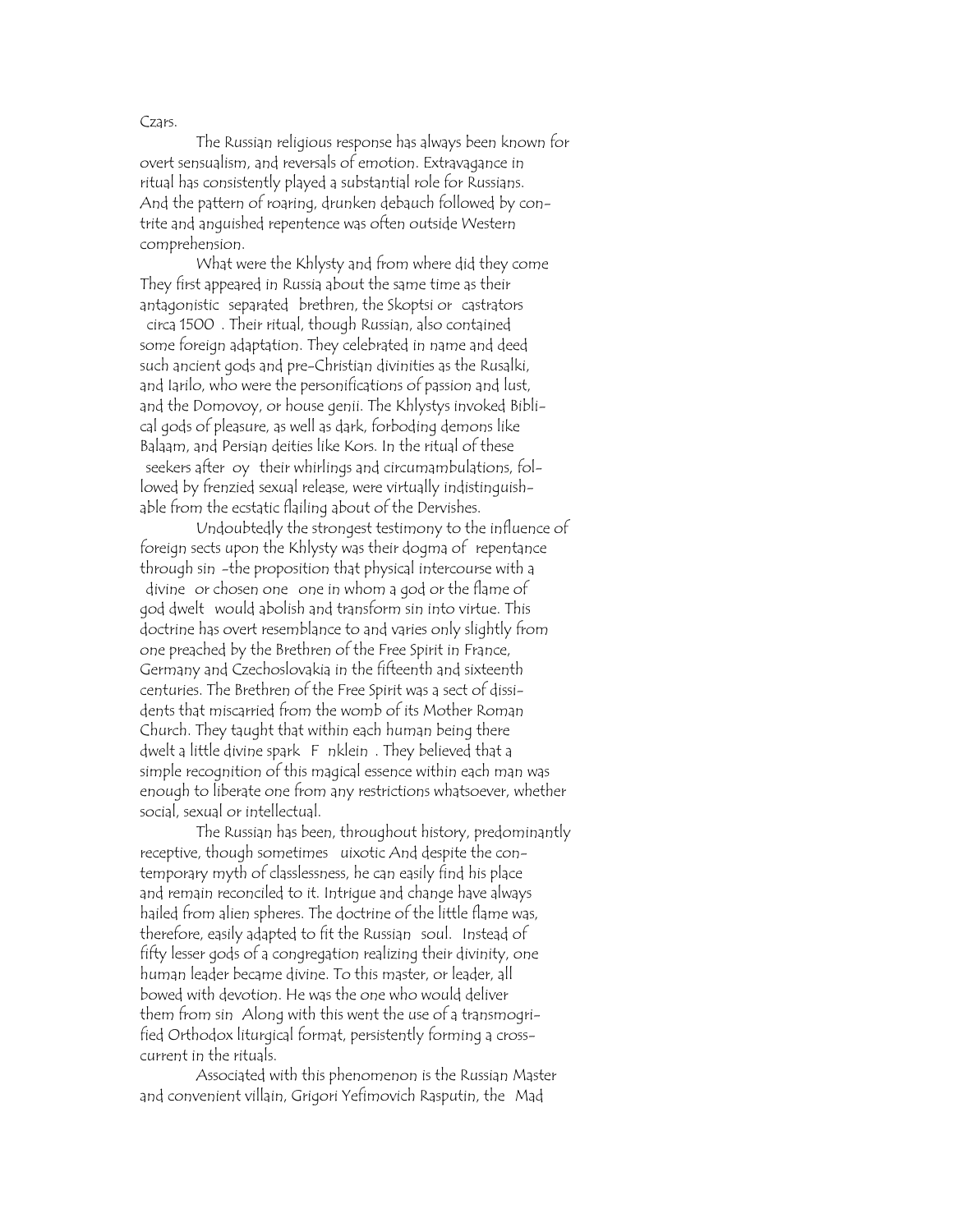Czars.

The Russian religious response has always been known for overt sensualism, and reversals of emotion. Extravagance in ritual has consistently played a substantial role for Russians. And the pattern of roaring, drunken debauch followed by contrite and anguished repentence was often outside Western comprehension.

What were the *Khlysty* and from where did they come? They first appeared in Russia about the same time as their antagonistic "separated" brethren, the Skoptsi or "castrators" circa 1500 . Their ritual, though Russian, also contained some foreign adaptation. They celebrated in name and deed such ancient gods and pre-Christian divinities as the Rusalki, and Iarilo, who were the personifications of passion and lust, and the Domovoy, or house *genii.* The *Khlystys* invoked Biblical gods of pleasure, as well as dark, forboding demons like Balaam, and Persian deities like Kors. In the ritual of these seekers after oy their whirlings and circumambulations, followed by frenzied sexual release, were virtually indistinguishable from the ecstatic flailing about of the Dervishes.

Undoubtedly the strongest testimony to the influence of foreign sects upon the *Khlysty* was their dogma of "repentance through sin"-the proposition that physical intercourse with a divine or chosen one one in whom a god or the flame of god dwelt) would abolish and transform sin into virtue. This doctrine has overt resemblance to and varies only slightly from one preached by the *Brethren of the Free Spirit* in France, Germany and Czechoslovakia in the fifteenth and sixteenth centuries. *The Brethren of the Free Spirit* was a sect of dissidents that miscarried from the womb of its Mother Roman Church. They taught that within each human being there dwelt a little divine spark (Funklein). They believed that a simple recognition of this magical essence within each man was enough to liberate one from any restrictions whatsoever, whether social, sexual or intellectual.

The Russian has been, throughout history, predominantly receptive, though sometimes uixotic And despite the contemporary myth of classlessness, he can easily find his place and remain reconciled to it. Intrigue and change have always hailed from alien spheres. The doctrine of the little flame was, therefore, easily adapted to fit the Russian soul. Instead of fifty lesser gods of a congregation realizing their divinity, one human leader became divine. To this master, or leader, all bowed with devotion. He was the one who would deliver them from sin! Along with this went the use of a transmogrified Orthodox liturgical format, persistently forming a crosscurrent in the rituals.

Associated with this phenomenon is the Russian Master and convenient villain, Grigori Yefimovich Rasputin, the "Mad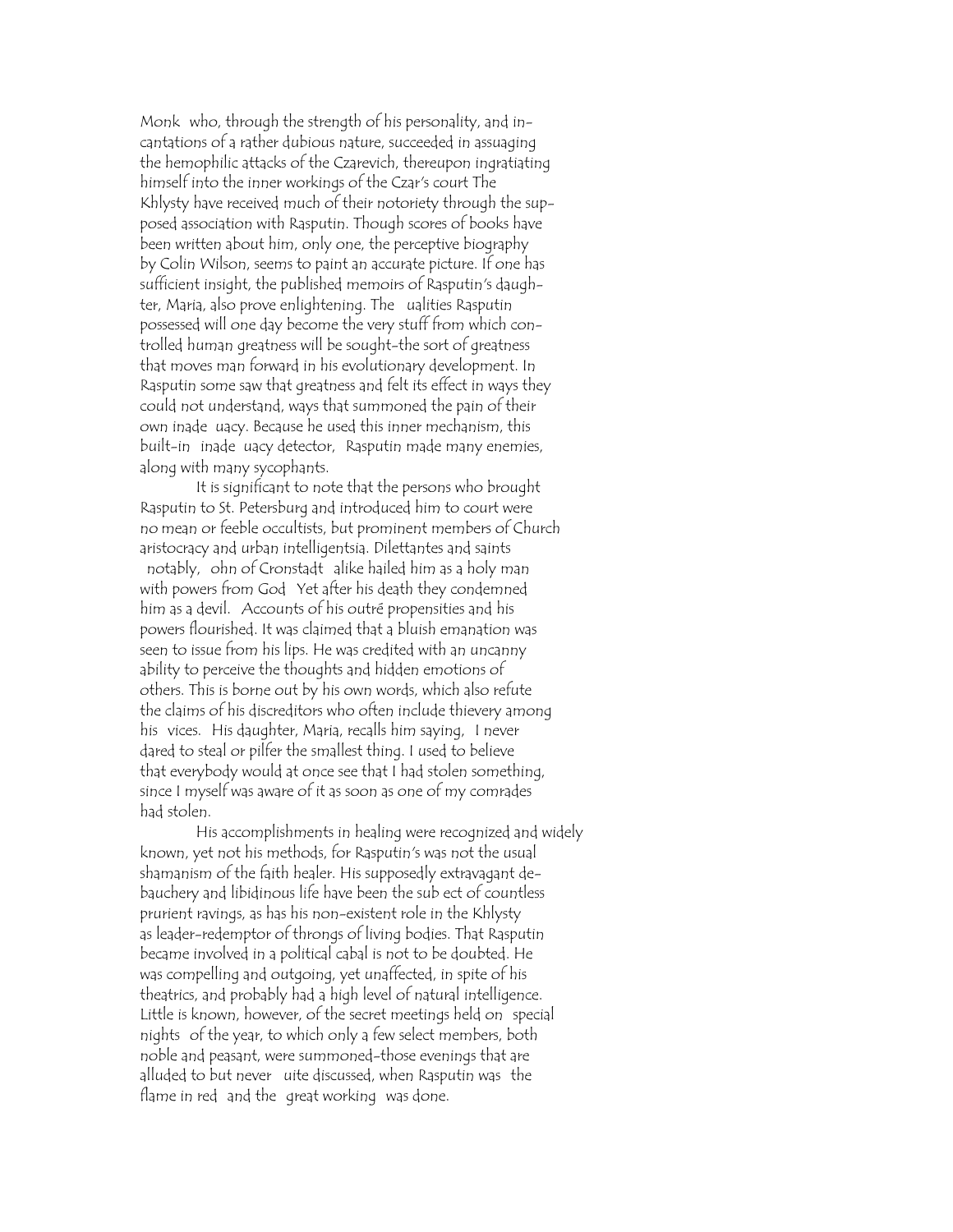Monk who, through the strength of his personality, and incantations of a rather dubious nature, succeeded in assuaging the hemophilic attacks of the Czarevich, thereupon ingratiating himself into the inner workings of the Czar's court The *Khlysty* have received much of their notoriety through the supposed association with Rasputin. Though scores of books have been written about him, only one, the perceptive biography by Colin Wilson, seems to paint an accurate picture. If one has sufficient insight, the published memoirs of Rasputin's daughter, Maria, also prove enlightening. The ualities Rasputin possessed will one day become the very stuff from which controlled human greatness will be sought-the sort of greatness that moves man forward in his evolutionary development. In Rasputin some saw that greatness and felt its effect in ways they could not understand, ways that summoned the pain of their own inade uacy. Because he used this inner mechanism, this built-in inade uacy detector, Rasputin made many enemies, along with many sycophants.

It is significant to note that the persons who brought Rasputin to St. Petersburg and introduced him to court were no mean or feeble occultists, but prominent members of Church aristocracy and urban intelligentsia. Dilettantes and saints notably, ohn of Cronstadt alike hailed him as a holy man with powers from God Yet after his death they condemned him as a devil.) Accounts of his *outré* propensities and his powers flourished. It was claimed that a bluish emanation was seen to issue from his lips. He was credited with an uncanny ability to perceive the thoughts and hidden emotions of others. This is borne out by his own words, which also refute the claims of his discreditors who often include thievery among his vices. His daughter, Maria, recalls him saying, I never dared to steal or pilfer the smallest thing. I used to believe that everybody would at once see that I had stolen something, since I myself was aware of it as soon as one of my comrades had stolen."

His accomplishments in healing were recognized and widely known, yet not his methods, for Rasputin's was not the usual shamanism of the faith healer. His supposedly extravagant debauchery and libidinous life have been the sub ect of countless prurient ravings, as has his non-existent role in the *Khlysty* as leader-redemptor of throngs of living bodies. That Rasputin became involved in a political cabal is not to be doubted. He was compelling and outgoing, yet unaffected, in spite of his theatrics, and probably had a high level of natural intelligence. Little is known, however, of the secret meetings held on "special nights" of the year, to which only a few select members, both noble and peasant, were summoned-those evenings that are alluded to but never quite discussed, when Rasputin was "the flame in red and the great working was done.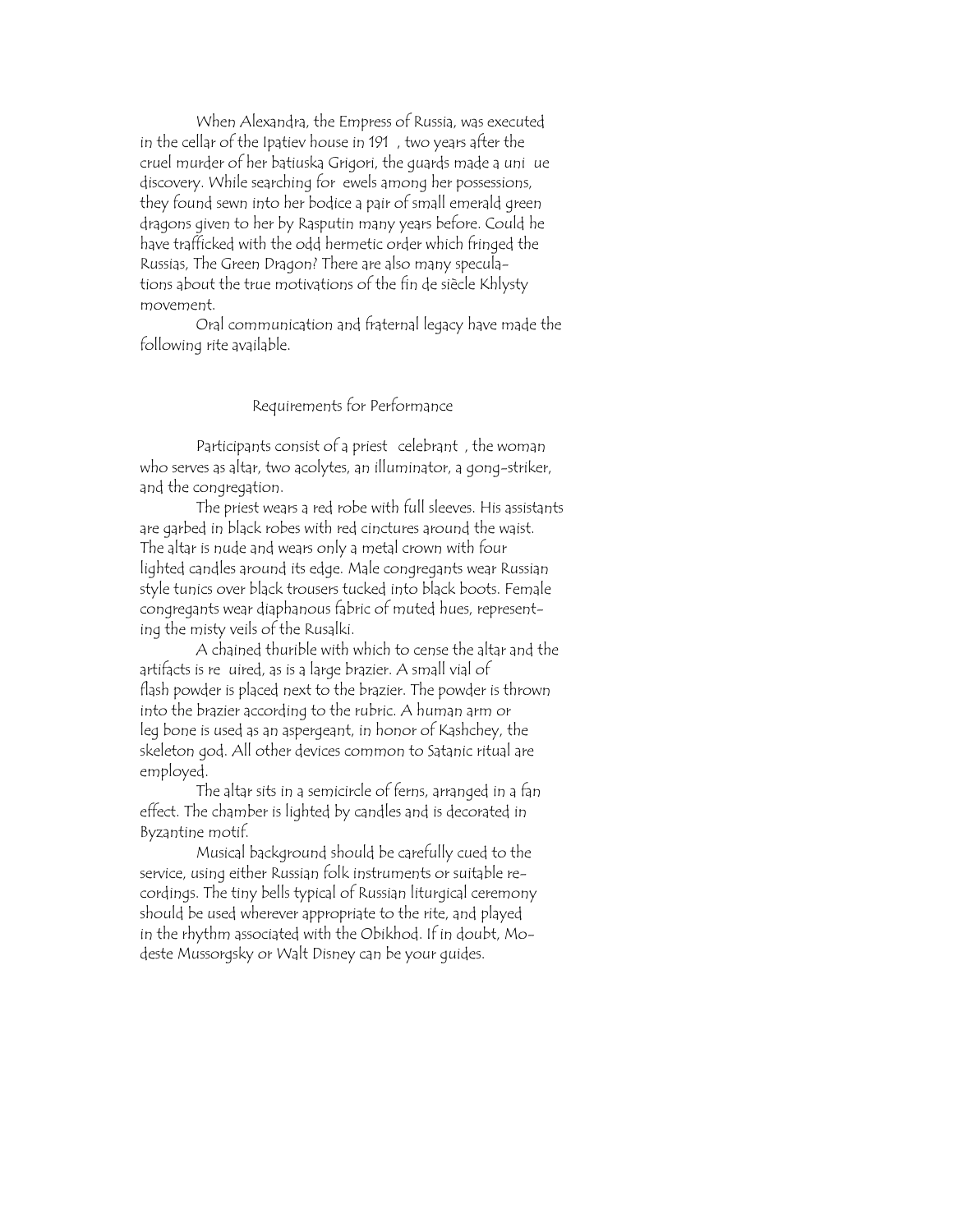When Alexandra, the Empress of Russia, was executed in the cellar of the Ipatiev house in 1918, two years after the cruel murder of her *batiuska* Grigori, the guards made a unique discovery. While searching for ewels among her possessions, they found sewn into her bodice a pair of small emerald green dragons given to her by Rasputin many years before. Could he have trafficked with the odd hermetic order which fringed the Russias, *The Green Dragon?* There are also many speculations about the true motivations of the *fin de siècle Khlysty* movement.

Oral communication and fraternal legacy have made the following rite available.

*Requirements for Performance*

Participants consist of a priest celebrant, the woman who serves as altar, two acolytes, an illuminator, a gong-striker, and the congregation.

The priest wears a red robe with full sleeves. His assistants are garbed in black robes with red cinctures around the waist. The altar is nude and wears only a metal crown with four lighted candles around its edge. Male congregants wear Russian style tunics over black trousers tucked into black boots. Female congregants wear diaphanous fabric of muted hues, representing the misty veils of the *Rusalki.*

A chained thurible with which to cense the altar and the artifacts is required, as is a large brazier. A small vial of flash powder is placed next to the brazier. The powder is thrown into the brazier according to the rubric. A human arm or leg bone is used as an aspergeant, in honor of *Kashchey,* the skeleton god. All other devices common to Satanic ritual are employed.

The altar sits in a semicircle of ferns, arranged in a fan effect. The chamber is lighted by candles and is decorated in Byzantine motif.

Musical background should be carefully cued to the service, using either Russian folk instruments or suitable recordings. The tiny bells typical of Russian liturgical ceremony should be used wherever appropriate to the rite, and played in the rhythm associated with the *Obikhod.* If in doubt, Modeste Mussorgsky or Walt Disney can be your guides.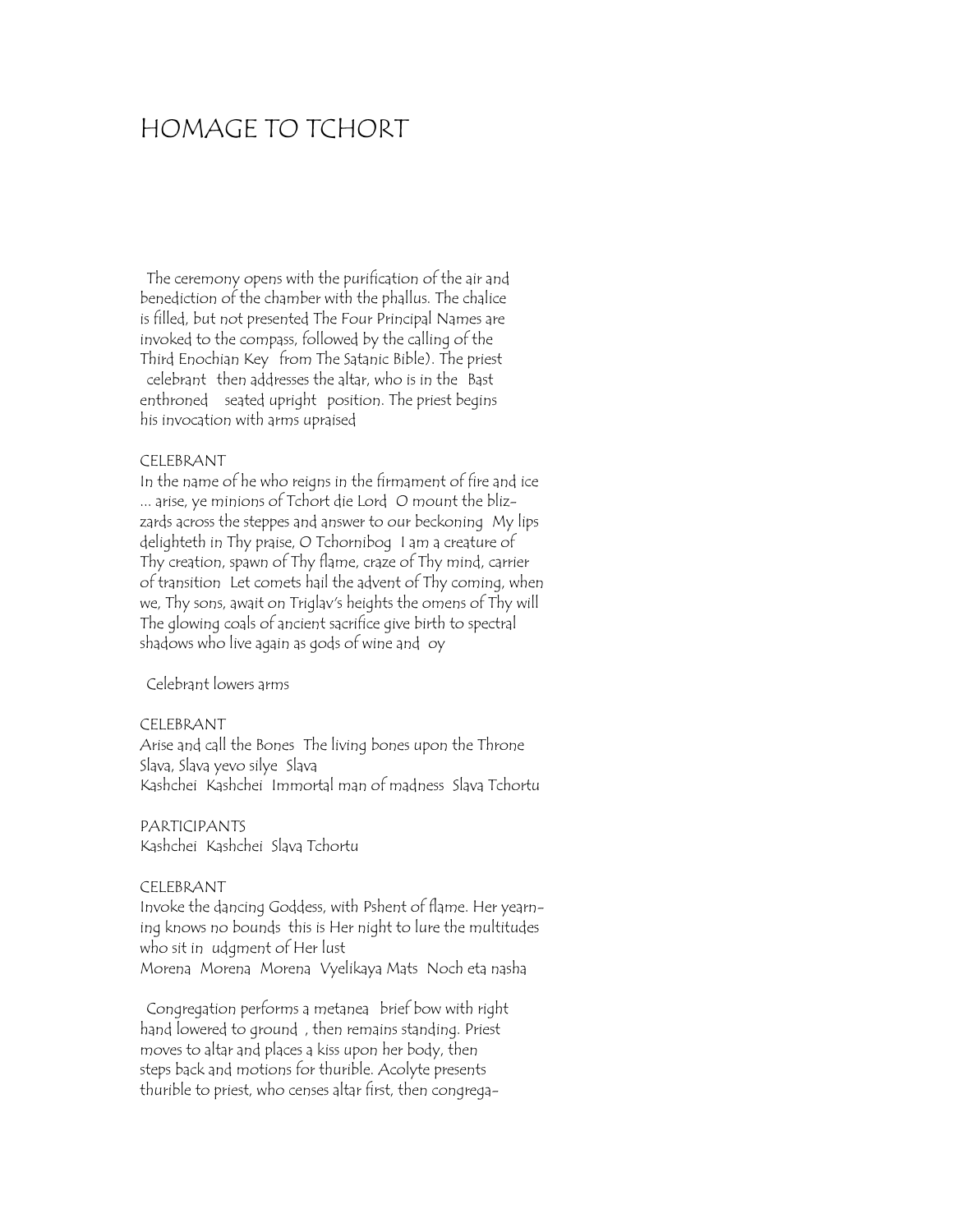# HOMAGE TO TCHORT

The ceremony opens with the purification of the air and benediction of the chamber with the phallus. The chalice is filled, but not presented The Four Principal Names are invoked to the compass, followed by the calling of the *Third Enochian Key* (from *The Satanic Bible).* The priest celebrant then addresses the altar, who is in the Bast enthroned seated upright position. The priest begins his invocation with arms upraised

#### CELEBRANT:

In the name of he who reigns in the firmament of fire and ice ... arise, ye minions of Tchort die Lord! O mount the blizzards across the steppes and answer to our beckoning! My lips delighteth in Thy praise, O Tchornibog! I am a creature of Thy creation, spawn of Thy flame, craze of Thy mind, carrier of transition! Let comets hail the advent of Thy coming, when we, Thy sons, await on Triglav's heights the omens of Thy will! The glowing coals of ancient sacrifice give birth to spectral shadows who live again as gods of wine and oy

Celebrant lowers arms

CELEBRANT:

Arise and call the Bones The living bones upon the Throne Slava, Slava yevo silye! Slava! Kashchei Kashchei Immortal man of madness Slava Tchortu

PARTICIPANTS: Kashchei! Kashchei! Slava Tchortu!

#### CELEBRANT:

Invoke the dancing Goddess, with Pshent of flame. Her yearning knows no bounds; this is Her night to lure the multitudes who sit in udgment of Her lust Morena Morena Morena Vyelikaya Mats Noch eta nasha

Congregation performs a metanea brief bow with right hand lowered to ground), then remains standing. Priest moves to altar and places a kiss upon her body, then steps back and motions for thurible. Acolyte presents thurible to priest, who censes altar first, then congrega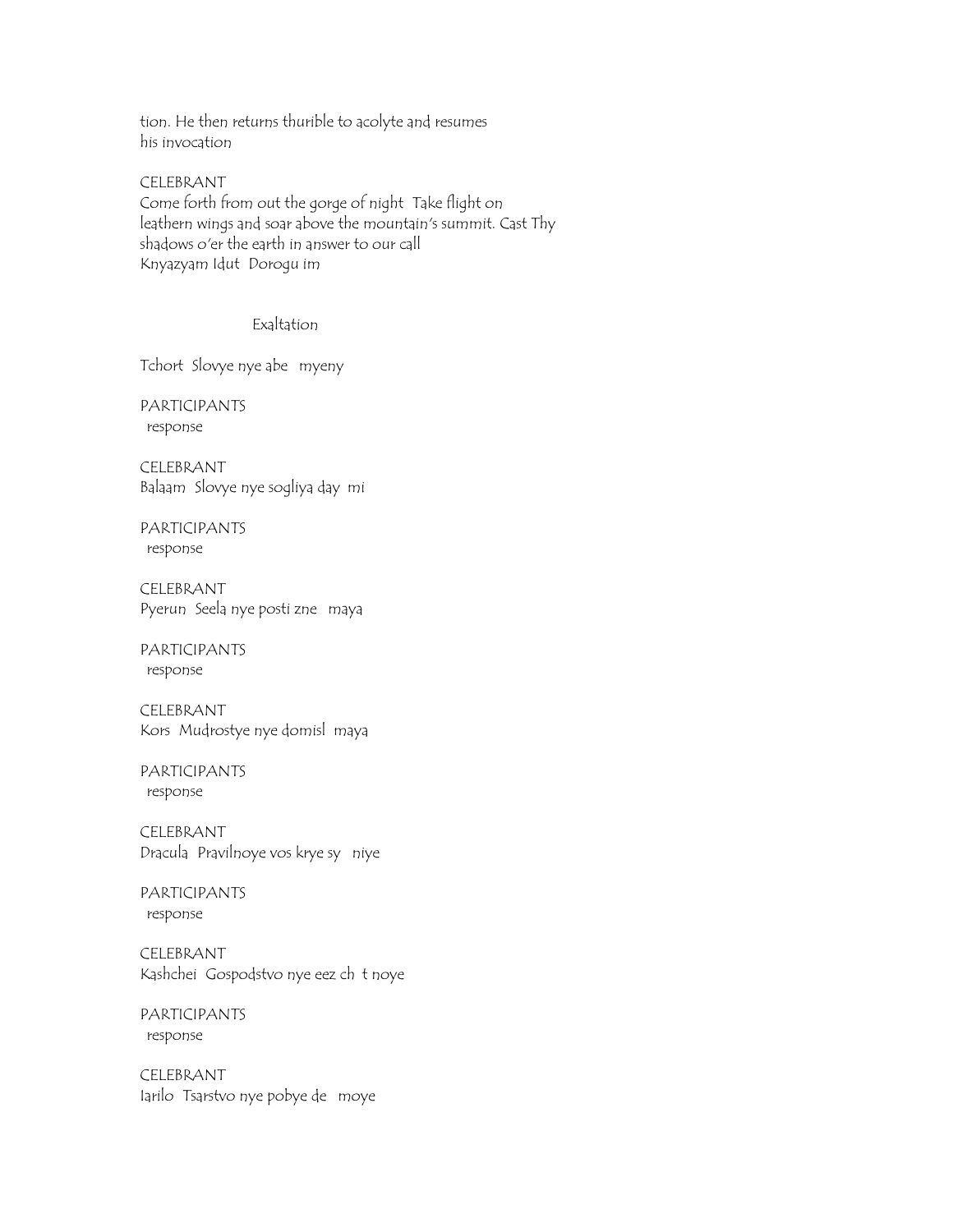tion. He then returns thurible to acolyte and resumes his invocation:]

CELEBRANT: Come forth from out the gorge of night Take flight on leathern wings and soar above the mountain's summit. Cast Thy shadows o'er the earth in answer to our call Knyazyam Idut! Dorogu im!

## *Exaltation*

Tchort Slovye nye abe myeny

PARTICIPANTS: response

CELEBRANT: Balaam Slovye nye sogliya day mi

PARTICIPANTS: response

CELEBRANT: Pyerun Seela nye posti zne maya

PARTICIPANTS: response

CELEBRANT: Kors Mudrostye nye domisl maya

PARTICIPANTS: response

CELEBRANT: Dracula Pravilnoye vos krye sy niye

## PARTICIPANTS: response

CELEBRANT: Kashchei Gospodstvo nye eez ch t noye

### PARTICIPANTS: response

CELEBRANT: Iarilo Tsarstvo nye pobye de moye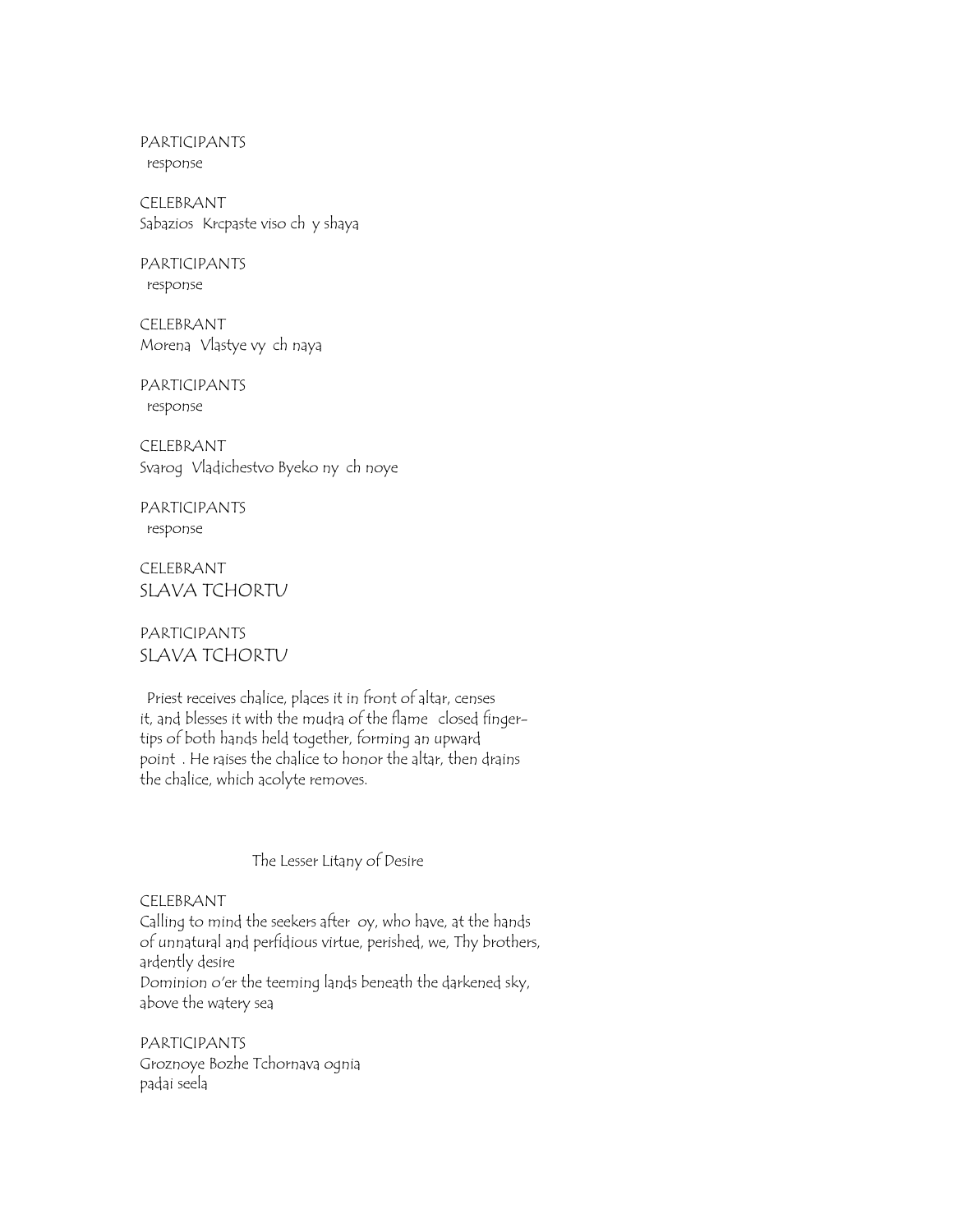PARTICIPANTS: response

CELEBRANT: Sabazios Krcpaste viso ch y shaya

### PARTICIPANTS: response

CELEBRANT: Morena Vlastye vy ch naya

PARTICIPANTS: response

CELEBRANT: Svarog Vladichestvo Byeko ny ch noye

PARTICIPANTS: response

CELEBRANT: SLAVA TCHORTU!

PARTICIPANTS: SLAVA TCHORTU!

Priest receives chalice, places it in front of altar, censes it, and blesses it with the mudra of the flame closed fingertips of both hands held together, forming an upward point . He raises the chalice to honor the altar, then drains the chalice, which acolyte removes.

### *The Lesser Litany of Desire*

CELEBRANT:

Calling to mind the seekers after oy, who have, at the hands of unnatural and perfidious virtue, perished, we, Thy brothers, ardently desire: Dominion o'er the teeming lands beneath the darkened sky, above the watery sea!

PARTICIPANTS: Groznoye Bozhe Tchornava ognia padai seela!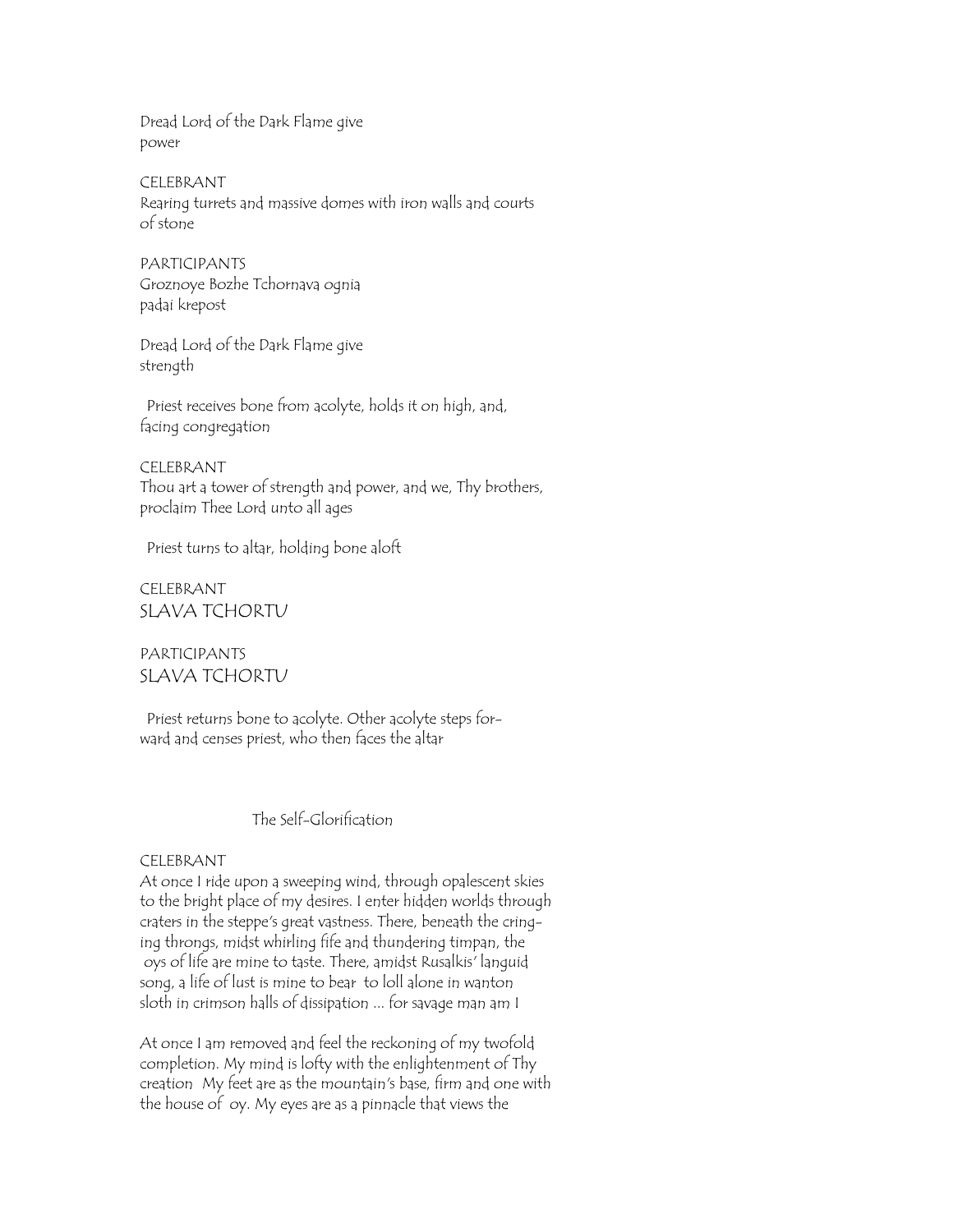Dread Lord of the Dark Flame give power!

CELEBRANT: Rearing turrets and massive domes with iron walls and courts of stone!

PARTICIPANTS: Groznoye Bozhe Tchornava ognia padai krepost!

Dread Lord of the Dark Flame give strength!

Priest receives bone from acolyte, holds it on high, and, facing congregation

CELEBRANT: Thou art a tower of strength and power, and we, Thy brothers, proclaim Thee Lord unto all ages!

Priest turns to altar, holding bone aloft

CELEBRANT: SLAVA TCHORTU!

PARTICIPANTS: SLAVA TCHORTU!

Priest returns bone to acolyte. Other acolyte steps forward and censes priest, who then faces the altar

# *The Self-Glorification*

### CELEBRANT:

At once I ride upon a sweeping wind, through opalescent skies to the bright place of my desires. I enter hidden worlds through craters in the steppe's great vastness. There, beneath the cringing throngs, midst whirling fife and thundering timpan, the oys of life are mine to taste. There, amidst Rusalkis' languid song, a life of lust is mine to bear; to loll alone in wanton sloth in crimson halls of dissipation ... for savage man am I!

At once I am removed and feel the reckoning of my twofold completion. My mind is lofty with the enlightenment of Thy creation! My feet are as the mountain's base, firm and one with the house of oy. My eyes are as a pinnacle that views the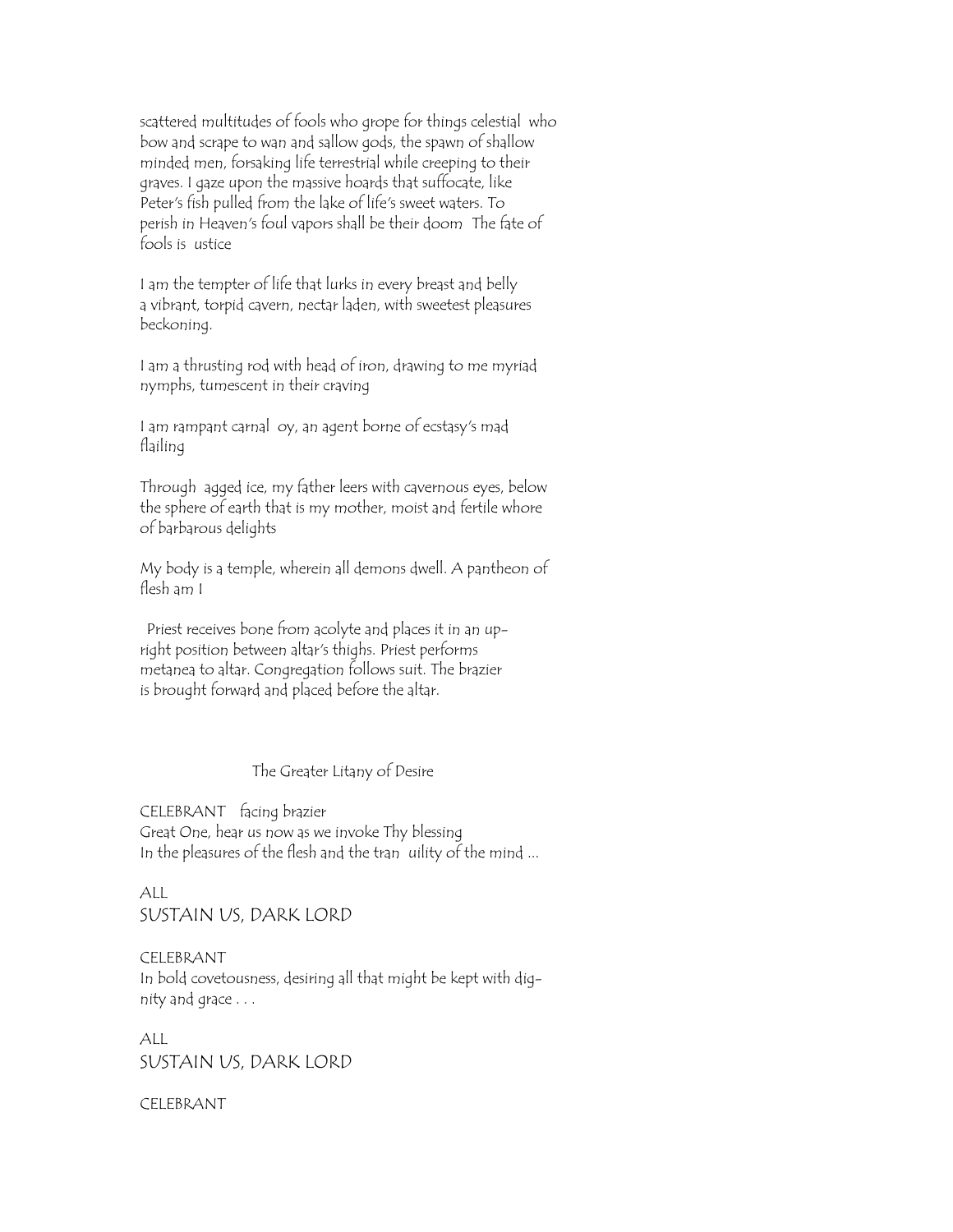scattered multitudes of fools who grope for things celestial; who bow and scrape to wan and sallow gods, the spawn of shallow minded men, forsaking life terrestrial while creeping to their graves. I gaze upon the massive hoards that suffocate, like Peter's fish pulled from the lake of life's sweet waters. To perish in Heaven's foul vapors shall be their doom! The fate of fools is *ustice* 

I am the tempter of life that lurks in every breast and belly a vibrant, torpid cavern, nectar laden, with sweetest pleasures beckoning.

I am a thrusting rod with head of iron, drawing to me myriad nymphs, tumescent in their craving!

I am rampant carnal oy, an agent borne of ecstasy's mad flailing!

Through agged ice, my father leers with cavernous eyes, below the sphere of earth that is my mother, moist and fertile whore of barbarous delights!

My body is a temple, wherein all demons dwell. A pantheon of flesh am 1

Priest receives bone from acolyte and places it in an upright position between altar's thighs. Priest performs metanea to altar. Congregation follows suit. The brazier is brought forward and placed before the altar.

### *The Greater Litany of Desire*

CELEBRANT facing brazier Great One, hear us now as we invoke Thy blessing: In the pleasures of the flesh and the tran uility of the mind  $\ldots$ 

ALL: SUSTAIN US, DARK LORD!

CELEBRANT: In bold covetousness, desiring all that might be kept with dignity and grace . . .

ALL: SUSTAIN US, DARK LORD!

### CELEBRANT: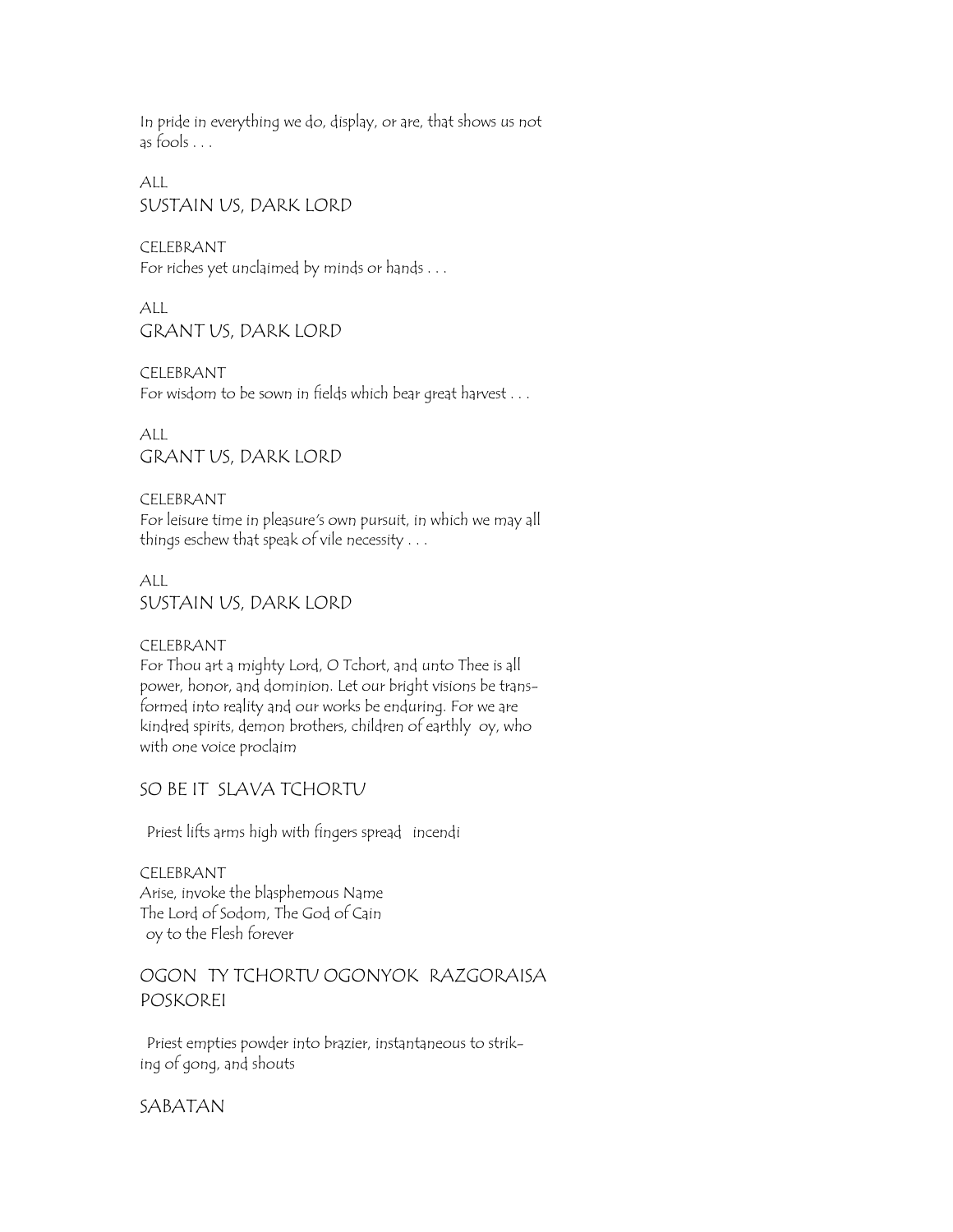In pride in everything we do, display, or are, that shows us not as fools . . .

ALL: SUSTAIN US, DARK LORD!

CELEBRANT: For riches yet unclaimed by minds or hands . . .

ALL: GRANT US, DARK LORD!

CELEBRANT: For wisdom to be sown in fields which bear great harvest . . .

ALL: GRANT US, DARK LORD!

CELEBRANT: For leisure time in pleasure's own pursuit, in which we may all things eschew that speak of vile necessity . . .

ALL: SUSTAIN US, DARK LORD!

# CELEBRANT:

For Thou art a mighty Lord, O Tchort, and unto Thee is all power, honor, and dominion. Let our bright visions be transformed into reality and our works be enduring. For we are kindred spirits, demon brothers, children of earthly oy, who with one voice proclaim:

SO BE IT SLAVA TCHORTU

Priest lifts arms high with fingers spread incendi

CELEBRANT: Arise, invoke the blasphemous Name The Lord of Sodom, The God of Cain oy to the Flesh forever

# OGON! TY TCHORTU OGONYOK! RAZGORAISA **POSKOREI**

Priest empties powder into brazier, instantaneous to striking of gong, and shouts

**SABATAN**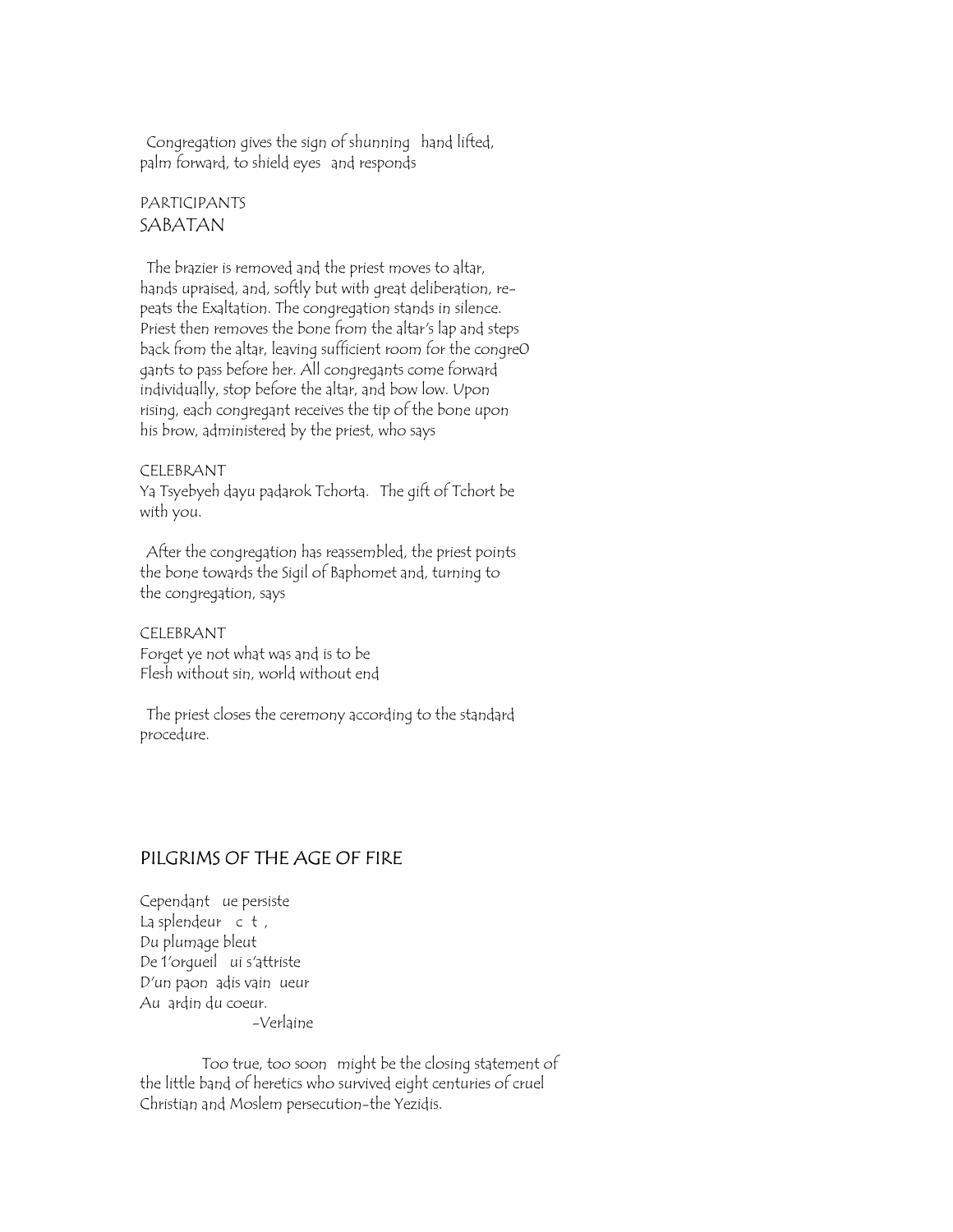Congregation gives the sign of shunning hand lifted, palm forward, to shield eyes and responds

## PARTICIPANTS: **SABATAN**

The brazier is removed and the priest moves to altar, hands upraised, and, softly but with great deliberation, repeats the *Exaltation.* The congregation stands in silence. Priest then removes the bone from the altar's lap and steps back from the altar, leaving sufficient room for the congre0 gants to pass before her. All congregants come forward individually, stop before the altar, and bow low. Upon rising, each congregant receives the tip of the bone upon his brow, administered by the priest, who says

## CELEBRANT:

Ya Tsyebyeh dayu padarok Tchorta. The gift of Tchort be with you.)

After the congregation has reassembled, the priest points the bone towards the Sigil of Baphomet and, turning to the congregation, says:]

### CELEBRANT:

Forget ye not what was and is to be Flesh without sin, world without end!

The priest closes the ceremony according to the standard procedure.]

# PILGRIMS OF THE AGE OF FIRE

Cependant ue persiste La splendeur  $ct$ , Du plumage bleuté De 1'orqueil ui s'attriste D'un paon adis vain ueur Au ardin du coeur. -Verlaine

Too true, too soon might be the closing statement of the little band of heretics who survived eight centuries of cruel Christian and Moslem persecution-the Yezidis.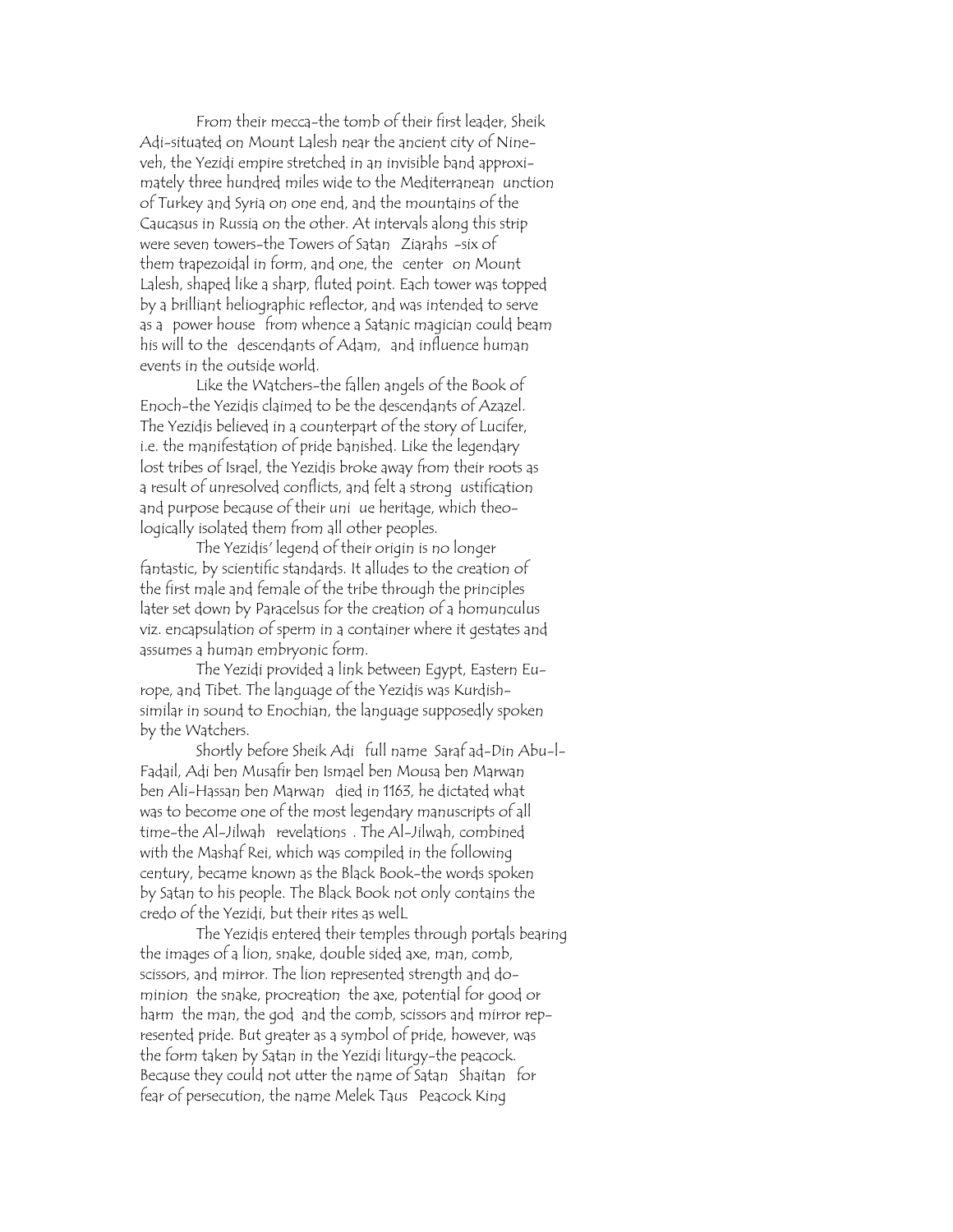From their mecca-the tomb of their first leader, Sheik Adi-situated on Mount Lalesh near the ancient city of Nineveh, the Yezidi empire stretched in an invisible band approximately three hundred miles wide to the Mediterranean unction of Turkey and Syria on one end, and the mountains of the Caucasus in Russia on the other. At intervals along this strip were seven towers-the Towers of Satan Ziarahs -six of them trapezoidal in form, and one, the center on Mount Lalesh, shaped like a sharp, fluted point. Each tower was topped by a brilliant heliographic reflector, and was intended to serve as a "power house" from whence a Satanic magician could beam his will to the descendants of Adam, and influence human events in the outside world.

Like the Watchers-the fallen angels of the Book of Enoch-the Yezidis claimed to be the descendants of Azazel. The Yezidis believed in a counterpart of the story of Lucifer, i.e. the manifestation of pride banished. Like the legendary lost tribes of Israel, the Yezidis broke away from their roots as a result of unresolved conflicts, and felt a strong justification and purpose because of their uni ue heritage, which theologically isolated them from all other peoples.

The Yezidis' legend of their origin is no longer fantastic, by scientific standards. It alludes to the creation of the first male and female of the tribe through the principles later set down by Paracelsus for the creation of a homunculus; viz. encapsulation of sperm in a container where it gestates and assumes a human embryonic form.

The Yezidi provided a link between Egypt, Eastern Europe, and Tibet. The language of the Yezidis was Kurdishsimilar in sound to Enochian, the language supposedly spoken by the Watchers.

Shortly before Sheik Adi (full name: Saraf ad-Din Abu-l-Fadail, Adi ben Musafir ben Ismael ben Mousa ben Marwan ben Ali-Hassan ben Marwan) died in 1163, he dictated what was to become one of the most legendary manuscripts of all time-the *Al-Jilwah* (revelations). The *Al-Jilwah,* combined with the *Mashaf Rei,* which was compiled in the following century, became known as the *Black Book-*the words spoken by Satan to his people. The *Black Book* not only contains the credo of the Yezidi, but their rites as welL

The Yezidis entered their temples through portals bearing the images of a lion, snake, double sided axe, man, comb, scissors, and mirror. The lion represented strength and dominion; the snake, procreation; the axe, potential for good or harm; the man, the god; and the comb, scissors and mirror represented pride. But greater as a symbol of pride, however, was the form taken by Satan in the Yezidi liturgy-the peacock. Because they could not utter the name of Satan Shaitan for fear of persecution, the name *Melek Taus* (Peacock King)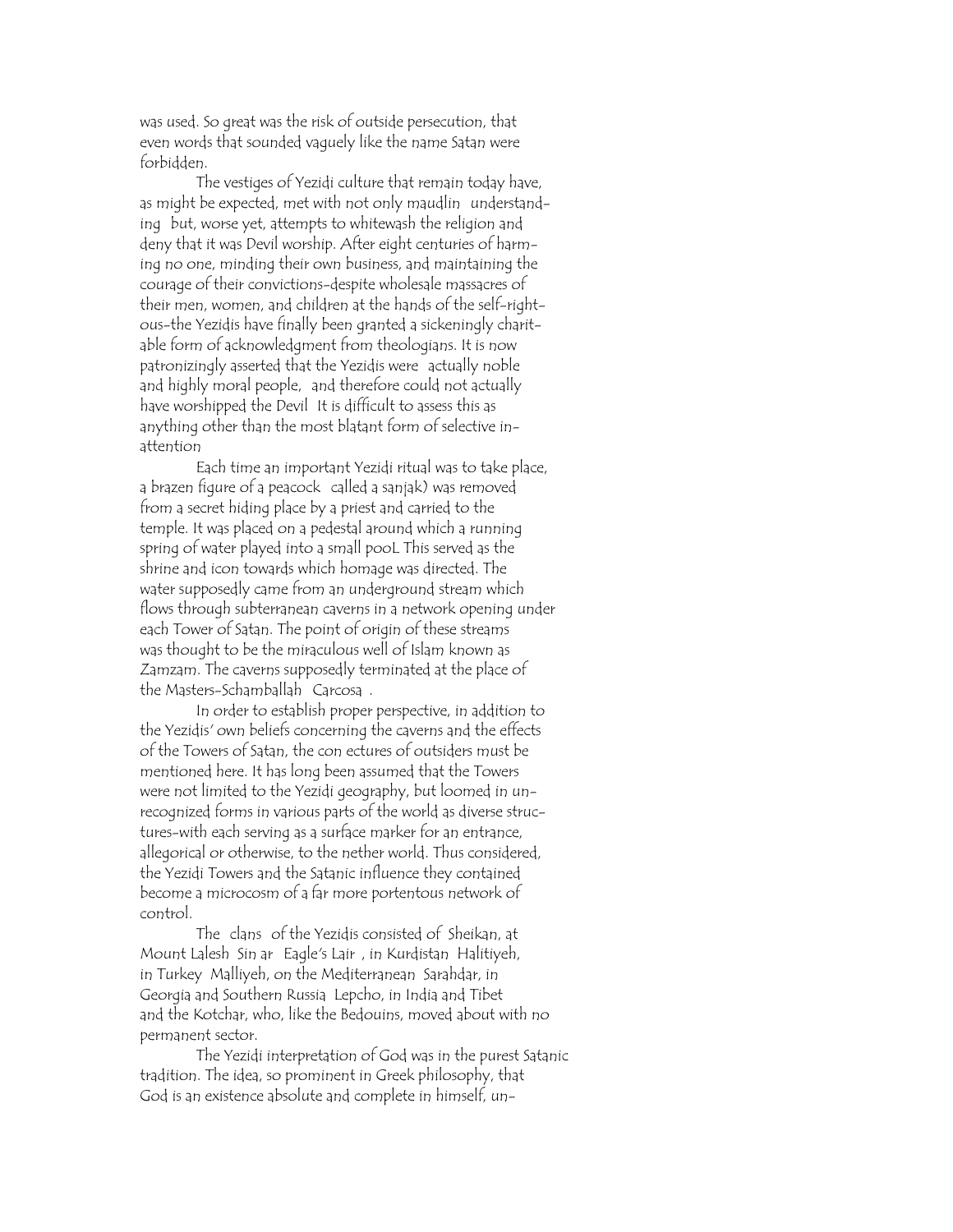was used. So great was the risk of outside persecution, that even words that sounded vaguely like the name *Satan* were forbidden.

The vestiges of Yezidi culture that remain today have, as might be expected, met with not only maudlin "understanding" but, worse yet, attempts to whitewash the religion and deny that it was Devil worship. After eight centuries of harming no one, minding their own business, and maintaining the courage of their convictions-despite wholesale massacres of their men, women, and children at the hands of the self-rightous-the Yezidis have finally been granted a sickeningly charitable form of acknowledgment from theologians. It is now patronizingly asserted that the Yezidis were "actually noble and highly moral people," and therefore could *not actually* have worshipped the Devil It is difficult to assess this as anything other than the most blatant form of selective inattention!

Each time an important Yezidi ritual was to take place, a brazen figure of a peacock (called a *sanjak)* was removed from a secret hiding place by a priest and carried to the temple. It was placed on a pedestal around which a running spring of water played into a small pooL This served as the shrine and icon towards which homage was directed. The water supposedly came from an underground stream which flows through subterranean caverns in a network opening under each Tower of Satan. The point of origin of these streams was thought to be the miraculous well of Islam known as Zamzam. The caverns supposedly terminated at the place of the Masters-Schamballah (Carcosa).

In order to establish proper perspective, in addition to the Yezidis' own beliefs concerning the caverns and the effects of the Towers of Satan, the conjectures of outsiders must be mentioned here. It has long been assumed that the Towers were not limited to the Yezidi geography, but loomed in unrecognized forms in various parts of the world as diverse structures-with each serving as a surface marker for an entrance, allegorical or otherwise, to the nether world. Thus considered, the Yezidi Towers and the Satanic influence they contained become a microcosm of a far more portentous network of control.

The clans of the Yezidis consisted of Sheikan, at Mount Lalesh Sin ar Eagle's Lair, in Kurdistan, Halitiyeh, in Turkey; Malliyeh, on the Mediterranean; Sarahdar, in Georgia and Southern Russia; Lepcho, in India and Tibet; and the Kotchar, who, like the Bedouins, moved about with no permanent sector.

The Yezidi interpretation of God was in the purest Satanic tradition. The idea, so prominent in Greek philosophy, that God is an existence absolute and complete in himself, un-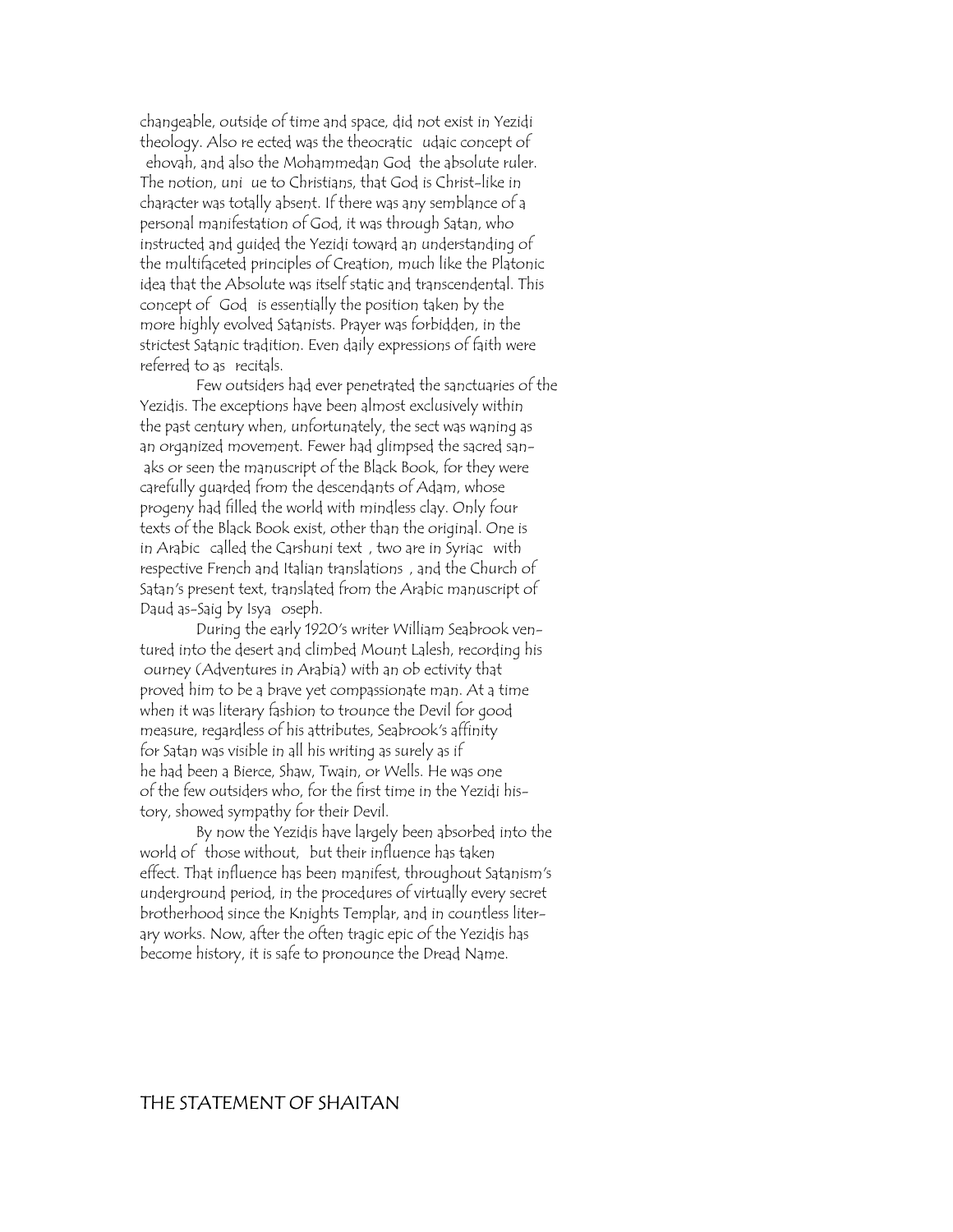changeable, outside of time and space, did not exist in Yezidi theology. Also rejected was the theocratic judaic concept of ehovah, and also the Mohammedan God the absolute ruler. The notion, uni ue to Christians, that God is Christ-like in character was totally absent. If there was any semblance of a personal manifestation of God, it was through Satan, who instructed and guided the Yezidi toward an understanding of the multifaceted principles of Creation, much like the Platonic idea that the Absolute was itself static and transcendental. This concept of God is essentially the position taken by the more highly evolved Satanists. Prayer was forbidden, in the strictest Satanic tradition. Even daily expressions of faith were referred to as recitals.

Few outsiders had ever penetrated the sanctuaries of the Yezidis. The exceptions have been almost exclusively within the past century when, unfortunately, the sect was waning as an organized movement. Fewer had glimpsed the sacred sanjaks or seen the manuscript of the *Black Book,* for they were carefully guarded from the descendants of Adam, whose progeny had filled the world with mindless clay. Only four texts of the *Black Book* exist, other than the original. One is in Arabic called the Carshuni text, two are in Syriac with respective French and Italian translations), and the Church of Satan's present text, translated from the Arabic manuscript of Daud as-Saig by Isya oseph.

During the early 1920's writer William Seabrook ventured into the desert and climbed Mount Lalesh, recording his ourney (Adventures in Arabia) with an ob ectivity that proved him to be a brave yet compassionate man. At a time when it was literary fashion to trounce the Devil for good measure, regardless of his attributes, Seabrook's affinity for Satan was visible in all his writing as surely as if he had been a Bierce, Shaw, Twain, or Wells. He was one of the few outsiders who, for the first time in the Yezidi history, showed sympathy for their Devil.

By now the Yezidis have largely been absorbed into the world of those without, but their influence has taken effect. That influence has been manifest, throughout Satanism's underground period, in the procedures of virtually every secret brotherhood since the Knights Templar, and in countless literary works. Now, after the often tragic epic of the Yezidis has become history, it is safe to pronounce the Dread Name.

# THE STATEMENT OF SHAITAN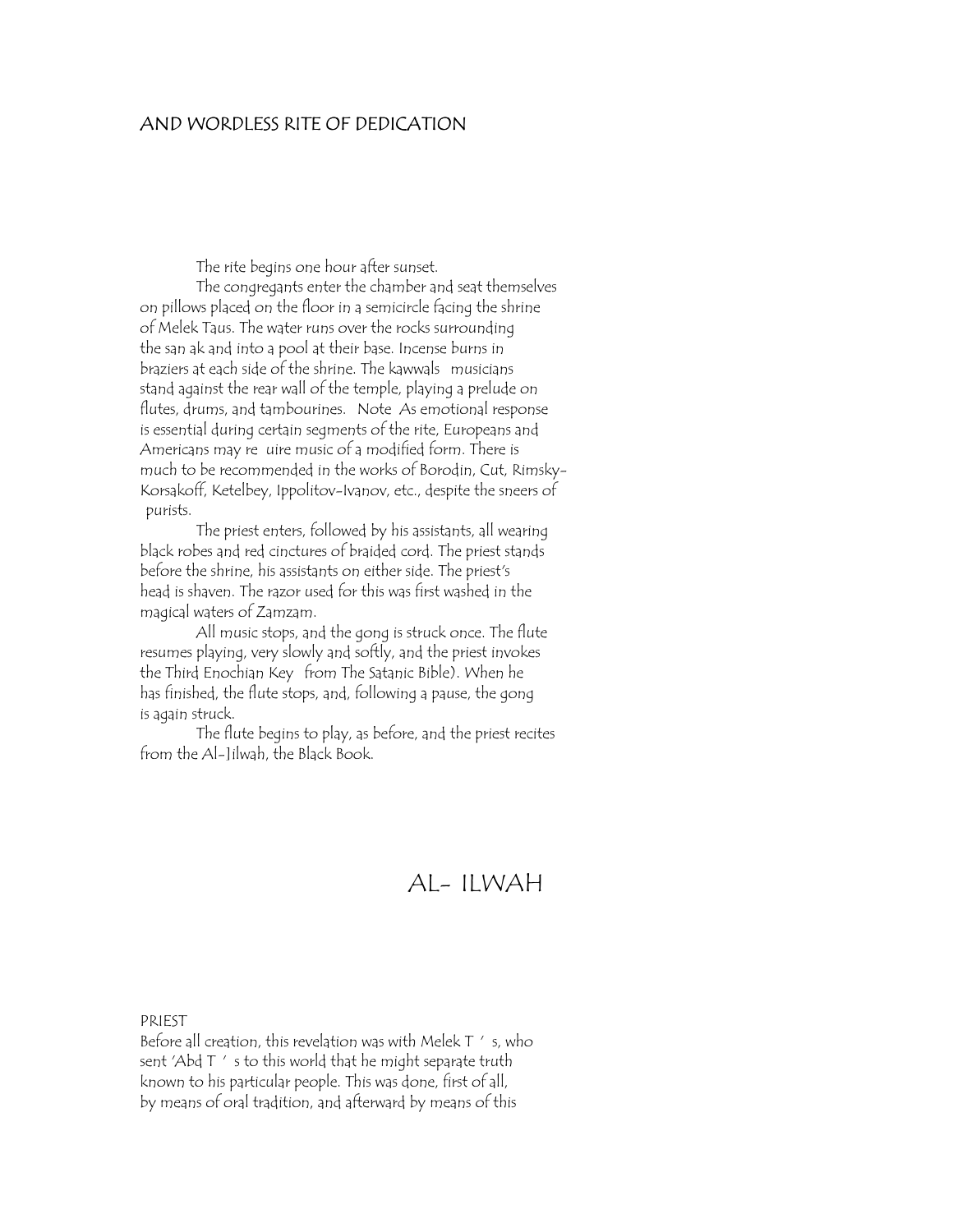## AND WORDLESS RITE OF DEDICATION

The rite begins one hour after sunset.

The congregants enter the chamber and seat themselves on pillows placed on the floor in a semicircle facing the shrine of Melek Taus. The water runs over the rocks surrounding the sanjak and into a pool at their base. Incense burns in braziers at each side of the shrine. The kawwals musicians stand against the rear wall of the temple, playing a prelude on flutes, drums, and tambourines. Note As emotional response is essential during certain segments of the rite, Europeans and Americans may require music of a modified form. There is much to be recommended in the works of Borodin, Cut, Rimsky-Korsakoff, Ketelbey, Ippolitov-Ivanov, etc., despite the sneers of purists.

The priest enters, followed by his assistants, all wearing black robes and red cinctures of braided cord. The priest stands before the shrine, his assistants on either side. The priest's head is shaven. The razor used for this was first washed in the magical waters of Zamzam.

All music stops, and the gong is struck once. The flute resumes playing, very slowly and softly, and the priest invokes the *Third Enochian Key* (from *The Satanic Bible).* When he has finished, the flute stops, and, following a pause, the gong is again struck.

The flute begins to play, as before, and the priest recites from the *Al-]ilwah,* the *Black Book.*

# AL-II WAH

PRIEST:

Before all creation, this revelation was with Melek  $T$  's, who sent 'Abd  $T$  ' s to this world that he might separate truth known to his particular people. This was done, first of all, by means of oral tradition, and afterward by means of this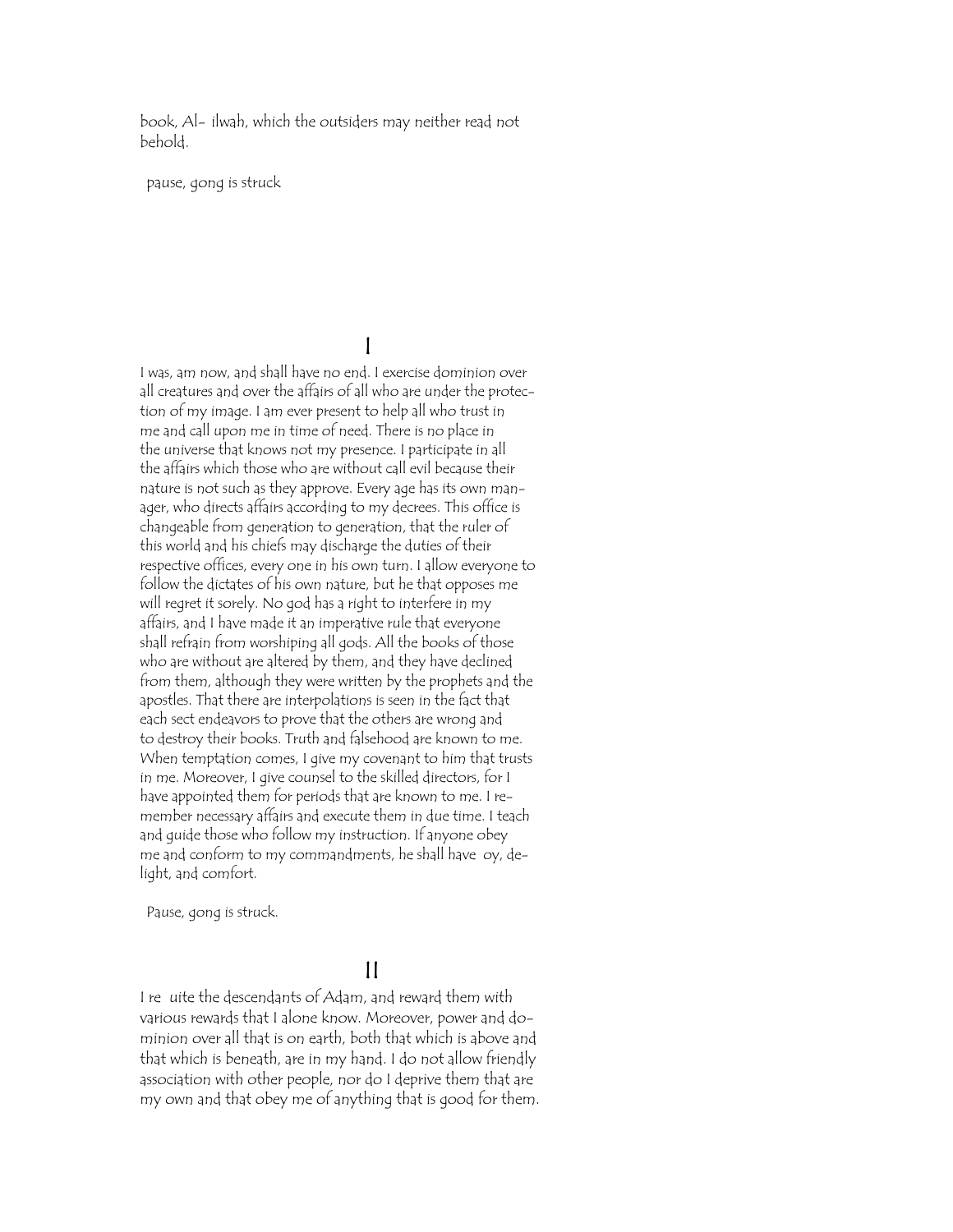book, Al- ilwah, which the outsiders may neither read not behold.

pause, gong is struck

## I

I was, am now, and shall have no end. I exercise dominion over all creatures and over the affairs of all who are under the protection of my image. I am ever present to help all who trust in me and call upon me in time of need. There is no place in the universe that knows not my presence. I participate in all the affairs which those who are without call evil because their nature is not such as they approve. Every age has its own manager, who directs affairs according to my decrees. This office is changeable from generation to generation, that the ruler of this world and his chiefs may discharge the duties of their respective offices, every one in his own turn. I allow everyone to follow the dictates of his own nature, but he that opposes me will regret it sorely. No god has a right to interfere in my affairs, and I have made it an imperative rule that everyone shall refrain from worshiping all gods. All the books of those who are without are altered by them, and they have declined from them, although they were written by the prophets and the apostles. That there are interpolations is seen in the fact that each sect endeavors to prove that the others are wrong and to destroy their books. Truth and falsehood are known to me. When temptation comes, I give my covenant to him that trusts in me. Moreover, I give counsel to the skilled directors, for I have appointed them for periods that are known to me. I remember necessary affairs and execute them in due time. I teach and guide those who follow my instruction. If anyone obey me and conform to my commandments, he shall have oy, delight, and comfort.

Pause, gong is struck.

# II

I requite the descendants of Adam, and reward them with various rewards that I alone know. Moreover, power and dominion over all that is on earth, both that which is above and that which is beneath, are in my hand. I do not allow friendly association with other people, nor do I deprive them that are my own and that obey me of anything that is good for them.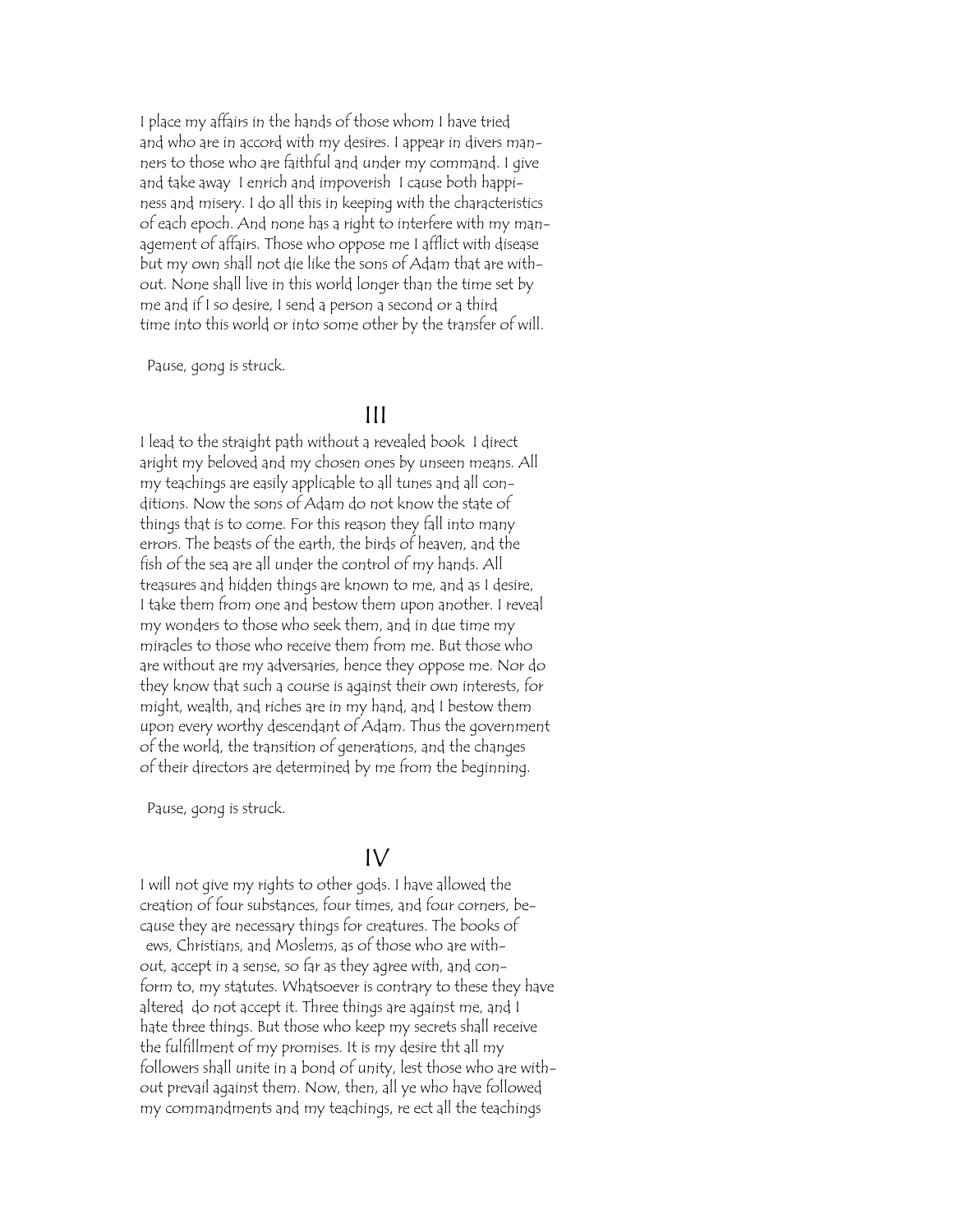I place my affairs in the hands of those whom I have tried and who are in accord with my desires. I appear in divers manners to those who are faithful and under my command. I give and take away; I enrich and impoverish; I cause both happiness and misery. I do all this in keeping with the characteristics of each epoch. And none has a right to interfere with my management of affairs. Those who oppose me I afflict with disease; but my own shall not die like the sons of Adam that are without. None shall live in this world longer than the time set by me and if I so desire, I send a person a second or a third time into this world or into some other by the transfer of will.

Pause, gong is struck.

# III

I lead to the straight path without a revealed book; I direct aright my beloved and my chosen ones by unseen means. All my teachings are easily applicable to all tunes and all conditions. Now the sons of Adam do not know the state of things that is to come. For this reason they fall into many errors. The beasts of the earth, the birds of heaven, and the fish of the sea are all under the control of my hands. All treasures and hidden things are known to me, and as I desire, I take them from one and bestow them upon another. I reveal my wonders to those who seek them, and in due time my miracles to those who receive them from me. But those who are without are my adversaries, hence they oppose me. Nor do they know that such a course is against their own interests, for might, wealth, and riches are in my hand, and I bestow them upon every worthy descendant of Adam. Thus the government of the world, the transition of generations, and the changes of their directors are determined by me from the beginning.

Pause, gong is struck.

# $IV$

I will not give my rights to other gods. I have allowed the creation of four substances, four times, and four corners, because they are necessary things for creatures. The books of ews, Christians, and Moslems, as of those who are without, accept in a sense, so far as they agree with, and conform to, my statutes. Whatsoever is contrary to these they have altered; do not accept it. Three things are against me, and I hate three things. But those who keep my secrets shall receive the fulfillment of my promises. It is my desire tht all my followers shall unite in a bond of unity, lest those who are without prevail against them. Now, then, all ye who have followed my commandments and my teachings, reject all the teachings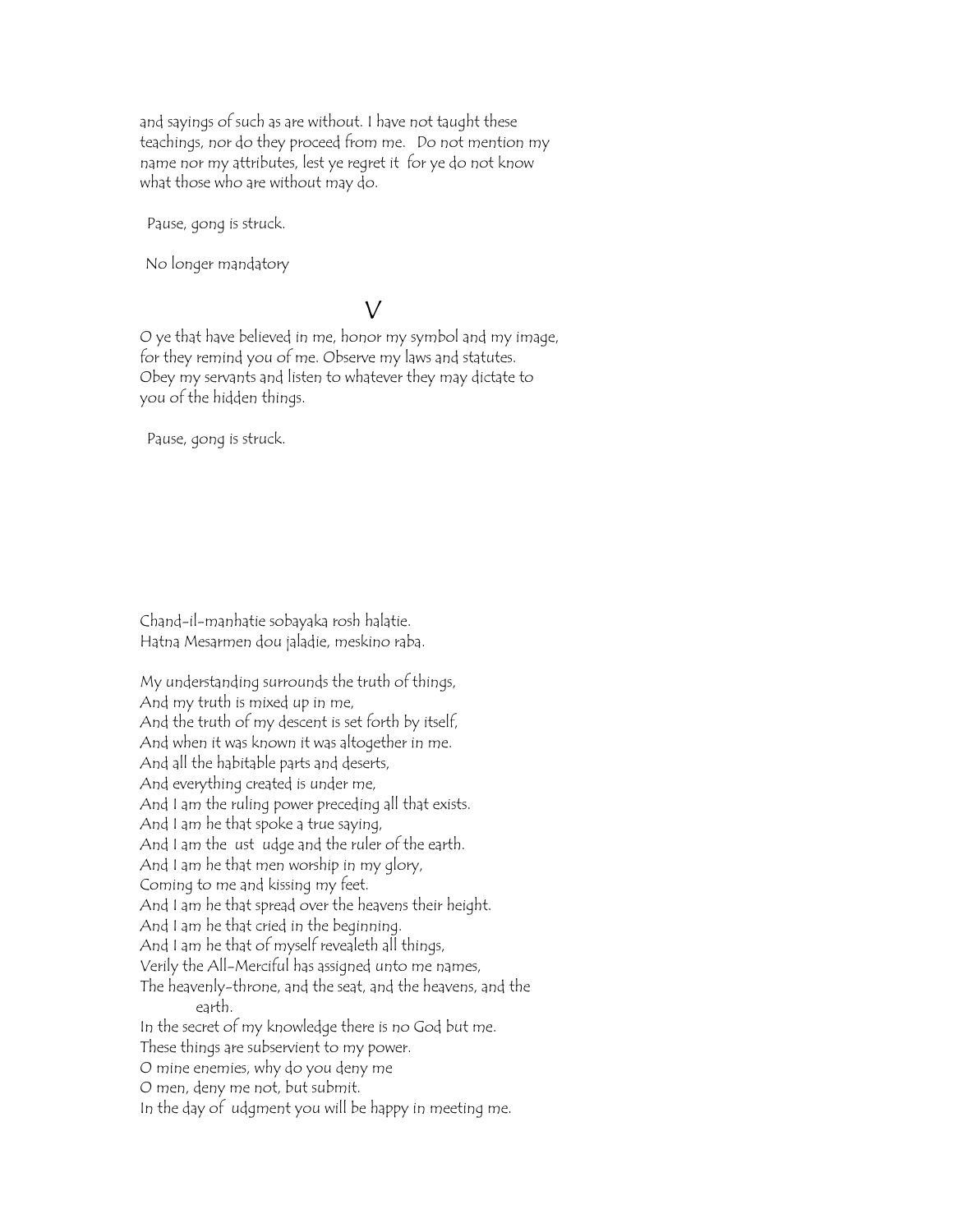and sayings of such as are without. I have not taught these teachings, nor do they proceed from me. Do not mention my name nor my attributes, lest ye regret it for ye do not know what those who are without may do.

Pause, gong is struck.

No longer mandatory

# $\sqrt{}$

O ye that have believed in me, honor my symbol and my image, for they remind you of me. Observe my laws and statutes. Obey my servants and listen to whatever they may dictate to you of the hidden things.

Pause, gong is struck.

*Chand-il-manhatie sobayaka rosh halatie. Hatna Mesarmen dou jaladie, meskino raba.*

My understanding surrounds the truth of things, And my truth is mixed up in me, And the truth of my descent is set forth by itself, And when it was known it was altogether in me. And all the habitable parts and deserts, And everything created is under me, And I am the ruling power preceding all that exists. And I am he that spoke a true saying, And I am the ust udge and the ruler of the earth. And I am he that men worship in my glory, Coming to me and kissing my feet. And I am he that spread over the heavens their height. And I am he that cried in the beginning. And I am he that of myself revealeth all things, Verily the All-Merciful has assigned unto me names, The heavenly-throne, and the seat, and the heavens, and the earth. In the secret of my knowledge there is no God but me. These things are subservient to my power. O mine enemies, why do you deny me? O men, deny me not, but submit.

In the day of udgment you will be happy in meeting me.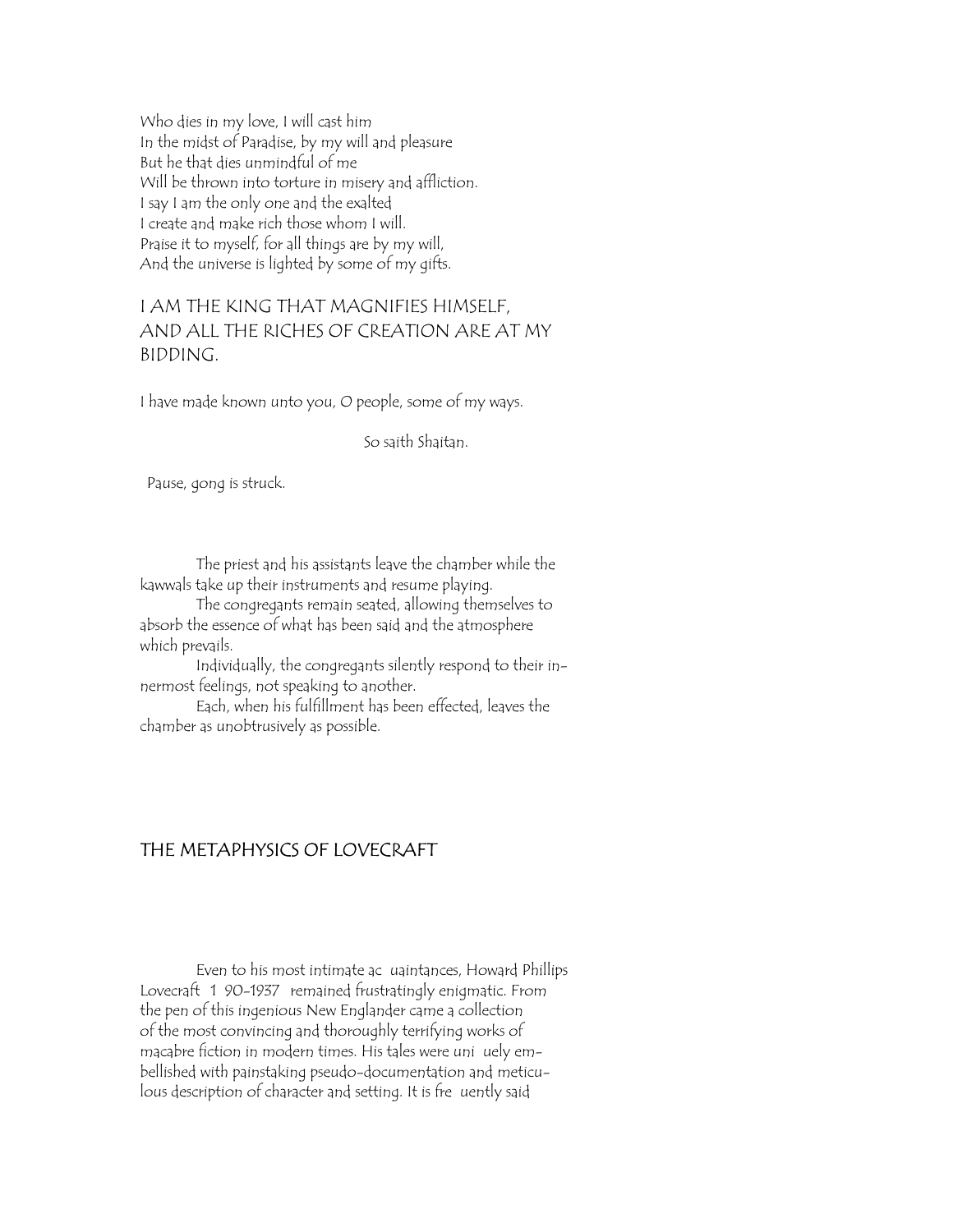Who dies in my love, I will cast him In the midst of Paradise, by my will and pleasure; But he that dies unmindful of me Will be thrown into torture in misery and affliction. I say I am the only one and the exalted; I create and make rich those whom I will. Praise it to myself, for all things are by my will, And the universe is lighted by some of my gifts.

# I AM THE KING THAT MAGNIFIES HIMSELF, AND ALL THE RICHES OF CREATION ARE AT MY BIDDING.

I have made known unto you, O people, some of my ways.

*So saith Shaitan.*

Pause, gong is struck.

The priest and his assistants leave the chamber while the kawwals take up their instruments and resume playing.

The congregants remain seated, allowing themselves to absorb the essence of what has been said and the atmosphere which prevails.

Individually, the congregants silently respond to their innermost feelings, not speaking to another.

Each, when his fulfillment has been effected, leaves the chamber as unobtrusively as possible.

# THE METAPHYSICS OF LOVECRAFT

Even to his most intimate ac uaintances, Howard Phillips Lovecraft 1 90-1937 remained frustratingly enigmatic. From the pen of this ingenious New Englander came a collection of the most convincing and thoroughly terrifying works of macabre fiction in modern times. His tales were uni uely embellished with painstaking pseudo-documentation and meticulous description of character and setting. It is frequently said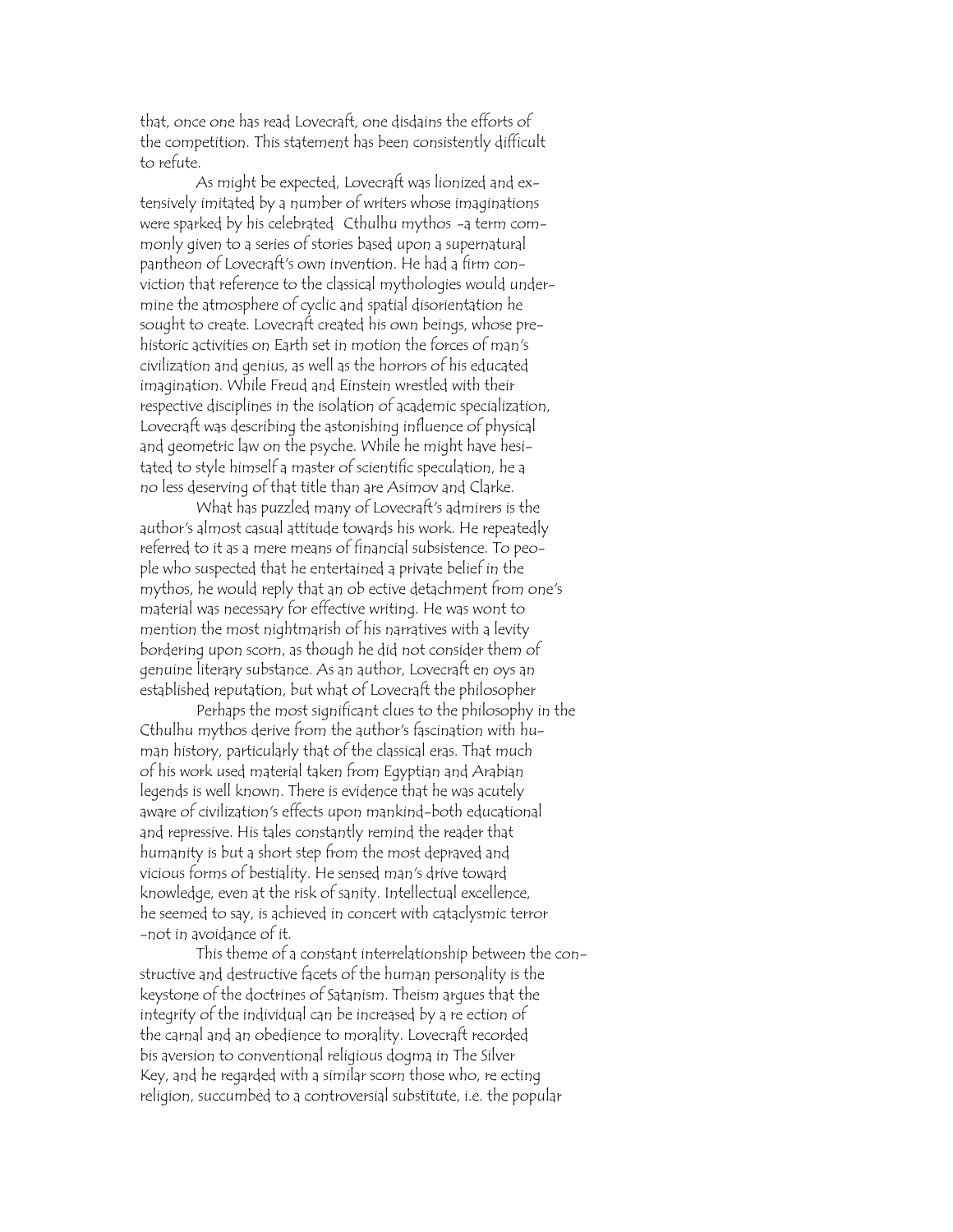that, once one has read Lovecraft, one disdains the efforts of the competition. This statement has been consistently difficult to refute.

As might be expected, Lovecraft was lionized and extensively imitated by a number of writers whose imaginations were sparked by his celebrated Cthulhu mythos -a term commonly given to a series of stories based upon a supernatural pantheon of Lovecraft's own invention. He had a firm conviction that reference to the classical mythologies would undermine the atmosphere of cyclic and spatial disorientation he sought to create. Lovecraft created his own beings, whose prehistoric activities on Earth set in motion the forces of man's civilization and genius, as well as the horrors of his educated imagination. While Freud and Einstein wrestled with their respective disciplines in the isolation of academic specialization, Lovecraft was describing the astonishing influence of physical and geometric law on the psyche. While he might have hesitated to style himself a master of scientific speculation, he *a* no less deserving of that title than are Asimov and Clarke.

What has puzzled many of Lovecraft's admirers is the author's almost casual attitude towards his work. He repeatedly referred to it as a mere means of financial subsistence. To people who suspected that he entertained a private belief in the mythos, he would reply that an ob ective detachment from one's material was necessary for effective writing. He was wont to mention the most nightmarish of his narratives with a levity bordering upon scorn, as though he did not consider them of genuine literary substance. As an author, Lovecraft enjoys an established reputation, but what of Lovecraft the philosopher?

Perhaps the most significant clues to the philosophy in the Cthulhu mythos derive from the author's fascination with human history, particularly that of the classical eras. That much of his work used material taken from Egyptian and Arabian legends is well known. There is evidence that he was acutely aware of civilization's effects upon mankind-both educational and repressive. His tales constantly remind the reader that humanity is but a short step from the most depraved and vicious forms of bestiality. He sensed man's drive toward knowledge, even at the risk of sanity. Intellectual excellence, he seemed to say, is achieved in concert with cataclysmic terror -not in avoidance of it.

This theme of a constant interrelationship between the constructive and destructive facets of the human personality is the keystone of the doctrines of Satanism. Theism argues that the integrity of the individual can be increased by a rejection of the carnal and an obedience to morality. Lovecraft recorded bis aversion to conventional religious dogma in *The Silver* Key, and he regarded with a similar scorn those who, re ecting religion, succumbed to a controversial substitute, i.e. the popular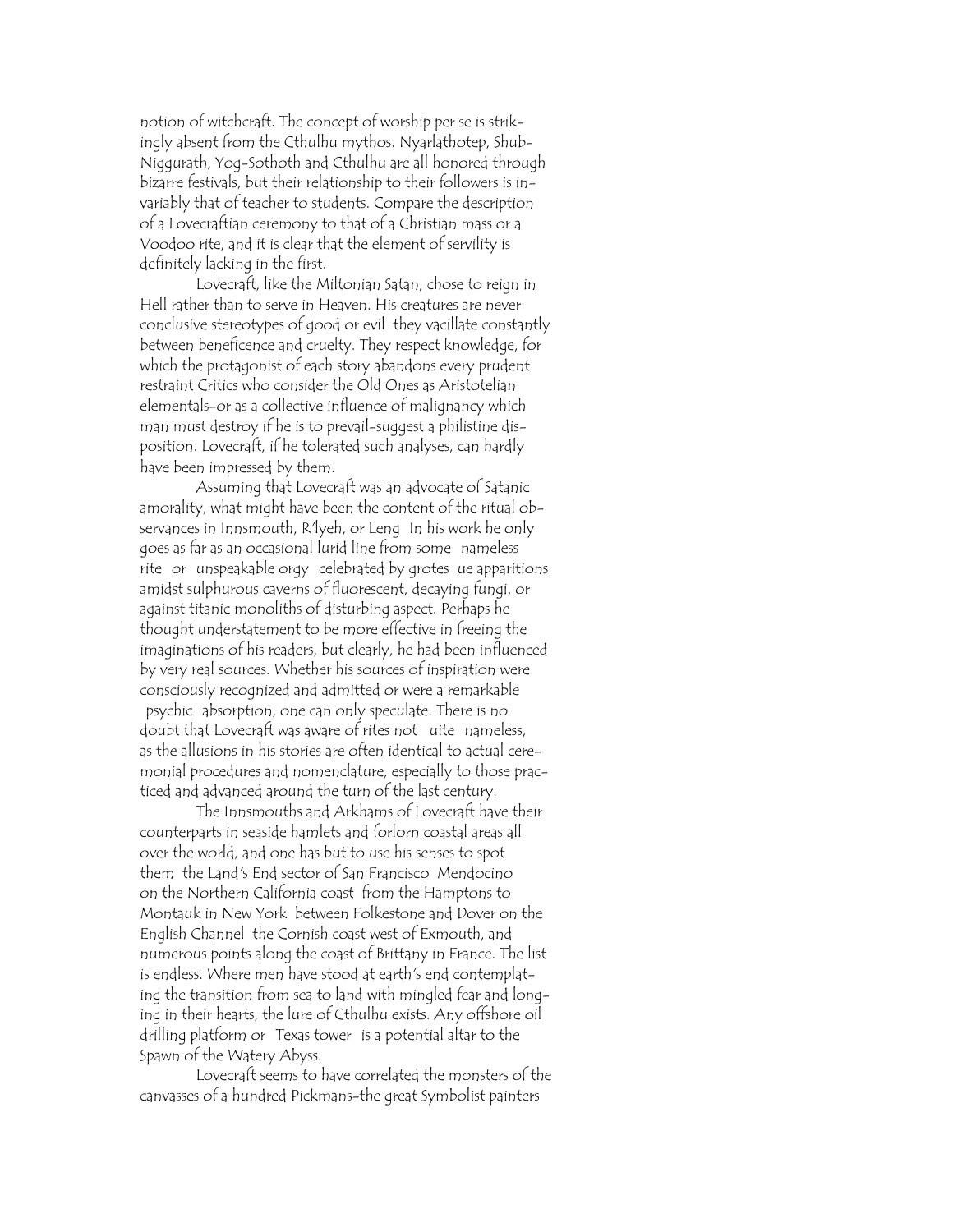notion of witchcraft. The concept of worship *per se* is strikingly absent from the Cthulhu mythos. Nyarlathotep, Shub-Niggurath, Yog-Sothoth and Cthulhu are all honored through bizarre festivals, but their relationship to their followers is invariably that of teacher to students. Compare the description of a Lovecraftian ceremony to that of a Christian mass or a Voodoo rite, and it is clear that the element of servility is definitely lacking in the first.

Lovecraft, like the Miltonian Satan, chose to reign in Hell rather than to serve in Heaven. His creatures are never conclusive stereotypes of good or evil; they vacillate constantly between beneficence and cruelty. They respect knowledge, for which the protagonist of each story abandons every prudent restraint Critics who consider the Old Ones as Aristotelian elementals-or as a collective influence of malignancy which man must destroy if he is to prevail-suggest a philistine disposition. Lovecraft, if he tolerated such analyses, can hardly have been impressed by them.

Assuming that Lovecraft was an advocate of Satanic amorality, what might have been the content of the ritual observances in Innsmouth, R'lyeh, or Leng? In his work he only goes as far as an occasional lurid line from some "nameless rite or unspeakable orgy celebrated by grotes ue apparitions amidst sulphurous caverns of fluorescent, decaying fungi, or against titanic monoliths of disturbing aspect. Perhaps he thought understatement to be more effective in freeing the imaginations of his readers, but clearly, he had been influenced by very real sources. Whether his sources of inspiration were consciously recognized and admitted or were a remarkable psychic absorption, one can only speculate. There is no doubt that Lovecraft was aware of rites not uite nameless, as the allusions in his stories are often *identical* to actual ceremonial procedures and nomenclature, especially to those practiced and advanced around the turn of the last century.

The Innsmouths and Arkhams of Lovecraft have their counterparts in seaside hamlets and forlorn coastal areas all over the world, and one has but to use his senses to spot them: the Land's End sector of San Francisco; Mendocino on the Northern California coast; from the Hamptons to Montauk in New York; between Folkestone and Dover on the English Channel; the Cornish coast west of Exmouth, and numerous points along the coast of Brittany in France. The list is endless. Where men have stood at earth's end contemplating the transition from sea to land with mingled fear and longing in their hearts, the lure of Cthulhu exists. Any offshore oil drilling platform or "Texas tower" is a potential altar to the Spawn of the Watery Abyss.

Lovecraft seems to have correlated the monsters of the canvasses of a hundred Pickmans-the great Symbolist painters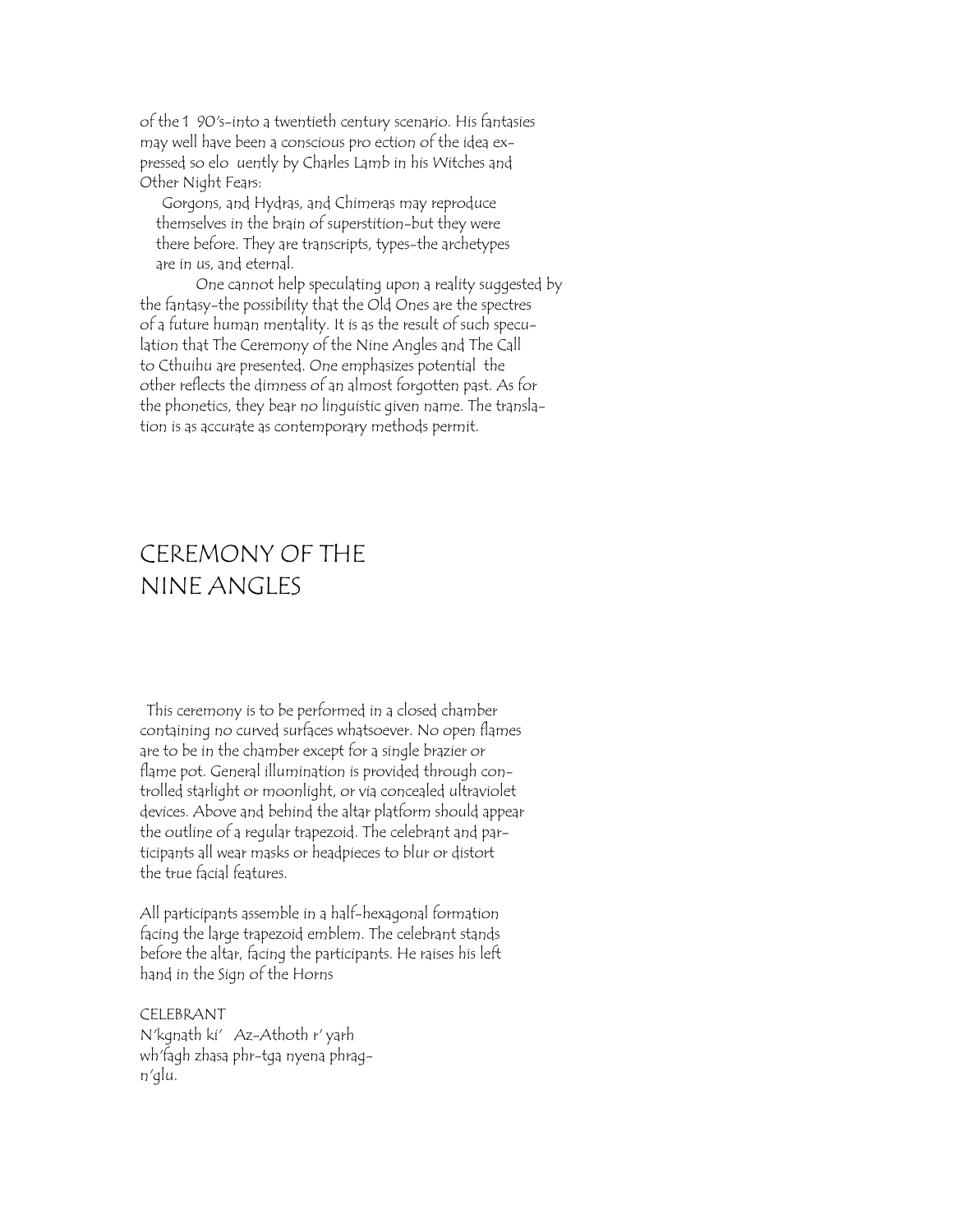of the 1890's-into a twentieth century scenario. His fantasies may well have been a conscious pro ection of the idea expressed so eloquently by Charles Lamb in his *Witches and Other Night Fears:*

Gorgons, and Hydras, and Chimeras may reproduce themselves in the brain of superstition-but they were there before. They are transcripts, types-the archetypes are in us, and eternal.

One cannot help speculating upon a reality suggested by the fantasy-the possibility that the Old Ones are the spectres of a future human mentality. It is as the result of such speculation that *The Ceremony of the Nine Angles* and *The Call to Cthuihu* are presented. One emphasizes potential: the other reflects the dimness of an almost forgotten past. As for the phonetics, they bear no linguistic given name. The translation is as accurate as contemporary methods permit.

# CEREMONY OF THE NINE ANGLES

This ceremony is to be performed in a closed chamber containing no curved surfaces whatsoever. No open flames are to be in the chamber except for a single brazier or flame pot. General illumination is provided through controlled starlight or moonlight, or via concealed ultraviolet devices. Above and behind the altar platform should appear the outline of a regular trapezoid. The celebrant and participants all wear masks or headpieces to blur or distort the true facial features.

All participants assemble in a half-hexagonal formation facing the large trapezoid emblem. The celebrant stands before the altar, facing the participants. He raises his left hand in the Sign of the Horns

CELEBRANT: N'kgnath ki' Az-Athoth r'yarh wh'fagh zhasa phr-tga nyena phragn'glu.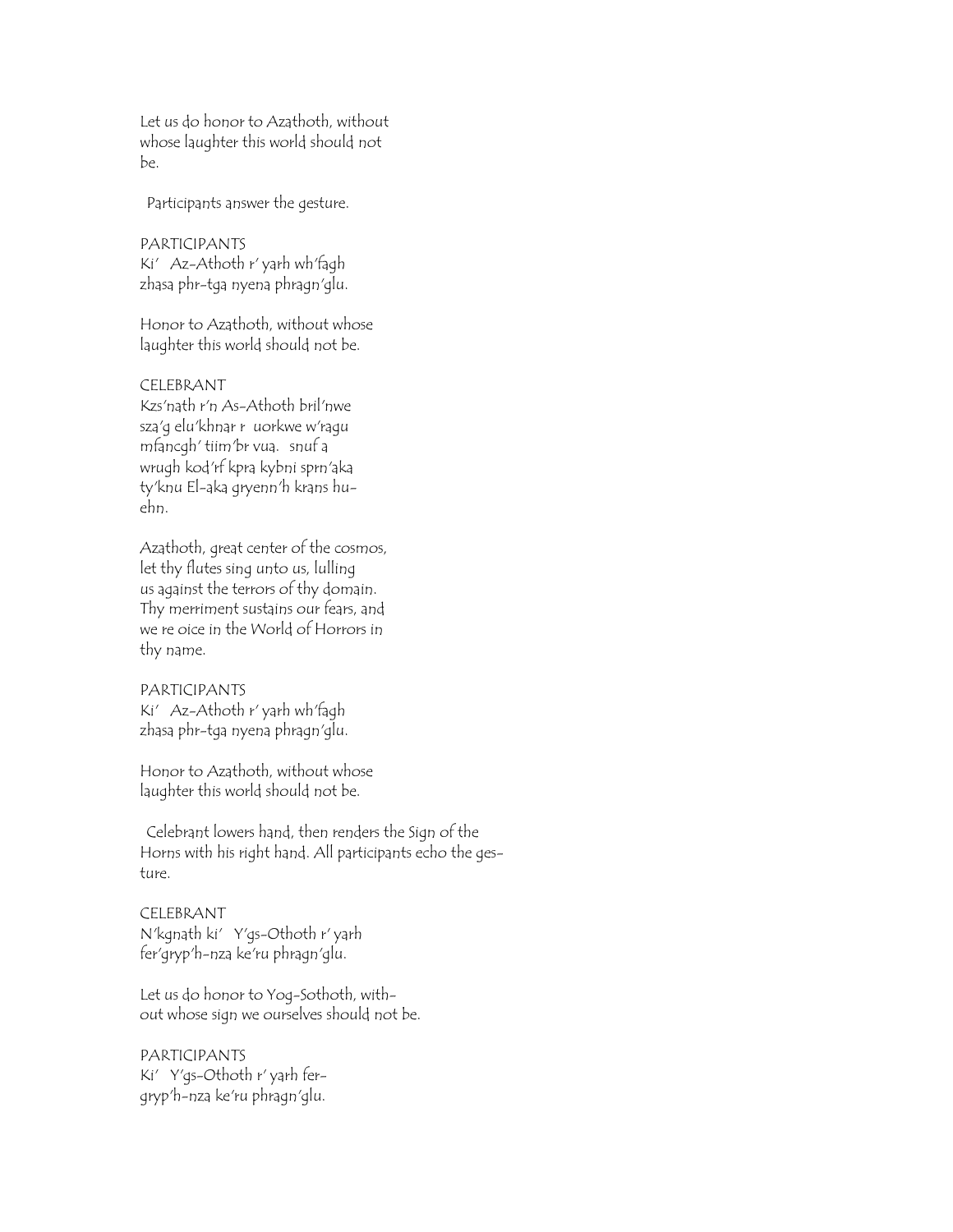Let us do honor to Azathoth, without whose laughter this world should not be.

Participants answer the gesture.

PARTICIPANTS: Ki' Az-Athoth r'yarh wh'fagh zhasa phr-tga nyena phragn'glu.

Honor to Azathoth, without whose laughter this world should not be.

### CELEBRANT:

Kzs'nath r'n As-Athoth bril'nwe sza'g elu'khnar ryuorkwe w'ragu mfancgh' tiim'br vua. snuf a wrugh kod'rf kpra kybni sprn'aka ty'knu El-aka gryenn'h krans huehn.

Azathoth, great center of the cosmos, let thy flutes sing unto us, lulling us against the terrors of thy domain. Thy merriment sustains our fears, and we re oice in the World of Horrors in thy name.

#### PARTICIPANTS:

Ki' Az-Athoth r'yarh wh'fagh zhasa phr-tga nyena phragn'glu.

Honor to Azathoth, without whose laughter this world should not be.

Celebrant lowers hand, then renders the Sign of the Horns with his right hand. All participants echo the gesture.]

CELEBRANT: N'kgnath ki' Y'gs-Othoth r'yarh fer'gryp'h-nza ke'ru phragn'glu.

Let us do honor to Yog-Sothoth, without whose sign we ourselves should not be.

PARTICIPANTS: Ki' Y'gs-Othoth r' yarh fergryp'h-nza ke'ru phragn'glu.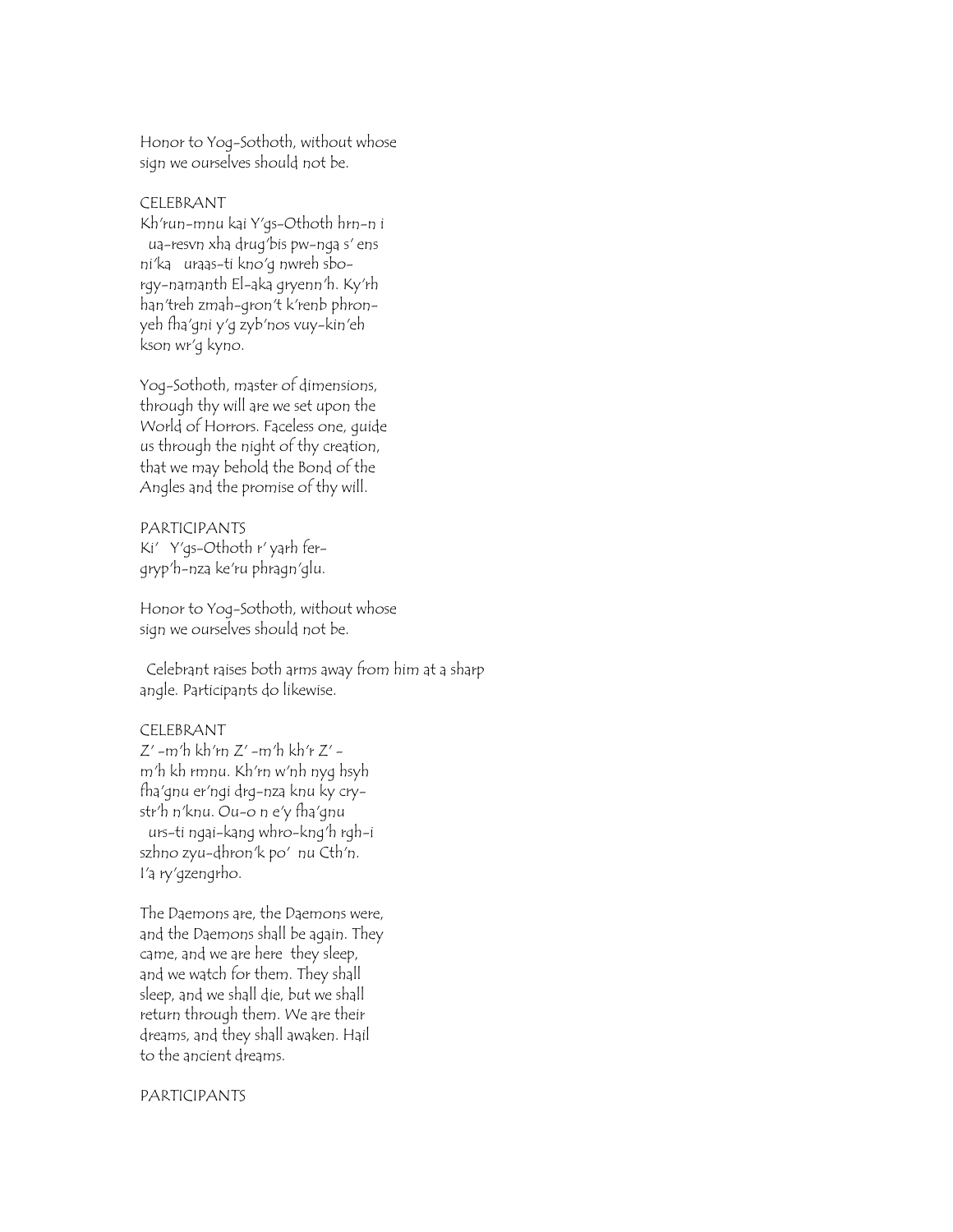Honor to Yog-Sothoth, without whose sign we ourselves should not be.

### CELEBRANT:

Kh'run-mnu kai Y'gs-Othoth hrn-nji ua-resvn xha drug'bis pw-nga s' ens ni'ka quraas-ti kno'g nwreh sbo-j rgy-namanth El-aka gryenn'h. Ky'rh han'treh zmah-gron't k'renb phronyeh fha'gni y'g zyb'nos vuy-kin'eh kson wr'g kyno.

Yog-Sothoth, master of dimensions, through thy will are we set upon the World of Horrors. Faceless one, guide us through the night of thy creation, that we may behold the Bond of the Angles and the promise of thy will.

PARTICIPANTS: Ki' Y'gs-Othoth r' yarh fergryp'h-nza ke'ru phragn'glu.

Honor to Yog-Sothoth, without whose sign we ourselves should not be.

Celebrant raises both arms away from him at a sharp angle. Participants do likewise.]

### CELEBRANT:

 $Z'-m'h$  kh'rn  $Z'-m'h$  kh'r  $Z'$ m'h kh rmnu. Kh'rn w'nh nyg hsyh fha'gnu er'ngi drg-nza knu ky crystr'h n'knu. Ou-o n e'y fha'gnu qurs-ti ngai-kang whro-kng'h rgh-i szhno zyu-dhron'k po'nu Cth'n. I'a ry'gzengrho.

The Daemons are, the Daemons were, and the Daemons shall be again. They came, and we are here they sleep, and we watch for them. They shall sleep, and we shall die, but we shall return through them. We are their dreams, and they shall awaken. Hail to the ancient dreams.

#### PARTICIPANTS: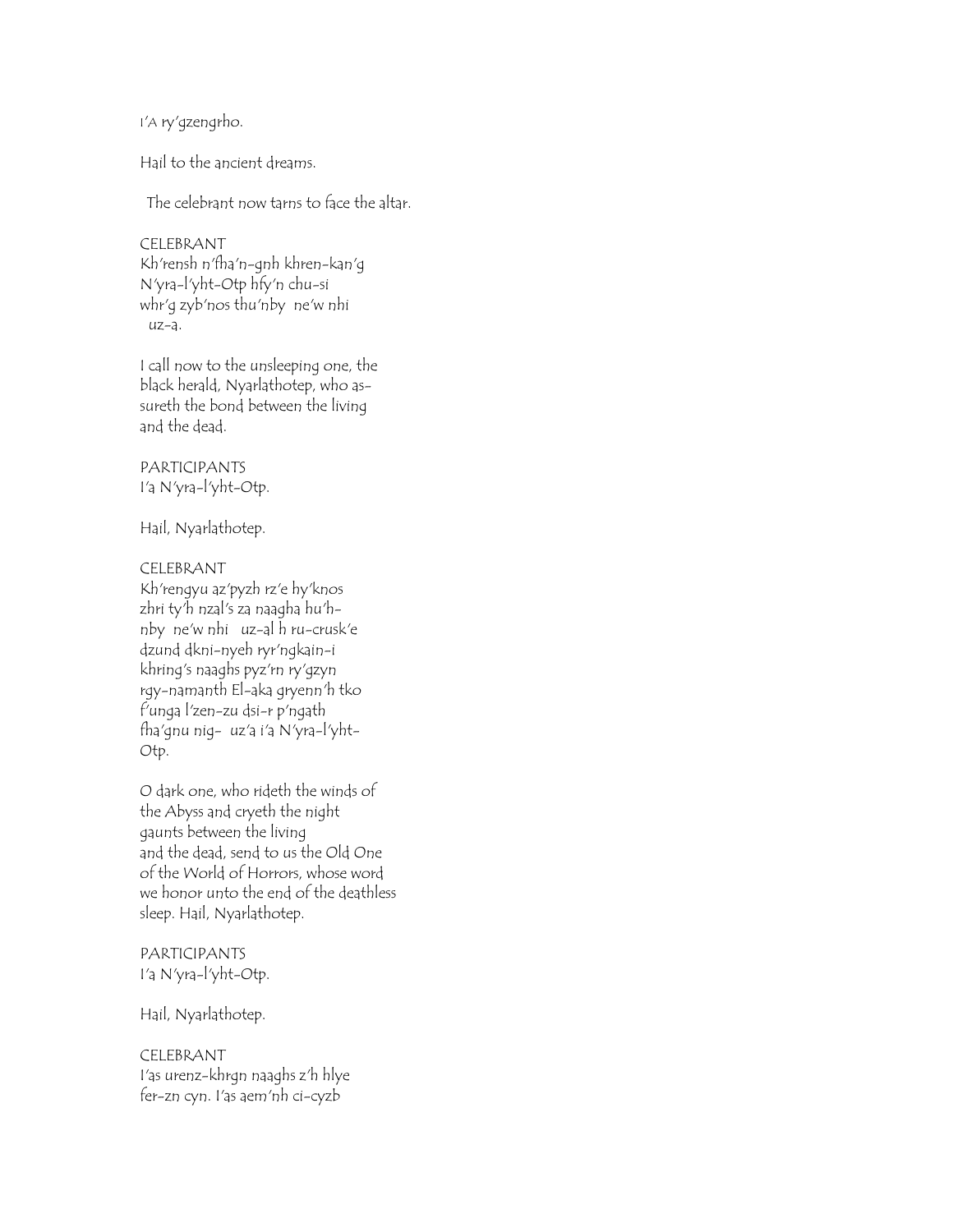### I'A ry'gzengrho.

Hail to the ancient dreams.

The celebrant now tarns to face the altar.

CELEBRANT: Kh'rensh n'fha'n-gnh khren-kan'g N'yra-l'yht-Otp hfy'n chu-si whr'g zyb'nos thu'nby ne'w nhi  $uz-a$ .

I call now to the unsleeping one, the black herald, Nyarlathotep, who assureth the bond between the living and the dead.

PARTICIPANTS: I'a N'yra-l'yht-Otp.

Hail, Nyarlathotep.

### CELEBRANT:

Kh'rengyu az'pyzh rz'e hy'knos zhri ty'h nzal's za naagha hu'hnby ne'w nhi uz-al h ru-crusk'e dzund dkni-nyeh ryr'ngkain-i khring's naaghs pyz'rn ry'gzyn rgy-namanth El-aka gryenn'h tko f'unga l'zen-zu dsi-r p'ngath fha'gnu nig-quz'a i'a N'yra-l'yht-Otp.

O dark one, who rideth the winds of the Abyss and cryeth the night gaunts between the living and the dead, send to us the Old One of the World of Horrors, whose word we honor unto the end of the deathless sleep. Hail, Nyarlathotep.

PARTICIPANTS: I'a N'yra-l'yht-Otp.

Hail, Nyarlathotep.

CELEBRANT: I'as urenz-khrgn naaghs z'h hlye fer-zn cyn. I'as aem'nh ci-cyzb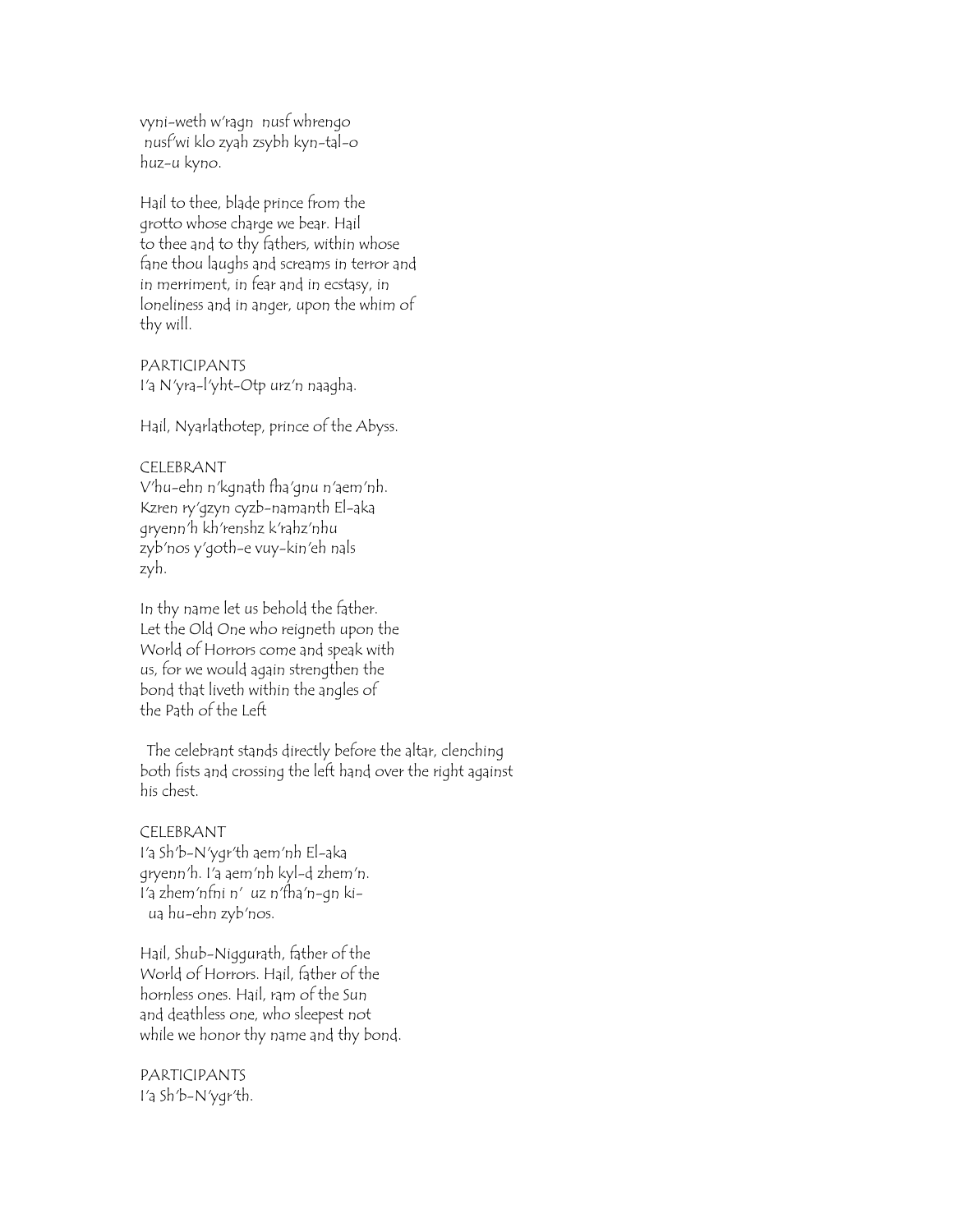vyni-weth w'ragn nusf whrengo jnusf'wi klo zyah zsybh kyn-tal-o huz-u kyno.

Hail to thee, blade prince from the grotto whose charge we bear. Hail to thee and to thy fathers, within whose fane thou laughs and screams in terror and in merriment, in fear and in ecstasy, in loneliness and in anger, upon the whim of thy will.

PARTICIPANTS: I'a N'yra-l'yht-Otp urz'n naagha.

Hail, Nyarlathotep, prince of the Abyss.

CELEBRANT: V'hu-ehn n'kgnath fha'gnu n'aem'nh. Kzren ry'gzyn cyzb-namanth El-aka gryenn'h kh'renshz k'rahz'nhu zyb'nos y'goth-e vuy-kin'eh nals zyh.

In thy name let us behold the father. Let the Old One who reigneth upon the World of Horrors come and speak with us, for we would again strengthen the bond that liveth within the angles of the Path of the Left

The celebrant stands directly before the altar, clenching both fists and crossing the left hand over the right against his chest.]

## CELEBRANT:

I'a Sh'b-N'ygr'th aem'nh El-aka gryenn'h. I'a aem'nh kyl-d zhem'n. I'a zhem'nfni n' uz n'fha'n-gn kiua hu-ehn zyb'nos.

Hail, Shub-Niggurath, father of the World of Horrors. Hail, father of the hornless ones. Hail, ram of the Sun and deathless one, who sleepest not while we honor thy name and thy bond.

PARTICIPANTS: I'a Sh'b-N'ygr'th.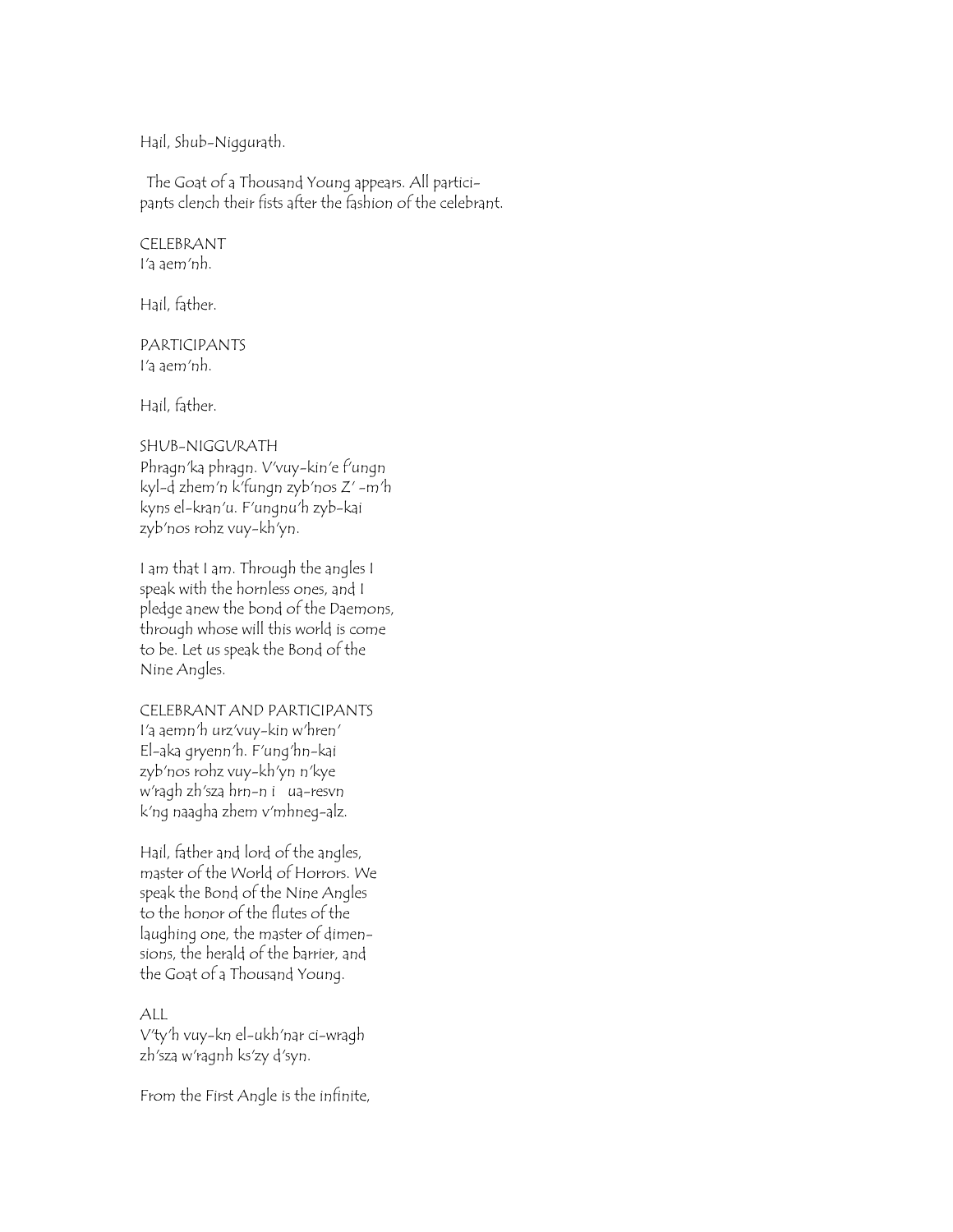Hail, Shub-Niggurath.

The Goat of a Thousand Young appears. All participants clench their fists after the fashion of the celebrant.

CELEBRANT: I'a aem'nh.

Hail, father.

PARTICIPANTS: I'a aem'nh.

Hail, father.

SHUB-NIGGURATH: Phragn'ka phragn. V'vuy-kin'e f'ungn kyl-d zhem'n k'fungn zyb'nos Z'-m'h kyns el-kran'u. F'ungnu'h zyb-kai zyb'nos rohz vuy-kh'yn.

I am that I am. Through the angles I speak with the hornless ones, and I pledge anew the bond of the Daemons, through whose will this world is come to be. Let us speak the Bond of the Nine Angles.

CELEBRANT AND PARTICIPANTS: I'a aemn'h urz'vuy-kin w'hren' El-aka gryenn'h. F'ung'hn-kai zyb'nos rohz vuy-kh'yn n'kye w'ragh zh'sza hrn-n i ua-resvn k'ng naagha zhem v'mhneg-alz.

Hail, father and lord of the angles, master of the World of Horrors. We speak the Bond of the Nine Angles to the honor of the flutes of the laughing one, the master of dimensions, the herald of the barrier, and the Goat of a Thousand Young.

ALL:

V'ty'h vuy-kn el-ukh'nar ci-wragh zh'sza w'ragnh ks'zy d'syn.

From the First Angle is the infinite,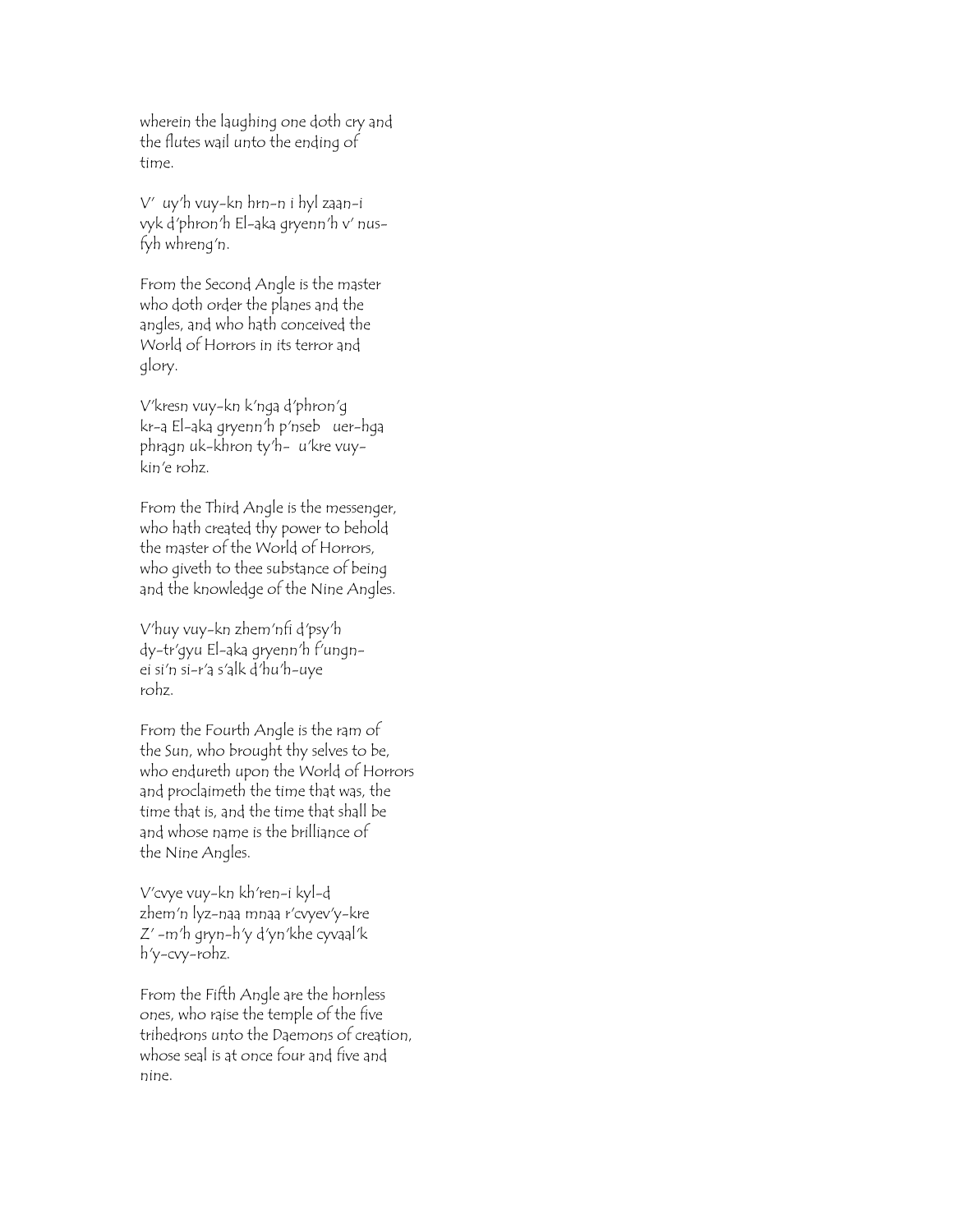wherein the laughing one doth cry and the flutes wail unto the ending of time.

V'quy'h vuy-kn hrn-nji hyl zaan-i vyk d'phron'h El-aka gryenn'h v' nusfyh whreng'n.

From the Second Angle is the master who doth order the planes and the angles, and who hath conceived the World of Horrors in its terror and glory.

V'kresn vuy-kn k'nga d'phron'g kr-a El-aka gryenn'h p'nseb uer-hga phragn uk-khron ty'h- u'kre vuykin'e rohz.

From the Third Angle is the messenger, who hath created thy power to behold the master of the World of Horrors, who giveth to thee substance of being and the knowledge of the Nine Angles.

V'huy vuy-kn zhem'nfi d'psy'h dy-tr'gyu El-aka gryenn'h f'ungnei si'n si-r'a s'alk d'hu'h-uye rohz.

From the Fourth Angle is the ram of the Sun, who brought thy selves to be, who endureth upon the World of Horrors and proclaimeth the time that was, the time that is, and the time that shall be; and whose name is the brilliance of the Nine Angles.

V'cvye vuy-kn kh'ren-i kyl-d zhem'n lyz-naa mnaa r'cvyev'y-kre Z'j-m'h gryn-h'y d'yn'khe cyvaal'k h'y-cvy-rohz.

From the Fifth Angle are the hornless ones, who raise the temple of the five trihedrons unto the Daemons of creation, whose seal is at once four and five and nine.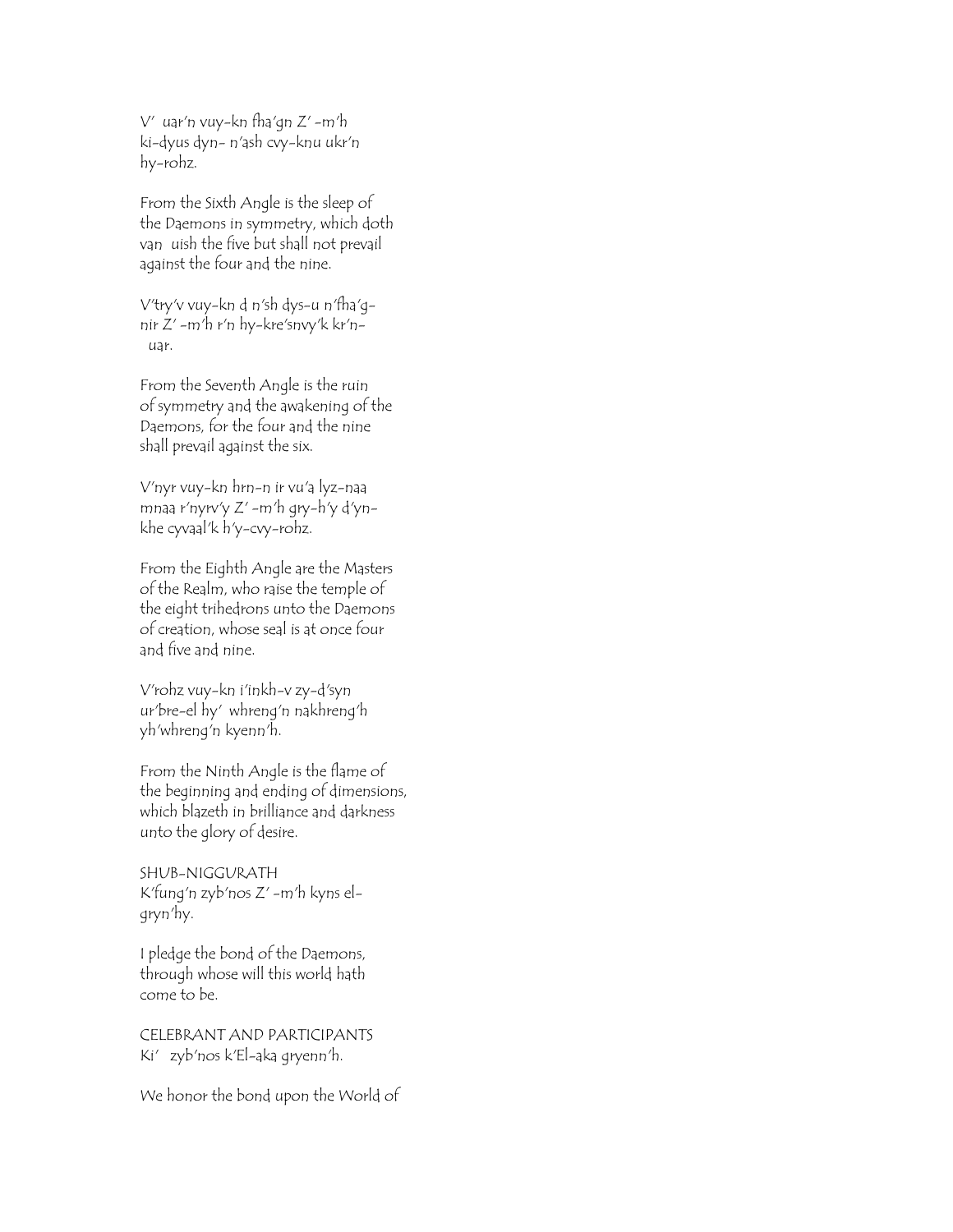V' uar'n vuy-kn fha'gn  $Z'$ -m'h ki-dyus dyn- n'ash cvy-knu ukr'n hy-rohz.

From the Sixth Angle is the sleep of the Daemons in symmetry, which doth van uish the five but shall not prevail against the four and the nine.

V'try'v vuy-kn djn'sh dys-u n'fha'gnir Z'-m'h r'n hy-kre'snvy'k kr'nuar.

From the Seventh Angle is the ruin of symmetry and the awakening of the Daemons, for the four and the nine shall prevail against the six.

V'nyr vuy-kn hrn-n ir vu'a lyz-naa mnaa r'nyrv'y  $Z'$ -m'h gry-h'y d'ynkhe cyvaal'k h'y-cvy-rohz.

From the Eighth Angle are the Masters of the Realm, who raise the temple of the eight trihedrons unto the Daemons of creation, whose seal is at once four and five and nine.

V'rohz vuy-kn i'inkh-v zy-d'syn ur'bre-el hy'j whreng'n nakhreng'h yh'whreng'n kyenn'h.

From the Ninth Angle is the flame of the beginning and ending of dimensions, which blazeth in brilliance and darkness unto the glory of desire.

SHUB-NIGGURATH: K'fung'n zyb'nos Z'-m'h kyns elgryn'hy.

I pledge the bond of the Daemons, through whose will this world hath come to be.

CELEBRANT AND PARTICIPANTS: Ki'q zyb'nos k'El-aka gryenn'h.

We honor the bond upon the World of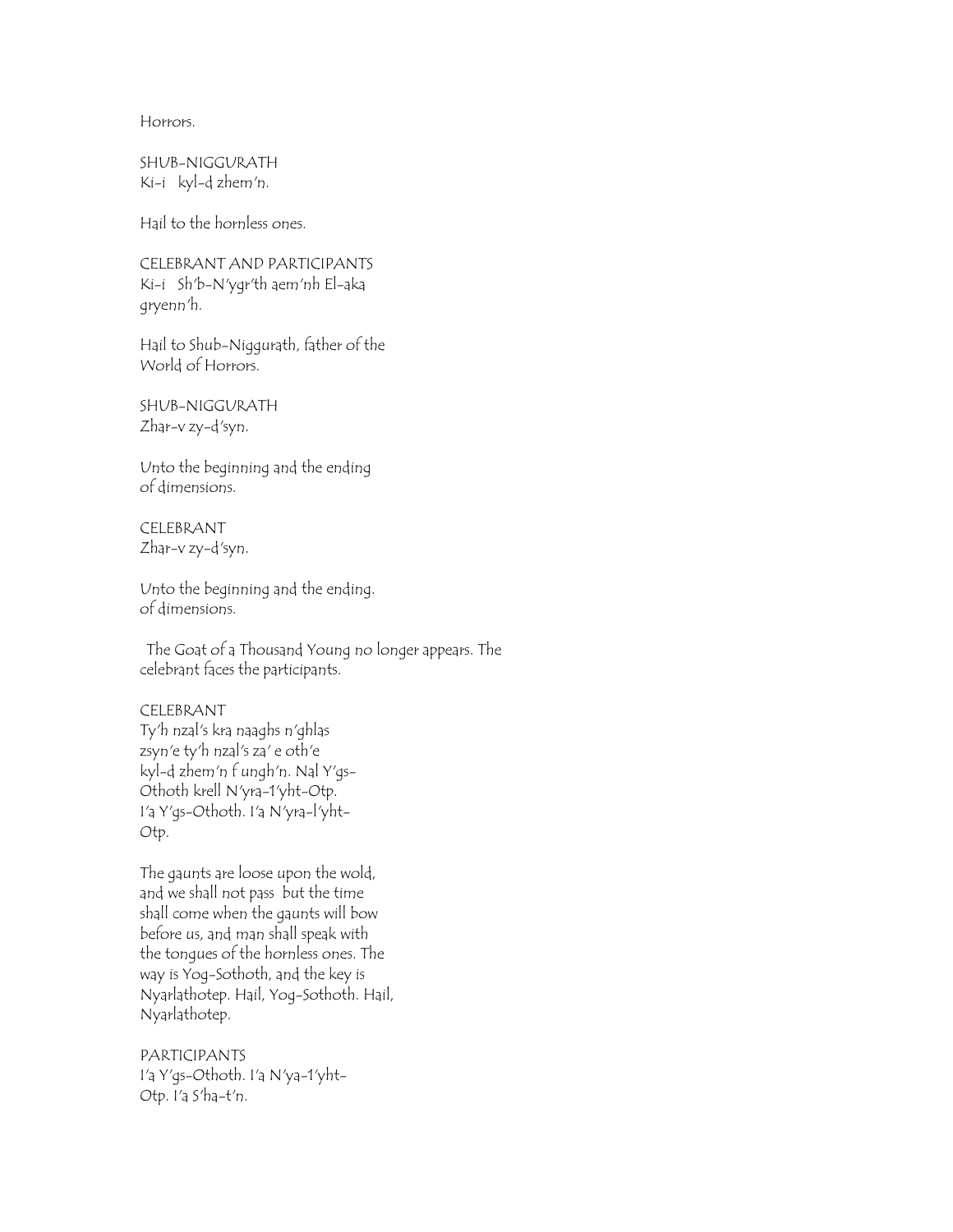Horrors.

SHUB-NIGGURATH: Ki-i kyl-d zhem'n.

Hail to the hornless ones.

CELEBRANT AND PARTICIPANTS: Ki-i Sh'b-N'ygr'th aem'nh El-aka gryenn'h.

Hail to Shub-Niggurath, father of the World of Horrors.

SHUB-NIGGURATH: Zhar-v zy-d'syn.

Unto the beginning and the ending of dimensions.

CELEBRANT: Zhar-v zy-d'syn.

Unto the beginning and the ending. of dimensions.

The Goat of a Thousand Young no longer appears. The celebrant faces the participants.]

### CELEBRANT:

Ty'h nzal's kra naaghs n'ghlasj zsyn'e ty'h nzal's za' e oth'e kyl-d zhem'n f ungh'n. Nal Y'gs-Othoth krell N'yra-1'yht-Otp. I'a Y'gs-Othoth. I'a N'yra-l'yht-Otp.

The gaunts are loose upon the wold, and we shall not pass; but the time shall come when the gaunts will bow before us, and man shall speak with the tongues of the hornless ones. The way is Yog-Sothoth, and the key is Nyarlathotep. Hail, Yog-Sothoth. Hail, Nyarlathotep.

**PARTICIPANTS** I'a Y'gs-Othoth. I'a N'ya-1'yht-Otp. I'a S'ha-t'n.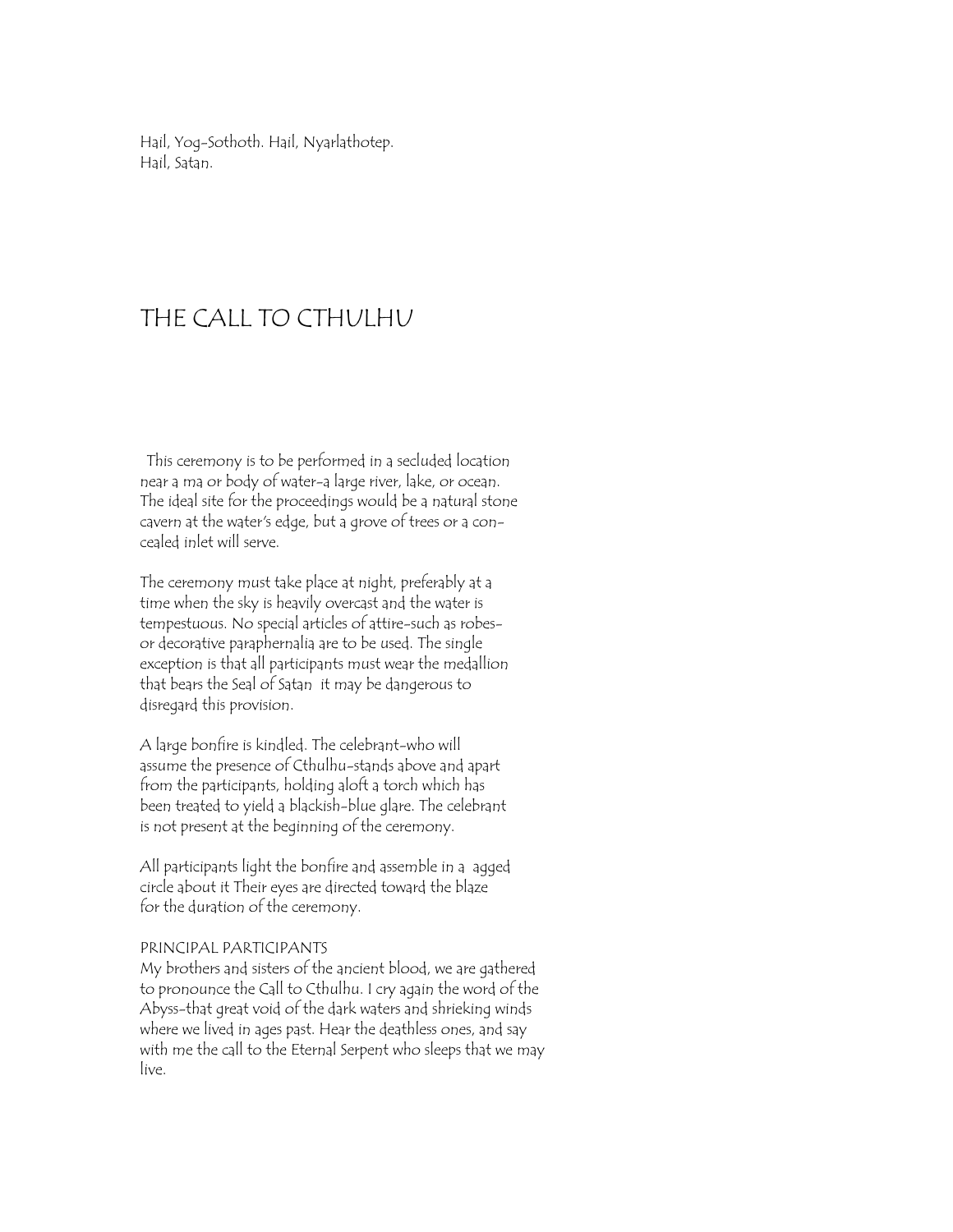Hail, Yog-Sothoth. Hail, Nyarlathotep. Hail, Satan.

# THE CALL TO CTHULHU

This ceremony is to be performed in a secluded location near a major body of water-a large river, lake, or ocean. The ideal site for the proceedings would be a natural stone cavern at the water's edge, but a grove of trees or a concealed inlet will serve.

The ceremony must take place at night, preferably at a time when the sky is heavily overcast and the water is tempestuous. No special articles of attire-such as robesor decorative paraphernalia are to be used. The single exception is that all participants must wear the medallion that bears the Seal of Satan: it may be dangerous to disregard this provision.

A large bonfire is kindled. The celebrant-who will assume the presence of Cthulhu-stands above and apart from the participants, holding aloft a torch which has been treated to yield a blackish-blue glare. The celebrant is not present at the beginning of the ceremony.

All participants light the bonfire and assemble in a agged circle about it Their eyes are directed toward the blaze for the duration of the ceremony.

### PRINCIPAL PARTICIPANTS:

My brothers and sisters of the ancient blood, we are gathered to pronounce the Call to Cthulhu. I cry again the word of the Abyss-that great void of the dark waters and shrieking winds where we lived in ages past. Hear the deathless ones, and say with me the call to the Eternal Serpent who sleeps that we may live.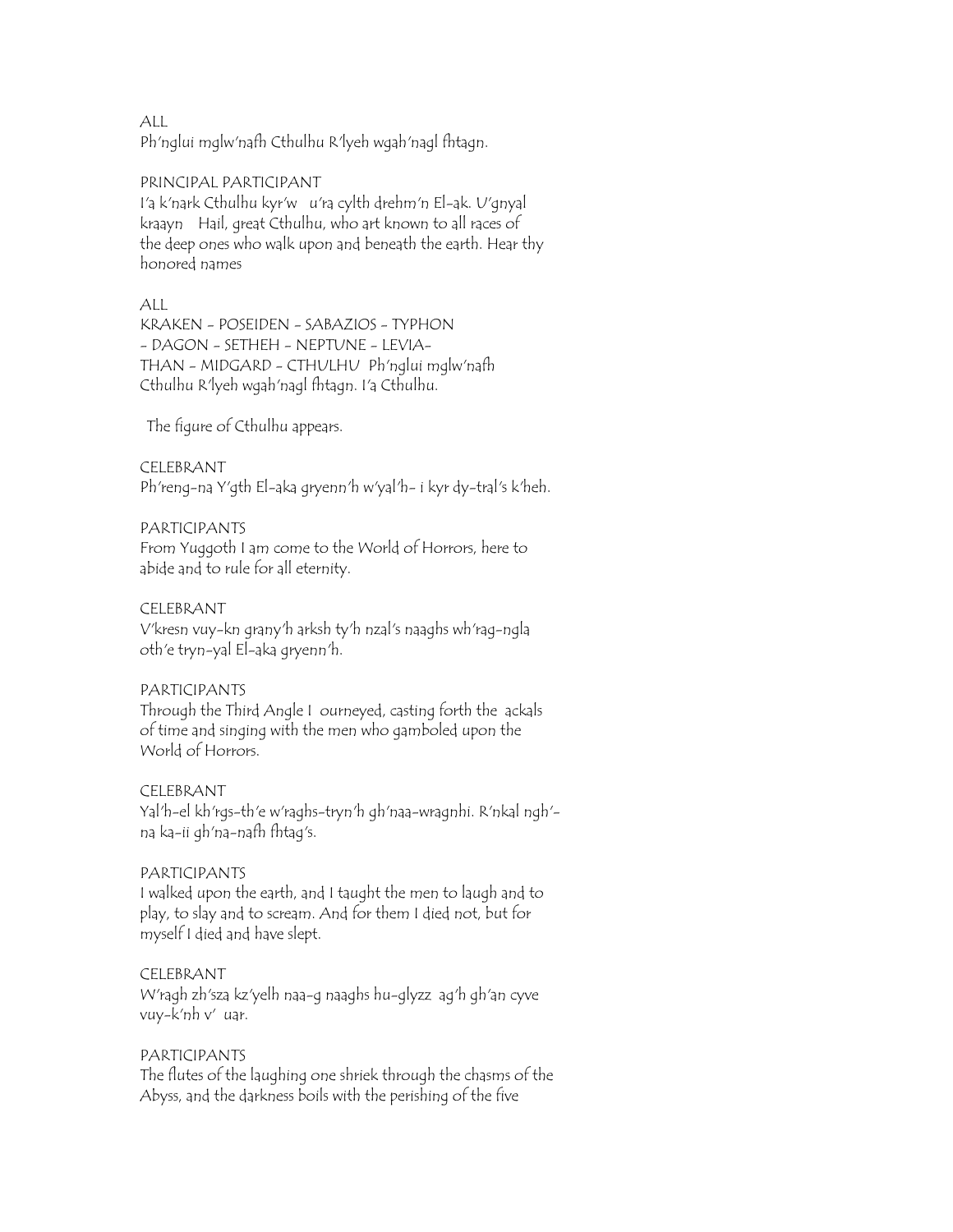ALL: Ph'nglui mglw'nafh Cthulhu R'lyeh wgah'nagl fhtagn.

## PRINCIPAL PARTICIPANT:

I'a k'nark Cthulhu kyr'w u'ra cylth drehm'n El-ak. U'gnyal kraayn: (Hail, great Cthulhu, who art known to all races of the deep ones who walk upon and beneath the earth. Hear thy honored names:)

## ALL:

KRAKEN - POSEIDEN - SABAZIOS - TYPHON - DAGON - SETHEH - NEPTUNE - LEVIA-THAN - MIDGARD - CTHULHU! Ph'nglui mglw'nafh Cthulhu R'lyeh wgah'nagl fhtagn. I'a Cthulhu.

The figure of Cthulhu appears.

CELEBRANT: Ph'reng-na Y'gth El-aka gryenn'h w'yal'h- i kyr dy-tral's k'heh.

# PARTICIPANTS:

From Yuggoth I am come to the World of Horrors, here to abide and to rule for all eternity.

## CELEBRANT:

V'kresn vuy-kn grany'h arksh ty'h nzal's naaghs wh'rag-ngla oth'e tryn-yal El-aka gryenn'h.

# PARTICIPANTS:

Through the Third Angle I ourneyed, casting forth the ackals of time and singing with the men who gamboled upon the World of Horrors.

# CELEBRANT:

Yal'h-el kh'rgs-th'e w'raghs-tryn'h gh'naa-wragnhi. R'nkal ngh' na ka-ii gh'na-nafh fhtag's.

# PARTICIPANTS:

I walked upon the earth, and I taught the men to laugh and to play, to slay and to scream. And for them I died not, but for myself I died and have slept.

# CELEBRANT:

W'ragh zh'sza kz'yelh naa-g naaghs hu-glyzz ag'h gh'an cyve vuy-k'nh v' uar.

# PARTICIPANTS:

The flutes of the laughing one shriek through the chasms of the Abyss, and the darkness boils with the perishing of the five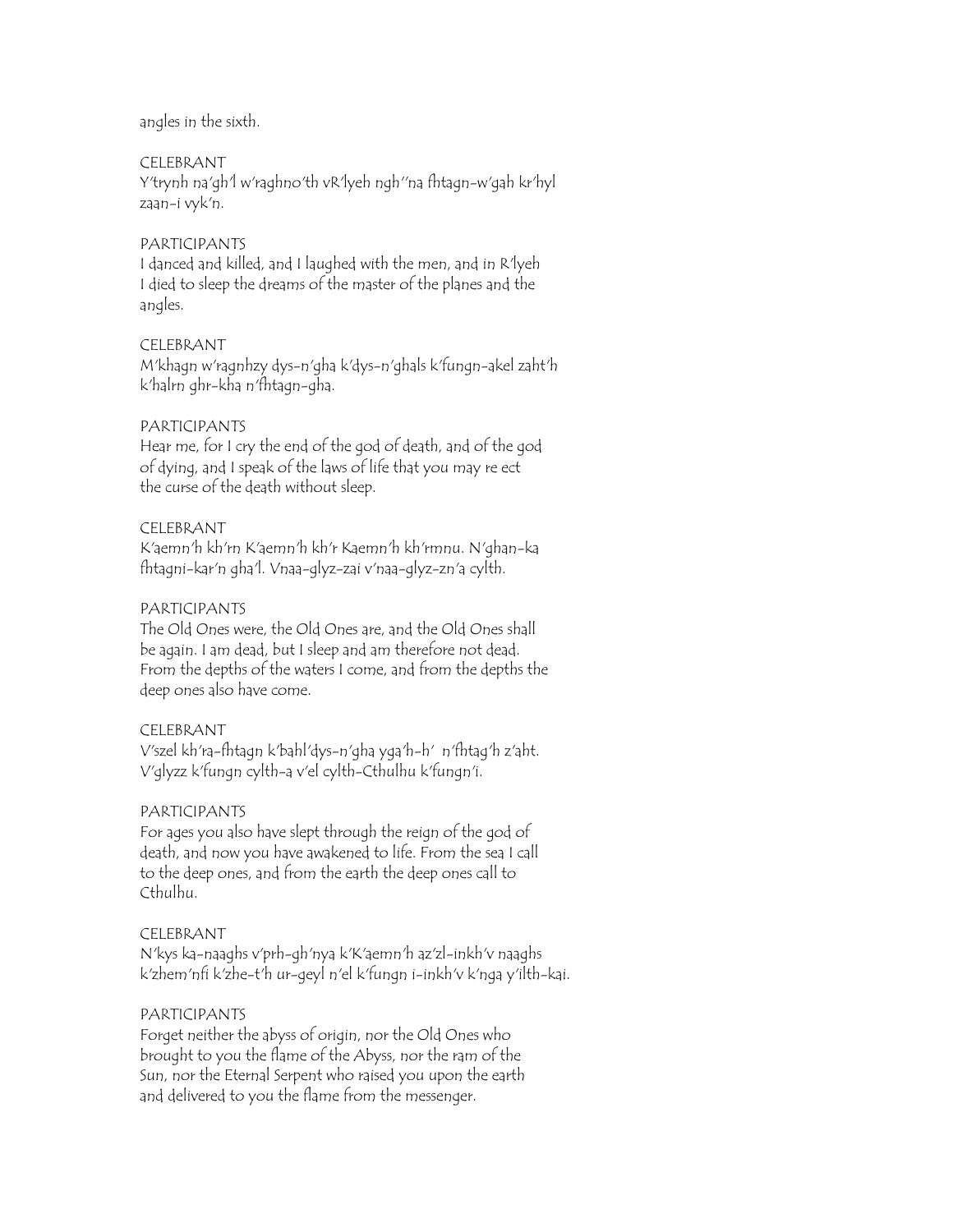angles in the sixth.

## CELEBRANT:

Y'trynh na'gh'l w'raghno'th vR'lyeh ngh''na fhtagn-w'gah kr'hyl zaan-i vyk'n.

## PARTICIPANTS:

I danced and killed, and I laughed with the men, and in R'lyeh I died to sleep the dreams of the master of the planes and the angles.

## CELEBRANT:

M'khagn w'ragnhzy dys-n'gha k'dys-n'ghals k'fungn-akel zaht'h k'halrn ghr-kha n'fhtagn-gha.

## PARTICIPANTS:

Hear me, for I cry the end of the god of death, and of the god of dying, and I speak of the laws of life that you may reject the curse of the death without sleep.

## CELEBRANT:

K'aemn'h kh'rn K'aemn'h kh'r Kaemn'h kh'rmnu. N'ghan-ka fhtagni-kar'n gha'l. Vnaa-glyz-zai v'naa-glyz-zn'a cylth.

# PARTICIPANTS:

The Old Ones were, the Old Ones are, and the Old Ones shall be again. I am dead, but I sleep and am therefore not dead. From the depths of the waters I come, and from the depths the deep ones also have come.

# CELEBRANT:

V'szel kh'ra-fhtagn k'bahl'dys-n'gha yga'h-h' n'fhtag'h z'aht. V'glyzz k'fungn cylth-a v'el cylth-Cthulhu k'fungn'i.

# PARTICIPANTS:

For ages you also have slept through the reign of the god of death, and now you have awakened to life. From the sea I call to the deep ones, and from the earth the deep ones call to Cthulhu.

## CELEBRANT:

N'kys ka-naaghs v'prh-gh'nya k'K'aemn'h az'zl-inkh'v naaghs k'zhem'nfi k'zhe-t'h ur-geyl n'el k'fungn i-inkh'v k'nga y'ilth-kai.

## PARTICIPANTS:

Forget neither the abyss of origin, nor the Old Ones who brought to you the flame of the Abyss, nor the ram of the Sun, nor the Eternal Serpent who raised you upon the earth and delivered to you the flame from the messenger.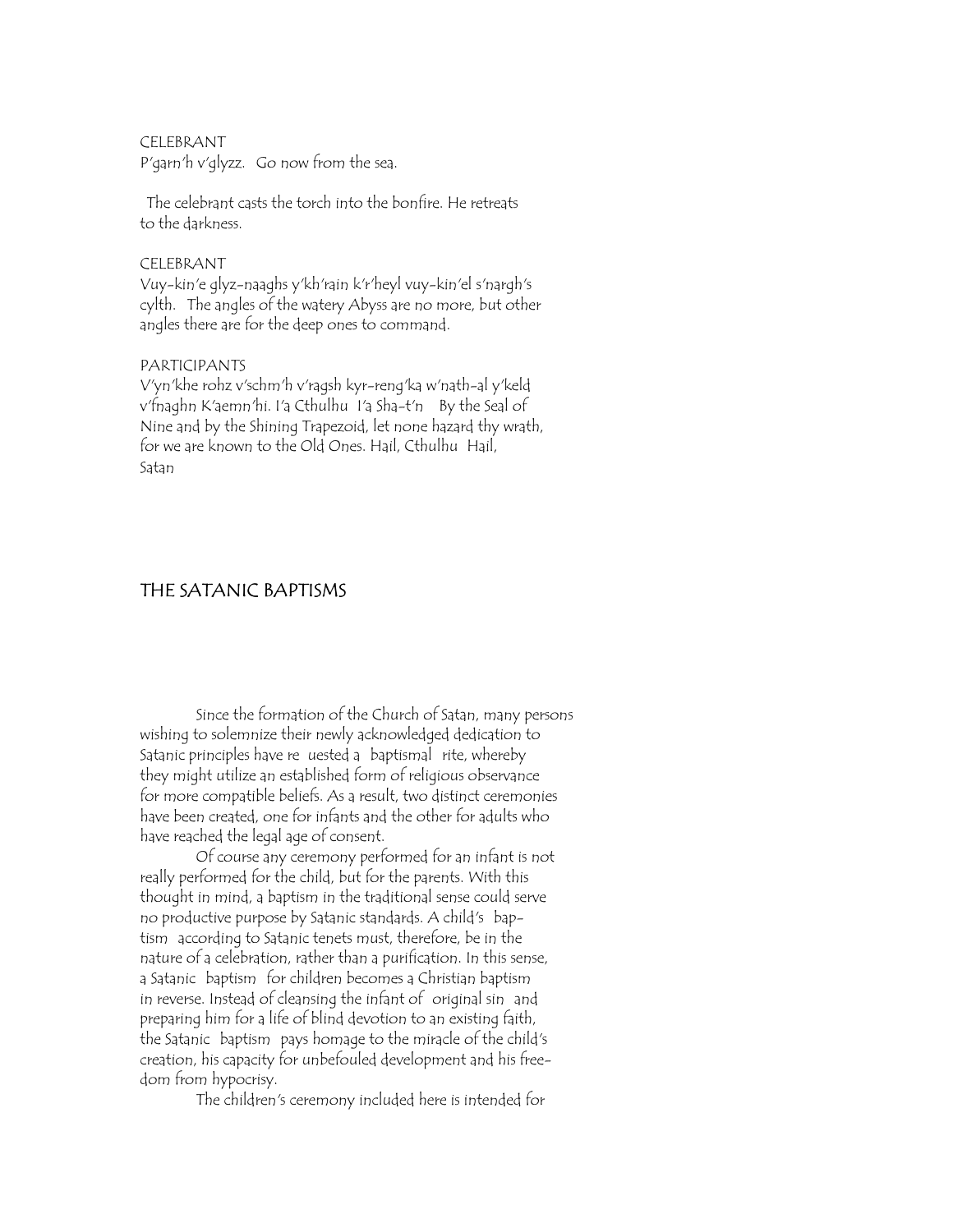CELEBRANT: P'garn'h v'glyzz. Go now from the sea.

The celebrant casts the torch into the bonfire. He retreats to the darkness.

#### CELEBRANT:

Vuy-kin'e glyz-naaghs y'kh'rain k'r'heyl vuy-kin'el s'nargh's cylth. (The angles of the watery Abyss are no more, but other angles there are for the deep ones to command.

## PARTICIPANTS:

V'yn'khe rohz v'schm'h v'ragsh kyr-reng'ka w'nath-al y'keld v'fnaghn K'aemn'hi. I'a Cthulhu I'a Sha-t'n By the Seal of Nine and by the Shining Trapezoid, let none hazard thy wrath, for we are known to the Old Ones. Hail, Cthulhu! Hail, Satan!)

# THE SATANIC BAPTISMS

Since the formation of the Church of Satan, many persons wishing to solemnize their newly acknowledged dedication to Satanic principles have requested a "baptismal" rite, whereby they might utilize an established form of religious observance for more compatible beliefs. As a result, two distinct ceremonies have been created, one for infants and the other for adults who have reached the legal age of consent.

Of course any ceremony performed for an infant is not really performed for the child, but for the parents. With this thought in mind, a baptism in the traditional sense could serve no productive purpose by Satanic standards. A child's "baptism" according to Satanic tenets must, therefore, be in the nature of a celebration, rather than a purification. In this sense, a Satanic baptism for children becomes a Christian baptism in reverse. Instead of cleansing the infant of "original sin" and preparing him for a life of blind devotion to an existing faith, the Satanic baptism pays homage to the miracle of the child's creation, his capacity for unbefouled development and his freedom from hypocrisy.

The children's ceremony included here is intended for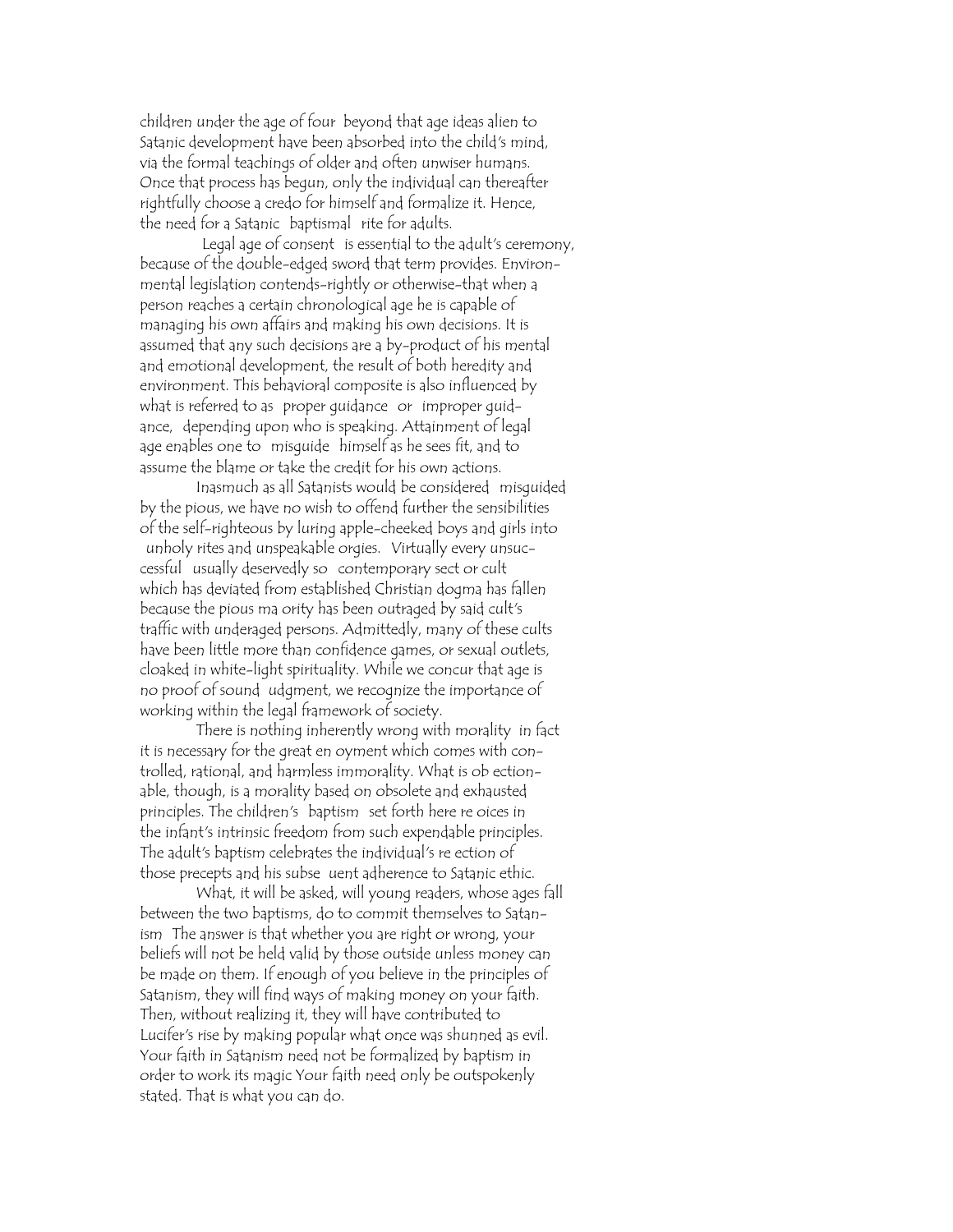children under the age of four; beyond that age ideas alien to Satanic development have been absorbed into the child's mind, via the formal teachings of older and often unwiser humans. Once that process has begun, only the individual can thereafter rightfully choose a credo for himself and formalize it. Hence, the need for a Satanic baptismal rite for adults.

Legal age of consent is essential to the adult's ceremony, because of the double-edged sword that term provides. Environmental legislation contends-rightly or otherwise-that when a person reaches a certain chronological age he is capable of managing his own affairs and making his own decisions. It is assumed that any such decisions are a by-product of his mental and emotional development, the result of both heredity and environment. This behavioral composite is also influenced by what is referred to as proper quidance or improper quidance," depending upon who is speaking. Attainment of legal age enables one to "misguide" himself as he sees fit, and to assume the blame or take the credit for his own actions.

Inasmuch as all Satanists would be considered "misguided" by the pious, we have no wish to offend further the sensibilities of the self-righteous by luring apple-cheeked boys and girls into unholy rites and unspeakable orgies. Virtually every unsuccessful (usually deservedly so) contemporary sect or cult which has deviated from established Christian dogma has fallen because the pious majority has been outraged by said cult's traffic with underaged persons. Admittedly, many of these cults have been little more than confidence games, or sexual outlets, cloaked in white-light spirituality. While we concur that age is no proof of sound judgment, we recognize the importance of working within the legal framework of society.

There is nothing inherently wrong with morality: in fact it is necessary for the great en oyment which comes with controlled, rational, and harmless immorality. What *is* objectionable, though, is a morality based on obsolete and exhausted principles. The children's baptism set forth here re oices in the infant's intrinsic freedom from such expendable principles. The adult's baptism celebrates the individual's rejection of those precepts and his subsequent adherence to Satanic ethic.

What, it will be asked, will young readers, whose ages fall between the two baptisms, do to commit themselves to Satanism? The answer is that whether you are right or wrong, your beliefs will not be held valid by those outside unless money can be made on them. If enough of you believe in the principles of Satanism, they will find ways of making money on your faith. Then, without realizing it, they will have contributed to Lucifer's rise by making popular what once was shunned as evil. Your faith in Satanism need not be formalized by baptism in order to work its magic Your faith need only be outspokenly stated. That is what you can do.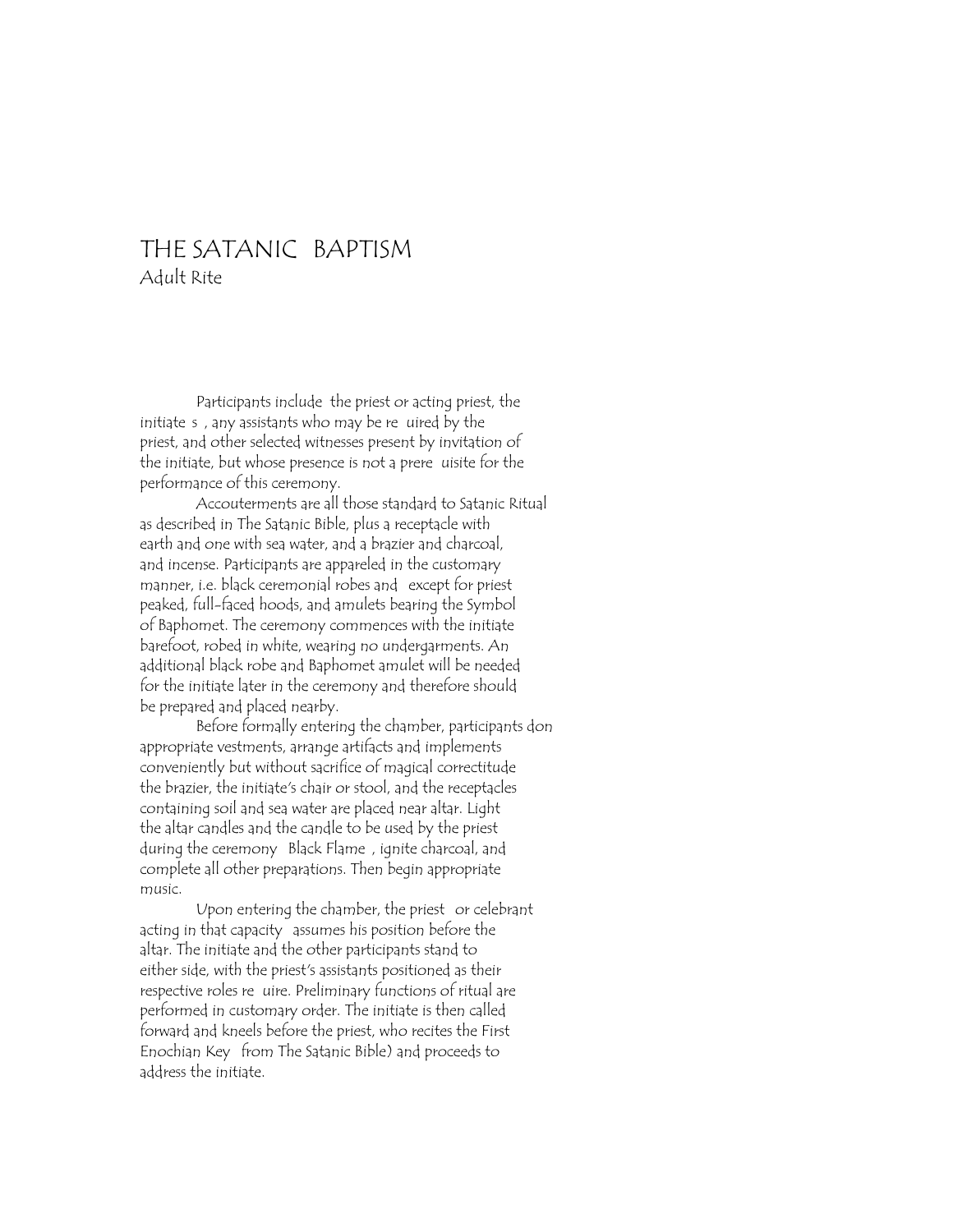# THE SATANIC BAPTISM Adult Rite

Participants include: the priest or acting priest, the initiate s, any assistants who may be required by the priest, and other selected witnesses present by invitation of the initiate, but whose presence is not a prere uisite for the performance of this ceremony.

Accouterments are all those standard to Satanic Ritual as described in *The Satanic Bible,* plus a receptacle with earth and one with sea water, and a brazier and charcoal, and incense. Participants are appareled in the customary manner, i.e. black ceremonial robes and except for priest peaked, full-faced hoods, and amulets bearing the Symbol of Baphomet. The ceremony commences with the initiate barefoot, robed in white, wearing no undergarments. An additional black robe and Baphomet amulet will be needed for the initiate later in the ceremony and therefore should be prepared and placed nearby.

Before formally entering the chamber, participants don appropriate vestments, arrange artifacts and implements conveniently but without sacrifice of magical correctitude: the brazier, the initiate's chair or stool, and the receptacles containing soil and sea water are placed near altar. Light the altar candles and the candle to be used by the priest during the ceremony (Black Flame), ignite charcoal, and complete all other preparations. Then begin appropriate music.

Upon entering the chamber, the priest or celebrant acting in that capacity) assumes his position before the altar. The initiate and the other participants stand to either side, with the priest's assistants positioned as their respective roles re uire. Preliminary functions of ritual are performed in customary order. The initiate is then called forward and kneels before the priest, who recites the *First Enochian Key* (from *The Satanic Bible)* and proceeds to address the initiate.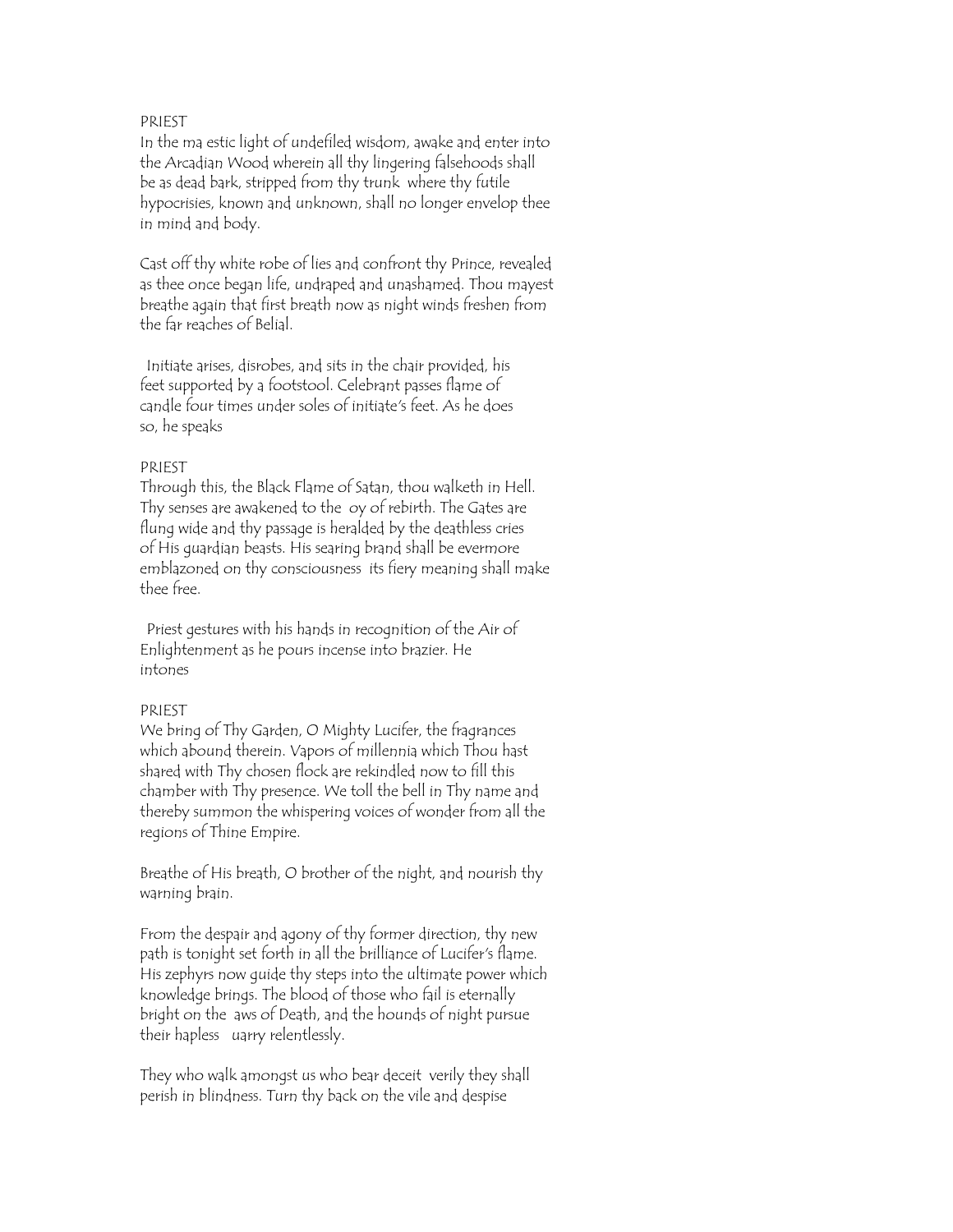## PRIEST:

In the majestic light of undefiled wisdom, awake and enter into the Arcadian Wood wherein all thy lingering falsehoods shall be as dead bark, stripped from thy trunk: where thy futile hypocrisies, known and unknown, shall no longer envelop thee in mind and body.

Cast off thy white robe of lies and confront thy Prince, revealed as thee once began life, undraped and unashamed. Thou mayest breathe again that first breath now as night winds freshen from the far reaches of Belial.

Initiate arises, disrobes, and sits in the chair provided, his feet supported by a footstool. Celebrant passes flame of candle four times under soles of initiate's feet. As he does so, he speaks:]

## PRIEST:

Through this, the Black Flame of Satan, thou walketh in Hell. Thy senses are awakened to the oy of rebirth. The Gates are flung wide and thy passage is heralded by the deathless cries of His guardian beasts. His searing brand shall be evermore emblazoned on thy consciousness: its fiery meaning shall make thee free.

Priest gestures with his hands in recognition of the Air of Enlightenment as he pours incense into brazier. He intones

# PRIEST:

We bring of Thy Garden, O Mighty Lucifer, the fragrances which abound therein. Vapors of millennia which Thou hast shared with Thy chosen flock are rekindled now to fill this chamber with Thy presence. We toll the bell in Thy name and thereby summon the whispering voices of wonder from all the regions of Thine Empire.

Breathe of His breath, O brother of the night, and nourish thy warning brain.

From the despair and agony of thy former direction, thy new path is tonight set forth in all the brilliance of Lucifer's flame. His zephyrs now guide thy steps into the ultimate power which knowledge brings. The blood of those who fail is eternally bright on the jaws of Death, and the hounds of night pursue their hapless uarry relentlessly.

They who walk amongst us who bear deceit verily they shall perish in blindness. Turn thy back on the vile and despise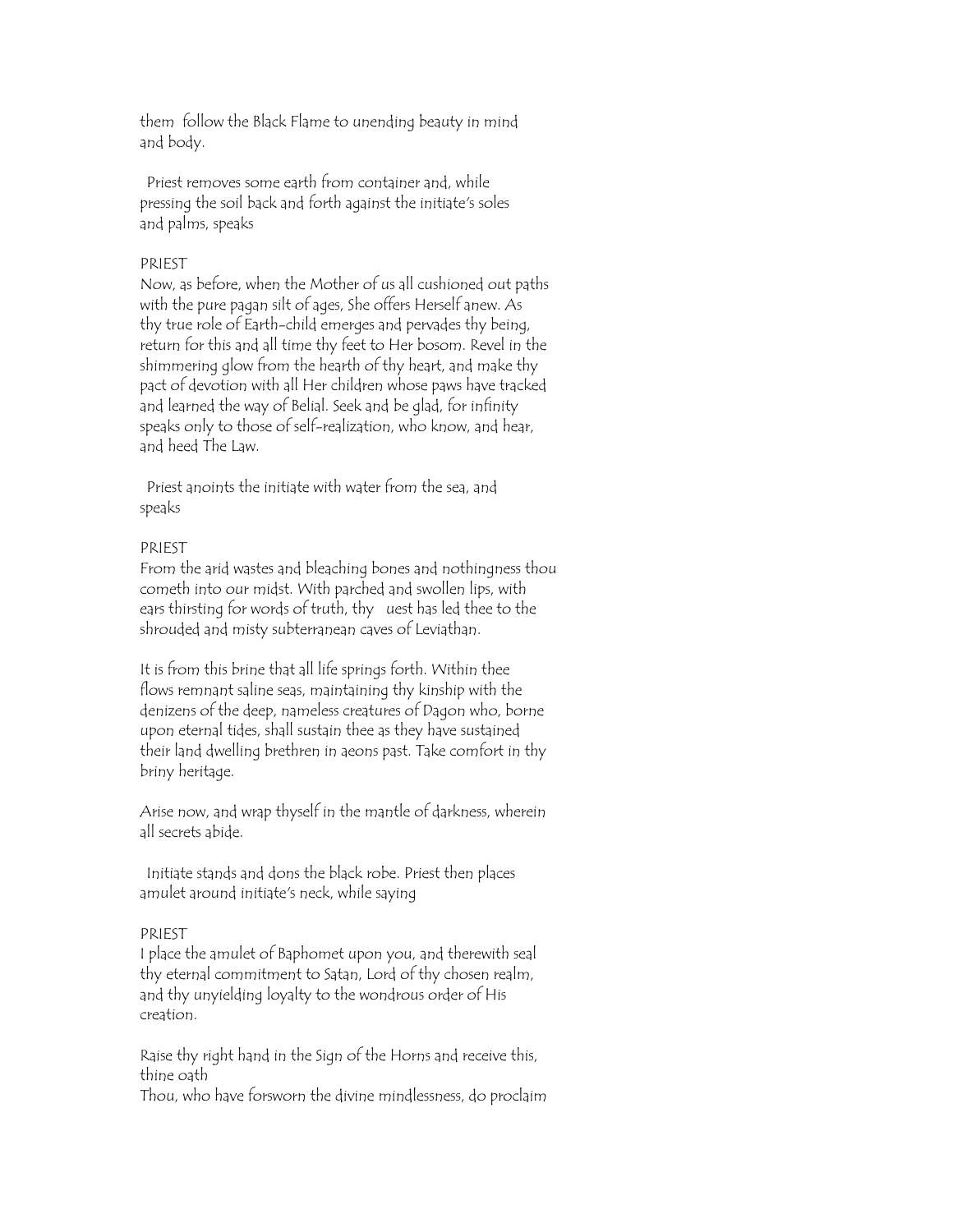them: follow the Black Flame to unending beauty in mind and body.

Priest removes some earth from container and, while pressing the soil back and forth against the initiate's soles and palms, speaks

# PRIEST:

Now, as before, when the Mother of us all cushioned out paths with the pure pagan silt of ages, She offers Herself anew. As thy true role of Earth-child emerges and pervades thy being, return for this and all time thy feet to Her bosom. Revel in the shimmering glow from the hearth of thy heart, and make thy pact of devotion with all Her children whose paws have tracked and learned the way of Belial. Seek and be glad, for infinity speaks only to those of self-realization, who know, and hear, and heed The Law.

Priest anoints the initiate with water from the sea, and speaks:]

## PRIEST:

From the arid wastes and bleaching bones and nothingness thou cometh into our midst. With parched and swollen lips, with ears thirsting for words of truth, thy uest has led thee to the shrouded and misty subterranean caves of Leviathan.

It is from this brine that all life springs forth. Within thee flows remnant saline seas, maintaining thy kinship with the denizens of the deep, nameless creatures of Dagon who, borne upon eternal tides, shall sustain thee as they have sustained their land dwelling brethren in aeons past. Take comfort in thy briny heritage.

Arise now, and wrap thyself in the mantle of darkness, wherein all secrets abide.

Initiate stands and dons the black robe. Priest then places amulet around initiate's neck, while saying:]

# PRIEST:

I place the amulet of Baphomet upon you, and therewith seal thy eternal commitment to Satan, Lord of thy chosen realm, and thy unyielding loyalty to the wondrous order of His creation.

Raise thy right hand in the Sign of the Horns and receive this, thine oath:

Thou, who have forsworn the divine mindlessness, do proclaim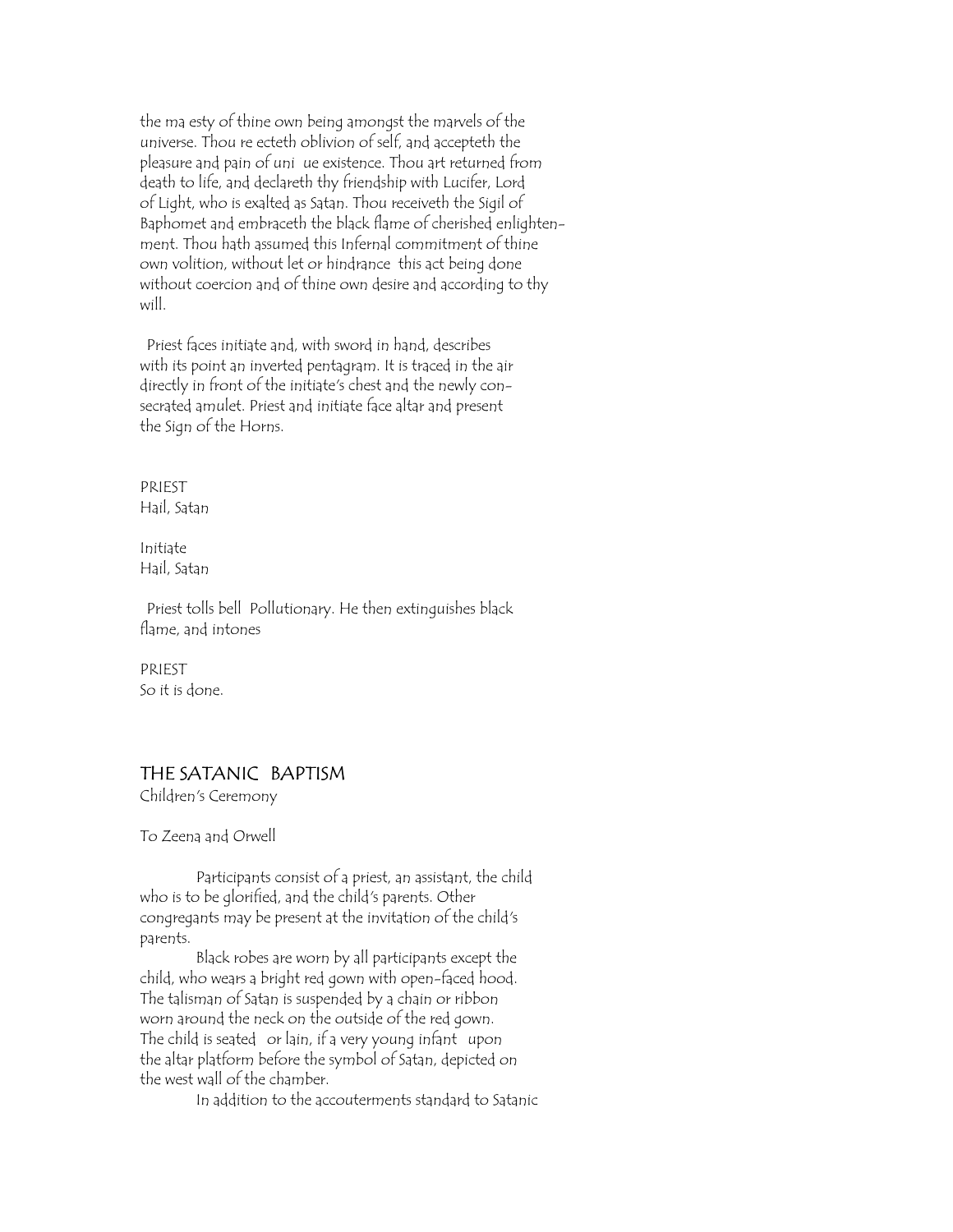the majesty of thine own being amongst the marvels of the universe. Thou re ecteth oblivion of self, and accepteth the pleasure and pain of uni ue existence. Thou art returned from death to life, and declareth thy friendship with Lucifer, Lord of Light, who is exalted as Satan. Thou receiveth the Sigil of Baphomet and embraceth the black flame of cherished enlightenment. Thou hath assumed this Infernal commitment of thine own volition, without let or hindrance: this act being done without coercion and of thine own desire and according to thy will.

Priest faces initiate and, with sword in hand, describes with its point an inverted pentagram. It is traced in the air directly in front of the initiate's chest and the newly consecrated amulet. Priest and initiate face altar and present the Sign of the Horns.]

PRIEST: Hail, Satan!

Initiate: Hail, Satan!

Priest tolls bell: Pollutionary. He then extinguishes black flame, and intones

PRIEST: So it is done.

# THE SATANIC BAPTISM

Children's Ceremony

*To Zeena and Orwell*

Participants consist of a priest, an assistant, the child who is to be glorified, and the child's parents. Other congregants may be present at the invitation of the child's parents.

Black robes are worn by all participants except the child, who wears a bright red gown with open-faced hood. The talisman of Satan is suspended by a chain or ribbon worn around the neck on the outside of the red gown. The child is seated or lain, if a very young infant upon the altar platform before the symbol of Satan, depicted on the west wall of the chamber.

In addition to the accouterments standard to Satanic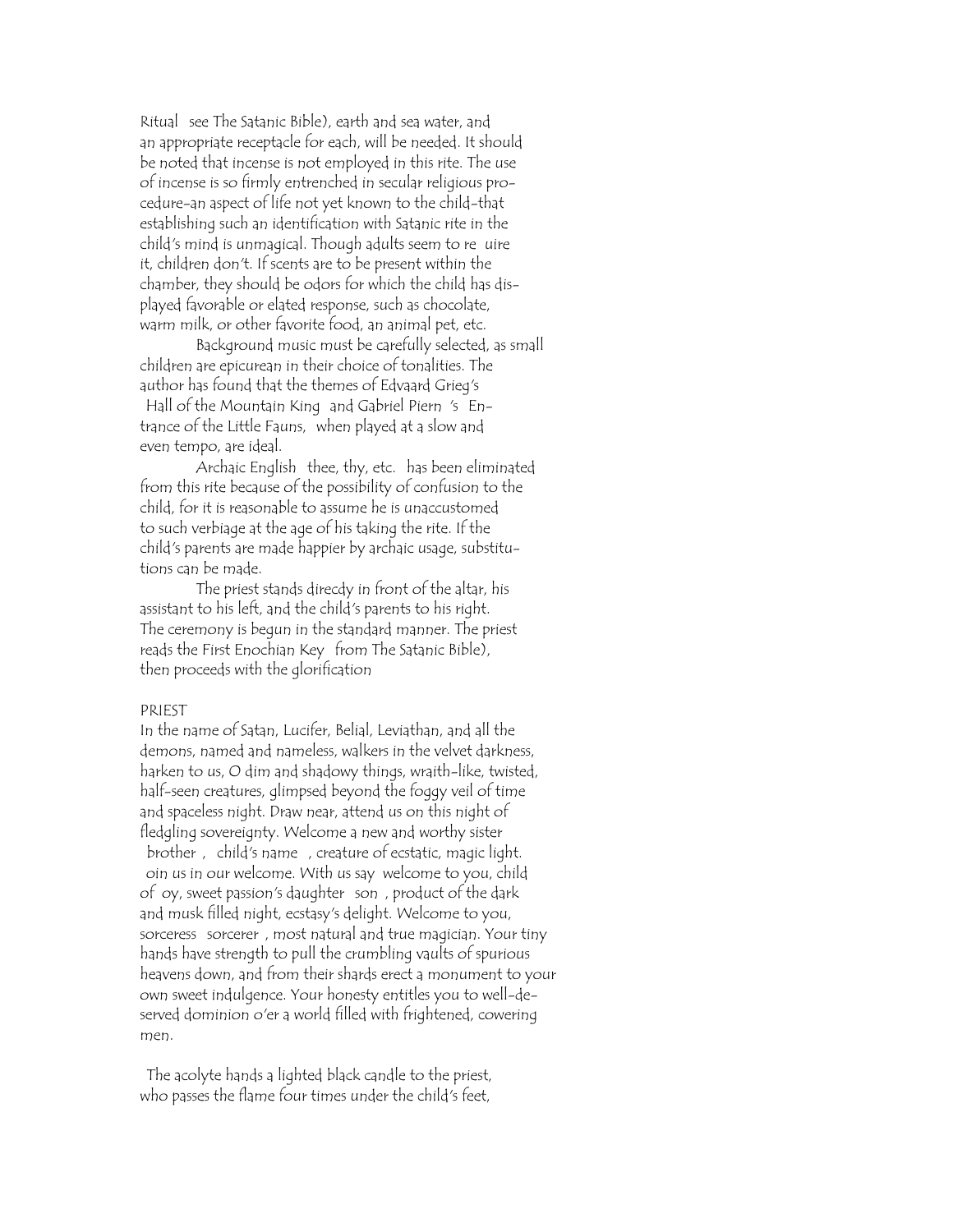Ritual (see *The Satanic Bible),* earth and sea water, and an appropriate receptacle for each, will be needed. It should be noted that incense is *not* employed in this rite. The use of incense is so firmly entrenched in secular religious procedure-an aspect of life not yet known to the child-that establishing such an identification with Satanic rite in the child's mind is unmagical. Though adults seem to require it, children don't. If scents are to be present within the chamber, they should be odors for which the child has displayed favorable or elated response, such as chocolate, warm milk, or other favorite food, an animal pet, etc.

Background music must be carefully selected, as small children are epicurean in their choice of tonalities. The author has found that the themes of Edvaard Grieg's Hall of the Mountain King and Gabriel Piern 's Entrance of the Little Fauns," when played at a slow and even tempo, are ideal.

Archaic English thee, thy, etc. has been eliminated from this rite because of the possibility of confusion to the child, for it is reasonable to assume he is unaccustomed to such verbiage at the age of his taking the rite. If the child's parents are made happier by archaic usage, substitutions can be made.

The priest stands direcdy in front of the altar, his assistant to his left, and the child's parents to his right. The ceremony is begun in the standard manner. The priest reads the *First Enochian Key* (from *The Satanic Bible),* then proceeds with the glorification:

#### PRIEST:

In the name of Satan, Lucifer, Belial, Leviathan, and all the demons, named and nameless, walkers in the velvet darkness, harken to us, O dim and shadowy things, wraith-like, twisted, half-seen creatures, glimpsed beyond the foggy veil of time and spaceless night. Draw near, attend us on this night of fledgling sovereignty. Welcome a new and worthy sister brother, child's name, creature of ecstatic, magic light. oin us in our welcome. With us say welcome to you, child of oy, sweet passion's daughter son, product of the dark and musk filled night, ecstasy's delight. Welcome to you, sorceress sorcerer, most natural and true magician. Your tiny hands have strength to pull the crumbling vaults of spurious heavens down, and from their shards erect a monument to your own sweet indulgence. Your honesty entitles you to well-deserved dominion o'er a world filled with frightened, cowering men.

The acolyte hands a lighted black candle to the priest, who passes the flame four times under the child's feet,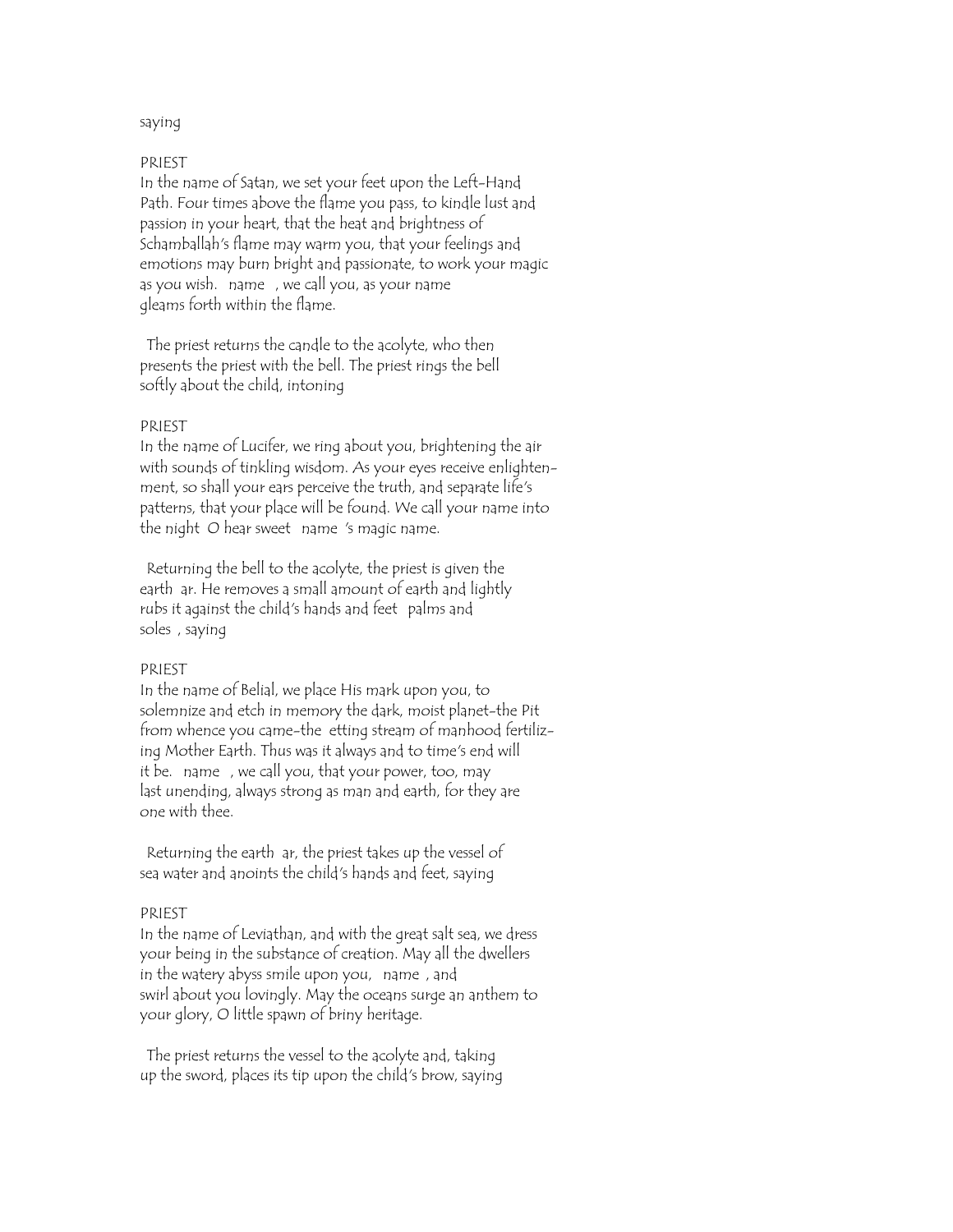#### saying

#### PRIEST:

In the name of Satan, we set your feet upon the Left-Hand Path. Four times above the flame you pass, to kindle lust and passion in your heart, that the heat and brightness of Schamballah's flame may warm you, that your feelings and emotions may burn bright and passionate, to work your magic as you wish. name, we call you, as your name gleams forth within the flame.

The priest returns the candle to the acolyte, who then presents the priest with the bell. The priest rings the bell softly about the child, intoning

#### PRIEST:

In the name of Lucifer, we ring about you, brightening the air with sounds of tinkling wisdom. As your eyes receive enlightenment, so shall your ears perceive the truth, and separate life's patterns, that your place will be found. We call your name into the night  $\circ$  hear sweet (name)'s magic name.

Returning the bell to the acolyte, the priest is given the earth ar. He removes a small amount of earth and lightly rubs it against the child's hands and feet (palms and soles, saying

#### PRIEST:

In the name of Belial, we place His mark upon you, to solemnize and etch in memory the dark, moist planet-the Pit from whence you came-the jetting stream of manhood fertilizing Mother Earth. Thus was it always and to time's end will it be. name, we call you, that your power, too, may last unending, always strong as man and earth, for they are one with thee.

Returning the earth ar, the priest takes up the vessel of sea water and anoints the child's hands and feet, saying

#### PRIEST:

In the name of Leviathan, and with the great salt sea, we dress your being in the substance of creation. May all the dwellers in the watery abyss smile upon you, (name), and swirl about you lovingly. May the oceans surge an anthem to your glory, O little spawn of briny heritage.

The priest returns the vessel to the acolyte and, taking up the sword, places its tip upon the child's brow, saying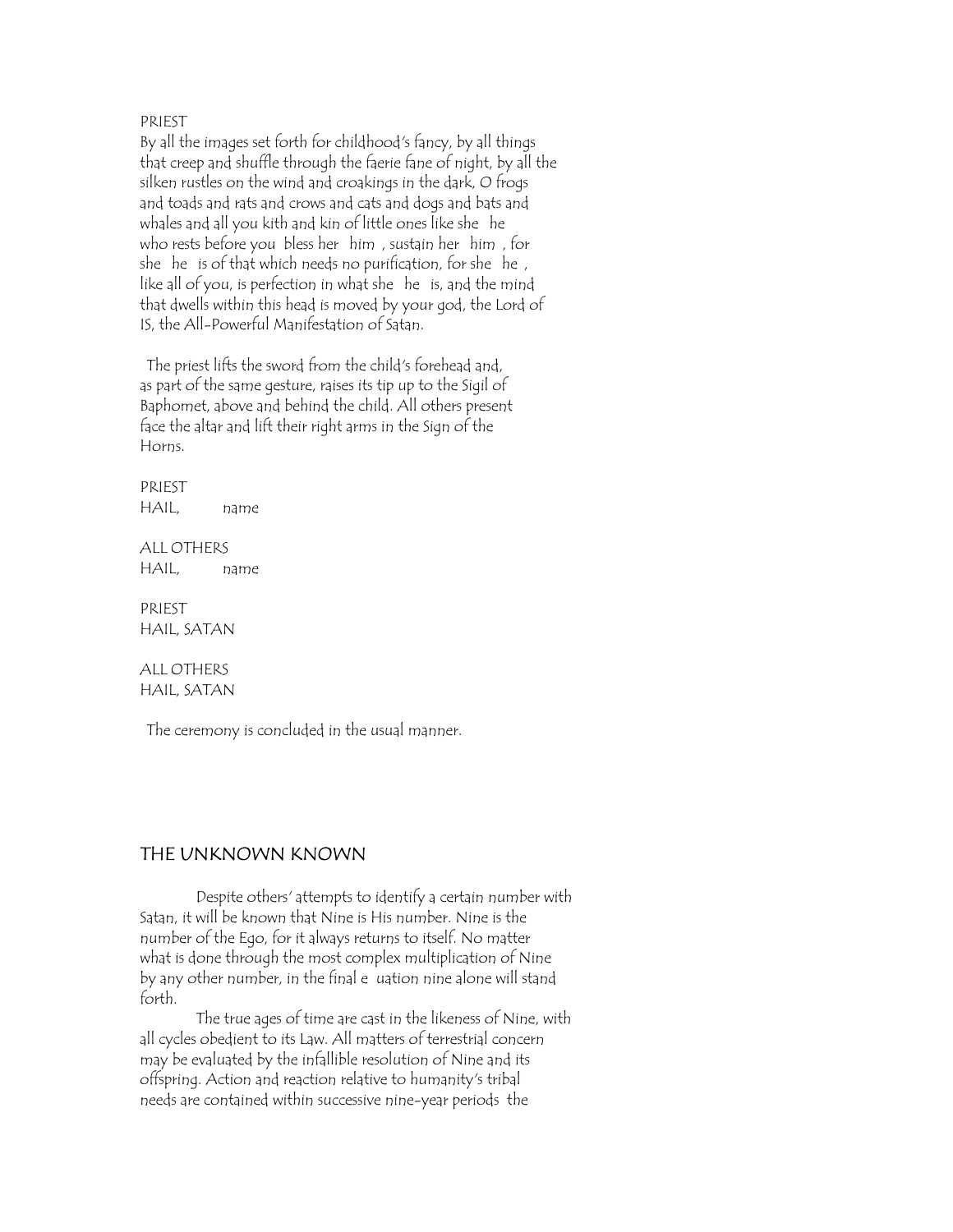PRIEST:

By all the images set forth for childhood's fancy, by all things that creep and shuffle through the faerie fane of night, by all the silken rustles on the wind and croakings in the dark, O frogs and toads and rats and crows and cats and dogs and bats and whales and all you kith and kin of little ones like she he who rests before you bless her him, sustain her him, for she he is of that which needs no purification, for she he, like all of you, is perfection in what she  $\,$  he  $\,$  is, and the mind that dwells within this head is moved by *your* god, the Lord of IS, the All-Powerful Manifestation of Satan.

The priest lifts the sword from the child's forehead and, as part of the same gesture, raises its tip up to the Sigil of Baphomet, above and behind the child. All others present face the altar and lift their right arms in the Sign of the Horns.]

PRIEST: HAIL, name

ALL OTHERS: HAIL, name

PRIEST: HAIL, SATAN!

ALL OTHERS: HAIL, SATAN!

The ceremony is concluded in the usual manner.

# THE UNKNOWN KNOWN

Despite others' attempts to identify a certain number with Satan, it will be known that Nine is His number. Nine is the number of the Ego, for it always returns to itself. No matter what is done through the most complex multiplication of Nine by any other number, in the final equation nine alone will stand forth.

The true ages of time are cast in the likeness of Nine, with all cycles obedient to its Law. All matters of terrestrial concern may be evaluated by the infallible resolution of Nine and its offspring. Action and reaction relative to humanity's tribal needs are contained within successive nine-year periods: the